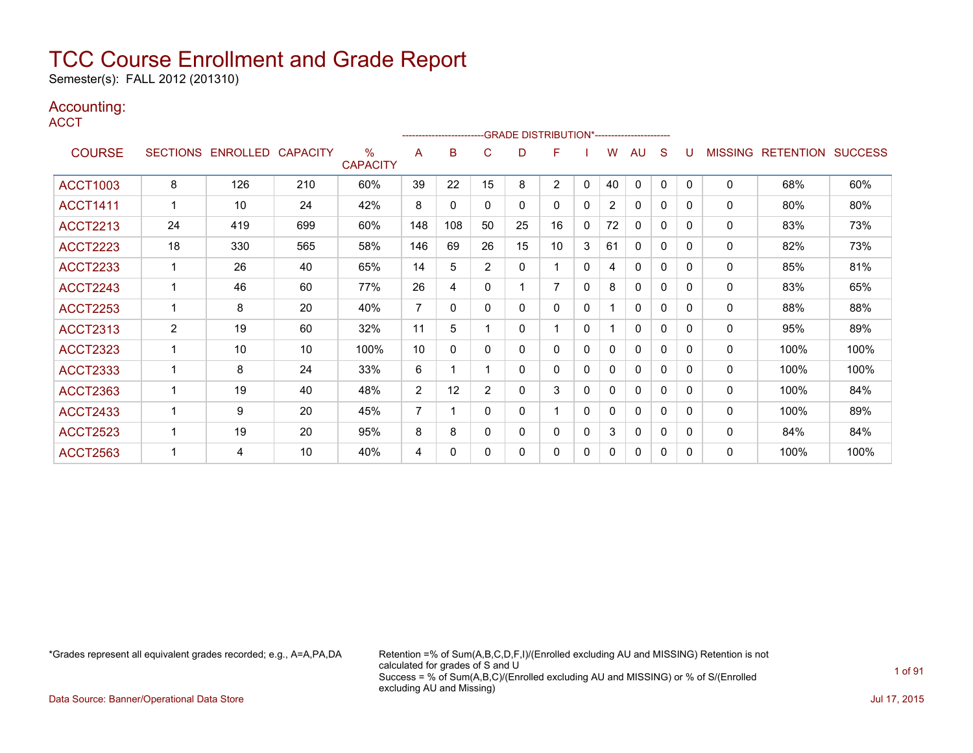Semester(s): FALL 2012 (201310)

### Accounting:

**ACCT** 

|                 |              |                   |                 |                         |                | -------------------------GRADE DISTRIBUTION*---------------------- |                |    |                |   |                |              |          |              |                |                  |                |
|-----------------|--------------|-------------------|-----------------|-------------------------|----------------|--------------------------------------------------------------------|----------------|----|----------------|---|----------------|--------------|----------|--------------|----------------|------------------|----------------|
| <b>COURSE</b>   |              | SECTIONS ENROLLED | <b>CAPACITY</b> | $\%$<br><b>CAPACITY</b> | A              | B                                                                  | С              | D  | F              |   | W              | AU           | S        | U            | <b>MISSING</b> | <b>RETENTION</b> | <b>SUCCESS</b> |
| <b>ACCT1003</b> | 8            | 126               | 210             | 60%                     | 39             | 22                                                                 | 15             | 8  | $\overline{2}$ | 0 | 40             | $\mathbf{0}$ | $\Omega$ | $\mathbf{0}$ | $\mathbf{0}$   | 68%              | 60%            |
| <b>ACCT1411</b> |              | 10                | 24              | 42%                     | 8              | $\Omega$                                                           | 0              | 0  | 0              | 0 | $\overline{2}$ | $\Omega$     | 0        | 0            | 0              | 80%              | 80%            |
| <b>ACCT2213</b> | 24           | 419               | 699             | 60%                     | 148            | 108                                                                | 50             | 25 | 16             | 0 | 72             | $\mathbf{0}$ | $\Omega$ | $\Omega$     | 0              | 83%              | 73%            |
| <b>ACCT2223</b> | 18           | 330               | 565             | 58%                     | 146            | 69                                                                 | 26             | 15 | 10             | 3 | 61             | 0            | 0        | $\Omega$     | 0              | 82%              | 73%            |
| <b>ACCT2233</b> |              | 26                | 40              | 65%                     | 14             | 5                                                                  | $\overline{2}$ | 0  | 1              | 0 | 4              | $\Omega$     | 0        | $\Omega$     | $\Omega$       | 85%              | 81%            |
| <b>ACCT2243</b> | $\mathbf{1}$ | 46                | 60              | 77%                     | 26             | 4                                                                  | 0              | 1  | $\overline{7}$ | 0 | 8              | $\mathbf{0}$ | 0        | $\mathbf{0}$ | $\mathbf{0}$   | 83%              | 65%            |
| <b>ACCT2253</b> |              | 8                 | 20              | 40%                     | $\overline{7}$ | 0                                                                  | 0              | 0  | 0              | 0 |                | $\mathbf{0}$ | 0        | 0            | $\mathbf{0}$   | 88%              | 88%            |
| <b>ACCT2313</b> | 2            | 19                | 60              | 32%                     | 11             | 5                                                                  |                | 0  | 1              | 0 |                | $\mathbf{0}$ | 0        | $\Omega$     | $\Omega$       | 95%              | 89%            |
| <b>ACCT2323</b> |              | 10                | 10              | 100%                    | 10             | 0                                                                  | 0              | 0  | 0              | 0 | 0              | 0            | 0        | $\Omega$     | 0              | 100%             | 100%           |
| <b>ACCT2333</b> | 1            | 8                 | 24              | 33%                     | 6              |                                                                    |                | 0  | 0              | 0 | 0              | $\mathbf{0}$ | 0        | $\Omega$     | 0              | 100%             | 100%           |
| <b>ACCT2363</b> | -1           | 19                | 40              | 48%                     | $\overline{2}$ | 12                                                                 | 2              | 0  | 3              | 0 | 0              | $\mathbf{0}$ | 0        | $\Omega$     | $\mathbf{0}$   | 100%             | 84%            |
| <b>ACCT2433</b> |              | 9                 | 20              | 45%                     | $\overline{7}$ |                                                                    | 0              | 0  | 1              | 0 | 0              | $\mathbf{0}$ | 0        | $\Omega$     | 0              | 100%             | 89%            |
| <b>ACCT2523</b> |              | 19                | 20              | 95%                     | 8              | 8                                                                  | 0              | 0  | 0              | 0 | 3              | $\mathbf{0}$ | 0        | $\Omega$     | $\mathbf{0}$   | 84%              | 84%            |
| <b>ACCT2563</b> |              | 4                 | 10              | 40%                     | 4              | $\Omega$                                                           | 0              | 0  | 0              | 0 | 0              | 0            | 0        | 0            | 0              | 100%             | 100%           |

\*Grades represent all equivalent grades recorded; e.g., A=A,PA,DA Retention =% of Sum(A,B,C,D,F,I)/(Enrolled excluding AU and MISSING) Retention is not calculated for grades of S and U Success = % of Sum(A,B,C)/(Enrolled excluding AU and MISSING) or % of S/(Enrolled excluding AU and Missing)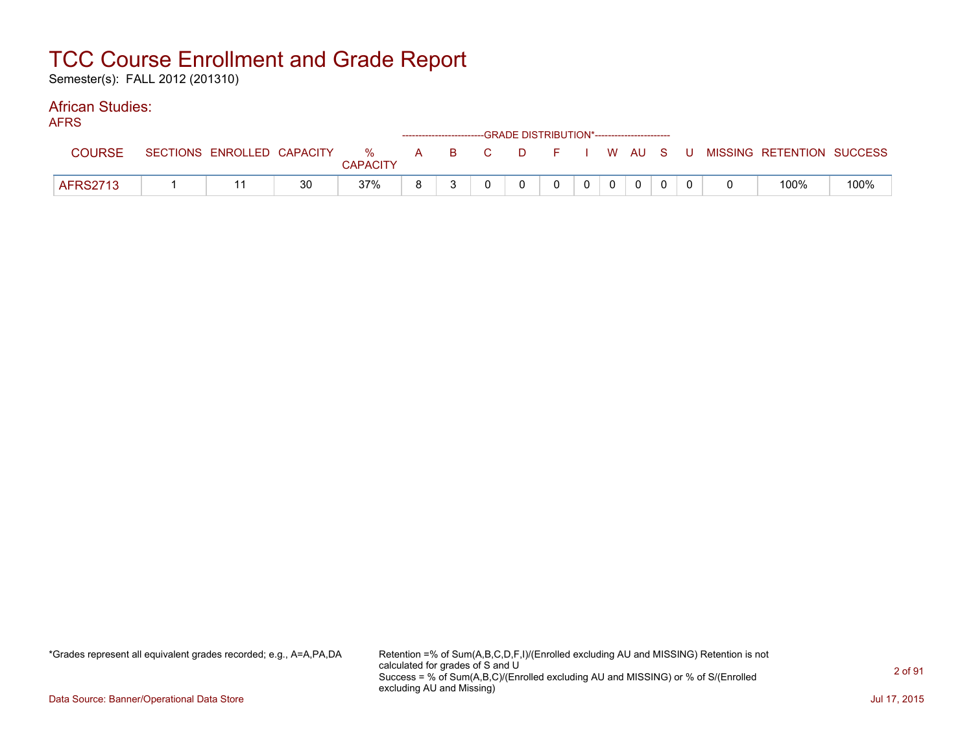Semester(s): FALL 2012 (201310)

#### African Studies: AFRS

| AFNO            |                            |    |                 |          |  | ------------------------GRADE        DISTRIBUTION*----------------------- |         |                |  |                                                  |      |
|-----------------|----------------------------|----|-----------------|----------|--|---------------------------------------------------------------------------|---------|----------------|--|--------------------------------------------------|------|
| <b>COURSE</b>   | SECTIONS ENROLLED CAPACITY |    | <b>CAPACITY</b> |          |  |                                                                           |         |                |  | % A B C D F I W AU S U MISSING RETENTION SUCCESS |      |
| <b>AFRS2713</b> |                            | 30 | 37%             | <b>R</b> |  | $\Omega$                                                                  | $0$   0 | $\overline{0}$ |  | 100%                                             | 100% |

\*Grades represent all equivalent grades recorded; e.g., A=A,PA,DA Retention =% of Sum(A,B,C,D,F,I)/(Enrolled excluding AU and MISSING) Retention is not calculated for grades of S and U Success = % of Sum(A,B,C)/(Enrolled excluding AU and MISSING) or % of S/(Enrolled excluding AU and Missing)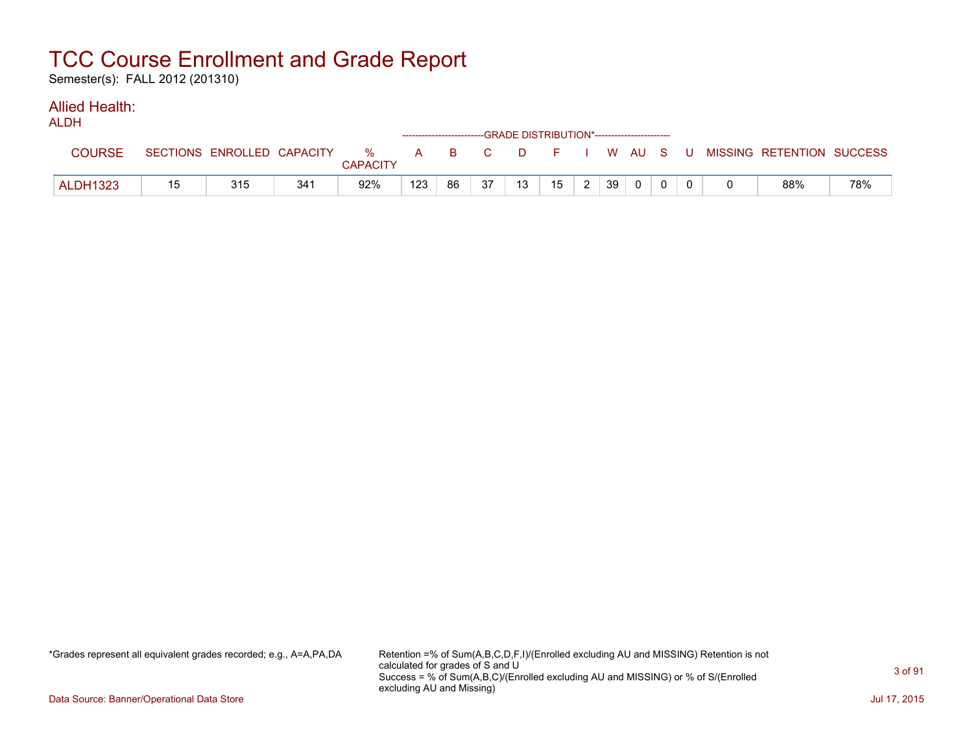Semester(s): FALL 2012 (201310)

#### Allied Health: ALDH<sub>1</sub>

| ALUN            |    |                            |     |                      | ------------------------GRADE DISTRIBUTION*----------------------- |    |       |    |                  |   |    |          |  |                                          |     |
|-----------------|----|----------------------------|-----|----------------------|--------------------------------------------------------------------|----|-------|----|------------------|---|----|----------|--|------------------------------------------|-----|
| <b>COURSE</b>   |    | SECTIONS ENROLLED CAPACITY |     | %<br><b>CAPACITY</b> |                                                                    |    | A B C |    |                  |   |    |          |  | D F I W AU S U MISSING RETENTION SUCCESS |     |
| <b>ALDH1323</b> | 15 | 315                        | 341 | 92%                  | 123                                                                | 86 | 37    | 13 | 15 <sub>15</sub> | ົ | 39 | $\Omega$ |  | 88%                                      | 78% |

\*Grades represent all equivalent grades recorded; e.g., A=A,PA,DA Retention =% of Sum(A,B,C,D,F,I)/(Enrolled excluding AU and MISSING) Retention is not calculated for grades of S and U Success = % of Sum(A,B,C)/(Enrolled excluding AU and MISSING) or % of S/(Enrolled excluding AU and Missing)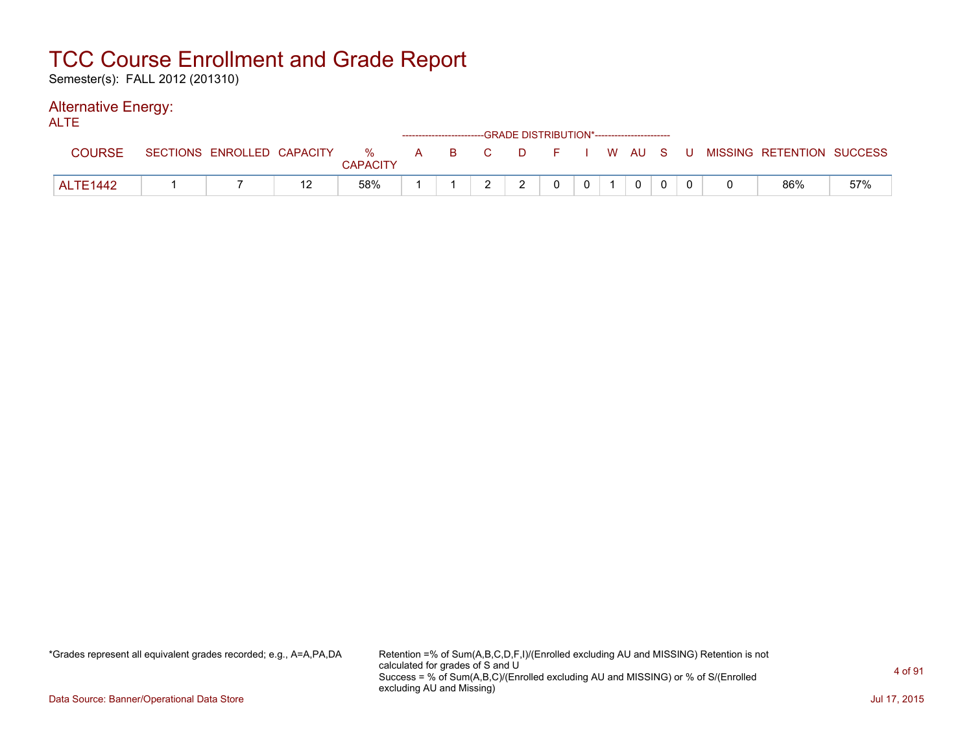Semester(s): FALL 2012 (201310)

#### Alternative Energy: ALTE

| <b>NLIL</b>     |                            |                      |  |   | ------------------------GRADE DISTRIBUTION*----------------------- |                |          |  |                                                |     |
|-----------------|----------------------------|----------------------|--|---|--------------------------------------------------------------------|----------------|----------|--|------------------------------------------------|-----|
| <b>COURSE</b>   | SECTIONS ENROLLED CAPACITY | %<br><b>CAPACITY</b> |  |   |                                                                    |                |          |  | A B C D F I W AU S U MISSING—RETENTION SUCCESS |     |
| <b>ALTE1442</b> |                            | 58%                  |  | ົ |                                                                    | 0 <sup>1</sup> | $\Omega$ |  | 86%                                            | 57% |

\*Grades represent all equivalent grades recorded; e.g., A=A,PA,DA Retention =% of Sum(A,B,C,D,F,I)/(Enrolled excluding AU and MISSING) Retention is not calculated for grades of S and U Success = % of Sum(A,B,C)/(Enrolled excluding AU and MISSING) or % of S/(Enrolled excluding AU and Missing)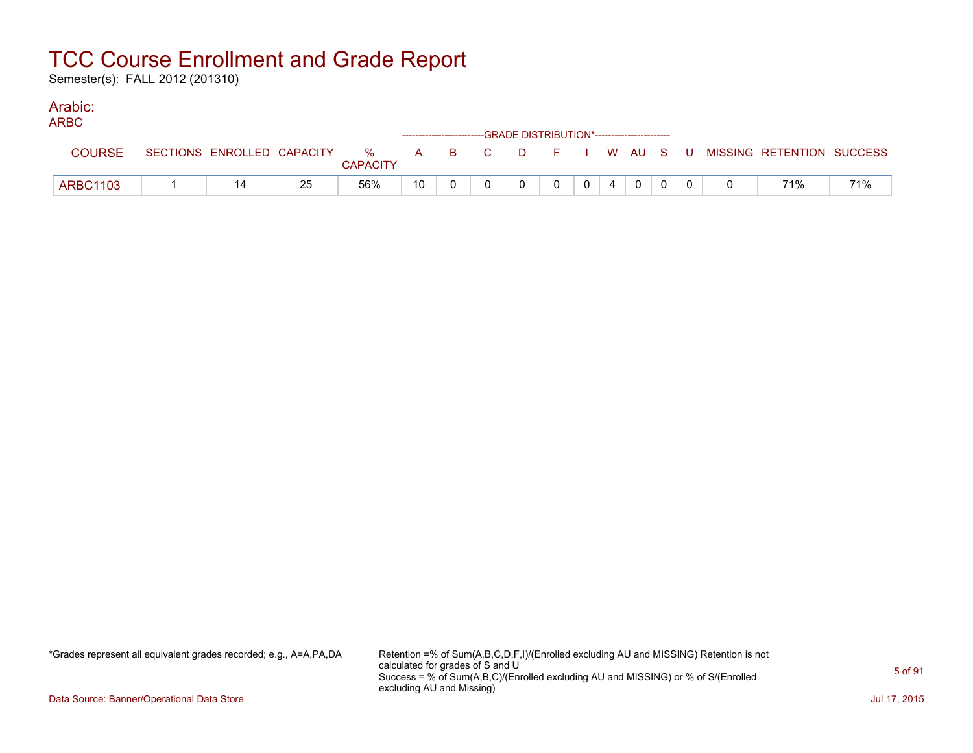Semester(s): FALL 2012 (201310)

### Arabic:

| <b>ARBC</b>     |                            |    |                         |  | ------------------------GRADE DISTRIBUTION*----------------------- |   |  |             |  |                                                |     |
|-----------------|----------------------------|----|-------------------------|--|--------------------------------------------------------------------|---|--|-------------|--|------------------------------------------------|-----|
| <b>COURSE</b>   | SECTIONS ENROLLED CAPACITY |    | $\%$<br><b>CAPACITY</b> |  |                                                                    |   |  |             |  | A B C D F I W AU S U MISSING RETENTION SUCCESS |     |
| <b>ARBC1103</b> |                            | 25 | 56%                     |  |                                                                    | 0 |  | $\mathbf 0$ |  | 71%                                            | 71% |

\*Grades represent all equivalent grades recorded; e.g., A=A,PA,DA Retention =% of Sum(A,B,C,D,F,I)/(Enrolled excluding AU and MISSING) Retention is not calculated for grades of S and U Success = % of Sum(A,B,C)/(Enrolled excluding AU and MISSING) or % of S/(Enrolled excluding AU and Missing)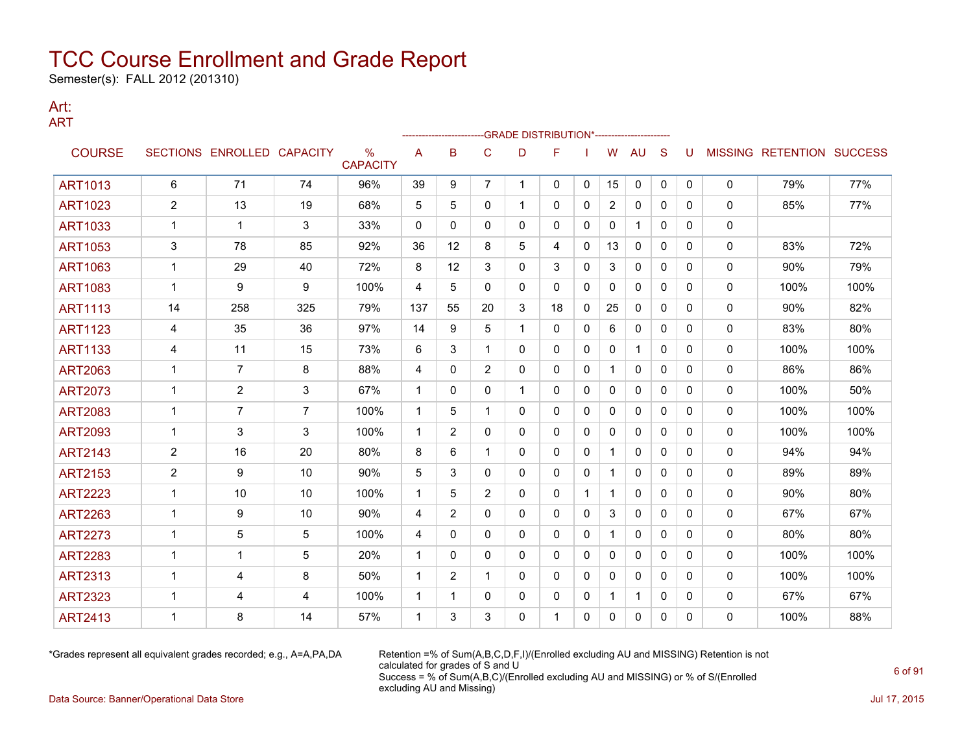Semester(s): FALL 2012 (201310)

#### Art: ART

|                |                |                            |                |                                  |              | ------------------- |                | -- GRADE DISTRIBUTION*----------------------- |              |              |              |              |              |              |   |                           |      |
|----------------|----------------|----------------------------|----------------|----------------------------------|--------------|---------------------|----------------|-----------------------------------------------|--------------|--------------|--------------|--------------|--------------|--------------|---|---------------------------|------|
| <b>COURSE</b>  |                | SECTIONS ENROLLED CAPACITY |                | $\frac{0}{0}$<br><b>CAPACITY</b> | A            | B                   | C              | D                                             | F            |              | W            | <b>AU</b>    | S            | U            |   | MISSING RETENTION SUCCESS |      |
| <b>ART1013</b> | 6              | 71                         | 74             | 96%                              | 39           | 9                   | $\overline{7}$ | 1                                             | 0            | 0            | 15           | 0            | 0            | $\mathbf{0}$ | 0 | 79%                       | 77%  |
| <b>ART1023</b> | 2              | 13                         | 19             | 68%                              | 5            | 5                   | 0              | 1                                             | 0            | 0            | 2            | 0            | $\mathbf{0}$ | 0            | 0 | 85%                       | 77%  |
| <b>ART1033</b> | 1              | $\mathbf 1$                | 3              | 33%                              | $\mathbf{0}$ | $\mathbf{0}$        | 0              | 0                                             | 0            | $\mathbf{0}$ | 0            | 1            | $\mathbf{0}$ | $\Omega$     | 0 |                           |      |
| <b>ART1053</b> | 3              | 78                         | 85             | 92%                              | 36           | $12 \overline{ }$   | 8              | 5                                             | 4            | 0            | 13           | 0            | $\mathbf{0}$ | 0            | 0 | 83%                       | 72%  |
| <b>ART1063</b> | 1              | 29                         | 40             | 72%                              | 8            | 12                  | 3              | 0                                             | 3            | $\mathbf{0}$ | 3            | $\mathbf{0}$ | $\mathbf{0}$ | 0            | 0 | 90%                       | 79%  |
| <b>ART1083</b> | 1              | 9                          | 9              | 100%                             | 4            | 5                   | $\Omega$       | 0                                             | $\mathbf{0}$ | $\mathbf{0}$ | 0            | $\mathbf{0}$ | $\mathbf{0}$ | 0            | 0 | 100%                      | 100% |
| <b>ART1113</b> | 14             | 258                        | 325            | 79%                              | 137          | 55                  | 20             | 3                                             | 18           | $\mathbf{0}$ | 25           | 0            | $\mathbf{0}$ | $\Omega$     | 0 | 90%                       | 82%  |
| <b>ART1123</b> | 4              | 35                         | 36             | 97%                              | 14           | 9                   | 5              | 1                                             | $\mathbf{0}$ | $\mathbf{0}$ | 6            | $\mathbf{0}$ | $\Omega$     | 0            | 0 | 83%                       | 80%  |
| <b>ART1133</b> | 4              | 11                         | 15             | 73%                              | 6            | 3                   | 1              | 0                                             | 0            | 0            | 0            | $\mathbf{1}$ | $\mathbf{0}$ | 0            | 0 | 100%                      | 100% |
| <b>ART2063</b> | 1              | $\overline{7}$             | 8              | 88%                              | 4            | $\mathbf{0}$        | $\overline{2}$ | 0                                             | 0            | 0            |              | 0            | $\mathbf{0}$ | $\Omega$     | 0 | 86%                       | 86%  |
| <b>ART2073</b> | 1              | $\overline{2}$             | 3              | 67%                              | 1            | 0                   | 0              | 1                                             | 0            | 0            | 0            | 0            | $\mathbf{0}$ | 0            | 0 | 100%                      | 50%  |
| <b>ART2083</b> | 1              | $\overline{7}$             | $\overline{7}$ | 100%                             | $\mathbf{1}$ | 5                   | 1              | $\Omega$                                      | 0            | $\mathbf{0}$ | $\mathbf{0}$ | $\mathbf{0}$ | $\mathbf{0}$ | 0            | 0 | 100%                      | 100% |
| <b>ART2093</b> | 1              | 3                          | 3              | 100%                             | 1            | 2                   | 0              | 0                                             | $\mathbf{0}$ | $\mathbf{0}$ | 0            | $\mathbf{0}$ | $\Omega$     | 0            | 0 | 100%                      | 100% |
| <b>ART2143</b> | $\overline{2}$ | 16                         | 20             | 80%                              | 8            | 6                   | 1              | 0                                             | 0            | 0            | 1            | 0            | $\mathbf{0}$ | 0            | 0 | 94%                       | 94%  |
| <b>ART2153</b> | 2              | 9                          | 10             | 90%                              | 5            | 3                   | $\mathbf{0}$   | 0                                             | $\mathbf{0}$ | $\mathbf{0}$ | 1            | 0            | $\mathbf{0}$ | 0            | 0 | 89%                       | 89%  |
| <b>ART2223</b> | 1              | 10                         | 10             | 100%                             | 1            | 5                   | $\overline{2}$ | 0                                             | 0            | 1            | 1            | 0            | $\mathbf{0}$ | 0            | 0 | 90%                       | 80%  |
| <b>ART2263</b> | 1              | 9                          | 10             | 90%                              | 4            | 2                   | 0              | 0                                             | $\mathbf{0}$ | $\mathbf{0}$ | 3            | 0            | $\mathbf{0}$ | $\Omega$     | 0 | 67%                       | 67%  |
| <b>ART2273</b> |                | 5                          | 5              | 100%                             | 4            | $\mathbf{0}$        | 0              | 0                                             | 0            | 0            | 1            | 0            | $\mathbf{0}$ | 0            | 0 | 80%                       | 80%  |
| <b>ART2283</b> | 1              | $\mathbf{1}$               | 5              | 20%                              | 1            | $\Omega$            | $\Omega$       | 0                                             | $\Omega$     | $\Omega$     | $\mathbf{0}$ | $\mathbf{0}$ | $\Omega$     | $\Omega$     | 0 | 100%                      | 100% |
| <b>ART2313</b> | 1              | 4                          | 8              | 50%                              | 1            | 2                   | $\mathbf 1$    | 0                                             | $\mathbf{0}$ | $\mathbf{0}$ | $\mathbf{0}$ | $\mathbf{0}$ | $\Omega$     | $\Omega$     | 0 | 100%                      | 100% |
| <b>ART2323</b> | 1              | 4                          | 4              | 100%                             | 1            | 1                   | $\mathbf{0}$   | 0                                             | 0            | 0            |              | 1            | 0            | $\Omega$     | 0 | 67%                       | 67%  |
| <b>ART2413</b> |                | 8                          | 14             | 57%                              | 1            | 3                   | 3              | 0                                             |              | 0            | 0            | $\mathbf{0}$ | 0            | 0            | 0 | 100%                      | 88%  |

\*Grades represent all equivalent grades recorded; e.g., A=A,PA,DA Retention =% of Sum(A,B,C,D,F,I)/(Enrolled excluding AU and MISSING) Retention is not calculated for grades of S and U Success = % of Sum(A,B,C)/(Enrolled excluding AU and MISSING) or % of S/(Enrolled excluding AU and Missing)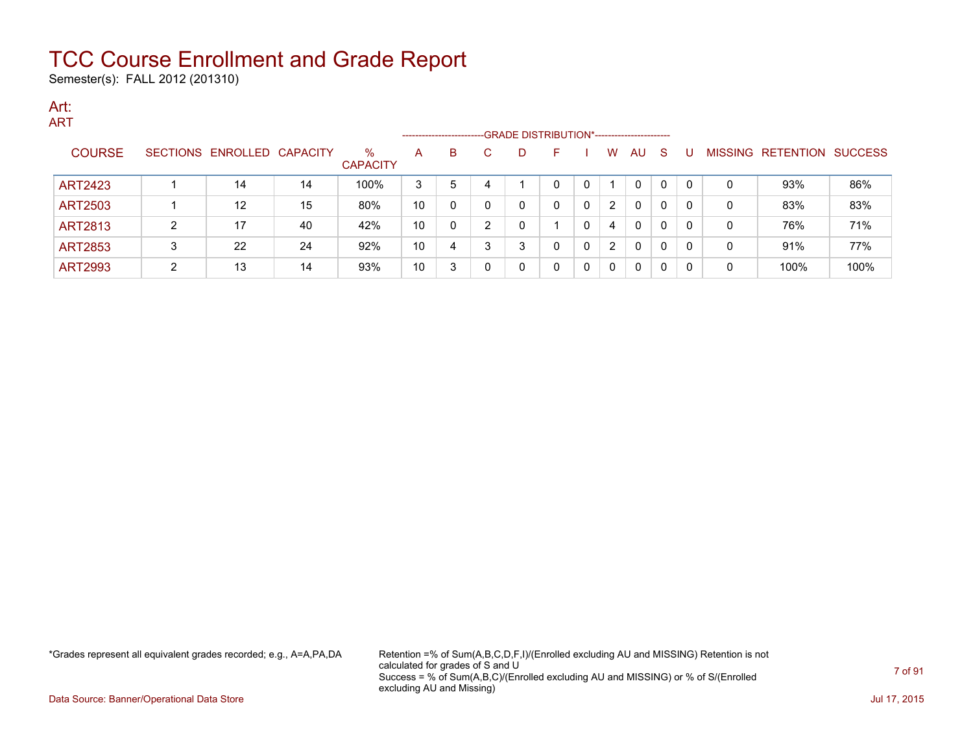Semester(s): FALL 2012 (201310)

#### Art: ART

|                |   |                            |    |                         | --------------------- |   |   | -GRADE DISTRIBUTION*----------------------- |   |   |                |              |    |     |                |                  |                |
|----------------|---|----------------------------|----|-------------------------|-----------------------|---|---|---------------------------------------------|---|---|----------------|--------------|----|-----|----------------|------------------|----------------|
| <b>COURSE</b>  |   | SECTIONS ENROLLED CAPACITY |    | $\%$<br><b>CAPACITY</b> | A                     | В | C | D                                           | F |   | W              | AU           | -S |     | <b>MISSING</b> | <b>RETENTION</b> | <b>SUCCESS</b> |
| <b>ART2423</b> |   | 14                         | 14 | 100%                    | 3                     | 5 |   |                                             |   | 0 |                | 0            |    | - 0 | 0              | 93%              | 86%            |
| <b>ART2503</b> |   | $12 \,$                    | 15 | 80%                     | 10                    |   |   | 0                                           | 0 | 0 | 2              | $\mathbf{0}$ | 0  | -0  | 0              | 83%              | 83%            |
| <b>ART2813</b> | ົ | 17                         | 40 | 42%                     | 10                    |   | റ | C                                           |   |   | 4              | $\mathbf{0}$ | 0  | -0  | 0              | 76%              | 71%            |
| <b>ART2853</b> | 3 | 22                         | 24 | 92%                     | 10                    | 4 | 3 | 3                                           |   | 0 | $\overline{2}$ | $\mathbf{0}$ | 0  | -0  | 0              | 91%              | 77%            |
| <b>ART2993</b> |   | 13                         | 14 | 93%                     | 10                    |   |   | 0                                           |   | 0 | $\Omega$       | $\mathbf{0}$ | 0  | -0  | 0              | 100%             | 100%           |

\*Grades represent all equivalent grades recorded; e.g., A=A,PA,DA Retention =% of Sum(A,B,C,D,F,I)/(Enrolled excluding AU and MISSING) Retention is not calculated for grades of S and U Success = % of Sum(A,B,C)/(Enrolled excluding AU and MISSING) or % of S/(Enrolled excluding AU and Missing)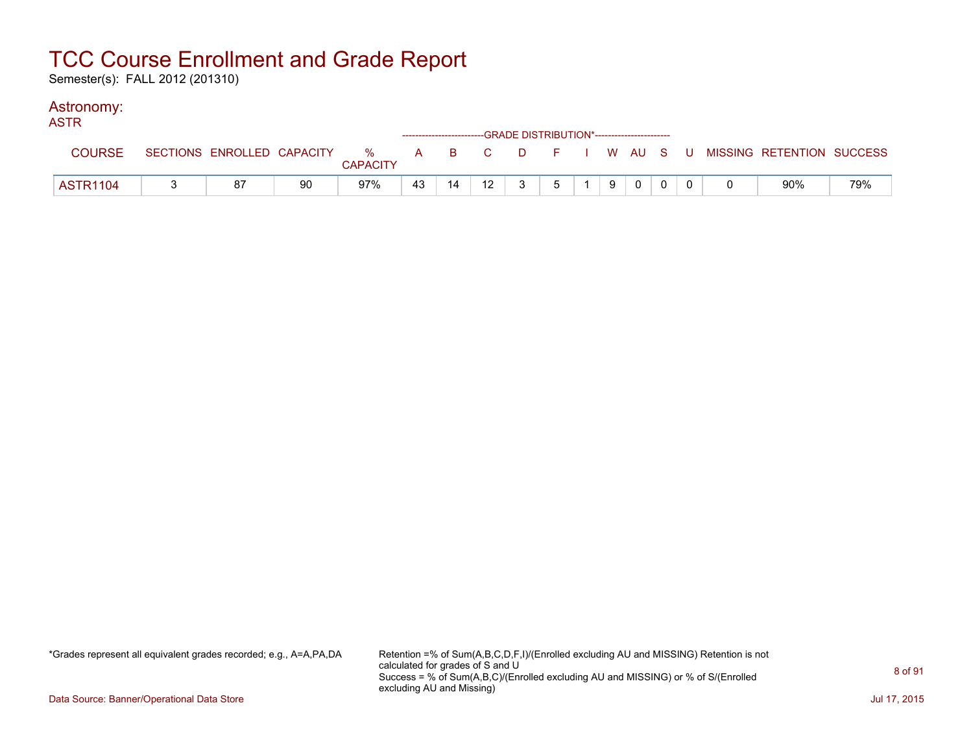Semester(s): FALL 2012 (201310)

### Astronomy:

| <b>ASTR</b>     |    |    |                 |    |    |    | ------------------------GRADE DISTRIBUTION*----------------------- |   |   |              |  |                                                                             |     |
|-----------------|----|----|-----------------|----|----|----|--------------------------------------------------------------------|---|---|--------------|--|-----------------------------------------------------------------------------|-----|
| <b>COURSE</b>   |    |    | <b>CAPACITY</b> |    |    |    |                                                                    |   |   |              |  | SECTIONS ENROLLED CAPACITY % A B C D F I W AU S U MISSING RETENTION SUCCESS |     |
| <b>ASTR1104</b> | 87 | 90 | 97%             | 43 | 14 | 12 | $\mathbf{3}$                                                       | 5 | 9 | $\mathbf{0}$ |  | 90%                                                                         | 79% |

\*Grades represent all equivalent grades recorded; e.g., A=A,PA,DA Retention =% of Sum(A,B,C,D,F,I)/(Enrolled excluding AU and MISSING) Retention is not calculated for grades of S and U Success = % of Sum(A,B,C)/(Enrolled excluding AU and MISSING) or % of S/(Enrolled excluding AU and Missing)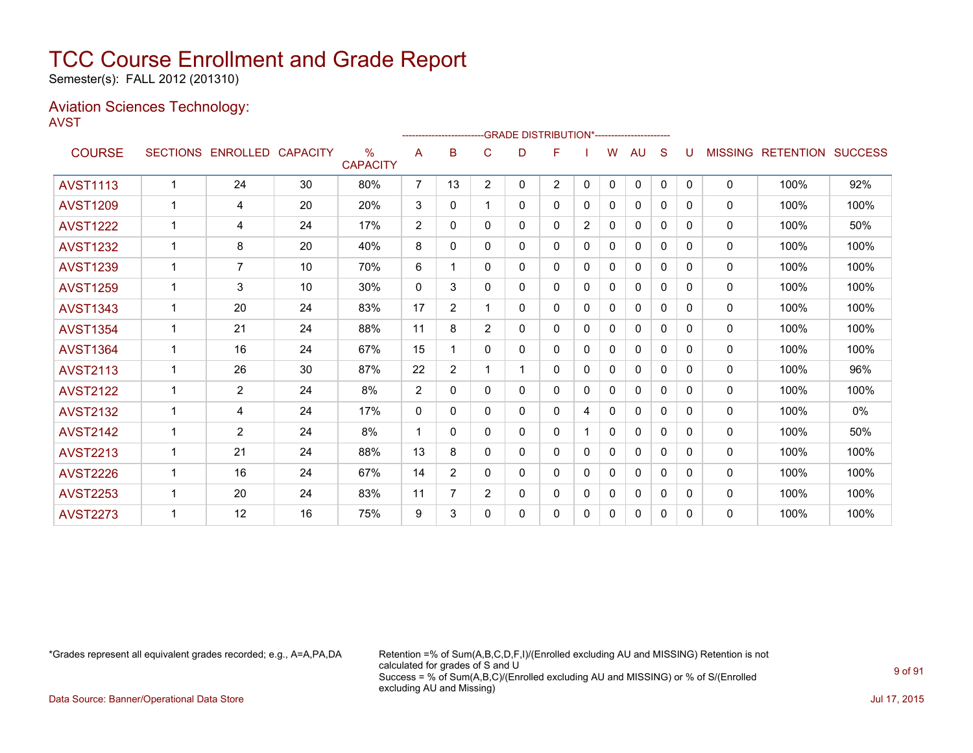Semester(s): FALL 2012 (201310)

#### Aviation Sciences Technology: AVST

|                 |              |                   |                 |                                  |                |                |                | -------------------------GRADE                DISTRIBUTION*--------------------- |                |                |              |              |              |              |                |                          |       |
|-----------------|--------------|-------------------|-----------------|----------------------------------|----------------|----------------|----------------|----------------------------------------------------------------------------------|----------------|----------------|--------------|--------------|--------------|--------------|----------------|--------------------------|-------|
| <b>COURSE</b>   |              | SECTIONS ENROLLED | <b>CAPACITY</b> | $\frac{0}{0}$<br><b>CAPACITY</b> | A              | в              | C              | D                                                                                | F              |                | W            | <b>AU</b>    | S            | U            | <b>MISSING</b> | <b>RETENTION SUCCESS</b> |       |
| <b>AVST1113</b> | $\mathbf{1}$ | 24                | 30              | 80%                              | $\overline{7}$ | 13             | $\overline{2}$ | 0                                                                                | $\overline{2}$ | $\mathbf{0}$   | $\Omega$     | $\mathbf{0}$ | $\mathbf{0}$ | $\Omega$     | $\mathbf{0}$   | 100%                     | 92%   |
| <b>AVST1209</b> | 1            | 4                 | 20              | 20%                              | 3              | $\mathbf{0}$   |                | 0                                                                                | 0              | 0              | 0            | $\mathbf{0}$ | $\mathbf{0}$ | $\Omega$     | $\mathbf{0}$   | 100%                     | 100%  |
| <b>AVST1222</b> | $\mathbf 1$  | 4                 | 24              | 17%                              | $\overline{2}$ | $\mathbf{0}$   | 0              | 0                                                                                | 0              | $\overline{2}$ | $\mathbf{0}$ | $\mathbf{0}$ | $\Omega$     | $\Omega$     | 0              | 100%                     | 50%   |
| <b>AVST1232</b> | 1            | 8                 | 20              | 40%                              | 8              | 0              | 0              | 0                                                                                | 0              | $\mathbf{0}$   | $\mathbf{0}$ | 0            | $\Omega$     | 0            | 0              | 100%                     | 100%  |
| <b>AVST1239</b> | $\mathbf 1$  | 7                 | 10              | 70%                              | 6              | 1              | 0              | 0                                                                                | 0              | $\mathbf{0}$   | 0            | $\mathbf{0}$ | 0            | 0            | 0              | 100%                     | 100%  |
| <b>AVST1259</b> | $\mathbf{1}$ | 3                 | 10              | 30%                              | $\mathbf{0}$   | 3              | 0              | 0                                                                                | 0              | $\mathbf{0}$   | 0            | 0            | $\Omega$     | 0            | 0              | 100%                     | 100%  |
| <b>AVST1343</b> | 1            | 20                | 24              | 83%                              | 17             | $\overline{2}$ |                | 0                                                                                | 0              | $\mathbf{0}$   | 0            | $\mathbf{0}$ | 0            | 0            | 0              | 100%                     | 100%  |
| <b>AVST1354</b> |              | 21                | 24              | 88%                              | 11             | 8              | $\overline{2}$ | 0                                                                                | 0              | $\Omega$       | $\mathbf{0}$ | $\mathbf{0}$ | $\Omega$     | 0            | 0              | 100%                     | 100%  |
| <b>AVST1364</b> | 1            | 16                | 24              | 67%                              | 15             |                | 0              | 0                                                                                | 0              | $\Omega$       | 0            | 0            | $\Omega$     | $\Omega$     | 0              | 100%                     | 100%  |
| <b>AVST2113</b> | 1            | 26                | 30              | 87%                              | 22             | $\overline{2}$ |                |                                                                                  | 0              | 0              | 0            | $\mathbf{0}$ | $\Omega$     | <sup>0</sup> | $\mathbf{0}$   | 100%                     | 96%   |
| <b>AVST2122</b> | $\mathbf{1}$ | $\overline{2}$    | 24              | 8%                               | 2              | $\Omega$       | 0              | 0                                                                                | 0              | $\Omega$       | 0            | 0            | $\Omega$     | 0            | $\mathbf{0}$   | 100%                     | 100%  |
| <b>AVST2132</b> | 1            | 4                 | 24              | 17%                              | $\mathbf{0}$   | 0              | 0              | 0                                                                                | 0              | 4              | 0            | $\mathbf{0}$ | 0            | $\Omega$     | $\mathbf{0}$   | 100%                     | $0\%$ |
| <b>AVST2142</b> | 1            | 2                 | 24              | 8%                               | -1             | 0              | 0              | 0                                                                                | 0              |                | 0            | $\mathbf{0}$ | 0            | 0            | 0              | 100%                     | 50%   |
| <b>AVST2213</b> | $\mathbf{1}$ | 21                | 24              | 88%                              | 13             | 8              | 0              | 0                                                                                | 0              | $\mathbf{0}$   | 0            | 0            | 0            | $\Omega$     | $\mathbf{0}$   | 100%                     | 100%  |
| <b>AVST2226</b> | $\mathbf 1$  | 16                | 24              | 67%                              | 14             | $\overline{2}$ | 0              | 0                                                                                | 0              | 0              | 0            | 0            | 0            | 0            | $\mathbf{0}$   | 100%                     | 100%  |
| <b>AVST2253</b> | 1            | 20                | 24              | 83%                              | 11             | 7              | $\overline{2}$ | 0                                                                                | 0              | 0              | 0            | 0            | 0            | 0            | 0              | 100%                     | 100%  |
| <b>AVST2273</b> |              | 12                | 16              | 75%                              | 9              | 3              | 0              | 0                                                                                | 0              | $\mathbf{0}$   | 0            | 0            | 0            | 0            | $\mathbf{0}$   | 100%                     | 100%  |
|                 |              |                   |                 |                                  |                |                |                |                                                                                  |                |                |              |              |              |              |                |                          |       |

\*Grades represent all equivalent grades recorded; e.g., A=A,PA,DA Retention =% of Sum(A,B,C,D,F,I)/(Enrolled excluding AU and MISSING) Retention is not calculated for grades of S and U Success = % of Sum(A,B,C)/(Enrolled excluding AU and MISSING) or % of S/(Enrolled excluding AU and Missing)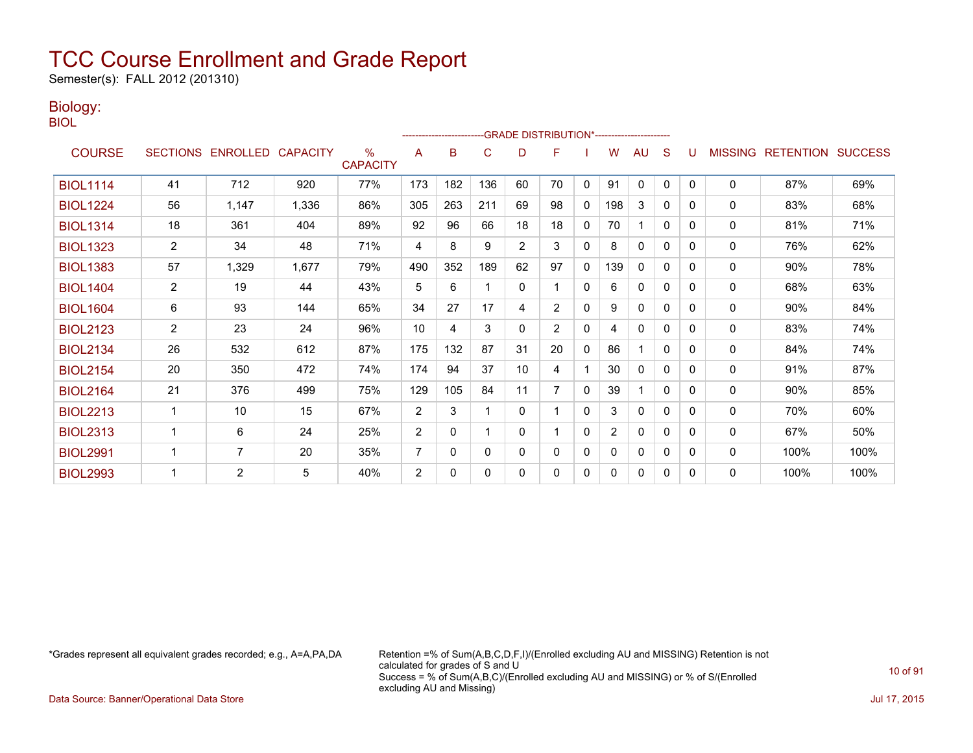Semester(s): FALL 2012 (201310)

### Biology:

BIOL

|                 |                |                            |       |                         |                |          |              |                | -GRADE DISTRIBUTION*----------------------- |              |                |              |              |   |                |                          |      |
|-----------------|----------------|----------------------------|-------|-------------------------|----------------|----------|--------------|----------------|---------------------------------------------|--------------|----------------|--------------|--------------|---|----------------|--------------------------|------|
| <b>COURSE</b>   |                | SECTIONS ENROLLED CAPACITY |       | $\%$<br><b>CAPACITY</b> | A              | B        | C            | D              | F                                           |              | w              | AU           | S            |   | <b>MISSING</b> | <b>RETENTION SUCCESS</b> |      |
| <b>BIOL1114</b> | 41             | 712                        | 920   | 77%                     | 173            | 182      | 136          | 60             | 70                                          | $\mathbf{0}$ | 91             | $\mathbf{0}$ | $\mathbf{0}$ | 0 | 0              | 87%                      | 69%  |
| <b>BIOL1224</b> | 56             | 1,147                      | 1,336 | 86%                     | 305            | 263      | 211          | 69             | 98                                          | $\mathbf{0}$ | 198            | 3            | 0            | 0 | 0              | 83%                      | 68%  |
| <b>BIOL1314</b> | 18             | 361                        | 404   | 89%                     | 92             | 96       | 66           | 18             | 18                                          | $\mathbf{0}$ | 70             |              | $\mathbf{0}$ | 0 | 0              | 81%                      | 71%  |
| <b>BIOL1323</b> | $\overline{2}$ | 34                         | 48    | 71%                     | 4              | 8        | 9            | $\overline{2}$ | 3                                           | 0            | 8              | 0            | 0            | 0 | 0              | 76%                      | 62%  |
| <b>BIOL1383</b> | 57             | 1,329                      | 1,677 | 79%                     | 490            | 352      | 189          | 62             | 97                                          | $\mathbf{0}$ | 139            | $\mathbf{0}$ | 0            | 0 | $\mathbf{0}$   | 90%                      | 78%  |
| <b>BIOL1404</b> | $\overline{2}$ | 19                         | 44    | 43%                     | 5              | 6        |              | 0              |                                             | $\mathbf{0}$ | 6              | $\mathbf{0}$ | 0            | 0 | 0              | 68%                      | 63%  |
| <b>BIOL1604</b> | 6              | 93                         | 144   | 65%                     | 34             | 27       | 17           | 4              | $\overline{2}$                              | $\mathbf{0}$ | 9              | $\mathbf{0}$ | 0            | 0 | 0              | 90%                      | 84%  |
| <b>BIOL2123</b> | $\overline{2}$ | 23                         | 24    | 96%                     | 10             | 4        | 3            | $\Omega$       | $\overline{2}$                              | $\mathbf{0}$ | 4              | 0            | $\Omega$     | 0 | 0              | 83%                      | 74%  |
| <b>BIOL2134</b> | 26             | 532                        | 612   | 87%                     | 175            | 132      | 87           | 31             | 20                                          | 0            | 86             |              | 0            | 0 | 0              | 84%                      | 74%  |
| <b>BIOL2154</b> | 20             | 350                        | 472   | 74%                     | 174            | 94       | 37           | 10             | 4                                           |              | 30             | 0            | $\Omega$     | 0 | 0              | 91%                      | 87%  |
| <b>BIOL2164</b> | 21             | 376                        | 499   | 75%                     | 129            | 105      | 84           | 11             | $\overline{7}$                              | $\mathbf{0}$ | 39             |              | $\Omega$     | 0 | 0              | 90%                      | 85%  |
| <b>BIOL2213</b> | 1              | 10                         | 15    | 67%                     | 2              | 3        | 1            | $\mathbf{0}$   |                                             | 0            | 3              | 0            | $\mathbf{0}$ | 0 | 0              | 70%                      | 60%  |
| <b>BIOL2313</b> | 1              | 6                          | 24    | 25%                     | 2              | $\Omega$ |              | $\Omega$       |                                             | $\mathbf{0}$ | $\overline{2}$ | $\mathbf{0}$ | $\Omega$     | 0 | 0              | 67%                      | 50%  |
| <b>BIOL2991</b> |                | 7                          | 20    | 35%                     | 7              | 0        | $\mathbf{0}$ | 0              | $\mathbf{0}$                                | $\mathbf{0}$ | 0              | 0            | 0            | 0 | 0              | 100%                     | 100% |
| <b>BIOL2993</b> |                | $\overline{2}$             | 5     | 40%                     | $\overline{2}$ | $\Omega$ | $\Omega$     | 0              | 0                                           | 0            | 0              | 0            | 0            | 0 | 0              | 100%                     | 100% |

\*Grades represent all equivalent grades recorded; e.g., A=A,PA,DA Retention =% of Sum(A,B,C,D,F,I)/(Enrolled excluding AU and MISSING) Retention is not calculated for grades of S and U Success = % of Sum(A,B,C)/(Enrolled excluding AU and MISSING) or % of S/(Enrolled excluding AU and Missing)

Data Source: Banner/Operational Data Store Jul 17, 2015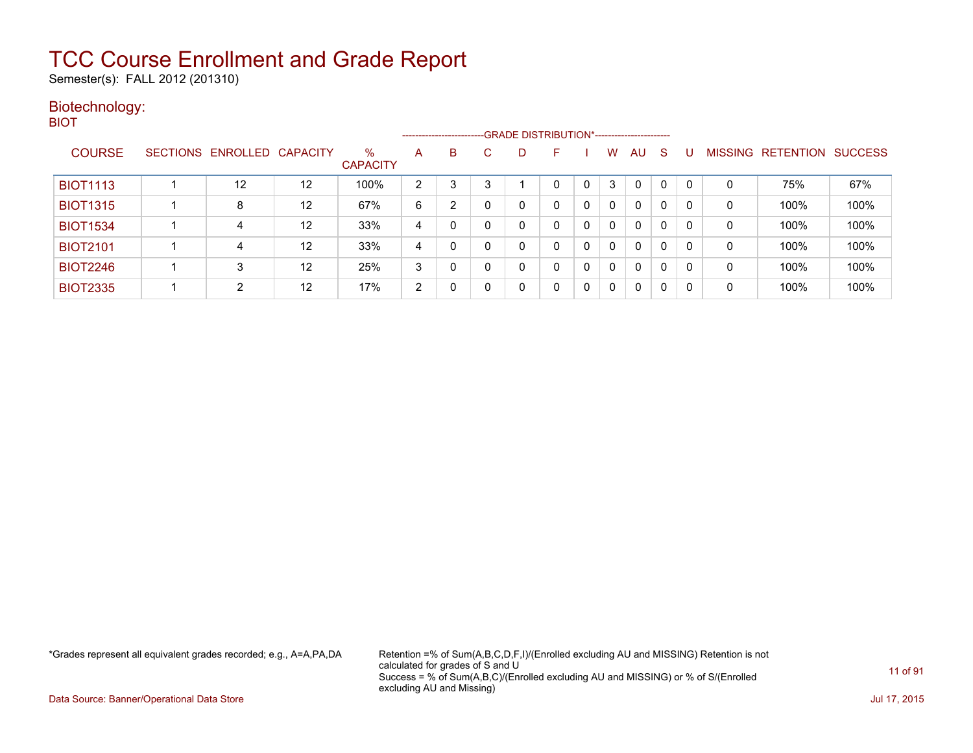Semester(s): FALL 2012 (201310)

#### Biotechnology: BIOT

|                 |                            |    |                         |   | ------------------------GRADE DISTRIBUTION*----------------------- |              |   |    |          |   |              |              |   |              |                   |                |
|-----------------|----------------------------|----|-------------------------|---|--------------------------------------------------------------------|--------------|---|----|----------|---|--------------|--------------|---|--------------|-------------------|----------------|
| <b>COURSE</b>   | SECTIONS ENROLLED CAPACITY |    | $\%$<br><b>CAPACITY</b> | A | B                                                                  | $\mathbf{C}$ | D | н. |          | w | AU           | -S           |   |              | MISSING RETENTION | <b>SUCCESS</b> |
| <b>BIOT1113</b> | 12                         | 12 | 100%                    | 2 | 3                                                                  | 3            |   |    |          | 3 | 0            | 0            | 0 | 0            | 75%               | 67%            |
| <b>BIOT1315</b> | 8                          | 12 | 67%                     | 6 | $\overline{2}$                                                     | 0            |   |    | $\Omega$ |   | $\mathbf{0}$ | $\mathbf{0}$ | 0 | $\mathbf{0}$ | 100%              | 100%           |
| <b>BIOT1534</b> | 4                          | 12 | 33%                     | 4 |                                                                    | 0            |   |    | 0        | 0 | 0            | 0            | 0 | 0            | 100%              | 100%           |
| <b>BIOT2101</b> | 4                          | 12 | 33%                     | 4 | 0                                                                  | $\Omega$     |   |    | 0        | 0 | 0            | 0            | 0 | 0            | 100%              | 100%           |
| <b>BIOT2246</b> | 3                          | 12 | 25%                     | 3 |                                                                    | 0            |   |    |          | 0 | 0            | 0            | 0 | 0            | 100%              | 100%           |
| <b>BIOT2335</b> | $\mathcal{D}$              | 12 | 17%                     | 2 |                                                                    | 0            |   | 0  | 0        |   | 0            | 0            | 0 | $\mathbf{0}$ | 100%              | 100%           |

\*Grades represent all equivalent grades recorded; e.g., A=A,PA,DA Retention =% of Sum(A,B,C,D,F,I)/(Enrolled excluding AU and MISSING) Retention is not calculated for grades of S and U Success = % of Sum(A,B,C)/(Enrolled excluding AU and MISSING) or % of S/(Enrolled excluding AU and Missing)

Data Source: Banner/Operational Data Store Jul 17, 2015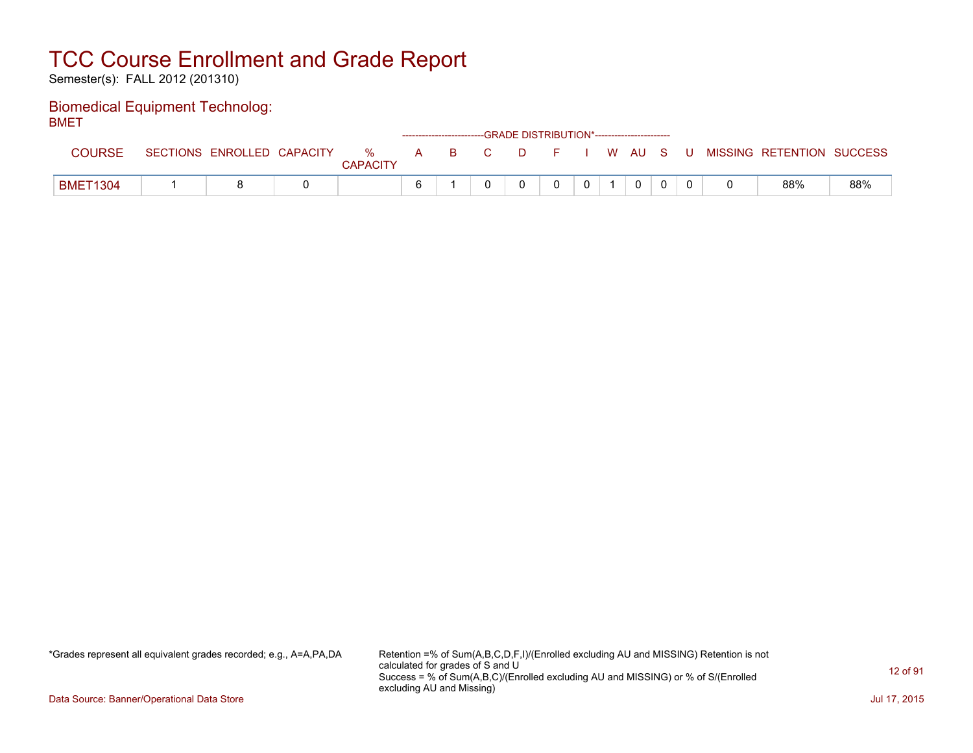Semester(s): FALL 2012 (201310)

#### Biomedical Equipment Technolog: **BMFT**

| –…              |                            |                      |  | ------------------------GRADE DISTRIBUTION*----------------------- |  |              |              |  |                                                |     |
|-----------------|----------------------------|----------------------|--|--------------------------------------------------------------------|--|--------------|--------------|--|------------------------------------------------|-----|
| COURSE          | SECTIONS ENROLLED CAPACITY | %<br><b>CAPACITY</b> |  |                                                                    |  |              |              |  | A B C D F I W AU S U MISSING—RETENTION SUCCESS |     |
| <b>BMET1304</b> |                            |                      |  |                                                                    |  | $\mathbf{0}$ | $\mathbf{0}$ |  | 88%                                            | 88% |

\*Grades represent all equivalent grades recorded; e.g., A=A,PA,DA Retention =% of Sum(A,B,C,D,F,I)/(Enrolled excluding AU and MISSING) Retention is not calculated for grades of S and U Success = % of Sum(A,B,C)/(Enrolled excluding AU and MISSING) or % of S/(Enrolled excluding AU and Missing)

Data Source: Banner/Operational Data Store Jul 17, 2015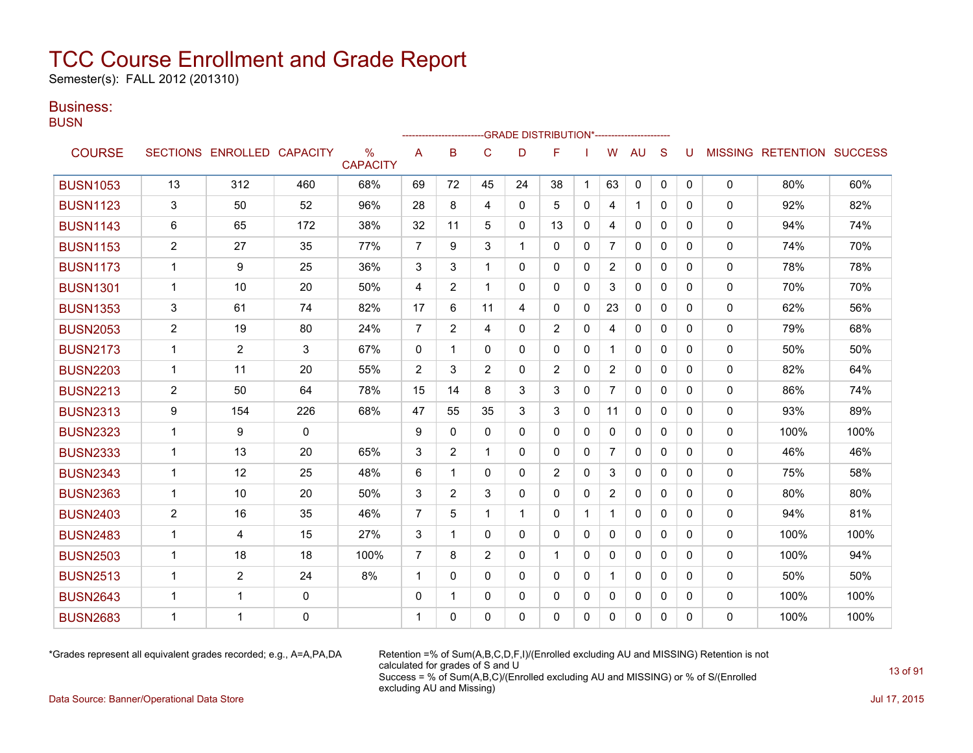Semester(s): FALL 2012 (201310)

### Business:

**BUSN** 

|                 |                |                            |              |                                  |                |                |                |             | <b>GRADE DISTRIBUTION*-----------------------</b> |              |                |              |              |          |              |                           |      |
|-----------------|----------------|----------------------------|--------------|----------------------------------|----------------|----------------|----------------|-------------|---------------------------------------------------|--------------|----------------|--------------|--------------|----------|--------------|---------------------------|------|
| <b>COURSE</b>   |                | SECTIONS ENROLLED CAPACITY |              | $\frac{0}{0}$<br><b>CAPACITY</b> | A              | B              | C              | D           | F                                                 |              | W              | <b>AU</b>    | S            | U        |              | MISSING RETENTION SUCCESS |      |
| <b>BUSN1053</b> | 13             | 312                        | 460          | 68%                              | 69             | 72             | 45             | 24          | 38                                                | 1            | 63             | 0            | $\mathbf{0}$ | 0        | $\Omega$     | 80%                       | 60%  |
| <b>BUSN1123</b> | 3              | 50                         | 52           | 96%                              | 28             | 8              | 4              | 0           | 5                                                 | $\mathbf{0}$ | 4              | $\mathbf{1}$ | $\mathbf{0}$ | 0        | 0            | 92%                       | 82%  |
| <b>BUSN1143</b> | 6              | 65                         | 172          | 38%                              | 32             | 11             | 5              | 0           | 13                                                | 0            | 4              | $\mathbf{0}$ | $\Omega$     | 0        | 0            | 94%                       | 74%  |
| <b>BUSN1153</b> | $\overline{2}$ | 27                         | 35           | 77%                              | $\overline{7}$ | 9              | 3              | 1           | $\mathbf{0}$                                      | $\mathbf{0}$ | $\overline{7}$ | $\mathbf{0}$ | $\Omega$     | 0        | $\mathbf{0}$ | 74%                       | 70%  |
| <b>BUSN1173</b> | $\mathbf{1}$   | 9                          | 25           | 36%                              | 3              | 3              | 1              | $\Omega$    | $\Omega$                                          | $\Omega$     | $\overline{2}$ | $\Omega$     | $\Omega$     | $\Omega$ | $\mathbf{0}$ | 78%                       | 78%  |
| <b>BUSN1301</b> | $\mathbf{1}$   | 10                         | 20           | 50%                              | 4              | $\overline{2}$ | 1              | $\Omega$    | $\Omega$                                          | $\Omega$     | 3              | $\mathbf{0}$ | $\Omega$     | $\Omega$ | 0            | 70%                       | 70%  |
| <b>BUSN1353</b> | 3              | 61                         | 74           | 82%                              | 17             | 6              | 11             | 4           | $\mathbf{0}$                                      | $\mathbf{0}$ | 23             | $\mathbf{0}$ | $\Omega$     | 0        | 0            | 62%                       | 56%  |
| <b>BUSN2053</b> | $\overline{2}$ | 19                         | 80           | 24%                              | $\overline{7}$ | 2              | 4              | $\Omega$    | 2                                                 | $\Omega$     | 4              | $\mathbf{0}$ | $\Omega$     | $\Omega$ | $\mathbf{0}$ | 79%                       | 68%  |
| <b>BUSN2173</b> | $\mathbf{1}$   | $\overline{2}$             | 3            | 67%                              | $\Omega$       | 1              | $\Omega$       | $\Omega$    | $\Omega$                                          | 0            |                | $\mathbf{0}$ | $\Omega$     | $\Omega$ | 0            | 50%                       | 50%  |
| <b>BUSN2203</b> | $\mathbf{1}$   | 11                         | 20           | 55%                              | 2              | 3              | $\overline{2}$ | 0           | $\overline{2}$                                    | 0            | $\overline{2}$ | 0            | $\mathbf{0}$ | 0        | 0            | 82%                       | 64%  |
| <b>BUSN2213</b> | $\overline{2}$ | 50                         | 64           | 78%                              | 15             | 14             | 8              | 3           | 3                                                 | 0            | $\overline{7}$ | $\mathbf{0}$ | $\Omega$     | 0        | $\mathbf{0}$ | 86%                       | 74%  |
| <b>BUSN2313</b> | 9              | 154                        | 226          | 68%                              | 47             | 55             | 35             | 3           | 3                                                 | 0            | 11             | $\mathbf{0}$ | $\Omega$     | 0        | 0            | 93%                       | 89%  |
| <b>BUSN2323</b> | $\mathbf{1}$   | 9                          | $\mathbf{0}$ |                                  | 9              | $\Omega$       | $\Omega$       | $\Omega$    | $\Omega$                                          | $\Omega$     | $\Omega$       | $\mathbf{0}$ | $\Omega$     | 0        | $\mathbf{0}$ | 100%                      | 100% |
| <b>BUSN2333</b> | $\mathbf{1}$   | 13                         | 20           | 65%                              | 3              | 2              | 1              | 0           | $\mathbf{0}$                                      | 0            | $\overline{7}$ | $\mathbf{0}$ | 0            | 0        | 0            | 46%                       | 46%  |
| <b>BUSN2343</b> | $\mathbf{1}$   | 12                         | 25           | 48%                              | 6              | 1              | $\mathbf{0}$   | $\Omega$    | $\overline{2}$                                    | $\Omega$     | 3              | $\mathbf{0}$ | $\Omega$     | 0        | 0            | 75%                       | 58%  |
| <b>BUSN2363</b> | $\mathbf{1}$   | 10                         | 20           | 50%                              | 3              | 2              | 3              | 0           | $\mathbf{0}$                                      | $\Omega$     | $\overline{2}$ | $\mathbf{0}$ | $\Omega$     | 0        | $\mathbf{0}$ | 80%                       | 80%  |
| <b>BUSN2403</b> | $\overline{2}$ | 16                         | 35           | 46%                              | $\overline{7}$ | 5              | 1              | $\mathbf 1$ | $\Omega$                                          | $\mathbf 1$  | $\mathbf 1$    | $\mathbf{0}$ | $\mathbf{0}$ | 0        | 0            | 94%                       | 81%  |
| <b>BUSN2483</b> | 1              | 4                          | 15           | 27%                              | 3              | 1              | $\mathbf{0}$   | 0           | $\mathbf{0}$                                      | $\mathbf{0}$ | 0              | $\mathbf{0}$ | $\mathbf{0}$ | 0        | 0            | 100%                      | 100% |
| <b>BUSN2503</b> | $\mathbf{1}$   | 18                         | 18           | 100%                             | $\overline{7}$ | 8              | $\overline{c}$ | $\Omega$    | $\mathbf{1}$                                      | $\Omega$     | 0              | $\mathbf{0}$ | $\Omega$     | $\Omega$ | 0            | 100%                      | 94%  |
| <b>BUSN2513</b> | $\mathbf{1}$   | $\overline{2}$             | 24           | 8%                               | $\mathbf{1}$   | $\Omega$       | $\Omega$       | $\Omega$    | $\Omega$                                          | $\Omega$     |                | $\mathbf{0}$ | $\Omega$     | 0        | $\mathbf{0}$ | 50%                       | 50%  |
| <b>BUSN2643</b> | $\mathbf{1}$   | 1                          | $\mathbf 0$  |                                  | $\mathbf 0$    | 1              | 0              | 0           | $\mathbf{0}$                                      | 0            | 0              | 0            | 0            | 0        | 0            | 100%                      | 100% |
| <b>BUSN2683</b> | 1              | 1                          | 0            |                                  |                | 0              | $\Omega$       | $\Omega$    | $\mathbf{0}$                                      | $\mathbf{0}$ | 0              | $\mathbf{0}$ | $\mathbf{0}$ | 0        | 0            | 100%                      | 100% |

\*Grades represent all equivalent grades recorded; e.g., A=A,PA,DA Retention =% of Sum(A,B,C,D,F,I)/(Enrolled excluding AU and MISSING) Retention is not calculated for grades of S and U Success = % of Sum(A,B,C)/(Enrolled excluding AU and MISSING) or % of S/(Enrolled excluding AU and Missing)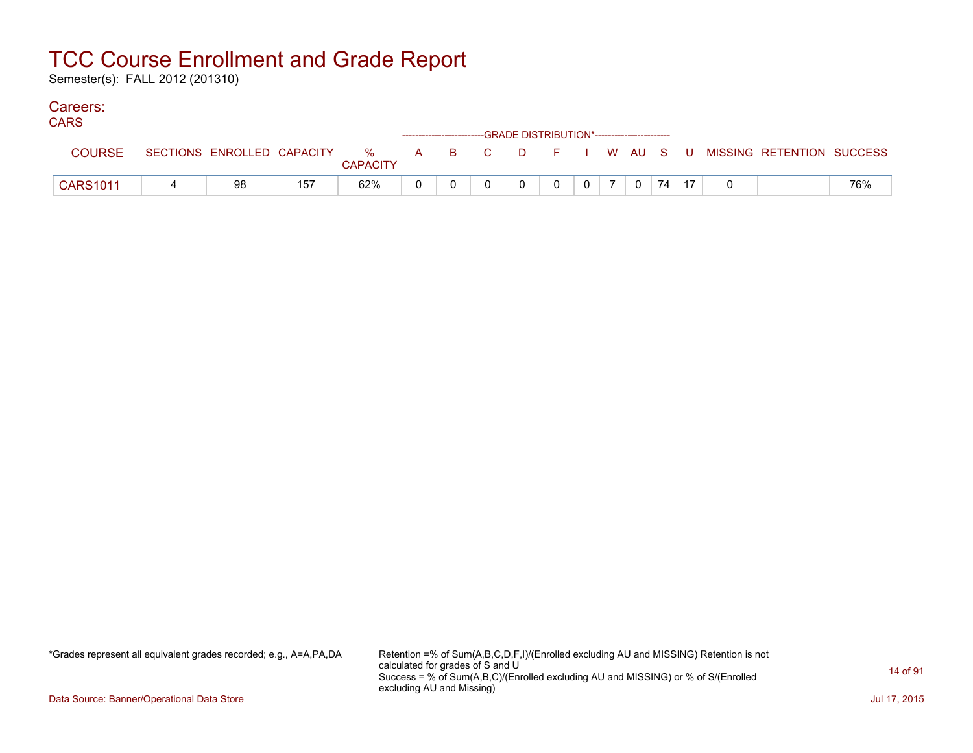Semester(s): FALL 2012 (201310)

### Careers:

| <b>CARS</b>     |    |     |                 |  | ------------------------GRADE DISTRIBUTION*----------------------- |   |                |             |       |  |                                                                             |     |
|-----------------|----|-----|-----------------|--|--------------------------------------------------------------------|---|----------------|-------------|-------|--|-----------------------------------------------------------------------------|-----|
| <b>COURSE</b>   |    |     | <b>CAPACITY</b> |  |                                                                    |   |                |             |       |  | SECTIONS ENROLLED CAPACITY % A B C D F I W AU S U MISSING RETENTION SUCCESS |     |
| <b>CARS1011</b> | 98 | 157 | 62%             |  |                                                                    | 0 | 0 <sup>1</sup> | $\mathbf 0$ | $-74$ |  |                                                                             | 76% |

\*Grades represent all equivalent grades recorded; e.g., A=A,PA,DA Retention =% of Sum(A,B,C,D,F,I)/(Enrolled excluding AU and MISSING) Retention is not calculated for grades of S and U Success = % of Sum(A,B,C)/(Enrolled excluding AU and MISSING) or % of S/(Enrolled excluding AU and Missing)

Data Source: Banner/Operational Data Store Jul 17, 2015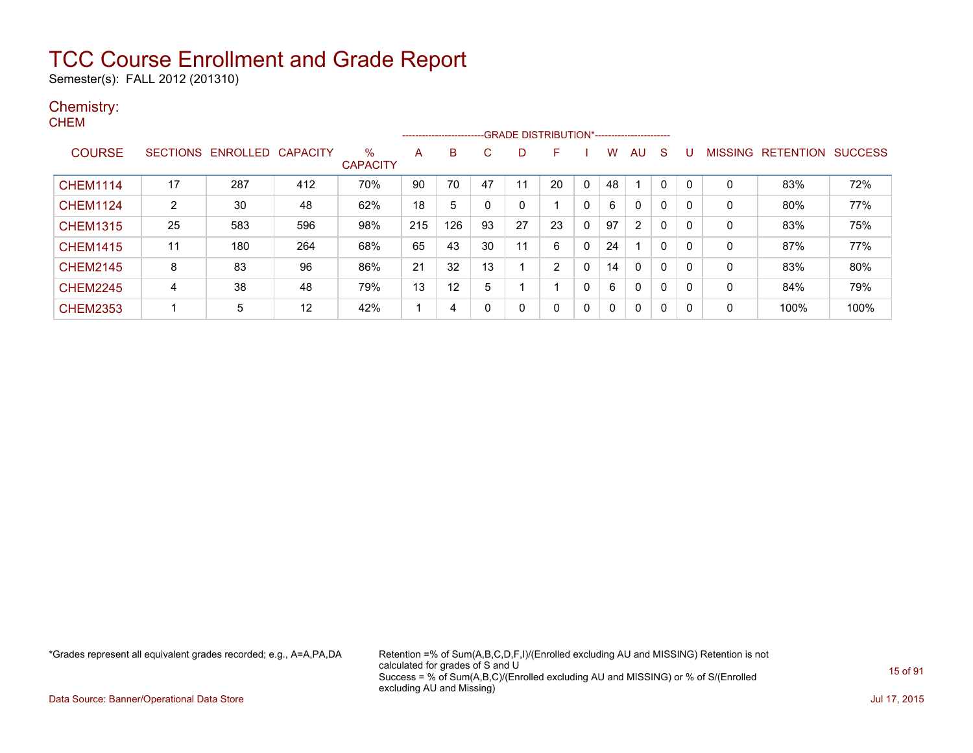Semester(s): FALL 2012 (201310)

#### Chemistry: **CHEM**

|                 |                 |          |          |                         |     | ------------------------ |    |    | -GRADE DISTRIBUTION*----------------------- |   |    |                |              |              |   |                   |                |
|-----------------|-----------------|----------|----------|-------------------------|-----|--------------------------|----|----|---------------------------------------------|---|----|----------------|--------------|--------------|---|-------------------|----------------|
| <b>COURSE</b>   | <b>SECTIONS</b> | ENROLLED | CAPACITY | $\%$<br><b>CAPACITY</b> | A   | B                        | С  | D  |                                             |   | W  | AU             | <sub>S</sub> | U            |   | MISSING RETENTION | <b>SUCCESS</b> |
| <b>CHEM1114</b> | 17              | 287      | 412      | 70%                     | 90  | 70                       | 47 | 11 | 20                                          | 0 | 48 |                | 0            | $\Omega$     | 0 | 83%               | 72%            |
| <b>CHEM1124</b> | 2               | 30       | 48       | 62%                     | 18  | 5                        |    | 0  |                                             | 0 | 6  | 0              | 0            | $\Omega$     | 0 | 80%               | 77%            |
| <b>CHEM1315</b> | 25              | 583      | 596      | 98%                     | 215 | 126                      | 93 | 27 | 23                                          | 0 | 97 | $\overline{2}$ | $\mathbf{0}$ | $\mathbf{0}$ | 0 | 83%               | 75%            |
| <b>CHEM1415</b> | 11              | 180      | 264      | 68%                     | 65  | 43                       | 30 | 11 | 6                                           | 0 | 24 |                | 0            | $\mathbf{0}$ | 0 | 87%               | 77%            |
| <b>CHEM2145</b> | 8               | 83       | 96       | 86%                     | 21  | 32                       | 13 |    | 2                                           | 0 | 14 | 0              | $\mathbf{0}$ | $\mathbf{0}$ | 0 | 83%               | 80%            |
| <b>CHEM2245</b> | 4               | 38       | 48       | 79%                     | 13  | 12                       | 5  |    |                                             | 0 | 6  | 0              | $\mathbf{0}$ | $\Omega$     | 0 | 84%               | 79%            |
| <b>CHEM2353</b> |                 | 5        | 12       | 42%                     |     | 4                        | 0  | 0  | 0                                           | 0 | 0  | $\Omega$       | $\mathbf{0}$ | $\Omega$     | 0 | 100%              | 100%           |

\*Grades represent all equivalent grades recorded; e.g., A=A,PA,DA Retention =% of Sum(A,B,C,D,F,I)/(Enrolled excluding AU and MISSING) Retention is not calculated for grades of S and U Success = % of Sum(A,B,C)/(Enrolled excluding AU and MISSING) or % of S/(Enrolled excluding AU and Missing)

Data Source: Banner/Operational Data Store Jul 17, 2015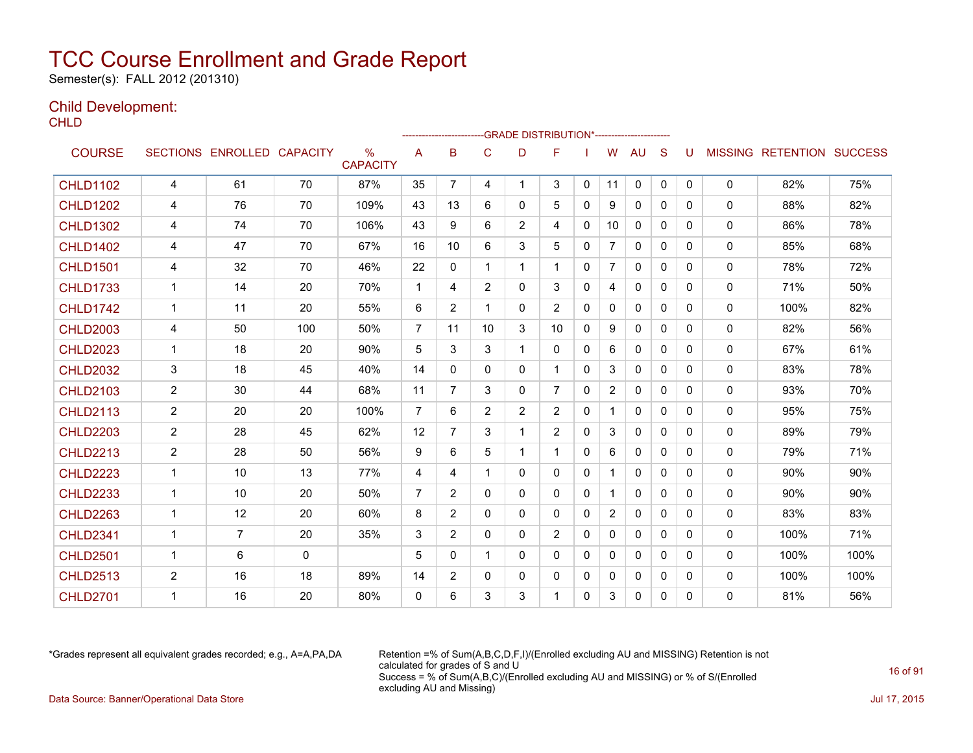Semester(s): FALL 2012 (201310)

### Child Development:

**CHLD** 

|                 |                      |                            |              |                         |                | ------------------------GRADE                DISTRIBUTION*---------------------- |                |                |                |              |                |              |              |              |              |                                  |      |
|-----------------|----------------------|----------------------------|--------------|-------------------------|----------------|----------------------------------------------------------------------------------|----------------|----------------|----------------|--------------|----------------|--------------|--------------|--------------|--------------|----------------------------------|------|
| <b>COURSE</b>   |                      | SECTIONS ENROLLED CAPACITY |              | $\%$<br><b>CAPACITY</b> | A              | в                                                                                | C              | D              | F              |              | W              | <b>AU</b>    | <sub>S</sub> | U            |              | <b>MISSING RETENTION SUCCESS</b> |      |
| <b>CHLD1102</b> | 4                    | 61                         | 70           | 87%                     | 35             | $\overline{7}$                                                                   | 4              | $\mathbf{1}$   | 3              | $\mathbf{0}$ | 11             | $\mathbf 0$  | $\mathbf 0$  | $\Omega$     | 0            | 82%                              | 75%  |
| <b>CHLD1202</b> | 4                    | 76                         | 70           | 109%                    | 43             | 13                                                                               | 6              | $\mathbf{0}$   | 5              | $\mathbf{0}$ | 9              | 0            | $\mathbf{0}$ | $\mathbf{0}$ | 0            | 88%                              | 82%  |
| <b>CHLD1302</b> | 4                    | 74                         | 70           | 106%                    | 43             | 9                                                                                | 6              | $\overline{2}$ | 4              | $\Omega$     | 10             | $\mathbf{0}$ | $\Omega$     | $\Omega$     | $\mathbf{0}$ | 86%                              | 78%  |
| <b>CHLD1402</b> | 4                    | 47                         | 70           | 67%                     | 16             | 10                                                                               | 6              | 3              | 5              | $\mathbf{0}$ | $\overline{7}$ | $\mathbf{0}$ | $\Omega$     | $\Omega$     | $\mathbf{0}$ | 85%                              | 68%  |
| <b>CHLD1501</b> | 4                    | 32                         | 70           | 46%                     | 22             | 0                                                                                | 1              | 1              | 1              | 0            | $\overline{7}$ | $\mathbf{0}$ | $\mathbf{0}$ | 0            | 0            | 78%                              | 72%  |
| <b>CHLD1733</b> | $\mathbf{1}$         | 14                         | 20           | 70%                     | $\mathbf{1}$   | 4                                                                                | 2              | $\mathbf{0}$   | 3              | 0            | 4              | $\mathbf{0}$ | $\Omega$     | $\Omega$     | $\mathbf{0}$ | 71%                              | 50%  |
| <b>CHLD1742</b> | $\mathbf{1}$         | 11                         | 20           | 55%                     | 6              | $\overline{2}$                                                                   | 1              | $\mathbf{0}$   | $\overline{2}$ | $\Omega$     | $\mathbf{0}$   | $\mathbf{0}$ | $\Omega$     | $\Omega$     | 0            | 100%                             | 82%  |
| <b>CHLD2003</b> | 4                    | 50                         | 100          | 50%                     | $\overline{7}$ | 11                                                                               | 10             | 3              | 10             | $\mathbf{0}$ | 9              | 0            | $\Omega$     | $\Omega$     | 0            | 82%                              | 56%  |
| <b>CHLD2023</b> | $\mathbf{1}$         | 18                         | 20           | 90%                     | 5              | 3                                                                                | 3              | 1              | 0              | 0            | 6              | $\mathbf{0}$ | $\Omega$     | 0            | $\mathbf{0}$ | 67%                              | 61%  |
| <b>CHLD2032</b> | 3                    | 18                         | 45           | 40%                     | 14             | $\mathbf{0}$                                                                     | $\Omega$       | $\mathbf{0}$   | 1              | $\mathbf{0}$ | 3              | 0            | $\Omega$     | $\Omega$     | $\mathbf{0}$ | 83%                              | 78%  |
| <b>CHLD2103</b> | $\overline{2}$       | 30                         | 44           | 68%                     | 11             | $\overline{7}$                                                                   | 3              | $\mathbf{0}$   | $\overline{7}$ | $\Omega$     | $\overline{2}$ | $\mathbf{0}$ | $\Omega$     | $\Omega$     | 0            | 93%                              | 70%  |
| <b>CHLD2113</b> | $\overline{c}$       | 20                         | 20           | 100%                    | $\overline{7}$ | 6                                                                                | $\overline{2}$ | $\overline{2}$ | $\overline{2}$ | $\mathbf{0}$ | $\mathbf 1$    | $\mathbf{0}$ | $\Omega$     | 0            | $\mathbf{0}$ | 95%                              | 75%  |
| <b>CHLD2203</b> | $\overline{2}$       | 28                         | 45           | 62%                     | 12             | $\overline{7}$                                                                   | 3              | 1              | $\overline{2}$ | 0            | 3              | 0            | $\Omega$     | 0            | 0            | 89%                              | 79%  |
| <b>CHLD2213</b> | $\overline{2}$       | 28                         | 50           | 56%                     | 9              | 6                                                                                | 5              | $\mathbf 1$    | 1              | 0            | 6              | 0            | 0            | 0            | 0            | 79%                              | 71%  |
| <b>CHLD2223</b> | $\mathbf{1}$         | 10                         | 13           | 77%                     | 4              | 4                                                                                | 1              | $\Omega$       | 0              | $\mathbf{0}$ | $\mathbf{1}$   | $\Omega$     | $\mathbf{0}$ | $\Omega$     | $\mathbf{0}$ | 90%                              | 90%  |
| <b>CHLD2233</b> | 1                    | 10                         | 20           | 50%                     | $\overline{7}$ | $\overline{2}$                                                                   | $\Omega$       | 0              | 0              | $\Omega$     | 1              | 0            | $\Omega$     | $\Omega$     | $\mathbf{0}$ | 90%                              | 90%  |
| <b>CHLD2263</b> | 1                    | 12                         | 20           | 60%                     | 8              | $\overline{2}$                                                                   | $\mathbf{0}$   | $\mathbf{0}$   | 0              | 0            | $\overline{2}$ | $\mathbf{0}$ | $\Omega$     | 0            | 0            | 83%                              | 83%  |
| <b>CHLD2341</b> | $\mathbf{1}$         | $\overline{7}$             | 20           | 35%                     | 3              | $\overline{2}$                                                                   | $\Omega$       | $\mathbf{0}$   | $\overline{2}$ | $\mathbf{0}$ | $\Omega$       | $\mathbf{0}$ | $\mathbf{0}$ | $\Omega$     | $\mathbf{0}$ | 100%                             | 71%  |
| <b>CHLD2501</b> | $\blacktriangleleft$ | 6                          | $\mathbf{0}$ |                         | 5              | $\Omega$                                                                         | 1              | $\mathbf{0}$   | 0              | $\Omega$     | $\mathbf{0}$   | $\mathbf{0}$ | $\Omega$     | $\Omega$     | 0            | 100%                             | 100% |
| <b>CHLD2513</b> | $\overline{c}$       | 16                         | 18           | 89%                     | 14             | $\overline{2}$                                                                   | $\mathbf{0}$   | $\Omega$       | 0              | 0            | 0              | 0            | $\mathbf{0}$ | 0            | 0            | 100%                             | 100% |
| <b>CHLD2701</b> | 1                    | 16                         | 20           | 80%                     | 0              | 6                                                                                | 3              | 3              | 1              | 0            | 3              | $\Omega$     | 0            | 0            | $\mathbf{0}$ | 81%                              | 56%  |

\*Grades represent all equivalent grades recorded; e.g., A=A,PA,DA Retention =% of Sum(A,B,C,D,F,I)/(Enrolled excluding AU and MISSING) Retention is not calculated for grades of S and U Success = % of Sum(A,B,C)/(Enrolled excluding AU and MISSING) or % of S/(Enrolled excluding AU and Missing) Data Source: Banner/Operational Data Store Jul 17, 2015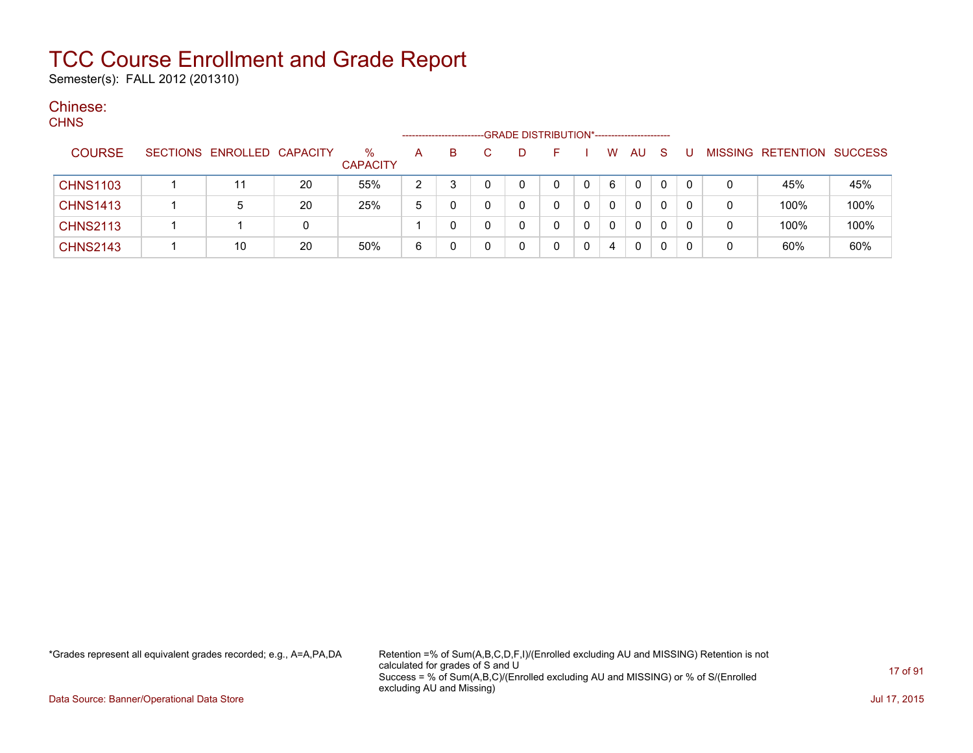Semester(s): FALL 2012 (201310)

#### Chinese:  $C$

| ∪⊓INO           |                            |    |                         | -------------------- |    | -GRADE DISTRIBUTION*----------------------- |   |   |              |              |          |   |                           |      |
|-----------------|----------------------------|----|-------------------------|----------------------|----|---------------------------------------------|---|---|--------------|--------------|----------|---|---------------------------|------|
| <b>COURSE</b>   | SECTIONS ENROLLED CAPACITY |    | $\%$<br><b>CAPACITY</b> | A                    | B. | D                                           |   | W | AU           | -S           |          |   | MISSING RETENTION SUCCESS |      |
| <b>CHNS1103</b> | 11                         | 20 | 55%                     | 2                    |    | 0                                           | 0 | 6 | $\mathbf{0}$ | $\mathbf{0}$ | $\Omega$ | 0 | 45%                       | 45%  |
| <b>CHNS1413</b> | 5                          | 20 | 25%                     | 5                    |    | 0                                           | 0 | 0 | 0            |              | 0        | 0 | 100%                      | 100% |
| <b>CHNS2113</b> |                            | 0  |                         |                      |    | 0                                           | 0 | 0 | $\mathbf{0}$ | $\mathbf{0}$ | 0        | 0 | 100%                      | 100% |
| <b>CHNS2143</b> | 10                         | 20 | 50%                     | 6                    |    | 0                                           | 0 | 4 | 0            |              |          | 0 | 60%                       | 60%  |

\*Grades represent all equivalent grades recorded; e.g., A=A,PA,DA Retention =% of Sum(A,B,C,D,F,I)/(Enrolled excluding AU and MISSING) Retention is not calculated for grades of S and U Success = % of Sum(A,B,C)/(Enrolled excluding AU and MISSING) or % of S/(Enrolled excluding AU and Missing)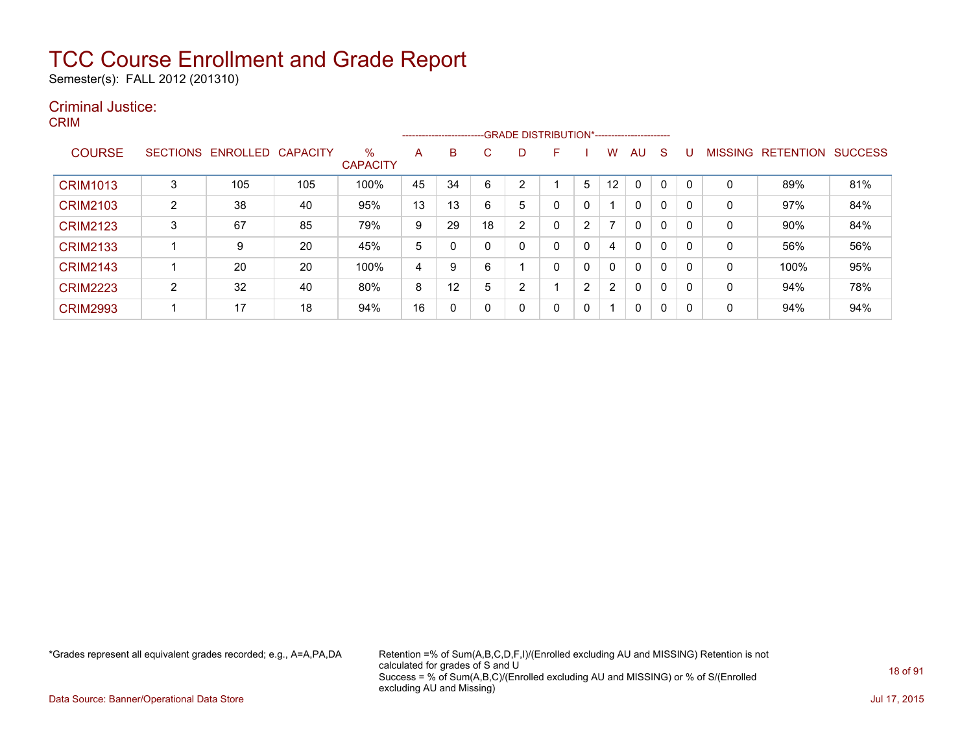Semester(s): FALL 2012 (201310)

#### Criminal Justice: CRIM

|                 |   |                            |     |                      |    |    |              | ------------------------GRADE DISTRIBUTION*----------------------- |   |                |                   |              |   |   |                |                  |                |
|-----------------|---|----------------------------|-----|----------------------|----|----|--------------|--------------------------------------------------------------------|---|----------------|-------------------|--------------|---|---|----------------|------------------|----------------|
| <b>COURSE</b>   |   | SECTIONS ENROLLED CAPACITY |     | %<br><b>CAPACITY</b> | A  | B  | $\mathbf{C}$ | D                                                                  | F |                | w                 | AU           | S | U | <b>MISSING</b> | <b>RETENTION</b> | <b>SUCCESS</b> |
| <b>CRIM1013</b> | 3 | 105                        | 105 | 100%                 | 45 | 34 | 6            |                                                                    |   | 5              | $12 \overline{ }$ | $\mathbf{0}$ | 0 |   | 0              | 89%              | 81%            |
| <b>CRIM2103</b> | 2 | 38                         | 40  | 95%                  | 13 | 13 | 6            | 5                                                                  | 0 | 0              |                   | 0            | 0 |   | 0              | 97%              | 84%            |
| <b>CRIM2123</b> | 3 | 67                         | 85  | 79%                  | 9  | 29 | 18           | 2                                                                  | 0 | 2              |                   | 0            | 0 |   | 0              | 90%              | 84%            |
| <b>CRIM2133</b> |   | 9                          | 20  | 45%                  | 5  | 0  | 0            |                                                                    | 0 | 0              | 4                 | $\mathbf{0}$ | 0 |   | $\Omega$       | 56%              | 56%            |
| <b>CRIM2143</b> |   | 20                         | 20  | 100%                 | 4  | 9  | 6            |                                                                    | 0 | 0              | 0                 | $\mathbf{0}$ | 0 |   | 0              | 100%             | 95%            |
| <b>CRIM2223</b> | 2 | 32                         | 40  | 80%                  | 8  | 12 | 5            | ◠                                                                  |   | $\overline{2}$ | $\overline{2}$    | $\mathbf{0}$ | 0 |   | 0              | 94%              | 78%            |
| <b>CRIM2993</b> |   | 17                         | 18  | 94%                  | 16 | 0  | 0            |                                                                    | 0 | 0              |                   | 0            | 0 |   | 0              | 94%              | 94%            |

\*Grades represent all equivalent grades recorded; e.g., A=A,PA,DA Retention =% of Sum(A,B,C,D,F,I)/(Enrolled excluding AU and MISSING) Retention is not calculated for grades of S and U Success = % of Sum(A,B,C)/(Enrolled excluding AU and MISSING) or % of S/(Enrolled excluding AU and Missing)

Data Source: Banner/Operational Data Store Jul 17, 2015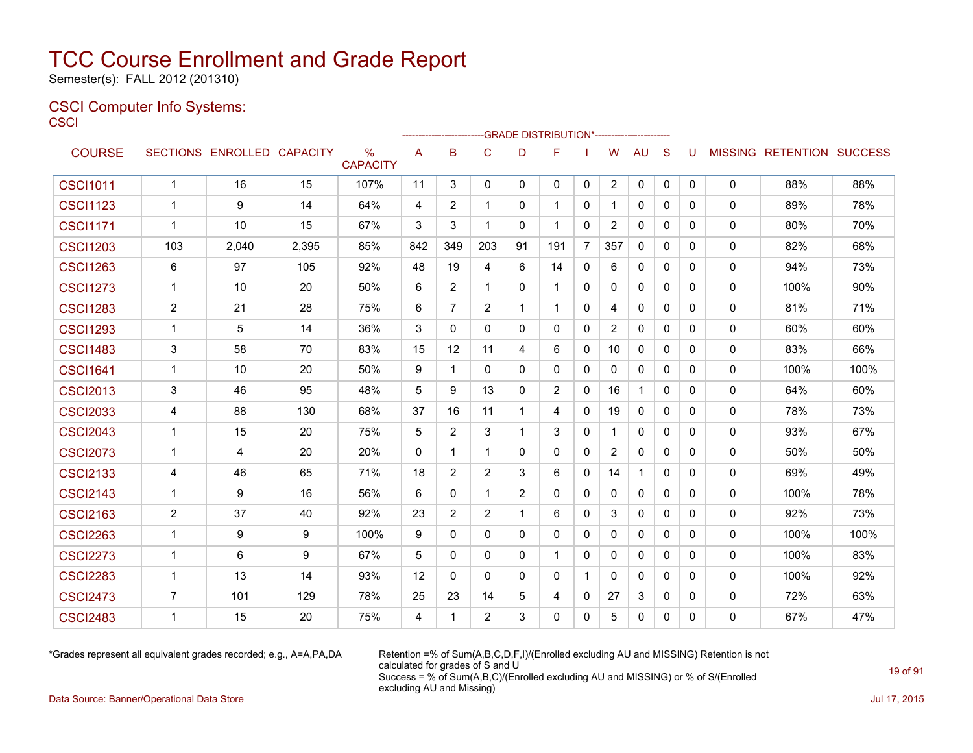Semester(s): FALL 2012 (201310)

#### CSCI Computer Info Systems: **CSCI**

|                 |                |                            |       |                      |             |                |                |                | ---GRADE                                   DISTRIBUTION*------------------------ |                |                |              |              |              |              |                                  |      |
|-----------------|----------------|----------------------------|-------|----------------------|-------------|----------------|----------------|----------------|----------------------------------------------------------------------------------|----------------|----------------|--------------|--------------|--------------|--------------|----------------------------------|------|
| <b>COURSE</b>   |                | SECTIONS ENROLLED CAPACITY |       | %<br><b>CAPACITY</b> | A           | B              | $\mathbf C$    | D              | F                                                                                |                | W              | <b>AU</b>    | S            | U            |              | <b>MISSING RETENTION SUCCESS</b> |      |
| <b>CSCI1011</b> | $\mathbf{1}$   | 16                         | 15    | 107%                 | 11          | 3              | 0              | $\mathbf{0}$   | $\Omega$                                                                         | $\mathbf 0$    | $\overline{2}$ | 0            | 0            | $\mathbf{0}$ | 0            | 88%                              | 88%  |
| <b>CSCI1123</b> | 1              | 9                          | 14    | 64%                  | 4           | 2              | $\mathbf{1}$   | 0              | -1                                                                               | 0              | 1              | 0            | $\mathbf{0}$ | $\Omega$     | 0            | 89%                              | 78%  |
| <b>CSCI1171</b> | $\mathbf 1$    | 10                         | 15    | 67%                  | 3           | 3              | $\mathbf{1}$   | $\mathbf{0}$   | $\overline{1}$                                                                   | 0              | 2              | $\mathbf{0}$ | $\Omega$     | $\Omega$     | 0            | 80%                              | 70%  |
| <b>CSCI1203</b> | 103            | 2,040                      | 2,395 | 85%                  | 842         | 349            | 203            | 91             | 191                                                                              | $\overline{7}$ | 357            | $\Omega$     | $\mathbf{0}$ | 0            | 0            | 82%                              | 68%  |
| <b>CSCI1263</b> | 6              | 97                         | 105   | 92%                  | 48          | 19             | 4              | 6              | 14                                                                               | 0              | 6              | 0            | 0            | 0            | 0            | 94%                              | 73%  |
| <b>CSCI1273</b> | 1              | 10                         | 20    | 50%                  | 6           | 2              | $\mathbf{1}$   | $\mathbf{0}$   | -1                                                                               | 0              | 0              | 0            | $\mathbf{0}$ | 0            | 0            | 100%                             | 90%  |
| <b>CSCI1283</b> | $\overline{2}$ | 21                         | 28    | 75%                  | 6           | 7              | $\overline{2}$ | $\mathbf 1$    | -1                                                                               | 0              | 4              | 0            | $\mathbf{0}$ | 0            | 0            | 81%                              | 71%  |
| <b>CSCI1293</b> | $\mathbf{1}$   | 5                          | 14    | 36%                  | 3           | $\mathbf{0}$   | $\Omega$       | $\mathbf{0}$   | $\mathbf{0}$                                                                     | $\mathbf{0}$   | $\overline{2}$ | $\mathbf{0}$ | $\Omega$     | $\Omega$     | 0            | 60%                              | 60%  |
| <b>CSCI1483</b> | $\mathbf{3}$   | 58                         | 70    | 83%                  | 15          | 12             | 11             | 4              | 6                                                                                | 0              | 10             | 0            | $\mathbf{0}$ | $\mathbf{0}$ | 0            | 83%                              | 66%  |
| <b>CSCI1641</b> | 1              | 10                         | 20    | 50%                  | 9           | $\mathbf{1}$   | $\mathbf{0}$   | $\Omega$       | $\mathbf{0}$                                                                     | $\mathbf{0}$   | $\Omega$       | $\Omega$     | $\Omega$     | $\Omega$     | 0            | 100%                             | 100% |
| <b>CSCI2013</b> | 3              | 46                         | 95    | 48%                  | 5           | 9              | 13             | $\mathbf{0}$   | 2                                                                                | 0              | 16             | $\mathbf{1}$ | $\mathbf{0}$ | 0            | 0            | 64%                              | 60%  |
| <b>CSCI2033</b> | 4              | 88                         | 130   | 68%                  | 37          | 16             | 11             | $\mathbf 1$    | 4                                                                                | 0              | 19             | $\Omega$     | $\Omega$     | 0            | 0            | 78%                              | 73%  |
| <b>CSCI2043</b> | 1              | 15                         | 20    | 75%                  | 5           | 2              | 3              | $\mathbf 1$    | 3                                                                                | 0              | 1              | $\mathbf{0}$ | $\Omega$     | 0            | 0            | 93%                              | 67%  |
| <b>CSCI2073</b> | 1              | 4                          | 20    | 20%                  | $\mathbf 0$ | 1              | $\mathbf{1}$   | $\mathbf{0}$   | $\mathbf{0}$                                                                     | 0              | $\overline{2}$ | $\mathbf{0}$ | $\mathbf{0}$ | 0            | 0            | 50%                              | 50%  |
| <b>CSCI2133</b> | 4              | 46                         | 65    | 71%                  | 18          | 2              | 2              | 3              | 6                                                                                | $\mathbf{0}$   | 14             | 1            | $\Omega$     | 0            | 0            | 69%                              | 49%  |
| <b>CSCI2143</b> | 1              | 9                          | 16    | 56%                  | 6           | $\Omega$       | $\mathbf{1}$   | $\overline{2}$ | $\mathbf{0}$                                                                     | 0              | $\mathbf{0}$   | 0            | $\mathbf{0}$ | 0            | 0            | 100%                             | 78%  |
| <b>CSCI2163</b> | $\overline{2}$ | 37                         | 40    | 92%                  | 23          | $\overline{2}$ | 2              | -1             | 6                                                                                | $\mathbf{0}$   | 3              | $\mathbf{0}$ | $\Omega$     | 0            | 0            | 92%                              | 73%  |
| <b>CSCI2263</b> | $\mathbf{1}$   | 9                          | 9     | 100%                 | 9           | $\Omega$       | $\Omega$       | $\Omega$       | $\Omega$                                                                         | $\mathbf{0}$   | 0              | $\Omega$     | $\Omega$     | $\Omega$     | 0            | 100%                             | 100% |
| <b>CSCI2273</b> | $\mathbf 1$    | 6                          | 9     | 67%                  | 5           | $\Omega$       | $\mathbf{0}$   | $\mathbf{0}$   | $\overline{1}$                                                                   | $\mathbf{0}$   | $\mathbf{0}$   | $\Omega$     | $\Omega$     | $\Omega$     | 0            | 100%                             | 83%  |
| <b>CSCI2283</b> | $\overline{1}$ | 13                         | 14    | 93%                  | 12          | $\Omega$       | $\Omega$       | $\Omega$       | $\mathbf{0}$                                                                     | $\mathbf{1}$   | $\Omega$       | $\Omega$     | $\Omega$     | $\Omega$     | $\mathbf{0}$ | 100%                             | 92%  |
| <b>CSCI2473</b> | $\overline{7}$ | 101                        | 129   | 78%                  | 25          | 23             | 14             | 5              | 4                                                                                | 0              | 27             | 3            | $\mathbf{0}$ | $\Omega$     | 0            | 72%                              | 63%  |
| <b>CSCI2483</b> | 1              | 15                         | 20    | 75%                  | 4           | 1              | $\overline{2}$ | 3              | $\Omega$                                                                         | $\mathbf{0}$   | 5              | $\Omega$     | $\Omega$     | 0            | 0            | 67%                              | 47%  |

\*Grades represent all equivalent grades recorded; e.g., A=A,PA,DA Retention =% of Sum(A,B,C,D,F,I)/(Enrolled excluding AU and MISSING) Retention is not calculated for grades of S and U Success = % of Sum(A,B,C)/(Enrolled excluding AU and MISSING) or % of S/(Enrolled excluding AU and Missing)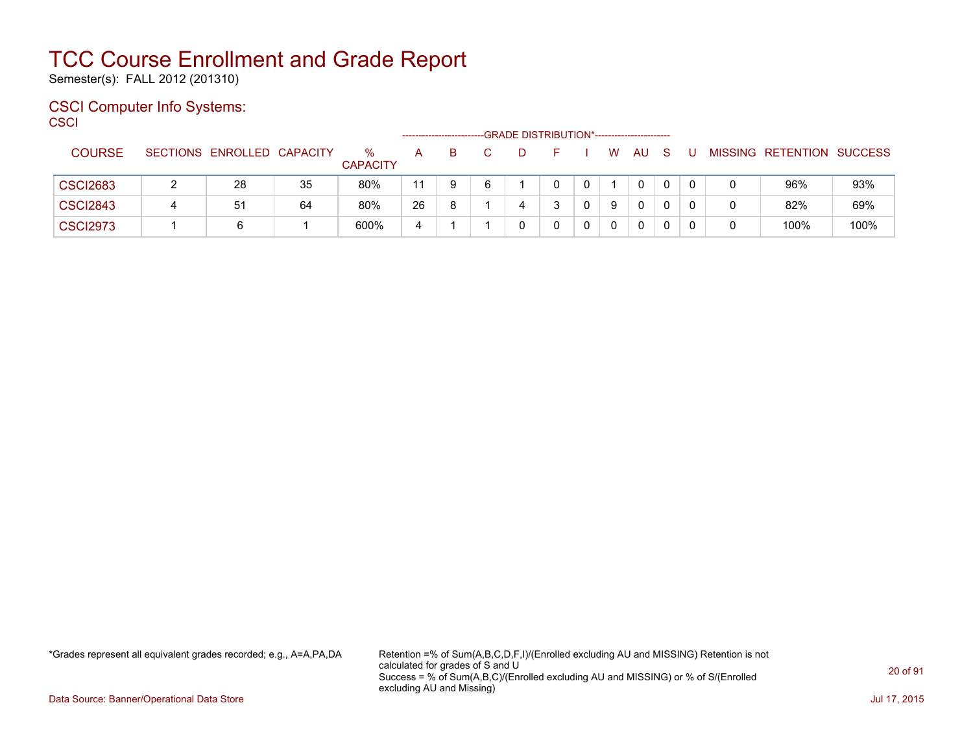Semester(s): FALL 2012 (201310)

#### CSCI Computer Info Systems: **CSCI**

|                 |   |                            |    |                      |    |    |   | -GRADE DISTRIBUTION*----------------------- |   |   |              |    |  |                           |      |
|-----------------|---|----------------------------|----|----------------------|----|----|---|---------------------------------------------|---|---|--------------|----|--|---------------------------|------|
| <b>COURSE</b>   |   | SECTIONS ENROLLED CAPACITY |    | ℅<br><b>CAPACITY</b> | A  |    | D | н.                                          |   | W | AU           | -S |  | MISSING RETENTION SUCCESS |      |
| <b>CSCI2683</b> |   | 28                         | 35 | 80%                  | 11 | -6 |   | 0                                           | 0 |   | 0            | 0  |  | 96%                       | 93%  |
| <b>CSCI2843</b> | 4 | 51                         | 64 | 80%                  | 26 |    | 4 |                                             |   |   | $\mathbf{0}$ | 0  |  | 82%                       | 69%  |
| <b>CSCI2973</b> |   | 6                          |    | 600%                 | 4  |    |   |                                             |   |   | 0            |    |  | 100%                      | 100% |

\*Grades represent all equivalent grades recorded; e.g., A=A,PA,DA Retention =% of Sum(A,B,C,D,F,I)/(Enrolled excluding AU and MISSING) Retention is not calculated for grades of S and U Success = % of Sum(A,B,C)/(Enrolled excluding AU and MISSING) or % of S/(Enrolled excluding AU and Missing)

Data Source: Banner/Operational Data Store Jul 17, 2015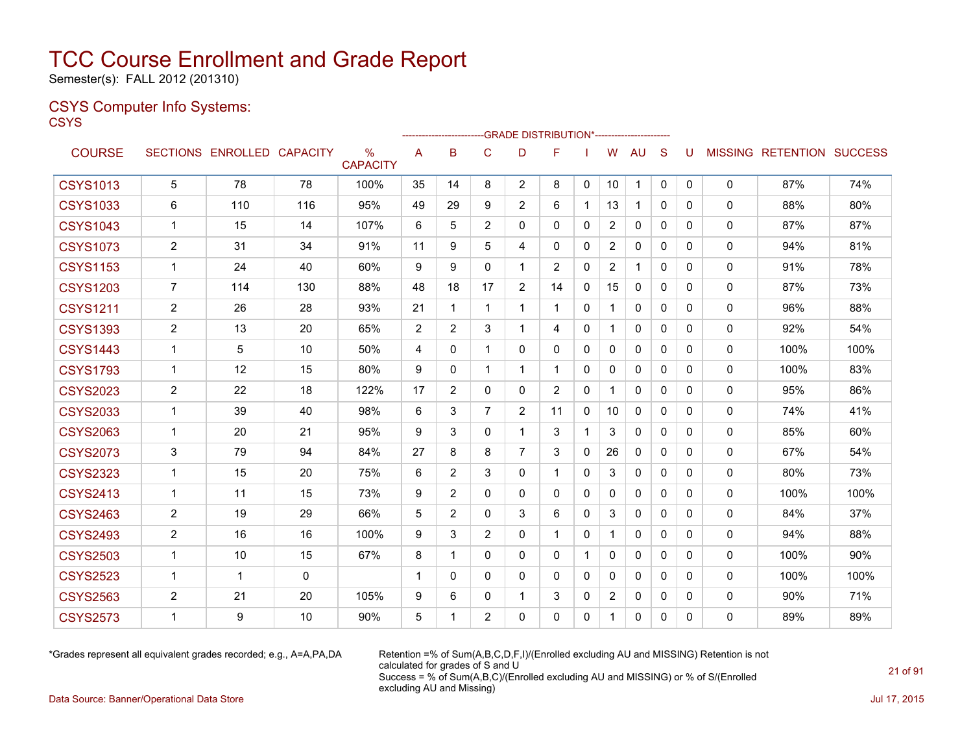Semester(s): FALL 2012 (201310)

### CSYS Computer Info Systems:

**CSYS** 

|                 |                         |                   |                 |                      |    | ----------------------- |                |                | --GRADE DISTRIBUTION*---------------------- |              |                |              |              |          |              |                                  |      |
|-----------------|-------------------------|-------------------|-----------------|----------------------|----|-------------------------|----------------|----------------|---------------------------------------------|--------------|----------------|--------------|--------------|----------|--------------|----------------------------------|------|
| <b>COURSE</b>   |                         | SECTIONS ENROLLED | <b>CAPACITY</b> | %<br><b>CAPACITY</b> | A  | B                       | C              | D              | F                                           |              | W              | <b>AU</b>    | <sub>S</sub> | U        |              | <b>MISSING RETENTION SUCCESS</b> |      |
| <b>CSYS1013</b> | 5                       | 78                | 78              | 100%                 | 35 | 14                      | 8              | $\overline{2}$ | 8                                           | $\mathbf{0}$ | 10             | 1            | $\mathbf 0$  | 0        | 0            | 87%                              | 74%  |
| <b>CSYS1033</b> | 6                       | 110               | 116             | 95%                  | 49 | 29                      | 9              | $\overline{2}$ | 6                                           |              | 13             | $\mathbf{1}$ | $\Omega$     | 0        | $\mathbf{0}$ | 88%                              | 80%  |
| <b>CSYS1043</b> | $\mathbf{1}$            | 15                | 14              | 107%                 | 6  | 5                       | 2              | $\Omega$       | 0                                           | $\Omega$     | $\overline{2}$ | $\mathbf{0}$ | $\Omega$     | 0        | 0            | 87%                              | 87%  |
| <b>CSYS1073</b> | $\overline{c}$          | 31                | 34              | 91%                  | 11 | 9                       | 5              | 4              | 0                                           | 0            | $\overline{2}$ | 0            | $\mathbf{0}$ | 0        | 0            | 94%                              | 81%  |
| <b>CSYS1153</b> | 1                       | 24                | 40              | 60%                  | 9  | 9                       | $\mathbf{0}$   | 1              | 2                                           | 0            | $\overline{2}$ | 1            | $\mathbf{0}$ | 0        | 0            | 91%                              | 78%  |
| <b>CSYS1203</b> | $\overline{7}$          | 114               | 130             | 88%                  | 48 | 18                      | 17             | $\overline{2}$ | 14                                          | $\mathbf{0}$ | 15             | $\Omega$     | $\Omega$     | $\Omega$ | $\mathbf{0}$ | 87%                              | 73%  |
| <b>CSYS1211</b> | $\overline{2}$          | 26                | 28              | 93%                  | 21 | $\mathbf{1}$            | $\mathbf{1}$   | $\mathbf{1}$   | 1                                           | $\mathbf{0}$ | 1              | 0            | $\mathbf{0}$ | 0        | 0            | 96%                              | 88%  |
| <b>CSYS1393</b> | $\overline{2}$          | 13                | 20              | 65%                  | 2  | $\overline{2}$          | 3              | 1              | 4                                           | $\mathbf{0}$ | $\mathbf{1}$   | 0            | $\mathbf{0}$ | $\Omega$ | 0            | 92%                              | 54%  |
| <b>CSYS1443</b> | $\mathbf{1}$            | 5                 | 10              | 50%                  | 4  | $\mathbf{0}$            | $\mathbf{1}$   | $\mathbf{0}$   | 0                                           | $\Omega$     | $\Omega$       | $\mathbf{0}$ | $\Omega$     | $\Omega$ | 0            | 100%                             | 100% |
| <b>CSYS1793</b> | $\mathbf{1}$            | 12                | 15              | 80%                  | 9  | $\mathbf{0}$            | 1              | $\mathbf{1}$   | 1                                           | $\mathbf{0}$ | 0              | $\Omega$     | $\Omega$     | 0        | 0            | 100%                             | 83%  |
| <b>CSYS2023</b> | $\overline{c}$          | 22                | 18              | 122%                 | 17 | $\overline{2}$          | $\Omega$       | $\mathbf{0}$   | $\overline{2}$                              | $\mathbf{0}$ | 1              | $\mathbf{0}$ | $\Omega$     | 0        | 0            | 95%                              | 86%  |
| <b>CSYS2033</b> | $\mathbf{1}$            | 39                | 40              | 98%                  | 6  | 3                       | $\overline{7}$ | $\overline{2}$ | 11                                          | 0            | 10             | $\mathbf{0}$ | $\mathbf{0}$ | 0        | $\mathbf{0}$ | 74%                              | 41%  |
| <b>CSYS2063</b> | $\mathbf{1}$            | 20                | 21              | 95%                  | 9  | 3                       | $\Omega$       | 1              | 3                                           |              | 3              | $\mathbf{0}$ | $\Omega$     | $\Omega$ | 0            | 85%                              | 60%  |
| <b>CSYS2073</b> | 3                       | 79                | 94              | 84%                  | 27 | 8                       | 8              | $\overline{7}$ | 3                                           | 0            | 26             | 0            | $\mathbf{0}$ | 0        | 0            | 67%                              | 54%  |
| <b>CSYS2323</b> | $\mathbf{1}$            | 15                | 20              | 75%                  | 6  | $\overline{2}$          | 3              | $\mathbf{0}$   | 1                                           | $\mathbf{0}$ | 3              | $\mathbf{0}$ | $\Omega$     | $\Omega$ | 0            | 80%                              | 73%  |
| <b>CSYS2413</b> | $\mathbf{1}$            | 11                | 15              | 73%                  | 9  | $\overline{2}$          | $\Omega$       | $\mathbf{0}$   | 0                                           | $\Omega$     | $\mathbf{0}$   | $\mathbf{0}$ | $\Omega$     | $\Omega$ | 0            | 100%                             | 100% |
| <b>CSYS2463</b> | $\overline{2}$          | 19                | 29              | 66%                  | 5  | $\overline{2}$          | $\Omega$       | 3              | 6                                           | $\mathbf{0}$ | 3              | $\Omega$     | $\Omega$     | $\Omega$ | 0            | 84%                              | 37%  |
| <b>CSYS2493</b> | $\overline{\mathbf{c}}$ | 16                | 16              | 100%                 | 9  | 3                       | $\overline{2}$ | $\mathbf{0}$   | 1                                           | $\mathbf{0}$ | 1              | $\mathbf 0$  | $\Omega$     | $\Omega$ | 0            | 94%                              | 88%  |
| <b>CSYS2503</b> | $\mathbf{1}$            | 10                | 15              | 67%                  | 8  | $\mathbf 1$             | $\mathbf{0}$   | $\mathbf{0}$   | 0                                           |              | 0              | $\mathbf{0}$ | $\mathbf{0}$ | 0        | 0            | 100%                             | 90%  |
| <b>CSYS2523</b> | $\mathbf 1$             | $\mathbf 1$       | $\mathbf{0}$    |                      | 1  | $\Omega$                | $\Omega$       | $\mathbf{0}$   | 0                                           | $\Omega$     | $\mathbf{0}$   | $\mathbf{0}$ | $\Omega$     | 0        | 0            | 100%                             | 100% |
| <b>CSYS2563</b> | $\overline{\mathbf{c}}$ | 21                | 20              | 105%                 | 9  | 6                       | $\mathbf{0}$   | 1              | 3                                           | 0            | $\overline{2}$ | 0            | $\mathbf{0}$ | 0        | 0            | 90%                              | 71%  |
| <b>CSYS2573</b> | $\mathbf 1$             | 9                 | 10              | 90%                  | 5  | 1                       | $\overline{2}$ | 0              | 0                                           | 0            | 1              | 0            | 0            | $\Omega$ | $\mathbf{0}$ | 89%                              | 89%  |

\*Grades represent all equivalent grades recorded; e.g., A=A,PA,DA Retention =% of Sum(A,B,C,D,F,I)/(Enrolled excluding AU and MISSING) Retention is not calculated for grades of S and U Success = % of Sum(A,B,C)/(Enrolled excluding AU and MISSING) or % of S/(Enrolled excluding AU and Missing)

Data Source: Banner/Operational Data Store Jul 17, 2015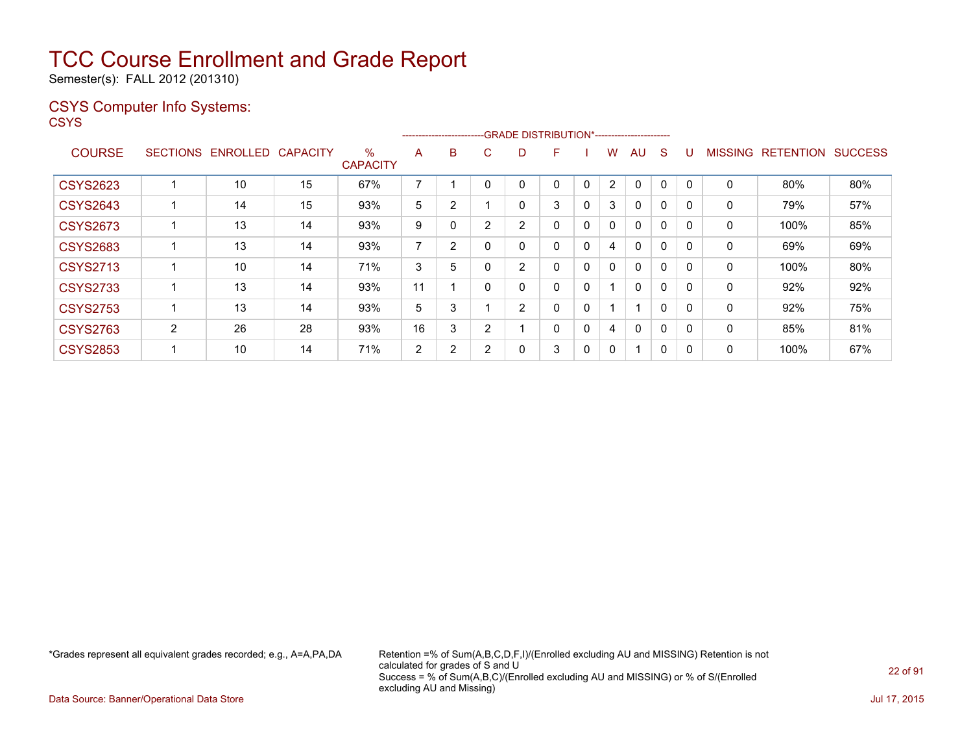Semester(s): FALL 2012 (201310)

### CSYS Computer Info Systems:

**CSYS** 

|                 |                 |          |                 |                         |                          | ------------------------GRADE DISTRIBUTION*----------------------- |   |                |              |   |                |          |              |             |                |                  |                |
|-----------------|-----------------|----------|-----------------|-------------------------|--------------------------|--------------------------------------------------------------------|---|----------------|--------------|---|----------------|----------|--------------|-------------|----------------|------------------|----------------|
| <b>COURSE</b>   | <b>SECTIONS</b> | ENROLLED | <b>CAPACITY</b> | $\%$<br><b>CAPACITY</b> | A                        | B                                                                  | Ü | D              | F            |   | w              | AU       | S            |             | <b>MISSING</b> | <b>RETENTION</b> | <b>SUCCESS</b> |
| <b>CSYS2623</b> |                 | 10       | 15              | 67%                     | $\overline{\phantom{a}}$ |                                                                    |   | 0              | 0            | 0 | $\overline{2}$ | 0        | 0            | $\mathbf 0$ | 0              | 80%              | 80%            |
| <b>CSYS2643</b> |                 | 14       | 15              | 93%                     | 5                        | ົ                                                                  |   | 0              | 3            | 0 | 3              | $\Omega$ | 0            | 0           | $\Omega$       | 79%              | 57%            |
| <b>CSYS2673</b> |                 | 13       | 14              | 93%                     | 9                        |                                                                    | 2 | 2              | 0            | 0 | 0              | $\Omega$ | 0            |             | 0              | 100%             | 85%            |
| <b>CSYS2683</b> |                 | 13       | 14              | 93%                     | 7                        |                                                                    |   | 0              | 0            | 0 | 4              | $\Omega$ | 0            |             | 0              | 69%              | 69%            |
| <b>CSYS2713</b> |                 | 10       | 14              | 71%                     | 3                        | 5                                                                  | 0 | $\overline{2}$ | 0            | 0 | 0              | $\Omega$ | 0            | 0           | 0              | 100%             | 80%            |
| <b>CSYS2733</b> |                 | 13       | 14              | 93%                     | 11                       |                                                                    |   | 0              | 0            | 0 |                | $\Omega$ | 0            |             | 0              | 92%              | 92%            |
| <b>CSYS2753</b> |                 | 13       | 14              | 93%                     | 5                        | 3                                                                  |   | 2              | $\mathbf{0}$ | 0 |                |          | $\mathbf{0}$ | 0           | $\Omega$       | 92%              | 75%            |
| <b>CSYS2763</b> | $\overline{2}$  | 26       | 28              | 93%                     | 16                       | 3                                                                  | 2 |                | $\mathbf{0}$ | 0 | 4              | $\Omega$ | 0            | 0           | $\Omega$       | 85%              | 81%            |
| <b>CSYS2853</b> |                 | 10       | 14              | 71%                     | 2                        | 2                                                                  | 2 | 0              | 3            | 0 | 0              |          | 0            |             | 0              | 100%             | 67%            |

\*Grades represent all equivalent grades recorded; e.g., A=A,PA,DA Retention =% of Sum(A,B,C,D,F,I)/(Enrolled excluding AU and MISSING) Retention is not calculated for grades of S and U Success = % of Sum(A,B,C)/(Enrolled excluding AU and MISSING) or % of S/(Enrolled excluding AU and Missing)

Data Source: Banner/Operational Data Store Jul 17, 2015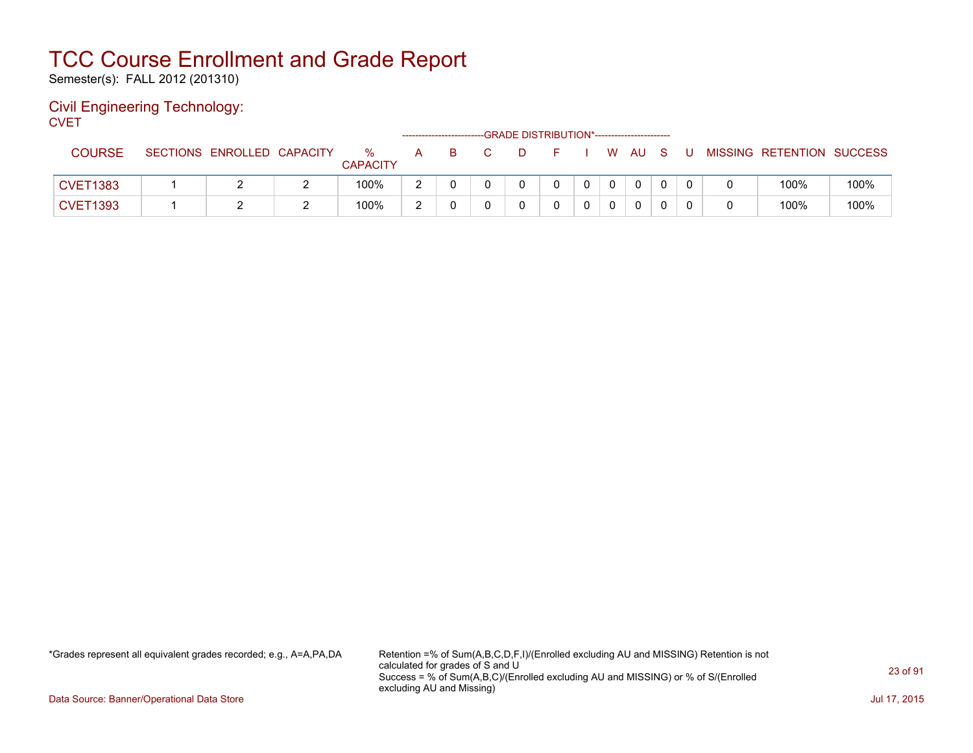Semester(s): FALL 2012 (201310)

#### Civil Engineering Technology: **CVET**

| - - - - -       |                            |                      |    |    |  |    |  |      |     |    |                           |      |
|-----------------|----------------------------|----------------------|----|----|--|----|--|------|-----|----|---------------------------|------|
| <b>COURSE</b>   | SECTIONS ENROLLED CAPACITY | %<br><b>CAPACITY</b> | A. | -B |  | F. |  | W AU | - S | J. | MISSING RETENTION SUCCESS |      |
| <b>CVET1383</b> |                            | 100%                 |    |    |  |    |  | 0    |     |    | 100%                      | 100% |
| <b>CVET1393</b> |                            | 100%                 |    |    |  |    |  | 0    |     |    | 100%                      | 100% |

\*Grades represent all equivalent grades recorded; e.g., A=A,PA,DA Retention =% of Sum(A,B,C,D,F,I)/(Enrolled excluding AU and MISSING) Retention is not calculated for grades of S and U Success = % of Sum(A,B,C)/(Enrolled excluding AU and MISSING) or % of S/(Enrolled excluding AU and Missing)

Data Source: Banner/Operational Data Store Jul 17, 2015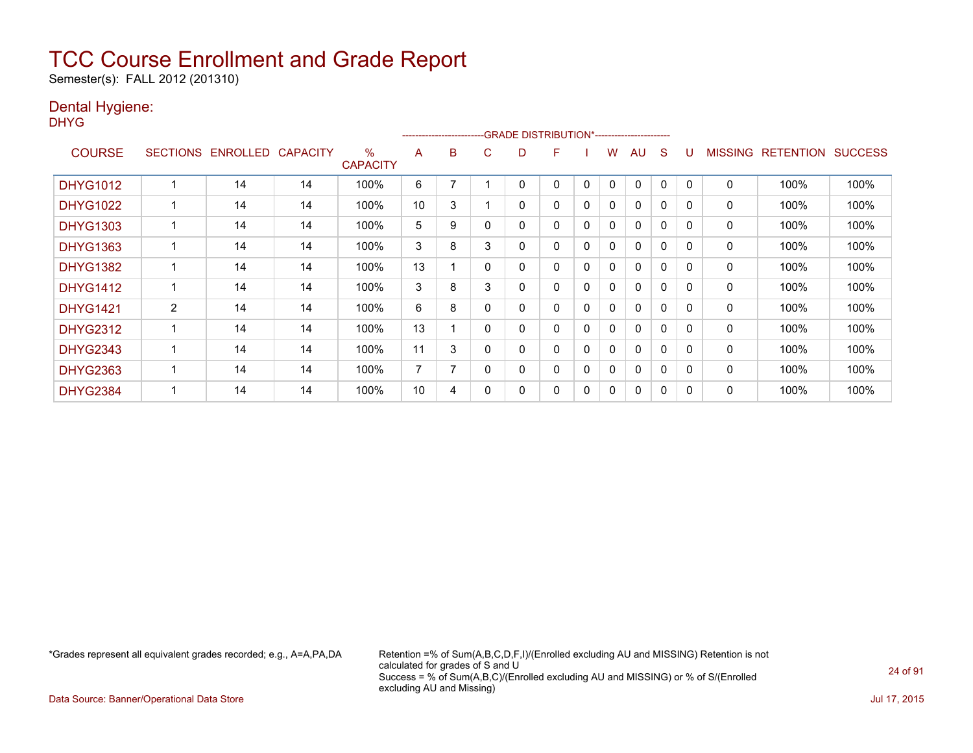Semester(s): FALL 2012 (201310)

### Dental Hygiene:

DHYG

|                 |                 |                 |                 |                      | --------------------- |   |   | -GRADE DISTRIBUTION*---------------------- |   |          |   |              |              |              |                |                  |                |
|-----------------|-----------------|-----------------|-----------------|----------------------|-----------------------|---|---|--------------------------------------------|---|----------|---|--------------|--------------|--------------|----------------|------------------|----------------|
| <b>COURSE</b>   | <b>SECTIONS</b> | <b>ENROLLED</b> | <b>CAPACITY</b> | %<br><b>CAPACITY</b> | A                     | B | С | D                                          | F |          | w | AU           | S            |              | <b>MISSING</b> | <b>RETENTION</b> | <b>SUCCESS</b> |
| <b>DHYG1012</b> |                 | 14              | 14              | 100%                 | 6                     |   |   | 0                                          | 0 | 0        | 0 | 0            | 0            | $\mathbf{0}$ | 0              | 100%             | 100%           |
| <b>DHYG1022</b> |                 | 14              | 14              | 100%                 | 10                    | 3 |   | 0                                          | 0 | 0        | 0 | 0            | 0            | $\Omega$     | 0              | 100%             | 100%           |
| <b>DHYG1303</b> |                 | 14              | 14              | 100%                 | 5                     | 9 |   | 0                                          | 0 | 0        | 0 | $\mathbf{0}$ | 0            | 0            | 0              | 100%             | 100%           |
| <b>DHYG1363</b> |                 | 14              | 14              | 100%                 | 3                     | 8 | 3 | 0                                          | 0 | $\Omega$ | 0 | $\mathbf{0}$ | 0            | $\Omega$     | 0              | 100%             | 100%           |
| <b>DHYG1382</b> |                 | 14              | 14              | 100%                 | 13                    |   | 0 | 0                                          | 0 | 0        | 0 | $\mathbf{0}$ | 0            | $\Omega$     | 0              | 100%             | 100%           |
| <b>DHYG1412</b> |                 | 14              | 14              | 100%                 | 3                     | 8 | 3 | 0                                          | 0 | 0        | 0 | 0            | $\mathbf{0}$ | $\Omega$     | $\mathbf 0$    | 100%             | 100%           |
| <b>DHYG1421</b> | $\overline{2}$  | 14              | 14              | 100%                 | 6                     | 8 |   | 0                                          | 0 | $\Omega$ | 0 | 0            | 0            | 0            | 0              | 100%             | 100%           |
| <b>DHYG2312</b> |                 | 14              | 14              | 100%                 | 13                    |   | 0 | 0                                          | 0 | 0        | 0 | $\mathbf{0}$ | 0            | 0            | 0              | 100%             | 100%           |
| <b>DHYG2343</b> |                 | 14              | 14              | 100%                 | 11                    | 3 |   | 0                                          | 0 | 0        | 0 | $\Omega$     | 0            | $\Omega$     | 0              | 100%             | 100%           |
| <b>DHYG2363</b> |                 | 14              | 14              | 100%                 | 7                     | 7 | 0 | 0                                          | 0 | 0        | 0 | $\Omega$     | 0            | $\Omega$     | 0              | 100%             | 100%           |
| <b>DHYG2384</b> |                 | 14              | 14              | 100%                 | 10                    | 4 |   | 0                                          | 0 | 0        | 0 | 0            | 0            | 0            | 0              | 100%             | 100%           |

\*Grades represent all equivalent grades recorded; e.g., A=A,PA,DA Retention =% of Sum(A,B,C,D,F,I)/(Enrolled excluding AU and MISSING) Retention is not calculated for grades of S and U Success = % of Sum(A,B,C)/(Enrolled excluding AU and MISSING) or % of S/(Enrolled excluding AU and Missing)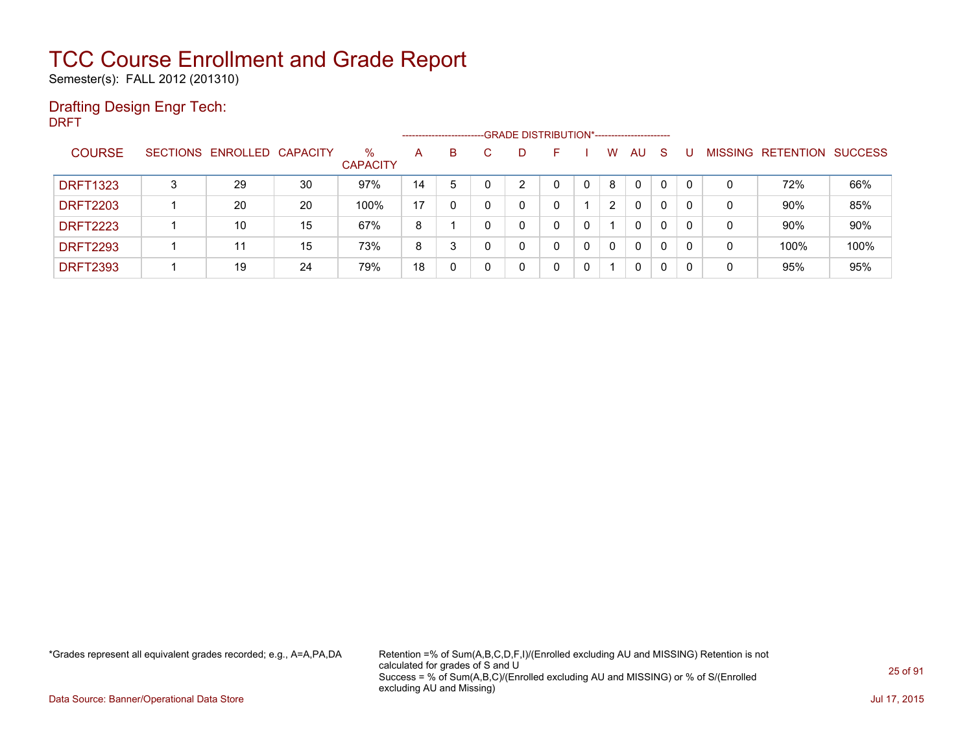Semester(s): FALL 2012 (201310)

### Drafting Design Engr Tech:

DRFT ---GRADE DISTRIBUTION\*------------------------COURSE SECTIONS ENROLLED CAPACITY % **CAPACITY** A B C D F I W AU S U MISSING RETENTION SUCCESS DRFT1323 3 29 30 97% 14 5 0 2 0 0 8 0 0 0 0 72% 66% DRFT2203 1 20 20 100% 17 0 0 0 0 1 2 0 0 0 0 90% 85% DRFT2223 1 10 15 67% 8 1 0 0 0 0 1 0 0 0 0 90% 90% DRFT2293 | 1 | 11 | 15 | 73% | 8 | 3 | 0 | 0 | 0 | 0 | 0 | 0 | 0 | 0 | 100% | 100% DRFT2393 1 19 24 79% 18 0 0 0 0 0 1 0 0 0 0 95% 95%

\*Grades represent all equivalent grades recorded; e.g., A=A,PA,DA Retention =% of Sum(A,B,C,D,F,I)/(Enrolled excluding AU and MISSING) Retention is not calculated for grades of S and U Success = % of Sum(A,B,C)/(Enrolled excluding AU and MISSING) or % of S/(Enrolled excluding AU and Missing)

Data Source: Banner/Operational Data Store Jul 17, 2015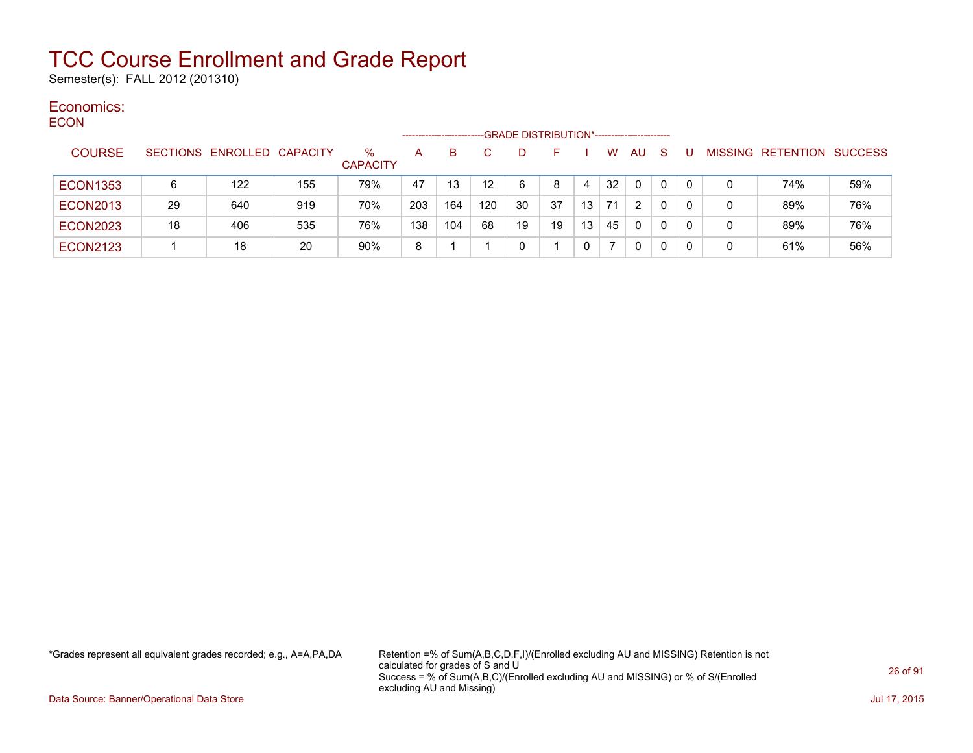Semester(s): FALL 2012 (201310)

#### Economics: ECON

| ◡◡◡╷៶           |                 |                   |     |                      | --------------------- |     |                  | -GRADE DISTRIBUTION*----------------------- |    |    |    |           |              |   |   |                   |                |
|-----------------|-----------------|-------------------|-----|----------------------|-----------------------|-----|------------------|---------------------------------------------|----|----|----|-----------|--------------|---|---|-------------------|----------------|
| <b>COURSE</b>   | <b>SECTIONS</b> | ENROLLED CAPACITY |     | %<br><b>CAPACITY</b> | A                     | в   |                  | Ð                                           |    |    | w  | <b>AU</b> | S            |   |   | MISSING RETENTION | <b>SUCCESS</b> |
| <b>ECON1353</b> | 6               | 122               | 155 | 79%                  | 47                    | 13  | 12 <sup>12</sup> | 6                                           | 8  | 4  | 32 | 0         | 0            |   | 0 | 74%               | 59%            |
| <b>ECON2013</b> | 29              | 640               | 919 | 70%                  | 203                   | 164 | 120              | 30                                          | 37 | 13 | 71 | 2         | $\mathbf{0}$ |   | 0 | 89%               | 76%            |
| <b>ECON2023</b> | 18              | 406               | 535 | 76%                  | 138                   | 104 | 68               | 19                                          | 19 | 13 | 45 | 0         | 0            | 0 | 0 | 89%               | 76%            |
| <b>ECON2123</b> |                 | 18                | 20  | 90%                  | 8                     |     |                  | 0                                           |    |    |    | 0         | 0            |   | 0 | 61%               | 56%            |

\*Grades represent all equivalent grades recorded; e.g., A=A,PA,DA Retention =% of Sum(A,B,C,D,F,I)/(Enrolled excluding AU and MISSING) Retention is not calculated for grades of S and U Success = % of Sum(A,B,C)/(Enrolled excluding AU and MISSING) or % of S/(Enrolled excluding AU and Missing)

Data Source: Banner/Operational Data Store Jul 17, 2015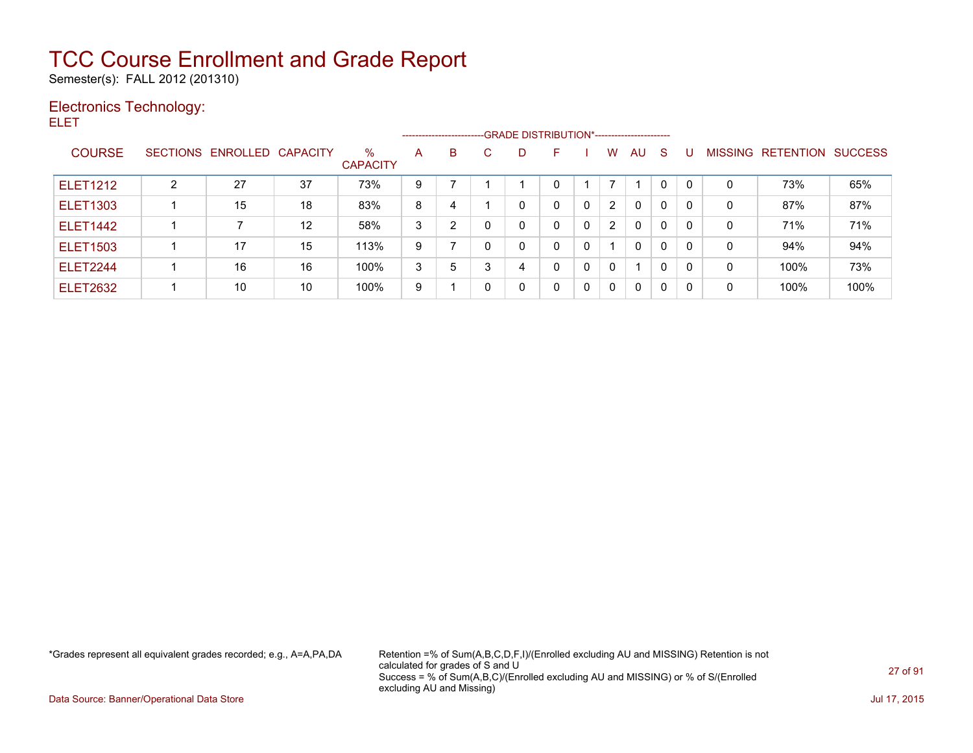Semester(s): FALL 2012 (201310)

### Electronics Technology:

ELET

|                 |                 |                   |                   |                         |   |   | ------------------------GRADE                DISTRIBUTION*---------------------- |   |   |   |              |              |              |              |                |           |                |
|-----------------|-----------------|-------------------|-------------------|-------------------------|---|---|----------------------------------------------------------------------------------|---|---|---|--------------|--------------|--------------|--------------|----------------|-----------|----------------|
| <b>COURSE</b>   | <b>SECTIONS</b> | ENROLLED CAPACITY |                   | $\%$<br><b>CAPACITY</b> | A | B | С                                                                                | D |   |   | W            | AU.          | -S           |              | <b>MISSING</b> | RETENTION | <b>SUCCESS</b> |
| <b>ELET1212</b> | ົ               | 27                | 37                | 73%                     | 9 |   |                                                                                  |   |   |   |              |              | 0            | $\mathbf{0}$ | 0              | 73%       | 65%            |
| <b>ELET1303</b> |                 | 15                | 18                | 83%                     | 8 | 4 |                                                                                  | 0 | 0 | 0 | 2            | $\mathbf{0}$ | $\mathbf{0}$ | $\Omega$     | 0              | 87%       | 87%            |
| <b>ELET1442</b> |                 |                   | $12 \overline{ }$ | 58%                     | 3 | 2 |                                                                                  | 0 | 0 | 0 | 2            | $\mathbf{0}$ | $\Omega$     | $\Omega$     | 0              | 71%       | 71%            |
| <b>ELET1503</b> |                 | 17                | 15                | 113%                    | 9 |   |                                                                                  | 0 | 0 | 0 |              | $\Omega$     | $\mathbf{0}$ | $\mathbf{0}$ | 0              | 94%       | 94%            |
| <b>ELET2244</b> |                 | 16                | 16                | 100%                    | 3 | 5 | 3                                                                                | 4 | 0 | 0 | $\mathbf{0}$ | 1            | $\mathbf{0}$ | $\mathbf{0}$ | 0              | 100%      | 73%            |
| <b>ELET2632</b> |                 | 10                | 10                | 100%                    | 9 |   |                                                                                  | 0 | 0 | 0 | 0            | $\mathbf{0}$ | 0            | $\Omega$     | 0              | 100%      | 100%           |

\*Grades represent all equivalent grades recorded; e.g., A=A,PA,DA Retention =% of Sum(A,B,C,D,F,I)/(Enrolled excluding AU and MISSING) Retention is not calculated for grades of S and U Success = % of Sum(A,B,C)/(Enrolled excluding AU and MISSING) or % of S/(Enrolled excluding AU and Missing)

Data Source: Banner/Operational Data Store Jul 17, 2015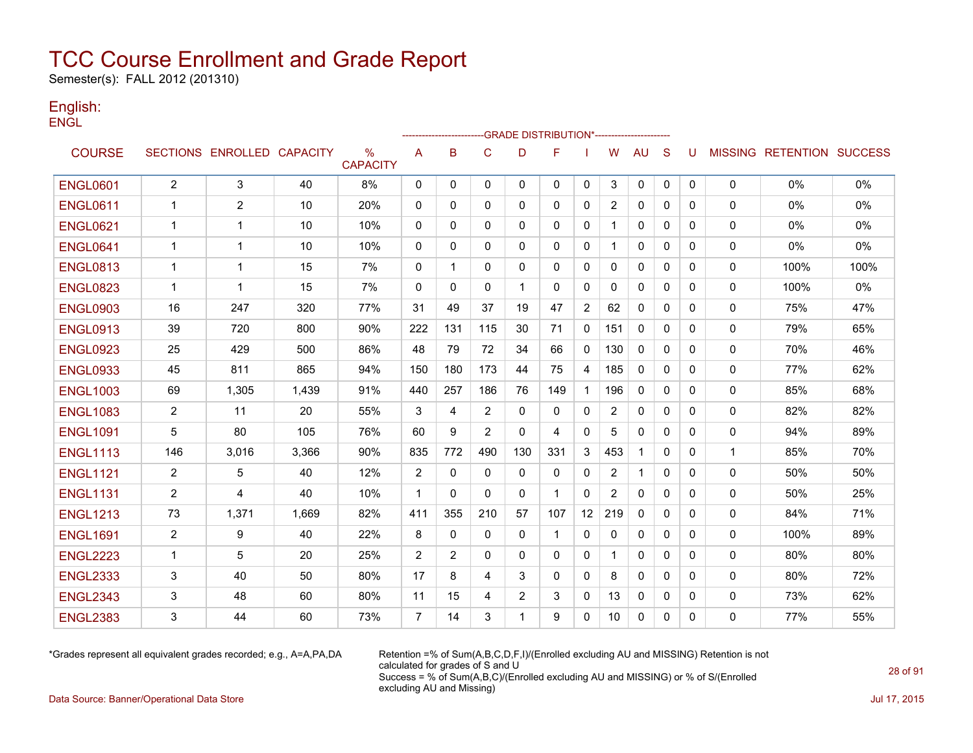Semester(s): FALL 2012 (201310)

#### English: **ENGL**

|                 |                |                            |       |                         |                | ------------------------GRADE                DISTRIBUTION*---------------------- |                |              |              |              |                 |              |              |              |             |                                  |       |
|-----------------|----------------|----------------------------|-------|-------------------------|----------------|----------------------------------------------------------------------------------|----------------|--------------|--------------|--------------|-----------------|--------------|--------------|--------------|-------------|----------------------------------|-------|
| <b>COURSE</b>   |                | SECTIONS ENROLLED CAPACITY |       | $\%$<br><b>CAPACITY</b> | A              | B                                                                                | $\mathsf{C}$   | D            | F            |              | W               | <b>AU</b>    | S            | U            |             | <b>MISSING RETENTION SUCCESS</b> |       |
| <b>ENGL0601</b> | $\overline{2}$ | 3                          | 40    | 8%                      | 0              | 0                                                                                | 0              | $\mathbf{0}$ | $\mathbf{0}$ | 0            | 3               | 0            | 0            | $\mathbf{0}$ | 0           | $0\%$                            | $0\%$ |
| <b>ENGL0611</b> | $\mathbf 1$    | 2                          | 10    | 20%                     | 0              | 0                                                                                | 0              | 0            | 0            | 0            | $\overline{2}$  | 0            | 0            | 0            | 0           | $0\%$                            | $0\%$ |
| <b>ENGL0621</b> | $\mathbf 1$    | 1                          | 10    | 10%                     | $\mathbf 0$    | $\mathbf{0}$                                                                     | $\Omega$       | $\Omega$     | $\Omega$     | 0            |                 | $\Omega$     | $\mathbf{0}$ | $\Omega$     | 0           | $0\%$                            | 0%    |
| <b>ENGL0641</b> | $\mathbf 1$    | 1                          | 10    | 10%                     | 0              | $\mathbf{0}$                                                                     | $\Omega$       | 0            | $\mathbf{0}$ | 0            | 1               | 0            | 0            | 0            | 0           | 0%                               | 0%    |
| <b>ENGL0813</b> | -1             | 1                          | 15    | 7%                      | $\mathbf 0$    | 1                                                                                | $\Omega$       | 0            | $\mathbf{0}$ | 0            | 0               | 0            | $\mathbf{0}$ | 0            | 0           | 100%                             | 100%  |
| <b>ENGL0823</b> | -1             | 1                          | 15    | 7%                      | $\mathbf{0}$   | 0                                                                                | $\Omega$       | 1            | $\mathbf{0}$ | 0            | 0               | 0            | 0            | 0            | 0           | 100%                             | 0%    |
| <b>ENGL0903</b> | 16             | 247                        | 320   | 77%                     | 31             | 49                                                                               | 37             | 19           | 47           | 2            | 62              | $\Omega$     | $\mathbf{0}$ | $\Omega$     | 0           | 75%                              | 47%   |
| <b>ENGL0913</b> | 39             | 720                        | 800   | 90%                     | 222            | 131                                                                              | 115            | 30           | 71           | $\mathbf{0}$ | 151             | $\Omega$     | $\Omega$     | $\Omega$     | 0           | 79%                              | 65%   |
| <b>ENGL0923</b> | 25             | 429                        | 500   | 86%                     | 48             | 79                                                                               | 72             | 34           | 66           | 0            | 130             | $\mathbf{0}$ | $\mathbf{0}$ | 0            | 0           | 70%                              | 46%   |
| <b>ENGL0933</b> | 45             | 811                        | 865   | 94%                     | 150            | 180                                                                              | 173            | 44           | 75           | 4            | 185             | $\mathbf{0}$ | $\mathbf{0}$ | 0            | 0           | 77%                              | 62%   |
| <b>ENGL1003</b> | 69             | 1,305                      | 1,439 | 91%                     | 440            | 257                                                                              | 186            | 76           | 149          | 1            | 196             | $\mathbf{0}$ | $\mathbf{0}$ | $\mathbf{0}$ | 0           | 85%                              | 68%   |
| <b>ENGL1083</b> | 2              | 11                         | 20    | 55%                     | 3              | 4                                                                                | 2              | $\mathbf{0}$ | 0            | 0            | 2               | 0            | $\mathbf{0}$ | 0            | 0           | 82%                              | 82%   |
| <b>ENGL1091</b> | 5              | 80                         | 105   | 76%                     | 60             | 9                                                                                | $\overline{2}$ | 0            | 4            | $\mathbf{0}$ | 5               | 0            | 0            | 0            | 0           | 94%                              | 89%   |
| <b>ENGL1113</b> | 146            | 3,016                      | 3,366 | 90%                     | 835            | 772                                                                              | 490            | 130          | 331          | 3            | 453             | 1            | $\mathbf{0}$ | 0            | $\mathbf 1$ | 85%                              | 70%   |
| <b>ENGL1121</b> | $\overline{2}$ | 5                          | 40    | 12%                     | 2              | $\mathbf{0}$                                                                     | $\Omega$       | $\mathbf{0}$ | $\mathbf{0}$ | $\mathbf{0}$ | $\overline{2}$  | $\mathbf{1}$ | $\mathbf{0}$ | $\mathbf{0}$ | 0           | 50%                              | 50%   |
| <b>ENGL1131</b> | $\overline{2}$ | 4                          | 40    | 10%                     | $\mathbf{1}$   | $\Omega$                                                                         | $\Omega$       | $\mathbf{0}$ | $\mathbf 1$  | $\mathbf{0}$ | $\overline{2}$  | 0            | $\mathbf{0}$ | $\Omega$     | 0           | 50%                              | 25%   |
| <b>ENGL1213</b> | 73             | 1,371                      | 1,669 | 82%                     | 411            | 355                                                                              | 210            | 57           | 107          | 12           | 219             | $\Omega$     | $\Omega$     | $\Omega$     | 0           | 84%                              | 71%   |
| <b>ENGL1691</b> | $\overline{2}$ | 9                          | 40    | 22%                     | 8              | 0                                                                                | 0              | 0            | -1           | 0            | 0               | 0            | $\mathbf{0}$ | 0            | 0           | 100%                             | 89%   |
| <b>ENGL2223</b> | $\mathbf{1}$   | 5                          | 20    | 25%                     | 2              | 2                                                                                | $\Omega$       | $\Omega$     | $\mathbf{0}$ | $\mathbf{0}$ | 1               | 0            | $\mathbf{0}$ | $\mathbf{0}$ | 0           | 80%                              | 80%   |
| <b>ENGL2333</b> | 3              | 40                         | 50    | 80%                     | 17             | 8                                                                                | 4              | 3            | $\mathbf{0}$ | 0            | 8               | 0            | $\Omega$     | $\Omega$     | 0           | 80%                              | 72%   |
| <b>ENGL2343</b> | 3              | 48                         | 60    | 80%                     | 11             | 15                                                                               | 4              | 2            | 3            | 0            | 13              | 0            | 0            | 0            | 0           | 73%                              | 62%   |
| <b>ENGL2383</b> | 3              | 44                         | 60    | 73%                     | $\overline{7}$ | 14                                                                               | 3              | -1           | 9            | $\mathbf{0}$ | 10 <sup>°</sup> | 0            | $\mathbf{0}$ | 0            | 0           | 77%                              | 55%   |

\*Grades represent all equivalent grades recorded; e.g., A=A,PA,DA Retention =% of Sum(A,B,C,D,F,I)/(Enrolled excluding AU and MISSING) Retention is not calculated for grades of S and U Success = % of Sum(A,B,C)/(Enrolled excluding AU and MISSING) or % of S/(Enrolled excluding AU and Missing)

Data Source: Banner/Operational Data Store Jul 17, 2015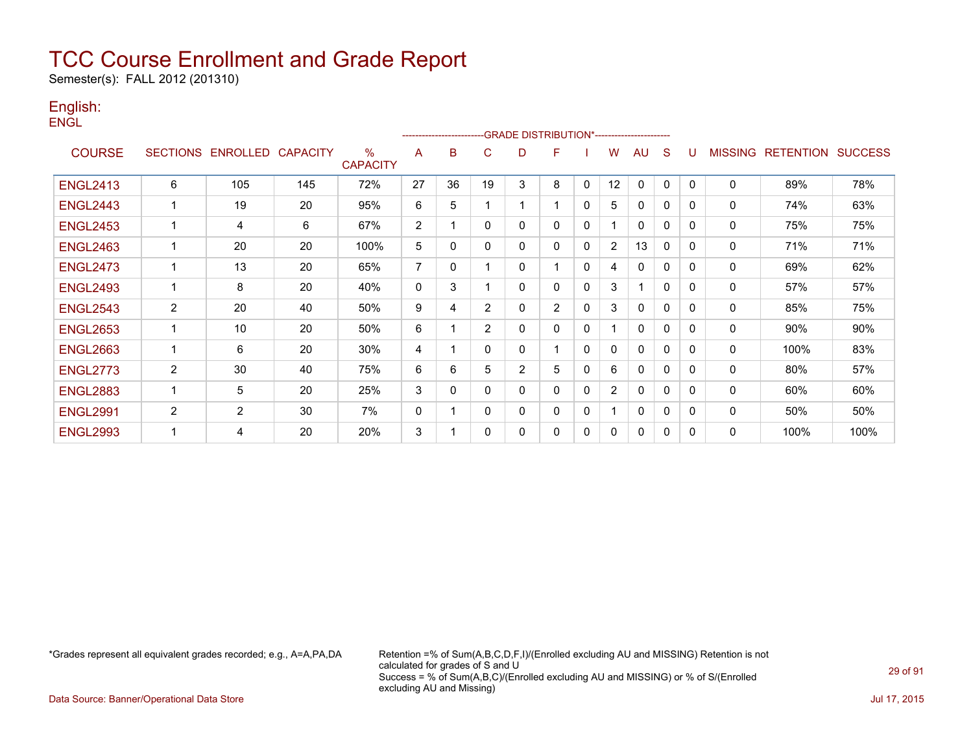Semester(s): FALL 2012 (201310)

#### English: **ENGL**

|                 |                |                            |     |                      |              | ---------------------- |                |                | -GRADE DISTRIBUTION*---------------------- |              |                |              |              |          |                |                  |                |
|-----------------|----------------|----------------------------|-----|----------------------|--------------|------------------------|----------------|----------------|--------------------------------------------|--------------|----------------|--------------|--------------|----------|----------------|------------------|----------------|
| <b>COURSE</b>   |                | SECTIONS ENROLLED CAPACITY |     | %<br><b>CAPACITY</b> | A            | B                      | C              | D              | F                                          |              | W              | AU           | S            | U        | <b>MISSING</b> | <b>RETENTION</b> | <b>SUCCESS</b> |
| <b>ENGL2413</b> | 6              | 105                        | 145 | 72%                  | 27           | 36                     | 19             | 3              | 8                                          | $\mathbf 0$  | 12             | $\mathbf 0$  | 0            | 0        | $\mathbf 0$    | 89%              | 78%            |
| <b>ENGL2443</b> | 1              | 19                         | 20  | 95%                  | 6            | 5                      |                |                |                                            | $\mathbf{0}$ | 5.             | $\mathbf{0}$ | 0            | 0        | 0              | 74%              | 63%            |
| <b>ENGL2453</b> | 1              | 4                          | 6   | 67%                  | 2            | 1                      | $\Omega$       | $\Omega$       | $\mathbf{0}$                               | $\mathbf{0}$ |                | $\mathbf{0}$ | $\mathbf{0}$ | 0        | 0              | 75%              | 75%            |
| <b>ENGL2463</b> | 1              | 20                         | 20  | 100%                 | 5            | $\Omega$               | $\mathbf{0}$   | $\Omega$       | $\Omega$                                   | 0            | $\overline{2}$ | 13           | 0            | 0        | 0              | 71%              | 71%            |
| <b>ENGL2473</b> | 1              | 13                         | 20  | 65%                  | 7            | 0                      |                | $\Omega$       |                                            | $\mathbf{0}$ | 4              | $\mathbf{0}$ | 0            | 0        | 0              | 69%              | 62%            |
| <b>ENGL2493</b> | $\mathbf{1}$   | 8                          | 20  | 40%                  | $\mathbf{0}$ | 3                      |                | $\Omega$       | $\mathbf{0}$                               | $\Omega$     | 3              |              | $\mathbf{0}$ | 0        | 0              | 57%              | 57%            |
| <b>ENGL2543</b> | 2              | 20                         | 40  | 50%                  | 9            | 4                      | 2              | 0              | 2                                          | 0            | 3              | $\mathbf{0}$ | 0            | 0        | 0              | 85%              | 75%            |
| <b>ENGL2653</b> | 1              | 10                         | 20  | 50%                  | 6            | 1                      | $\overline{2}$ | $\Omega$       | $\mathbf{0}$                               | 0            |                | $\mathbf 0$  | $\mathbf{0}$ | 0        | 0              | 90%              | 90%            |
| <b>ENGL2663</b> | 1              | 6                          | 20  | 30%                  | 4            | 1                      | $\Omega$       | $\Omega$       |                                            | $\mathbf 0$  | 0              | $\mathbf 0$  | $\mathbf{0}$ | 0        | $\mathbf 0$    | 100%             | 83%            |
| <b>ENGL2773</b> | $\overline{2}$ | 30                         | 40  | 75%                  | 6            | 6                      | 5              | $\overline{2}$ | 5                                          | 0            | 6              | 0            | $\mathbf{0}$ | 0        | 0              | 80%              | 57%            |
| <b>ENGL2883</b> | 1              | 5                          | 20  | 25%                  | 3            | $\Omega$               | $\Omega$       | $\Omega$       | $\Omega$                                   | $\Omega$     | $\overline{2}$ | $\mathbf{0}$ | $\mathbf{0}$ | 0        | $\mathbf{0}$   | 60%              | 60%            |
| <b>ENGL2991</b> | $\overline{2}$ | 2                          | 30  | 7%                   | 0            | 1                      | $\Omega$       | 0              | $\mathbf{0}$                               | 0            |                | 0            | $\mathbf{0}$ | 0        | 0              | 50%              | 50%            |
| <b>ENGL2993</b> | 1              | 4                          | 20  | 20%                  | 3            | 1                      | $\Omega$       | $\Omega$       | $\mathbf{0}$                               | $\Omega$     | 0              | $\mathbf{0}$ | $\mathbf{0}$ | $\Omega$ | 0              | 100%             | 100%           |

\*Grades represent all equivalent grades recorded; e.g., A=A,PA,DA Retention =% of Sum(A,B,C,D,F,I)/(Enrolled excluding AU and MISSING) Retention is not calculated for grades of S and U Success = % of Sum(A,B,C)/(Enrolled excluding AU and MISSING) or % of S/(Enrolled excluding AU and Missing)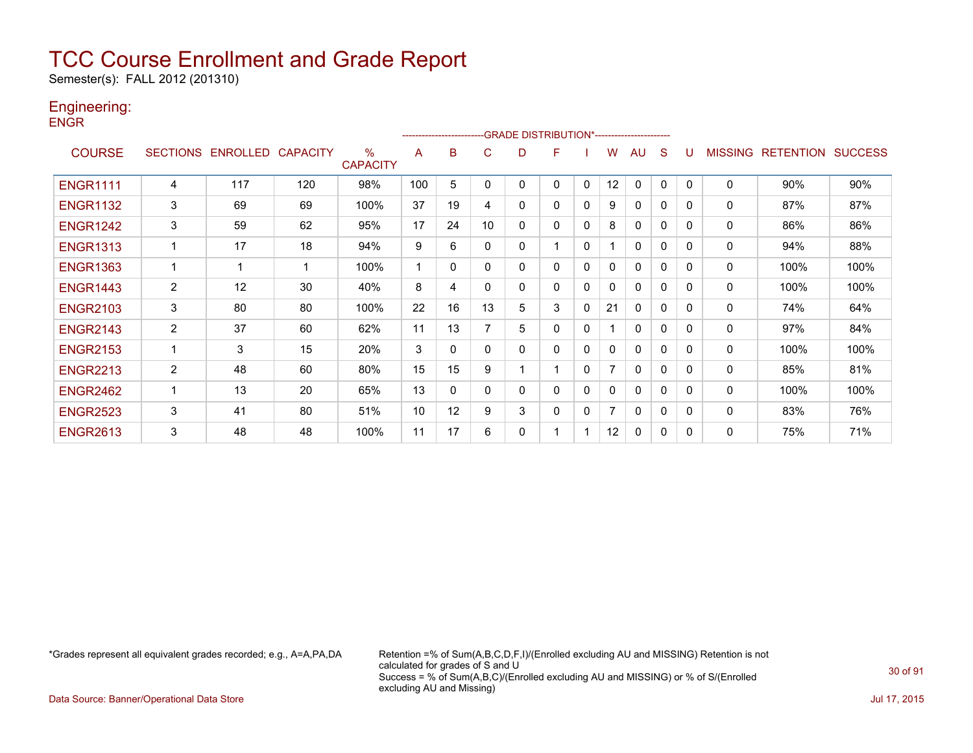Semester(s): FALL 2012 (201310)

### Engineering:

**ENGR** 

|                 |                |                   |                 |                                  |     |              | ------------------------GRADE                DISTRIBUTION*---------------------- |   |   |              |              |              |              |              |                |                  |                |
|-----------------|----------------|-------------------|-----------------|----------------------------------|-----|--------------|----------------------------------------------------------------------------------|---|---|--------------|--------------|--------------|--------------|--------------|----------------|------------------|----------------|
| <b>COURSE</b>   |                | SECTIONS ENROLLED | <b>CAPACITY</b> | $\frac{0}{0}$<br><b>CAPACITY</b> | A   | в            | C.                                                                               | D | F |              | w            | AU           | S            |              | <b>MISSING</b> | <b>RETENTION</b> | <b>SUCCESS</b> |
| <b>ENGR1111</b> | 4              | 117               | 120             | 98%                              | 100 | 5            | 0                                                                                | 0 | 0 | $\mathbf{0}$ | 12           | $\mathbf{0}$ | 0            | $\Omega$     | $\Omega$       | 90%              | 90%            |
| <b>ENGR1132</b> | 3              | 69                | 69              | 100%                             | 37  | 19           | 4                                                                                | 0 | 0 | 0            | 9            | $\mathbf{0}$ | $\mathbf{0}$ | 0            | 0              | 87%              | 87%            |
| <b>ENGR1242</b> | 3              | 59                | 62              | 95%                              | 17  | 24           | 10                                                                               | 0 | 0 | 0            | 8            | 0            | 0            | $\Omega$     | 0              | 86%              | 86%            |
| <b>ENGR1313</b> |                | 17                | 18              | 94%                              | 9   | 6            | 0                                                                                | 0 |   | $\mathbf{0}$ |              | $\mathbf{0}$ | $\mathbf{0}$ | $\Omega$     | 0              | 94%              | 88%            |
| <b>ENGR1363</b> |                | 1                 |                 | 100%                             |     | 0            | 0                                                                                | 0 | 0 | 0            | 0            | 0            | 0            | $\Omega$     | 0              | 100%             | 100%           |
| <b>ENGR1443</b> | $\overline{2}$ | 12                | 30              | 40%                              | 8   | 4            | 0                                                                                | 0 | 0 | 0            | $\mathbf{0}$ | $\mathbf{0}$ | $\mathbf{0}$ | $\mathbf{0}$ | 0              | 100%             | 100%           |
| <b>ENGR2103</b> | 3              | 80                | 80              | 100%                             | 22  | 16           | 13                                                                               | 5 | 3 | 0            | 21           | $\mathbf{0}$ | $\mathbf{0}$ | $\Omega$     | 0              | 74%              | 64%            |
| <b>ENGR2143</b> | $\overline{c}$ | 37                | 60              | 62%                              | 11  | 13           |                                                                                  | 5 | 0 | 0            |              | 0            | $\mathbf{0}$ | $\Omega$     | 0              | 97%              | 84%            |
| <b>ENGR2153</b> |                | 3                 | 15              | 20%                              | 3   | 0            | 0                                                                                | 0 | 0 | 0            | 0            | $\mathbf{0}$ | 0            | $\Omega$     | 0              | 100%             | 100%           |
| <b>ENGR2213</b> | $\overline{c}$ | 48                | 60              | 80%                              | 15  | 15           | 9                                                                                |   |   | 0            | 7            | $\mathbf{0}$ | 0            | $\Omega$     | $\mathbf 0$    | 85%              | 81%            |
| <b>ENGR2462</b> |                | 13                | 20              | 65%                              | 13  | $\mathbf{0}$ | $\Omega$                                                                         | 0 | 0 | $\mathbf 0$  | 0            | $\mathbf{0}$ | $\mathbf{0}$ | $\Omega$     | 0              | 100%             | 100%           |
| <b>ENGR2523</b> | 3              | 41                | 80              | 51%                              | 10  | 12           | 9                                                                                | 3 | 0 | $\mathbf{0}$ | 7            | $\mathbf{0}$ | $\mathbf{0}$ | $\Omega$     | 0              | 83%              | 76%            |
| <b>ENGR2613</b> | 3              | 48                | 48              | 100%                             | 11  | 17           | 6                                                                                | 0 |   |              | 12           | $\mathbf{0}$ | 0            | $\Omega$     | 0              | 75%              | 71%            |

\*Grades represent all equivalent grades recorded; e.g., A=A,PA,DA Retention =% of Sum(A,B,C,D,F,I)/(Enrolled excluding AU and MISSING) Retention is not calculated for grades of S and U Success = % of Sum(A,B,C)/(Enrolled excluding AU and MISSING) or % of S/(Enrolled excluding AU and Missing)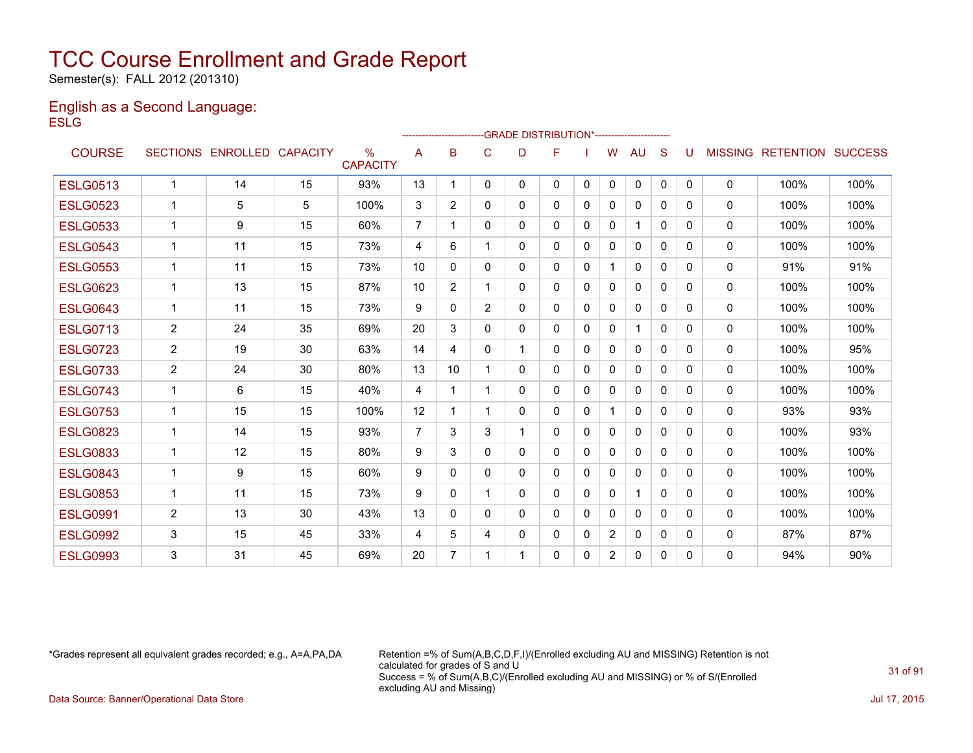Semester(s): FALL 2012 (201310)

#### English as a Second Language: **ESLG**

|                 |                |                   |                 |                                  |                |                |                | -GRADE DISTRIBUTION*---------------------- |   |              |                |              |          |              |                |                  |                |
|-----------------|----------------|-------------------|-----------------|----------------------------------|----------------|----------------|----------------|--------------------------------------------|---|--------------|----------------|--------------|----------|--------------|----------------|------------------|----------------|
| <b>COURSE</b>   |                | SECTIONS ENROLLED | <b>CAPACITY</b> | $\frac{0}{0}$<br><b>CAPACITY</b> | A              | B              | C              | D                                          | F |              | W              | AU           | S        |              | <b>MISSING</b> | <b>RETENTION</b> | <b>SUCCESS</b> |
| <b>ESLG0513</b> | 1              | 14                | 15              | 93%                              | 13             |                | 0              | $\mathbf{0}$                               | 0 | $\mathbf{0}$ | 0              | $\mathbf{0}$ | 0        | $\mathbf{0}$ | $\mathbf{0}$   | 100%             | 100%           |
| <b>ESLG0523</b> | $\mathbf 1$    | 5                 | 5               | 100%                             | 3              | $\overline{2}$ | 0              | 0                                          | 0 | 0            | 0              | $\mathbf{0}$ | 0        | 0            | 0              | 100%             | 100%           |
| <b>ESLG0533</b> | 1              | 9                 | 15              | 60%                              | 7              |                | $\Omega$       | 0                                          | 0 | $\Omega$     | 0              | 1            | 0        | $\Omega$     | $\mathbf{0}$   | 100%             | 100%           |
| <b>ESLG0543</b> | $\mathbf 1$    | 11                | 15              | 73%                              | 4              | 6              |                | $\mathbf{0}$                               | 0 | $\mathbf{0}$ | 0              | $\mathbf{0}$ | $\Omega$ | 0            | 0              | 100%             | 100%           |
| <b>ESLG0553</b> | $\mathbf 1$    | 11                | 15              | 73%                              | 10             | 0              | 0              | $\mathbf{0}$                               | 0 | $\mathbf{0}$ | 1              | $\mathbf{0}$ | $\Omega$ | $\Omega$     | $\mathbf{0}$   | 91%              | 91%            |
| <b>ESLG0623</b> | $\mathbf{1}$   | 13                | 15              | 87%                              | 10             | $\overline{2}$ |                | $\mathbf{0}$                               | 0 | 0            | 0              | $\mathbf{0}$ | 0        | 0            | $\mathbf{0}$   | 100%             | 100%           |
| <b>ESLG0643</b> | 1              | 11                | 15              | 73%                              | 9              | 0              | $\overline{2}$ | 0                                          | 0 | 0            | 0              | 0            | 0        | 0            | $\mathbf{0}$   | 100%             | 100%           |
| <b>ESLG0713</b> | 2              | 24                | 35              | 69%                              | 20             | 3              | 0              | 0                                          | 0 | $\Omega$     | 0              | 1            | $\Omega$ | 0            | $\mathbf{0}$   | 100%             | 100%           |
| <b>ESLG0723</b> | $\overline{2}$ | 19                | 30              | 63%                              | 14             | 4              | 0              |                                            | 0 | $\mathbf{0}$ | 0              | $\mathbf{0}$ | 0        | 0            | 0              | 100%             | 95%            |
| <b>ESLG0733</b> | $\overline{2}$ | 24                | 30              | 80%                              | 13             | 10             |                | 0                                          | 0 | $\Omega$     | 0              | $\mathbf{0}$ | 0        | 0            | $\mathbf{0}$   | 100%             | 100%           |
| <b>ESLG0743</b> | $\mathbf 1$    | 6                 | 15              | 40%                              | 4              | 1              | 1              | 0                                          | 0 | 0            | 0              | $\mathbf{0}$ | 0        | 0            | 0              | 100%             | 100%           |
| <b>ESLG0753</b> | 1              | 15                | 15              | 100%                             | 12             |                |                | $\mathbf{0}$                               | 0 | 0            | 1              | $\mathbf{0}$ | $\Omega$ | 0            | $\mathbf{0}$   | 93%              | 93%            |
| <b>ESLG0823</b> | $\mathbf{1}$   | 14                | 15              | 93%                              | $\overline{7}$ | 3              | 3              |                                            | 0 | $\Omega$     | 0              | $\mathbf{0}$ | $\Omega$ | 0            | $\mathbf 0$    | 100%             | 93%            |
| <b>ESLG0833</b> | $\mathbf{1}$   | 12                | 15              | 80%                              | 9              | 3              | $\Omega$       | $\Omega$                                   | 0 | $\Omega$     | 0              | $\mathbf{0}$ | 0        | $\Omega$     | $\mathbf{0}$   | 100%             | 100%           |
| <b>ESLG0843</b> | $\mathbf{1}$   | 9                 | 15              | 60%                              | 9              | $\Omega$       | 0              | $\mathbf{0}$                               | 0 | 0            | 0              | $\mathbf{0}$ | $\Omega$ | 0            | $\mathbf{0}$   | 100%             | 100%           |
| <b>ESLG0853</b> | $\mathbf 1$    | 11                | 15              | 73%                              | 9              | 0              |                | 0                                          | 0 | 0            | 0              | 1            | 0        | 0            | 0              | 100%             | 100%           |
| <b>ESLG0991</b> | 2              | 13                | 30              | 43%                              | 13             | 0              | 0              | $\mathbf{0}$                               | 0 | 0            | 0              | 0            | $\Omega$ | 0            | $\mathbf 0$    | 100%             | 100%           |
| <b>ESLG0992</b> | 3              | 15                | 45              | 33%                              | 4              | 5              | 4              | 0                                          | 0 | 0            | $\overline{2}$ | 0            | 0        | 0            | $\mathbf{0}$   | 87%              | 87%            |
| <b>ESLG0993</b> | 3              | 31                | 45              | 69%                              | 20             | 7              |                |                                            | 0 | $\Omega$     | 2              | 0            | 0        | 0            | $\mathbf{0}$   | 94%              | 90%            |

\*Grades represent all equivalent grades recorded; e.g., A=A,PA,DA Retention =% of Sum(A,B,C,D,F,I)/(Enrolled excluding AU and MISSING) Retention is not calculated for grades of S and U Success = % of Sum(A,B,C)/(Enrolled excluding AU and MISSING) or % of S/(Enrolled excluding AU and Missing)

Data Source: Banner/Operational Data Store Jul 17, 2015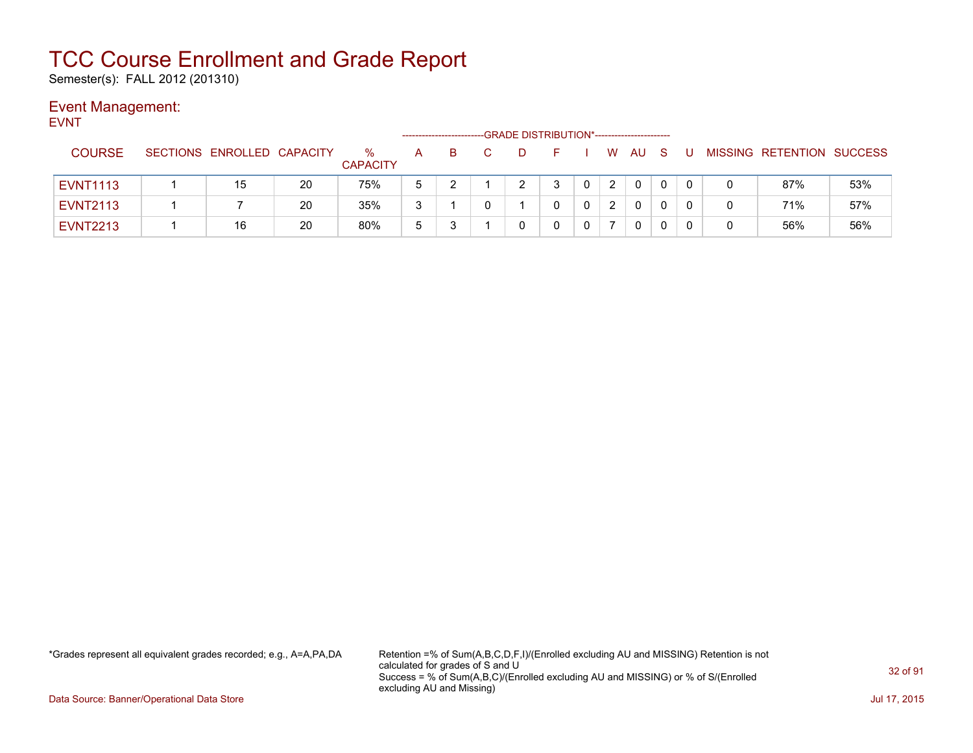Semester(s): FALL 2012 (201310)

### Event Management:

EVNT

|                 |                            |    |                      |              |   | -GRADE DISTRIBUTION*----------------------- |   |   |              |  |                           |     |
|-----------------|----------------------------|----|----------------------|--------------|---|---------------------------------------------|---|---|--------------|--|---------------------------|-----|
| <b>COURSE</b>   | SECTIONS ENROLLED CAPACITY |    | %<br><b>CAPACITY</b> | A            | B | D                                           |   | W | AU           |  | MISSING RETENTION SUCCESS |     |
| <b>EVNT1113</b> | 15                         | 20 | 75%                  | 5            |   |                                             | ຈ |   | $\mathbf{0}$ |  | 87%                       | 53% |
| <b>EVNT2113</b> |                            | 20 | 35%                  | 3            |   |                                             |   |   | 0            |  | 71%                       | 57% |
| <b>EVNT2213</b> | 16                         | 20 | 80%                  | <sub>5</sub> |   |                                             |   |   | 0            |  | 56%                       | 56% |

\*Grades represent all equivalent grades recorded; e.g., A=A,PA,DA Retention =% of Sum(A,B,C,D,F,I)/(Enrolled excluding AU and MISSING) Retention is not calculated for grades of S and U Success = % of Sum(A,B,C)/(Enrolled excluding AU and MISSING) or % of S/(Enrolled excluding AU and Missing)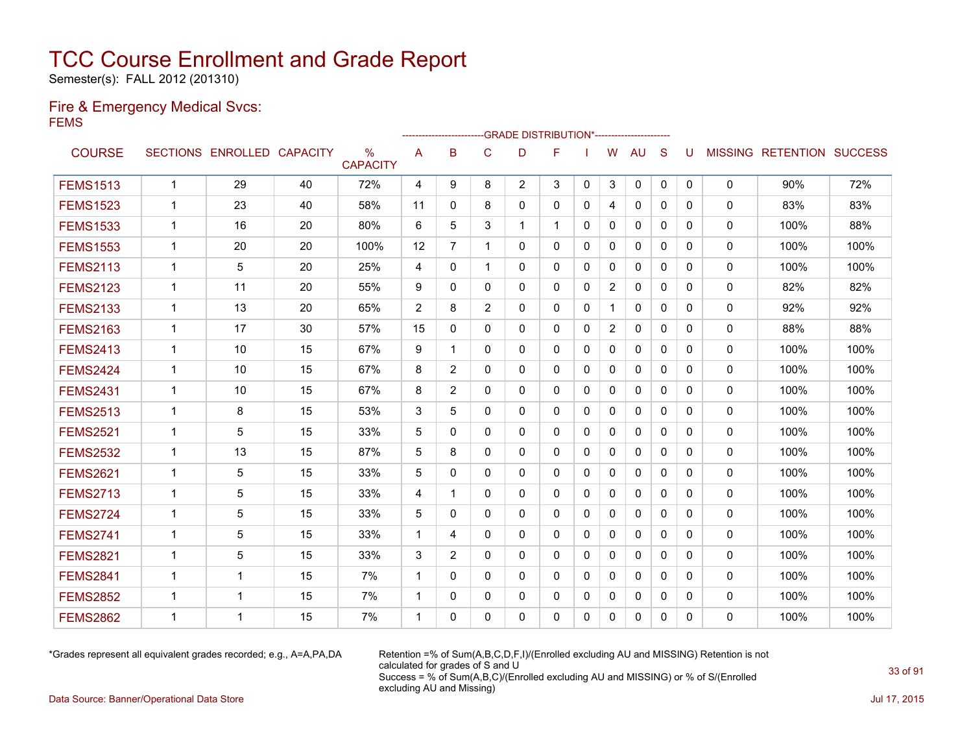Semester(s): FALL 2012 (201310)

#### Fire & Emergency Medical Svcs: FEMS

|                 |              |                            |    |                      |             | ---------------------- |                | -GRADE DISTRIBUTION*---------------------- |              |              |                |              |              |              |             |                                  |      |
|-----------------|--------------|----------------------------|----|----------------------|-------------|------------------------|----------------|--------------------------------------------|--------------|--------------|----------------|--------------|--------------|--------------|-------------|----------------------------------|------|
| <b>COURSE</b>   |              | SECTIONS ENROLLED CAPACITY |    | %<br><b>CAPACITY</b> | A           | B                      | C              | D                                          | F            |              | W              | <b>AU</b>    | S            | U            |             | <b>MISSING RETENTION SUCCESS</b> |      |
| <b>FEMS1513</b> | $\mathbf{1}$ | 29                         | 40 | 72%                  | 4           | 9                      | 8              | $\overline{2}$                             | 3            | $\mathbf{0}$ | 3              | $\mathbf{0}$ | $\mathbf{0}$ | $\mathbf{0}$ | $\mathbf 0$ | 90%                              | 72%  |
| <b>FEMS1523</b> | 1            | 23                         | 40 | 58%                  | 11          | $\Omega$               | 8              | 0                                          | $\mathbf{0}$ | 0            | 4              | $\mathbf{0}$ | $\Omega$     | $\Omega$     | $\mathbf 0$ | 83%                              | 83%  |
| <b>FEMS1533</b> | 1            | 16                         | 20 | 80%                  | 6           | 5                      | 3              | $\mathbf 1$                                |              | $\Omega$     | $\Omega$       | $\mathbf{0}$ | $\Omega$     | $\Omega$     | $\Omega$    | 100%                             | 88%  |
| <b>FEMS1553</b> | 1            | 20                         | 20 | 100%                 | 12          | 7                      | 1              | 0                                          | $\mathbf{0}$ | 0            | $\mathbf{0}$   | $\mathbf{0}$ | $\Omega$     | 0            | 0           | 100%                             | 100% |
| <b>FEMS2113</b> | 1            | 5                          | 20 | 25%                  | 4           | $\mathbf{0}$           | 1              | 0                                          | $\mathbf{0}$ | $\mathbf{0}$ | 0              | $\mathbf{0}$ | $\mathbf{0}$ | $\Omega$     | 0           | 100%                             | 100% |
| <b>FEMS2123</b> | 1            | 11                         | 20 | 55%                  | 9           | $\mathbf{0}$           | $\Omega$       | 0                                          | $\mathbf{0}$ | 0            | $\overline{2}$ | $\mathbf{0}$ | $\Omega$     | $\Omega$     | 0           | 82%                              | 82%  |
| <b>FEMS2133</b> | 1            | 13                         | 20 | 65%                  | 2           | 8                      | $\overline{2}$ | 0                                          | $\mathbf{0}$ | 0            | 1              | $\mathbf{0}$ | $\mathbf{0}$ | 0            | 0           | 92%                              | 92%  |
| <b>FEMS2163</b> | 1            | 17                         | 30 | 57%                  | 15          | $\Omega$               | 0              | 0                                          | $\mathbf{0}$ | 0            | $\overline{2}$ | $\mathbf{0}$ | $\Omega$     | $\Omega$     | 0           | 88%                              | 88%  |
| <b>FEMS2413</b> | 1            | 10                         | 15 | 67%                  | 9           | 1                      | 0              | 0                                          | $\mathbf{0}$ | 0            | $\mathbf{0}$   | $\mathbf{0}$ | $\mathbf{0}$ | 0            | 0           | 100%                             | 100% |
| <b>FEMS2424</b> | 1            | 10                         | 15 | 67%                  | 8           | $\overline{2}$         | $\Omega$       | 0                                          | $\mathbf{0}$ | 0            | $\mathbf{0}$   | $\mathbf{0}$ | $\Omega$     | $\Omega$     | 0           | 100%                             | 100% |
| <b>FEMS2431</b> | 1            | 10                         | 15 | 67%                  | 8           | $\overline{2}$         | 0              | 0                                          | $\mathbf{0}$ | 0            | 0              | $\mathbf{0}$ | $\Omega$     | 0            | 0           | 100%                             | 100% |
| <b>FEMS2513</b> | 1            | 8                          | 15 | 53%                  | 3           | 5                      | $\mathbf{0}$   | 0                                          | $\mathbf{0}$ | $\Omega$     | 0              | $\mathbf{0}$ | $\Omega$     | 0            | 0           | 100%                             | 100% |
| <b>FEMS2521</b> | 1            | 5                          | 15 | 33%                  | 5           | 0                      | 0              | 0                                          | $\mathbf{0}$ | 0            | 0              | $\mathbf{0}$ | $\mathbf{0}$ | 0            | 0           | 100%                             | 100% |
| <b>FEMS2532</b> | 1            | 13                         | 15 | 87%                  | 5           | 8                      | 0              | 0                                          | 0            | 0            | 0              | $\mathbf{0}$ | 0            | 0            | 0           | 100%                             | 100% |
| <b>FEMS2621</b> | 1            | 5                          | 15 | 33%                  | 5           | $\mathbf{0}$           | 0              | 0                                          | $\mathbf{0}$ | 0            | 0              | 0            | $\mathbf{0}$ | 0            | 0           | 100%                             | 100% |
| <b>FEMS2713</b> | 1            | 5                          | 15 | 33%                  | 4           | 1                      | $\Omega$       | 0                                          | $\mathbf{0}$ | 0            | $\mathbf{0}$   | $\mathbf{0}$ | $\mathbf{0}$ | 0            | $\Omega$    | 100%                             | 100% |
| <b>FEMS2724</b> | $\mathbf{1}$ | 5                          | 15 | 33%                  | 5           | $\Omega$               | $\Omega$       | $\Omega$                                   | $\Omega$     | $\Omega$     | $\mathbf{0}$   | $\mathbf{0}$ | $\Omega$     | 0            | $\Omega$    | 100%                             | 100% |
| <b>FEMS2741</b> | 1            | 5                          | 15 | 33%                  | 1           | 4                      | $\Omega$       | 0                                          | $\mathbf{0}$ | 0            | $\mathbf{0}$   | $\mathbf{0}$ | $\Omega$     | $\Omega$     | $\mathbf 0$ | 100%                             | 100% |
| <b>FEMS2821</b> | 1            | 5                          | 15 | 33%                  | 3           | 2                      | $\Omega$       | $\Omega$                                   | $\Omega$     | $\Omega$     | $\mathbf{0}$   | $\Omega$     | $\Omega$     | $\Omega$     | 0           | 100%                             | 100% |
| <b>FEMS2841</b> | 1            | $\mathbf 1$                | 15 | 7%                   | $\mathbf 1$ | $\Omega$               | $\Omega$       | 0                                          | $\Omega$     | 0            | $\mathbf{0}$   | $\Omega$     | $\Omega$     | $\Omega$     | $\mathbf 0$ | 100%                             | 100% |
| <b>FEMS2852</b> | 1            | $\mathbf 1$                | 15 | 7%                   | $\mathbf 1$ | $\mathbf{0}$           | $\mathbf{0}$   | 0                                          | $\mathbf{0}$ | $\Omega$     | $\mathbf{0}$   | $\mathbf{0}$ | $\Omega$     | $\Omega$     | 0           | 100%                             | 100% |
| <b>FEMS2862</b> | 1            | $\overline{1}$             | 15 | 7%                   | $\mathbf 1$ | $\Omega$               | $\Omega$       | $\Omega$                                   | $\Omega$     | $\mathbf{0}$ | $\Omega$       | $\mathbf{0}$ | $\Omega$     | 0            | $\Omega$    | 100%                             | 100% |

\*Grades represent all equivalent grades recorded; e.g., A=A,PA,DA Retention =% of Sum(A,B,C,D,F,I)/(Enrolled excluding AU and MISSING) Retention is not calculated for grades of S and U Success = % of Sum(A,B,C)/(Enrolled excluding AU and MISSING) or % of S/(Enrolled excluding AU and Missing)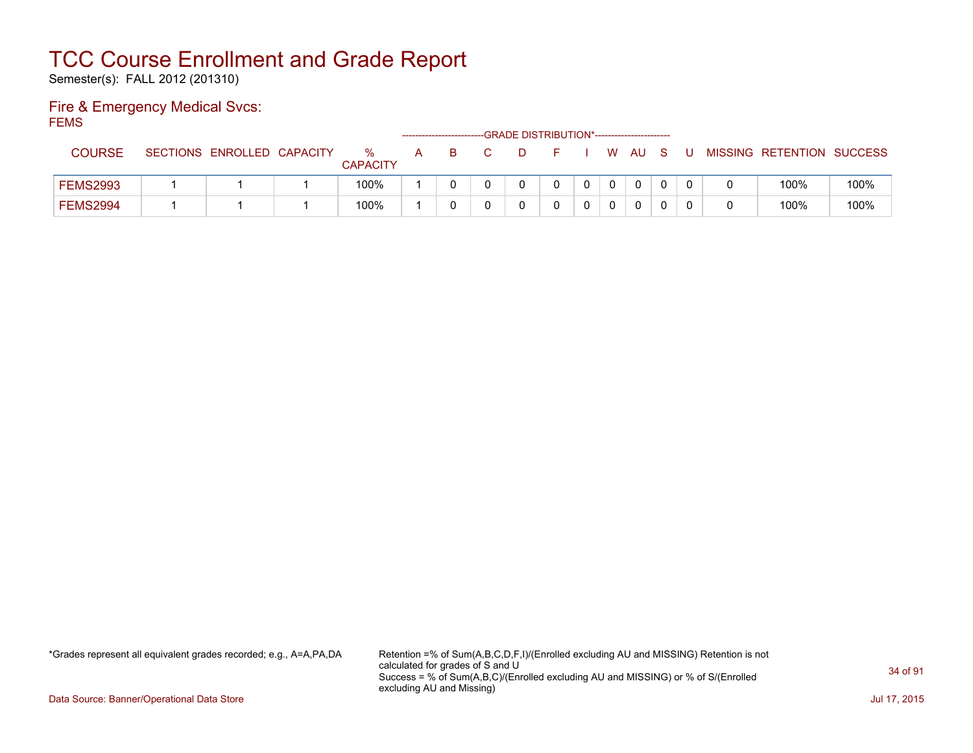Semester(s): FALL 2012 (201310)

#### Fire & Emergency Medical Svcs: FEMS

| –™              |                            |                      |   | -------------------------- | --GRADE DISTRIBUTION*----------------------- |  |    |                |     |   |                           |      |
|-----------------|----------------------------|----------------------|---|----------------------------|----------------------------------------------|--|----|----------------|-----|---|---------------------------|------|
| <b>COURSE</b>   | SECTIONS ENROLLED CAPACITY | %<br><b>CAPACITY</b> | A | B.                         |                                              |  | W. | – AU           | - S | U | MISSING RETENTION SUCCESS |      |
| <b>FEMS2993</b> |                            | 100%                 |   |                            |                                              |  |    | $\overline{0}$ |     |   | 100%                      | 100% |
| <b>FEMS2994</b> |                            | 100%                 |   |                            |                                              |  |    |                |     |   | 100%                      | 100% |

\*Grades represent all equivalent grades recorded; e.g., A=A,PA,DA Retention =% of Sum(A,B,C,D,F,I)/(Enrolled excluding AU and MISSING) Retention is not calculated for grades of S and U Success = % of Sum(A,B,C)/(Enrolled excluding AU and MISSING) or % of S/(Enrolled excluding AU and Missing)

Data Source: Banner/Operational Data Store Jul 17, 2015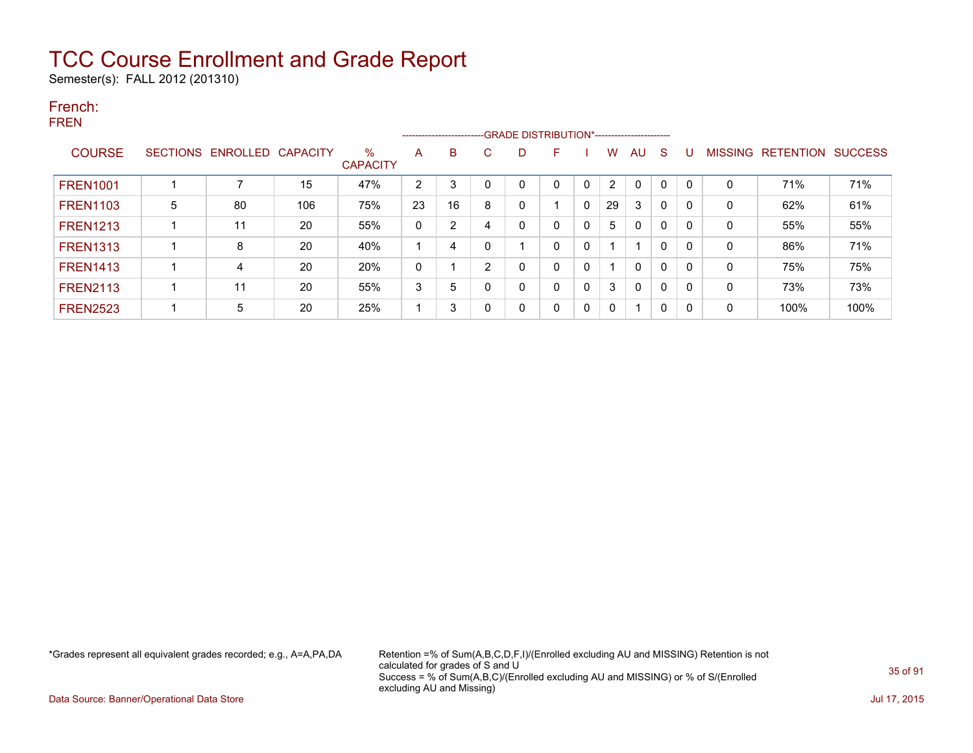Semester(s): FALL 2012 (201310)

#### French: FREN

|                 |   |                            |     |                         |    | ------------------------ |    |   |   |              |                |              |              |              |   |                   |                |
|-----------------|---|----------------------------|-----|-------------------------|----|--------------------------|----|---|---|--------------|----------------|--------------|--------------|--------------|---|-------------------|----------------|
| <b>COURSE</b>   |   | SECTIONS ENROLLED CAPACITY |     | $\%$<br><b>CAPACITY</b> | A  | B                        | C. | D | F |              | w              | AU           | <sub>S</sub> | U            |   | MISSING RETENTION | <b>SUCCESS</b> |
| <b>FREN1001</b> |   |                            | 15  | 47%                     | 2  | 3                        |    | 0 | 0 | 0            | $\overline{2}$ | 0            | $\Omega$     | $\Omega$     | 0 | 71%               | 71%            |
| <b>FREN1103</b> | 5 | 80                         | 106 | 75%                     | 23 | 16                       | 8  | 0 |   | $\mathbf{0}$ | 29             | 3            | $\Omega$     | $\Omega$     | 0 | 62%               | 61%            |
| <b>FREN1213</b> |   | 11                         | 20  | 55%                     | 0  | 2                        |    | 0 | 0 | 0            | 5              | $\mathbf{0}$ | $\mathbf{0}$ | <sup>0</sup> | 0 | 55%               | 55%            |
| <b>FREN1313</b> |   | 8                          | 20  | 40%                     |    | 4                        |    |   | 0 | 0            |                |              | 0            | $\Omega$     | 0 | 86%               | 71%            |
| <b>FREN1413</b> |   | 4                          | 20  | 20%                     | 0  |                          | 2  | 0 | 0 | 0            |                | $\mathbf{0}$ | $\Omega$     | $\Omega$     | 0 | 75%               | 75%            |
| <b>FREN2113</b> |   | 11                         | 20  | 55%                     | 3  | 5                        |    | 0 | 0 | 0            | 3              | $\mathbf{0}$ | $\Omega$     | <sup>0</sup> | 0 | 73%               | 73%            |
| <b>FREN2523</b> |   | 5                          | 20  | 25%                     |    | 3                        | 0  | 0 | 0 | 0            | $\Omega$       |              | $\Omega$     | $\Omega$     | 0 | 100%              | 100%           |

\*Grades represent all equivalent grades recorded; e.g., A=A,PA,DA Retention =% of Sum(A,B,C,D,F,I)/(Enrolled excluding AU and MISSING) Retention is not calculated for grades of S and U Success = % of Sum(A,B,C)/(Enrolled excluding AU and MISSING) or % of S/(Enrolled excluding AU and Missing)

Data Source: Banner/Operational Data Store Jul 17, 2015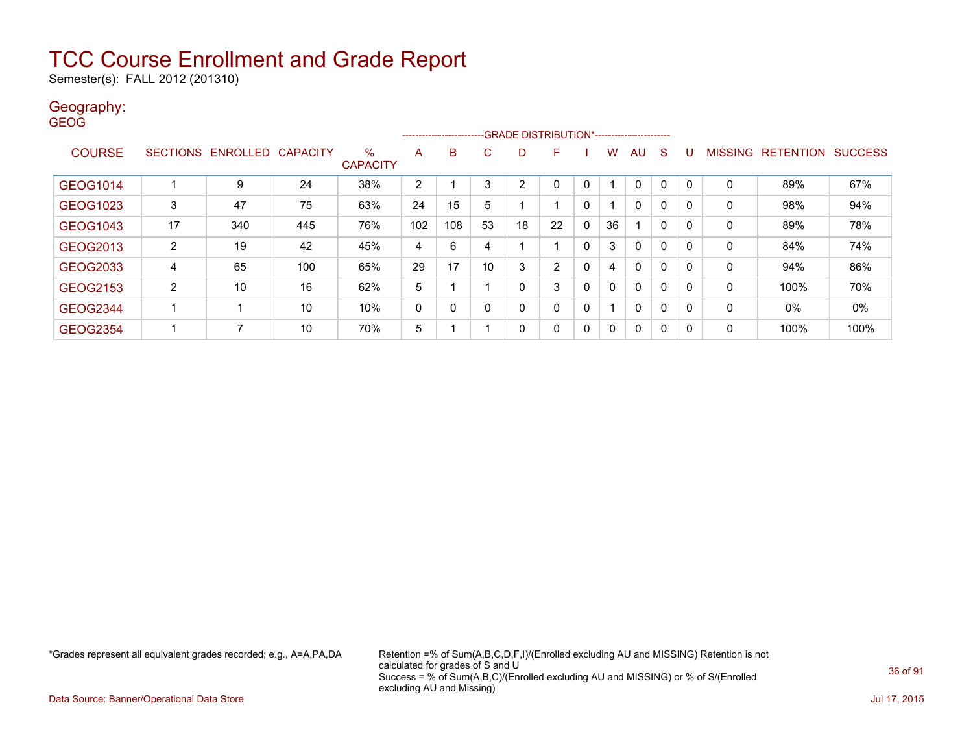Semester(s): FALL 2012 (201310)

### Geography:

GEOG

|                 |                |                            |     |                      |                | ------------------------ |    |    | -GRADE DISTRIBUTION*---------------------- |   |    |                          |              |   |   |                           |      |
|-----------------|----------------|----------------------------|-----|----------------------|----------------|--------------------------|----|----|--------------------------------------------|---|----|--------------------------|--------------|---|---|---------------------------|------|
| <b>COURSE</b>   |                | SECTIONS ENROLLED CAPACITY |     | %<br><b>CAPACITY</b> | A              | B                        | C  | D  | F                                          |   | w  | AU                       | <sub>S</sub> | U |   | MISSING RETENTION SUCCESS |      |
|                 |                |                            |     |                      |                |                          |    |    |                                            |   |    |                          |              |   |   |                           |      |
| GEOG1014        |                | 9                          | 24  | 38%                  | $\overline{2}$ |                          | 3  | 2  |                                            | 0 |    | 0                        | $\Omega$     | 0 | 0 | 89%                       | 67%  |
| GEOG1023        | 3              | 47                         | 75  | 63%                  | 24             | 15                       | 5  |    |                                            | 0 |    | 0                        | $\mathbf{0}$ | 0 | 0 | 98%                       | 94%  |
| GEOG1043        | 17             | 340                        | 445 | 76%                  | 102            | 108                      | 53 | 18 | 22                                         | 0 | 36 | $\overline{\phantom{a}}$ | 0            | 0 | 0 | 89%                       | 78%  |
| GEOG2013        | $\overline{2}$ | 19                         | 42  | 45%                  | 4              | 6                        | 4  |    |                                            | 0 | 3  | $\mathbf{0}$             | $\mathbf{0}$ | 0 | 0 | 84%                       | 74%  |
| GEOG2033        | 4              | 65                         | 100 | 65%                  | 29             | 17                       | 10 | 3  | 2                                          | 0 | 4  | $\mathbf{0}$             | $\mathbf{0}$ | 0 | 0 | 94%                       | 86%  |
| <b>GEOG2153</b> | $\overline{2}$ | 10                         | 16  | 62%                  | 5              |                          |    | 0  | 3                                          | 0 | 0  | 0                        | $\mathbf{0}$ | 0 | 0 | 100%                      | 70%  |
| <b>GEOG2344</b> |                | -1                         | 10  | 10%                  | 0              | 0                        | 0  | 0  | 0                                          | 0 |    | 0                        | $\mathbf{0}$ | 0 | 0 | 0%                        | 0%   |
| GEOG2354        |                | 7                          | 10  | 70%                  | 5              |                          |    | 0  | 0                                          | 0 | 0  | 0                        | $\mathbf{0}$ | 0 | 0 | 100%                      | 100% |

\*Grades represent all equivalent grades recorded; e.g., A=A,PA,DA Retention =% of Sum(A,B,C,D,F,I)/(Enrolled excluding AU and MISSING) Retention is not calculated for grades of S and U Success = % of Sum(A,B,C)/(Enrolled excluding AU and MISSING) or % of S/(Enrolled excluding AU and Missing)

Data Source: Banner/Operational Data Store Jul 17, 2015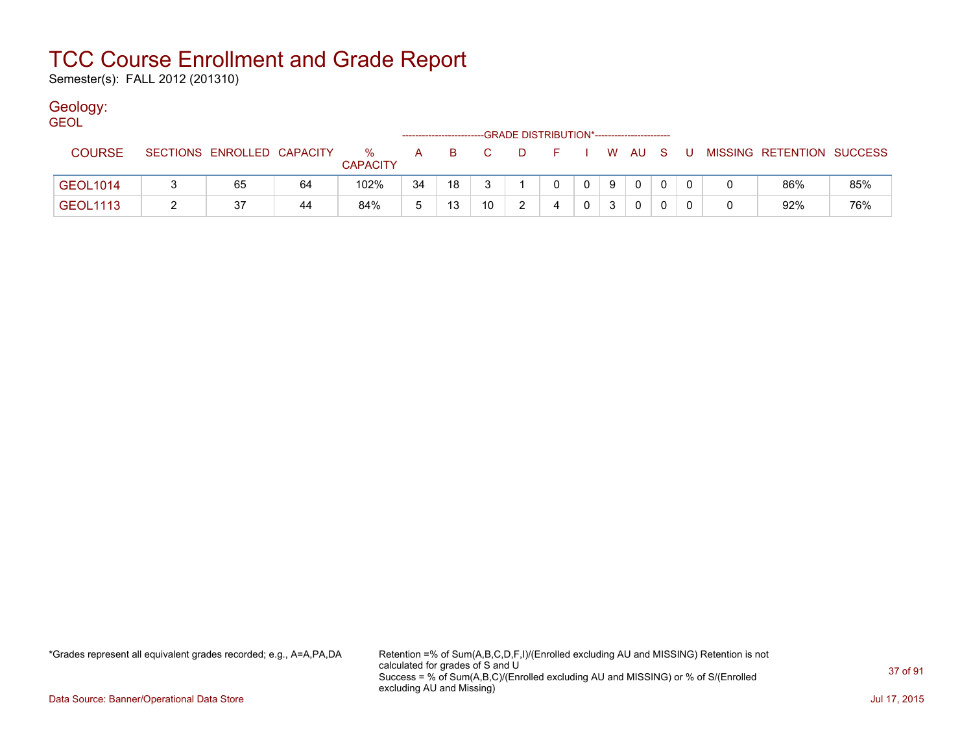Semester(s): FALL 2012 (201310)

### Geology:

| <b>GEOL</b>     |                            |    |                      |    |     |                | -GRADE DISTRIBUTION*----------------------- |   |          |    |              |       |                           |     |
|-----------------|----------------------------|----|----------------------|----|-----|----------------|---------------------------------------------|---|----------|----|--------------|-------|---------------------------|-----|
| <b>COURSE</b>   | SECTIONS ENROLLED CAPACITY |    | %<br><b>CAPACITY</b> | A  | - B | $\overline{C}$ | . D.                                        |   |          |    | I WAUS       | - U - | MISSING RETENTION SUCCESS |     |
| <b>GEOL1014</b> | 65                         | 64 | 102%                 | 34 | 18  |                |                                             |   | $\Omega$ | -9 | $\mathbf{0}$ |       | 86%                       | 85% |
| <b>GEOL1113</b> | 37                         | 44 | 84%                  |    | 13  | 10             |                                             | 4 |          |    |              |       | 92%                       | 76% |

\*Grades represent all equivalent grades recorded; e.g., A=A,PA,DA Retention =% of Sum(A,B,C,D,F,I)/(Enrolled excluding AU and MISSING) Retention is not calculated for grades of S and U Success = % of Sum(A,B,C)/(Enrolled excluding AU and MISSING) or % of S/(Enrolled excluding AU and Missing)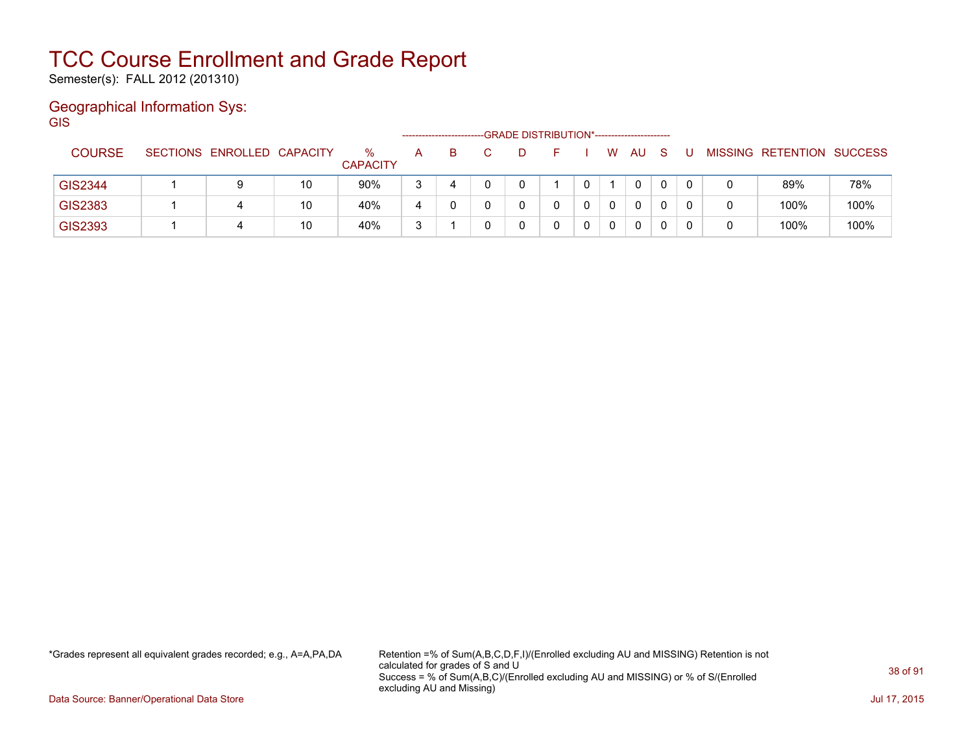Semester(s): FALL 2012 (201310)

### Geographical Information Sys:

GIS

|                |                            |    |                         |   | ----------------------- | -GRADE DISTRIBUTION*----------------------- |   |   |              |              |  |                           |      |
|----------------|----------------------------|----|-------------------------|---|-------------------------|---------------------------------------------|---|---|--------------|--------------|--|---------------------------|------|
| <b>COURSE</b>  | SECTIONS ENROLLED CAPACITY |    | $\%$<br><b>CAPACITY</b> | A | в                       | D                                           |   | W | AU           | <sub>S</sub> |  | MISSING RETENTION SUCCESS |      |
| <b>GIS2344</b> | 9                          | 10 | 90%                     | 3 |                         |                                             | 0 |   | 0            |              |  | 89%                       | 78%  |
| GIS2383        | 4                          | 10 | 40%                     | 4 |                         |                                             | 0 |   | $\mathbf{0}$ |              |  | 100%                      | 100% |
| GIS2393        | 4                          | 10 | 40%                     | 3 |                         |                                             |   | 0 | $\mathbf{0}$ |              |  | 100%                      | 100% |

\*Grades represent all equivalent grades recorded; e.g., A=A,PA,DA Retention =% of Sum(A,B,C,D,F,I)/(Enrolled excluding AU and MISSING) Retention is not calculated for grades of S and U Success = % of Sum(A,B,C)/(Enrolled excluding AU and MISSING) or % of S/(Enrolled excluding AU and Missing)

Data Source: Banner/Operational Data Store Jul 17, 2015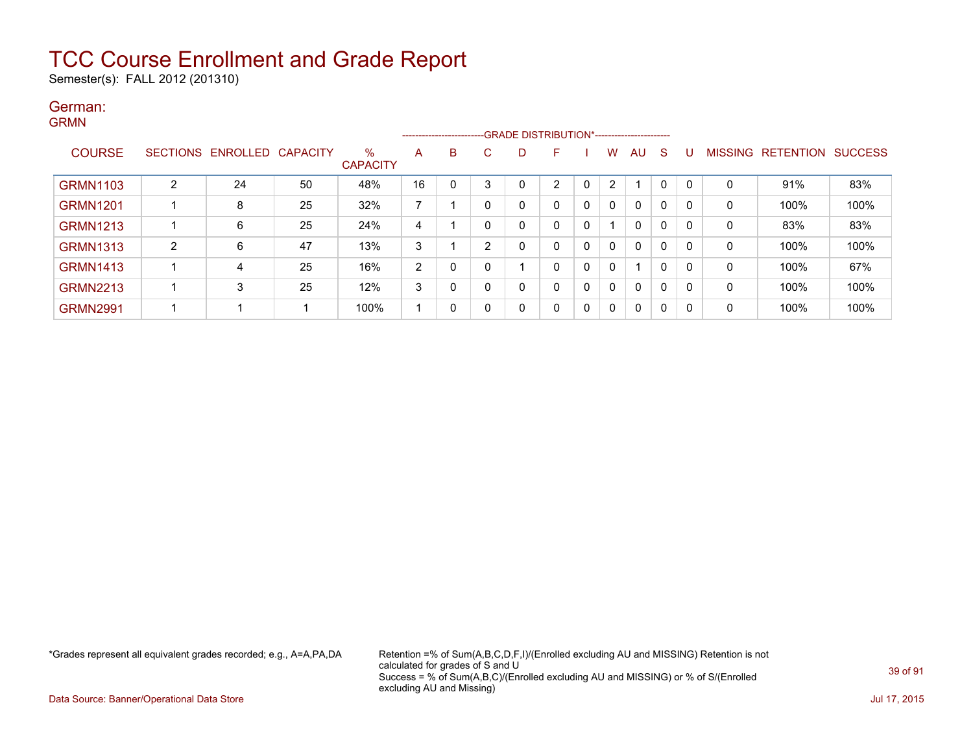Semester(s): FALL 2012 (201310)

### German: GRMN

|                 |                |                            |    |                      |    |   |    |   | ------------------------GRADE DISTRIBUTION*----------------------- |          |          |              |              |   |   |                   |                |
|-----------------|----------------|----------------------------|----|----------------------|----|---|----|---|--------------------------------------------------------------------|----------|----------|--------------|--------------|---|---|-------------------|----------------|
| <b>COURSE</b>   |                | SECTIONS ENROLLED CAPACITY |    | %<br><b>CAPACITY</b> | Α  | B | C. |   | F.                                                                 |          | W        | AU           | <sub>S</sub> | U |   | MISSING RETENTION | <b>SUCCESS</b> |
| <b>GRMN1103</b> | $\overline{2}$ | 24                         | 50 | 48%                  | 16 | 0 | 3  |   | ◠                                                                  | 0        |          |              | 0            | 0 | 0 | 91%               | 83%            |
| <b>GRMN1201</b> |                | 8                          | 25 | 32%                  | 7  |   | 0  |   |                                                                    | 0        | $\Omega$ | 0            | 0            | 0 | 0 | 100%              | 100%           |
| <b>GRMN1213</b> |                | 6                          | 25 | 24%                  | 4  |   | 0  |   |                                                                    | 0        |          | 0            | 0            | 0 | 0 | 83%               | 83%            |
| <b>GRMN1313</b> | 2              | 6                          | 47 | 13%                  | 3  |   | 2  |   |                                                                    | 0        | $\Omega$ | 0            | 0            | 0 | 0 | 100%              | 100%           |
| <b>GRMN1413</b> |                | 4                          | 25 | 16%                  | 2  | 0 | 0  |   |                                                                    | 0        | $\Omega$ |              | 0            | 0 | 0 | 100%              | 67%            |
| <b>GRMN2213</b> |                | 3                          | 25 | 12%                  | 3  | 0 | 0  | 0 |                                                                    | 0        | 0        | $\mathbf{0}$ | 0            | 0 | 0 | 100%              | 100%           |
| <b>GRMN2991</b> |                |                            |    | 100%                 |    | 0 | 0  | 0 |                                                                    | $\Omega$ | $\Omega$ | 0            | 0            | 0 | 0 | 100%              | 100%           |

\*Grades represent all equivalent grades recorded; e.g., A=A,PA,DA Retention =% of Sum(A,B,C,D,F,I)/(Enrolled excluding AU and MISSING) Retention is not calculated for grades of S and U Success = % of Sum(A,B,C)/(Enrolled excluding AU and MISSING) or % of S/(Enrolled excluding AU and Missing)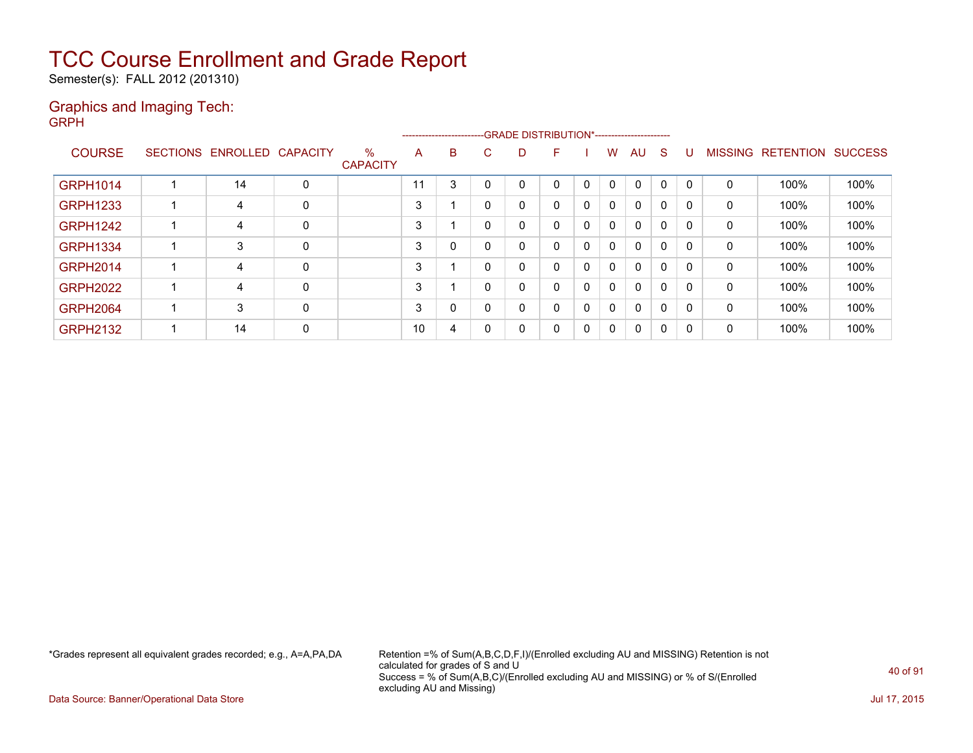Semester(s): FALL 2012 (201310)

### Graphics and Imaging Tech: GRPH

|                 |                            |   |                         |    |   |   |   | --------------------------GRADE DISTRIBUTION*----------------------- |          |   |              |    |          |              |                           |      |
|-----------------|----------------------------|---|-------------------------|----|---|---|---|----------------------------------------------------------------------|----------|---|--------------|----|----------|--------------|---------------------------|------|
| <b>COURSE</b>   | SECTIONS ENROLLED CAPACITY |   | $\%$<br><b>CAPACITY</b> | A  | B | C | D | н                                                                    |          | w | AU.          | -S | U        |              | MISSING RETENTION SUCCESS |      |
| <b>GRPH1014</b> | 14                         | 0 |                         | 11 | 3 |   | 0 | 0                                                                    |          | 0 | 0            | 0  | 0        | 0            | 100%                      | 100% |
| <b>GRPH1233</b> | 4                          | 0 |                         | 3  |   | 0 | 0 | 0                                                                    | $\Omega$ | 0 | 0            | 0  | 0        | $\mathbf{0}$ | 100%                      | 100% |
| <b>GRPH1242</b> | 4                          | 0 |                         | 3  |   | 0 | 0 | 0                                                                    | 0        | 0 | $\mathbf{0}$ | 0  | 0        | 0            | 100%                      | 100% |
| <b>GRPH1334</b> | 3                          | 0 |                         | 3  |   | 0 | 0 | 0                                                                    | $\Omega$ | 0 | $\mathbf{0}$ | 0  | 0        | $\mathbf 0$  | 100%                      | 100% |
| <b>GRPH2014</b> | 4                          | 0 |                         | 3  |   | 0 | 0 | 0                                                                    | $\Omega$ | 0 | $\mathbf{0}$ | 0  | $\Omega$ | 0            | 100%                      | 100% |
| <b>GRPH2022</b> | 4                          | 0 |                         | 3  |   | 0 | 0 | 0                                                                    | $\Omega$ | 0 | $\mathbf{0}$ | 0  | 0        | 0            | 100%                      | 100% |
| <b>GRPH2064</b> | 3                          | 0 |                         | 3  |   | 0 | 0 | 0                                                                    | $\Omega$ | 0 | $\mathbf{0}$ | 0  | 0        | $\Omega$     | 100%                      | 100% |
| <b>GRPH2132</b> | 14                         | 0 |                         | 10 | 4 | 0 | 0 | 0                                                                    | $\Omega$ | 0 | 0            | 0  | 0        | 0            | 100%                      | 100% |

\*Grades represent all equivalent grades recorded; e.g., A=A,PA,DA Retention =% of Sum(A,B,C,D,F,I)/(Enrolled excluding AU and MISSING) Retention is not calculated for grades of S and U Success = % of Sum(A,B,C)/(Enrolled excluding AU and MISSING) or % of S/(Enrolled excluding AU and Missing)

Data Source: Banner/Operational Data Store Jul 17, 2015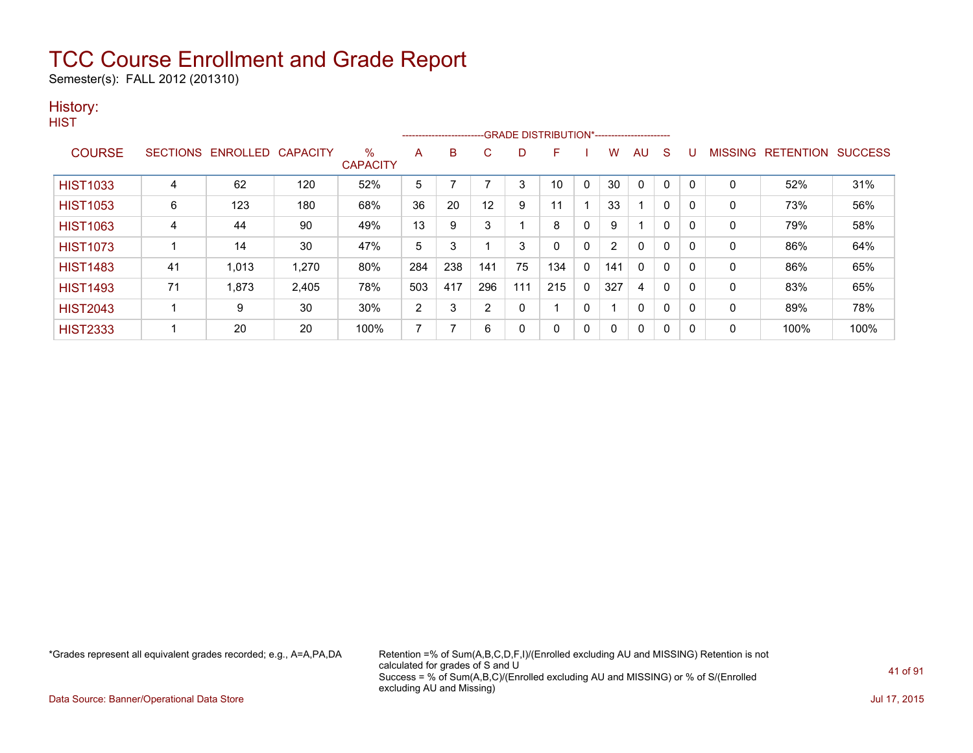Semester(s): FALL 2012 (201310)

### History:

**HIST** 

|                 |    |                            |       |                         |     | ------------------------- |     |     | -GRADE DISTRIBUTION*----------------------- |   |     |              |          |          |         |           |                |
|-----------------|----|----------------------------|-------|-------------------------|-----|---------------------------|-----|-----|---------------------------------------------|---|-----|--------------|----------|----------|---------|-----------|----------------|
| <b>COURSE</b>   |    | SECTIONS ENROLLED CAPACITY |       | $\%$<br><b>CAPACITY</b> | A   | в                         | C   | D   | F                                           |   | W   | <b>AU</b>    | S        | U        | MISSING | RETENTION | <b>SUCCESS</b> |
| <b>HIST1033</b> | 4  | 62                         | 120   | 52%                     | 5   |                           |     | 3   | 10                                          | 0 | 30  | 0            | 0        | 0        | 0       | 52%       | 31%            |
| <b>HIST1053</b> | 6  | 123                        | 180   | 68%                     | 36  | 20                        | 12  | 9   | 11                                          |   | 33  |              | 0        | 0        | 0       | 73%       | 56%            |
| <b>HIST1063</b> | 4  | 44                         | 90    | 49%                     | 13  | 9                         | 3   |     | 8                                           | 0 | 9   |              | 0        | 0        | 0       | 79%       | 58%            |
| <b>HIST1073</b> |    | 14                         | 30    | 47%                     | 5   | 3                         |     | 3   | 0                                           | 0 | 2   | 0            | 0        | 0        | 0       | 86%       | 64%            |
| <b>HIST1483</b> | 41 | 1,013                      | 1,270 | 80%                     | 284 | 238                       | 141 | 75  | 134                                         | 0 | 141 | $\mathbf{0}$ | 0        | $\Omega$ | 0       | 86%       | 65%            |
| <b>HIST1493</b> | 71 | 1,873                      | 2,405 | 78%                     | 503 | 417                       | 296 | 111 | 215                                         | 0 | 327 | 4            | $\Omega$ | 0        | 0       | 83%       | 65%            |
| <b>HIST2043</b> |    | 9                          | 30    | 30%                     | 2   | 3                         | 2   | 0   |                                             | 0 |     | 0            | 0        | 0        | 0       | 89%       | 78%            |
| <b>HIST2333</b> |    | 20                         | 20    | 100%                    | 7   | 7                         | 6   | 0   | 0                                           | 0 |     | 0            | 0        | 0        | 0       | 100%      | 100%           |

\*Grades represent all equivalent grades recorded; e.g., A=A,PA,DA Retention =% of Sum(A,B,C,D,F,I)/(Enrolled excluding AU and MISSING) Retention is not calculated for grades of S and U Success = % of Sum(A,B,C)/(Enrolled excluding AU and MISSING) or % of S/(Enrolled excluding AU and Missing)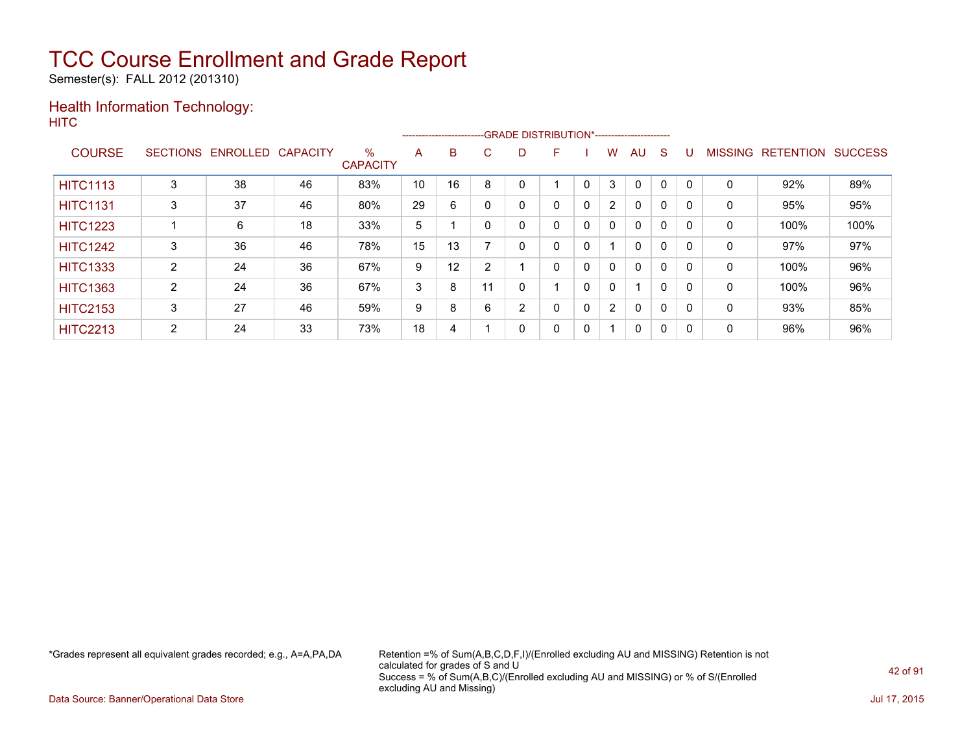Semester(s): FALL 2012 (201310)

### Health Information Technology: **HITC**

|                 |                 |          |                 |                         |    |    |    | --------------------------GRADE DISTRIBUTION*----------------------- |   |              |                      |              |              |          |                |                  |                |
|-----------------|-----------------|----------|-----------------|-------------------------|----|----|----|----------------------------------------------------------------------|---|--------------|----------------------|--------------|--------------|----------|----------------|------------------|----------------|
| <b>COURSE</b>   | <b>SECTIONS</b> | ENROLLED | <b>CAPACITY</b> | $\%$<br><b>CAPACITY</b> | A  | B  | C  | D                                                                    | F |              | W                    | AU           | <sub>S</sub> |          | <b>MISSING</b> | <b>RETENTION</b> | <b>SUCCESS</b> |
| <b>HITC1113</b> | 3               | 38       | 46              | 83%                     | 10 | 16 | 8  |                                                                      |   |              | 3                    |              | 0            |          | 0              | 92%              | 89%            |
| <b>HITC1131</b> | 3               | 37       | 46              | 80%                     | 29 | 6  | 0  | 0                                                                    | 0 | $\mathbf{0}$ | $\overline{2}$       | $\mathbf{0}$ | 0            | $\Omega$ | 0              | 95%              | 95%            |
| <b>HITC1223</b> |                 | 6        | 18              | 33%                     | 5  |    |    | 0                                                                    | 0 | 0            | $\mathbf{0}$         | $\mathbf{0}$ | $\mathbf 0$  |          | 0              | 100%             | 100%           |
| <b>HITC1242</b> | 3               | 36       | 46              | 78%                     | 15 | 13 |    | 0                                                                    | 0 | 0            |                      | $\mathbf{0}$ | 0            |          | 0              | 97%              | 97%            |
| <b>HITC1333</b> | 2               | 24       | 36              | 67%                     | 9  | 12 | 2  |                                                                      | 0 | $\mathbf{0}$ | 0                    | $\mathbf{0}$ | 0            |          | 0              | 100%             | 96%            |
| <b>HITC1363</b> | 2               | 24       | 36              | 67%                     | 3  | 8  | 11 | 0                                                                    |   | $\mathbf{0}$ | 0                    | 1            | 0            |          | 0              | 100%             | 96%            |
| <b>HITC2153</b> | 3               | 27       | 46              | 59%                     | 9  | 8  | 6  | $\overline{2}$                                                       | 0 | 0            | $\mathbf{2}^{\circ}$ | 0            | $\mathbf 0$  |          | 0              | 93%              | 85%            |
| <b>HITC2213</b> | 2               | 24       | 33              | 73%                     | 18 | 4  |    | 0                                                                    | 0 | 0            |                      | 0            | 0            |          | 0              | 96%              | 96%            |

\*Grades represent all equivalent grades recorded; e.g., A=A,PA,DA Retention =% of Sum(A,B,C,D,F,I)/(Enrolled excluding AU and MISSING) Retention is not calculated for grades of S and U Success = % of Sum(A,B,C)/(Enrolled excluding AU and MISSING) or % of S/(Enrolled excluding AU and Missing)

Data Source: Banner/Operational Data Store Jul 17, 2015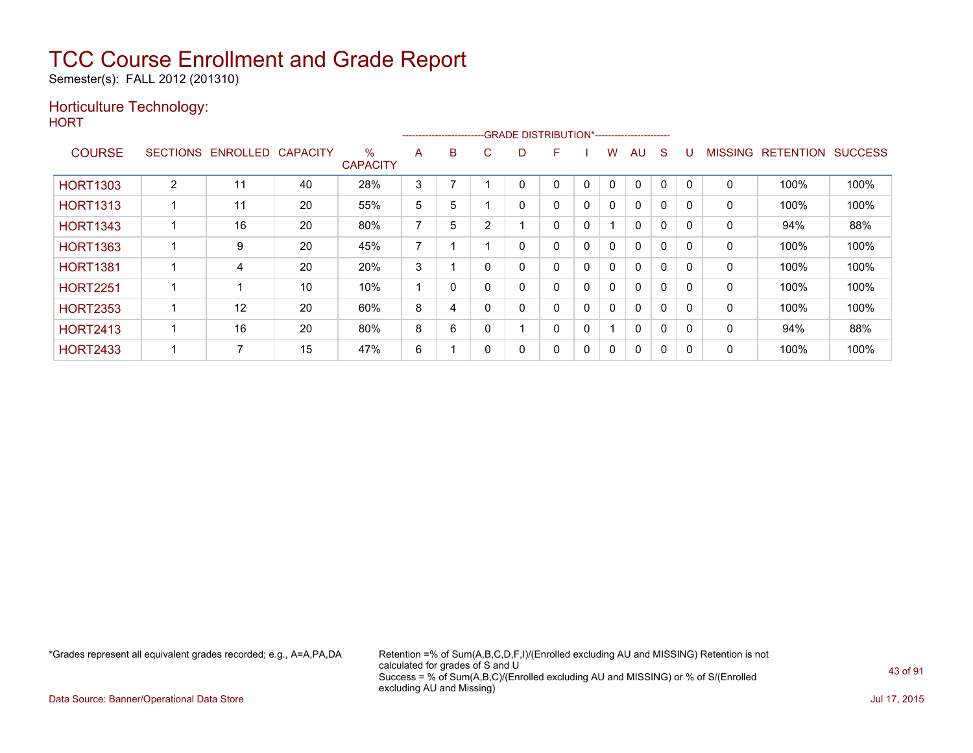Semester(s): FALL 2012 (201310)

### Horticulture Technology:

**HORT** 

|                 |                 |          |                 |                         |                |   |   |   | -----------------------GRADE DISTRIBUTION*----------------------- |              |   |              |          |          |                |                  |                |
|-----------------|-----------------|----------|-----------------|-------------------------|----------------|---|---|---|-------------------------------------------------------------------|--------------|---|--------------|----------|----------|----------------|------------------|----------------|
| <b>COURSE</b>   | <b>SECTIONS</b> | ENROLLED | <b>CAPACITY</b> | $\%$<br><b>CAPACITY</b> | A              | B | Ü | D | F                                                                 |              | W | AU           | S        |          | <b>MISSING</b> | <b>RETENTION</b> | <b>SUCCESS</b> |
| <b>HORT1303</b> | 2               | 11       | 40              | 28%                     | 3              |   |   | 0 | 0                                                                 | $\mathbf{0}$ | 0 | $\mathbf 0$  | $\Omega$ | $\Omega$ | $\Omega$       | 100%             | 100%           |
| <b>HORT1313</b> |                 | 11       | 20              | 55%                     | 5              | 5 |   | 0 | 0                                                                 | 0            | 0 | $\mathbf{0}$ | $\Omega$ | 0        | $\mathbf{0}$   | 100%             | 100%           |
| <b>HORT1343</b> |                 | 16       | 20              | 80%                     | $\overline{ }$ | 5 | ົ |   | 0                                                                 | 0            |   | $\mathbf{0}$ | $\Omega$ |          | 0              | 94%              | 88%            |
| <b>HORT1363</b> |                 | 9        | 20              | 45%                     | $\overline{ }$ |   |   | 0 | 0                                                                 | 0            | 0 | $\mathbf{0}$ | $\Omega$ | 0        | 0              | 100%             | 100%           |
| <b>HORT1381</b> |                 | 4        | 20              | 20%                     | 3              |   | 0 | 0 | 0                                                                 | $\Omega$     | 0 | $\mathbf{0}$ | $\Omega$ | $\Omega$ | 0              | 100%             | 100%           |
| <b>HORT2251</b> |                 |          | 10              | 10%                     |                |   |   | 0 | 0                                                                 | 0            | 0 | $\Omega$     | 0        |          | 0              | 100%             | 100%           |
| <b>HORT2353</b> |                 | 12       | 20              | 60%                     | 8              | 4 |   | 0 | 0                                                                 | 0            | 0 | $\mathbf{0}$ | $\Omega$ | $\Omega$ | $\mathbf{0}$   | 100%             | 100%           |
| <b>HORT2413</b> |                 | 16       | 20              | 80%                     | 8              | 6 |   |   | 0                                                                 | 0            |   | $\mathbf{0}$ | $\Omega$ | $\Omega$ | $\mathbf{0}$   | 94%              | 88%            |
| <b>HORT2433</b> |                 |          | 15              | 47%                     | 6              |   |   | 0 | $\Omega$                                                          | 0            | 0 | $\mathbf{0}$ | 0        |          | 0              | 100%             | 100%           |

\*Grades represent all equivalent grades recorded; e.g., A=A,PA,DA Retention =% of Sum(A,B,C,D,F,I)/(Enrolled excluding AU and MISSING) Retention is not calculated for grades of S and U Success = % of Sum(A,B,C)/(Enrolled excluding AU and MISSING) or % of S/(Enrolled excluding AU and Missing)

Data Source: Banner/Operational Data Store Jul 17, 2015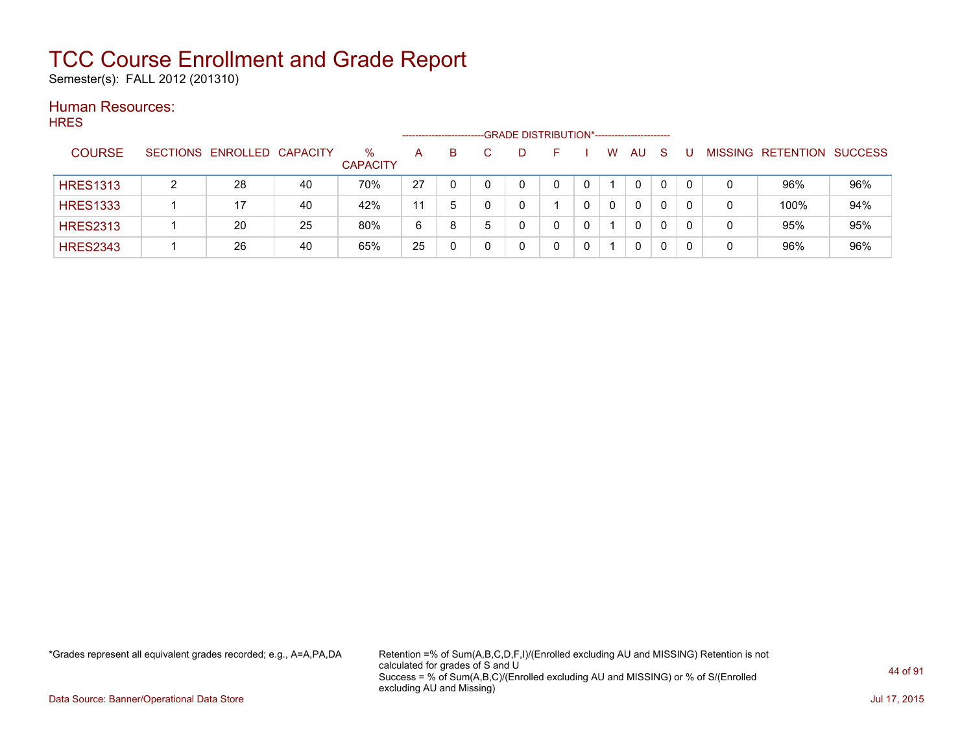Semester(s): FALL 2012 (201310)

#### Human Resources: **HRES**

| .               |                            |    |                         | ------------------- |    | -GRADE DISTRIBUTION*----------------------- |  |          |           |              |    |   |                           |     |
|-----------------|----------------------------|----|-------------------------|---------------------|----|---------------------------------------------|--|----------|-----------|--------------|----|---|---------------------------|-----|
| <b>COURSE</b>   | SECTIONS ENROLLED CAPACITY |    | $\%$<br><b>CAPACITY</b> | A                   | B. |                                             |  | W        | <b>AU</b> | <sub>S</sub> |    |   | MISSING RETENTION SUCCESS |     |
| <b>HRES1313</b> | 28                         | 40 | 70%                     | 27                  |    |                                             |  |          | 0         |              |    | 0 | 96%                       | 96% |
| <b>HRES1333</b> | 17                         | 40 | 42%                     | 11                  | 5  |                                             |  | $\Omega$ | 0         | 0            | -0 | 0 | 100%                      | 94% |
| <b>HRES2313</b> | 20                         | 25 | 80%                     | 6                   | 8  |                                             |  |          | 0         | 0            | -0 | 0 | 95%                       | 95% |
| <b>HRES2343</b> | 26                         | 40 | 65%                     | 25                  |    |                                             |  |          | 0         |              |    | 0 | 96%                       | 96% |

\*Grades represent all equivalent grades recorded; e.g., A=A,PA,DA Retention =% of Sum(A,B,C,D,F,I)/(Enrolled excluding AU and MISSING) Retention is not calculated for grades of S and U Success = % of Sum(A,B,C)/(Enrolled excluding AU and MISSING) or % of S/(Enrolled excluding AU and Missing)

Data Source: Banner/Operational Data Store Jul 17, 2015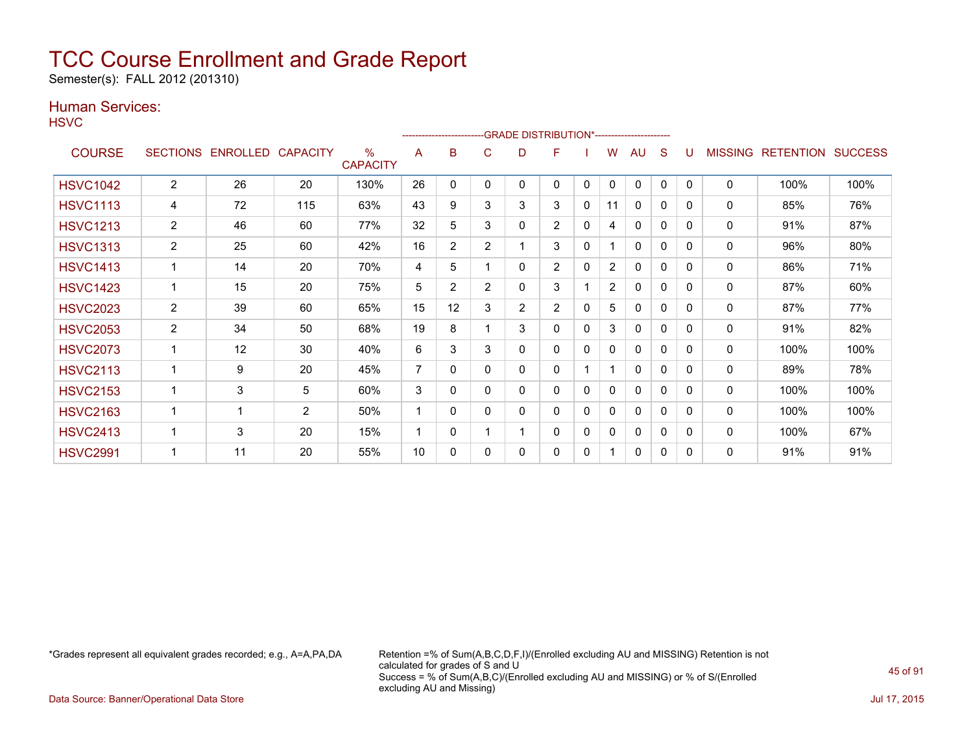Semester(s): FALL 2012 (201310)

### Human Services:

**HSVC** 

|                 |                 |          |                 |                      |    |                |                |                | ------------------------GRADE                DISTRIBUTION*---------------------- |          |                |              |   |              |                |                  |                |
|-----------------|-----------------|----------|-----------------|----------------------|----|----------------|----------------|----------------|----------------------------------------------------------------------------------|----------|----------------|--------------|---|--------------|----------------|------------------|----------------|
| <b>COURSE</b>   | <b>SECTIONS</b> | ENROLLED | <b>CAPACITY</b> | %<br><b>CAPACITY</b> | A  | B              | С              | D              | F                                                                                |          | W              | AU           | S |              | <b>MISSING</b> | <b>RETENTION</b> | <b>SUCCESS</b> |
| <b>HSVC1042</b> | $\overline{2}$  | 26       | 20              | 130%                 | 26 | 0              | 0              | 0              | 0                                                                                | 0        | $\mathbf{0}$   | $\Omega$     | 0 | $\mathbf{0}$ | 0              | 100%             | 100%           |
| <b>HSVC1113</b> | 4               | 72       | 115             | 63%                  | 43 | 9              | 3              | 3              | 3                                                                                | 0        | 11             | $\Omega$     | 0 | 0            | 0              | 85%              | 76%            |
| <b>HSVC1213</b> | $\overline{2}$  | 46       | 60              | 77%                  | 32 | 5              | 3              | 0              | $\overline{2}$                                                                   | 0        | 4              | $\mathbf{0}$ | 0 | 0            | 0              | 91%              | 87%            |
| <b>HSVC1313</b> | 2               | 25       | 60              | 42%                  | 16 | $\overline{2}$ | $\overline{2}$ |                | 3                                                                                | 0        |                | 0            | 0 | 0            | 0              | 96%              | 80%            |
| <b>HSVC1413</b> |                 | 14       | 20              | 70%                  | 4  | 5              |                | 0              | $\overline{2}$                                                                   | $\Omega$ | $\overline{2}$ | $\mathbf{0}$ | 0 | $\Omega$     | $\mathbf{0}$   | 86%              | 71%            |
| <b>HSVC1423</b> |                 | 15       | 20              | 75%                  | 5  | $\overline{2}$ | $\overline{2}$ | 0              | 3                                                                                |          | 2              | 0            | 0 | $\Omega$     | 0              | 87%              | 60%            |
| <b>HSVC2023</b> | $\overline{2}$  | 39       | 60              | 65%                  | 15 | 12             | 3              | $\overline{2}$ | $\overline{2}$                                                                   | 0        | 5              | $\Omega$     | 0 | 0            | $\mathbf 0$    | 87%              | 77%            |
| <b>HSVC2053</b> | $\overline{2}$  | 34       | 50              | 68%                  | 19 | 8              |                | 3              | 0                                                                                | 0        | 3              | 0            | 0 | 0            | 0              | 91%              | 82%            |
| <b>HSVC2073</b> |                 | 12       | 30              | 40%                  | 6  | 3              | 3              | 0              | $\Omega$                                                                         | 0        | 0              | $\mathbf{0}$ | 0 | 0            | $\mathbf 0$    | 100%             | 100%           |
| <b>HSVC2113</b> |                 | 9        | 20              | 45%                  | 7  | $\Omega$       | 0              | 0              | 0                                                                                |          |                | $\mathbf{0}$ | 0 | $\Omega$     | 0              | 89%              | 78%            |
| <b>HSVC2153</b> |                 | 3        | 5               | 60%                  | 3  | 0              | 0              | 0              | 0                                                                                | 0        | 0              | $\mathbf{0}$ | 0 | $\mathbf{0}$ | 0              | 100%             | 100%           |
| <b>HSVC2163</b> |                 |          | $\overline{2}$  | 50%                  | 1  | 0              | 0              | 0              | 0                                                                                | 0        | 0              | $\mathbf{0}$ | 0 | $\Omega$     | 0              | 100%             | 100%           |
| <b>HSVC2413</b> | 1               | 3        | 20              | 15%                  | 1  | 0              |                | 1              | 0                                                                                | 0        | 0              | 0            | 0 | $\Omega$     | 0              | 100%             | 67%            |
| <b>HSVC2991</b> |                 | 11       | 20              | 55%                  | 10 | 0              | 0              | 0              | 0                                                                                | 0        |                | $\Omega$     | 0 | 0            | $\mathbf{0}$   | 91%              | 91%            |

\*Grades represent all equivalent grades recorded; e.g., A=A,PA,DA Retention =% of Sum(A,B,C,D,F,I)/(Enrolled excluding AU and MISSING) Retention is not calculated for grades of S and U Success = % of Sum(A,B,C)/(Enrolled excluding AU and MISSING) or % of S/(Enrolled excluding AU and Missing)

Data Source: Banner/Operational Data Store Jul 17, 2015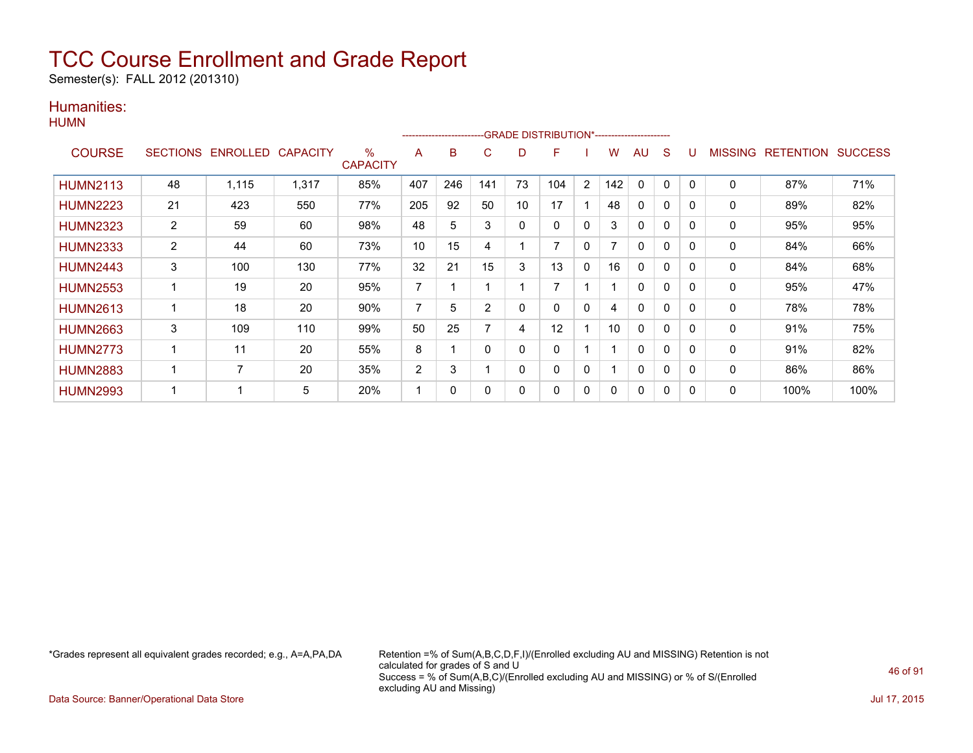Semester(s): FALL 2012 (201310)

### Humanities:

|                 |                |                            |       |                      |                | ---------------------- |     |             | --GRADE DISTRIBUTION*------------------------ |                |     |              |              |          |                |                  |                |
|-----------------|----------------|----------------------------|-------|----------------------|----------------|------------------------|-----|-------------|-----------------------------------------------|----------------|-----|--------------|--------------|----------|----------------|------------------|----------------|
| <b>COURSE</b>   |                | SECTIONS ENROLLED CAPACITY |       | ℅<br><b>CAPACITY</b> | A              | в                      | C   | D           | F                                             |                | w   | AU           | S            |          | <b>MISSING</b> | <b>RETENTION</b> | <b>SUCCESS</b> |
| <b>HUMN2113</b> | 48             | 1,115                      | 1,317 | 85%                  | 407            | 246                    | 141 | 73          | 104                                           | $\overline{2}$ | 142 | $\Omega$     | $\Omega$     | 0        | $\Omega$       | 87%              | 71%            |
| <b>HUMN2223</b> | 21             | 423                        | 550   | 77%                  | 205            | 92                     | 50  | 10          | 17                                            |                | 48  | 0            | 0            | 0        | 0              | 89%              | 82%            |
| <b>HUMN2323</b> | $\overline{2}$ | 59                         | 60    | 98%                  | 48             | 5                      | 3   | $\mathbf 0$ | $\Omega$                                      | $\Omega$       | 3   | $\Omega$     | $\Omega$     | $\Omega$ | $\mathbf{0}$   | 95%              | 95%            |
| <b>HUMN2333</b> | $\overline{2}$ | 44                         | 60    | 73%                  | 10             | 15                     | 4   |             |                                               | 0              |     | 0            | 0            | 0        | 0              | 84%              | 66%            |
| <b>HUMN2443</b> | 3              | 100                        | 130   | 77%                  | 32             | 21                     | 15  | 3           | 13                                            | 0              | 16  | 0            | 0            | 0        | 0              | 84%              | 68%            |
| <b>HUMN2553</b> | 1              | 19                         | 20    | 95%                  | 7              |                        |     |             |                                               |                |     | 0            | $\Omega$     |          | 0              | 95%              | 47%            |
| <b>HUMN2613</b> | 1              | 18                         | 20    | 90%                  | 7              | 5                      | 2   | 0           | 0                                             | 0              | 4   | $\mathbf{0}$ | 0            | 0        | $\mathbf{0}$   | 78%              | 78%            |
| <b>HUMN2663</b> | 3              | 109                        | 110   | 99%                  | 50             | 25                     | ⇁   | 4           | 12                                            |                | 10  | $\Omega$     | $\mathbf{0}$ | 0        | 0              | 91%              | 75%            |
| <b>HUMN2773</b> | 1              | 11                         | 20    | 55%                  | 8              |                        | 0   | 0           | 0                                             |                |     | 0            | $\Omega$     | 0        | 0              | 91%              | 82%            |
| <b>HUMN2883</b> | 1              | 7                          | 20    | 35%                  | $\overline{2}$ | 3                      |     | $\Omega$    | $\Omega$                                      | 0              |     | $\mathbf{0}$ | $\Omega$     | $\Omega$ | $\mathbf{0}$   | 86%              | 86%            |
| <b>HUMN2993</b> | 1              |                            | 5     | 20%                  |                | 0                      | 0   | 0           | 0                                             | 0              | 0   | $\mathbf{0}$ | 0            | $\Omega$ | $\mathbf{0}$   | 100%             | 100%           |

\*Grades represent all equivalent grades recorded; e.g., A=A,PA,DA Retention =% of Sum(A,B,C,D,F,I)/(Enrolled excluding AU and MISSING) Retention is not calculated for grades of S and U Success = % of Sum(A,B,C)/(Enrolled excluding AU and MISSING) or % of S/(Enrolled excluding AU and Missing)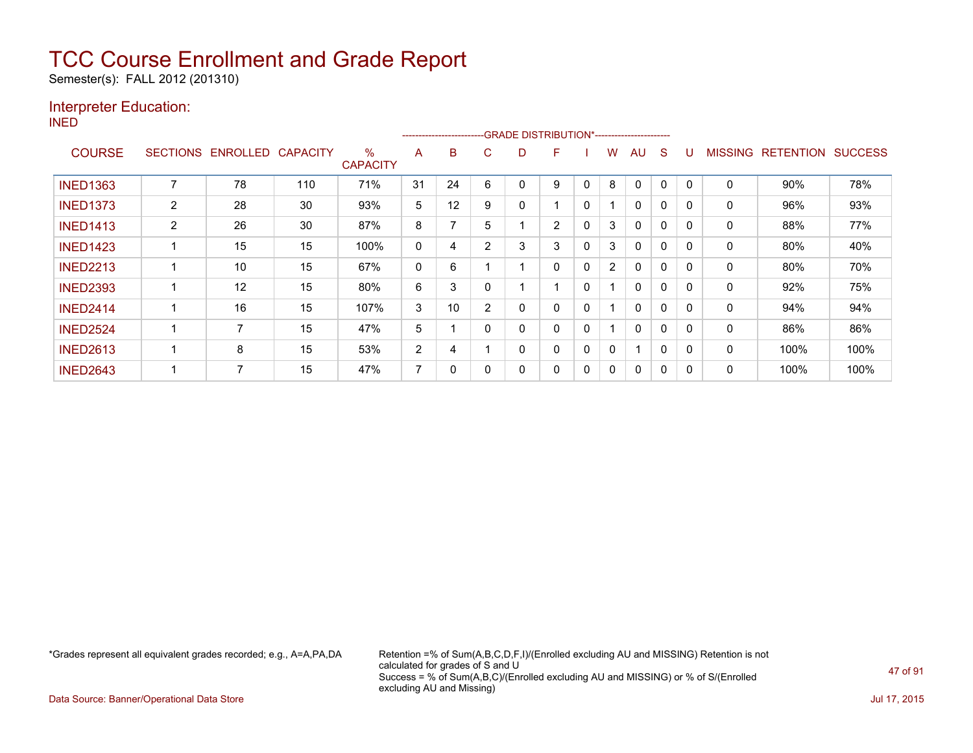Semester(s): FALL 2012 (201310)

### Interpreter Education:

INED

|                 |                 |                 |                 |                         |                | ------------------------ |   |   | -GRADE DISTRIBUTION*----------------------- |   |                |              |          |              |                |                  |                |
|-----------------|-----------------|-----------------|-----------------|-------------------------|----------------|--------------------------|---|---|---------------------------------------------|---|----------------|--------------|----------|--------------|----------------|------------------|----------------|
| <b>COURSE</b>   | <b>SECTIONS</b> | <b>ENROLLED</b> | <b>CAPACITY</b> | $\%$<br><b>CAPACITY</b> | A              | B                        | С | D | F                                           |   | W              | AU           | S        | U            | <b>MISSING</b> | <b>RETENTION</b> | <b>SUCCESS</b> |
| <b>INED1363</b> |                 | 78              | 110             | 71%                     | 31             | 24                       | 6 | 0 | 9                                           |   | 8              | 0            | 0        | 0            | 0              | 90%              | 78%            |
| <b>INED1373</b> | $\overline{2}$  | 28              | 30              | 93%                     | 5              | 12                       | 9 | 0 |                                             | 0 |                | 0            | 0        | 0            | 0              | 96%              | 93%            |
| <b>INED1413</b> | $\overline{2}$  | 26              | 30              | 87%                     | 8              |                          | 5 |   | $\overline{2}$                              | 0 | 3              | $\Omega$     | 0        | 0            | 0              | 88%              | 77%            |
| <b>INED1423</b> |                 | 15              | 15              | 100%                    | 0              | 4                        | 2 | 3 | 3                                           | 0 | 3              | $\mathbf{0}$ | $\Omega$ | $\mathbf{0}$ | $\mathbf{0}$   | 80%              | 40%            |
| <b>INED2213</b> |                 | 10              | 15              | 67%                     | $\mathbf{0}$   | 6                        |   |   | 0                                           | 0 | $\overline{2}$ | $\mathbf{0}$ | $\Omega$ | $\mathbf{0}$ | $\mathbf{0}$   | 80%              | 70%            |
| <b>INED2393</b> |                 | 12              | 15              | 80%                     | 6              | 3                        |   |   | 1                                           | 0 |                | $\mathbf{0}$ | $\Omega$ | $\Omega$     | 0              | 92%              | 75%            |
| <b>INED2414</b> |                 | 16              | 15              | 107%                    | 3              | 10                       | 2 | 0 | 0                                           | 0 |                | $\mathbf{0}$ | $\Omega$ | 0            | $\mathbf{0}$   | 94%              | 94%            |
| <b>INED2524</b> |                 | ⇁               | 15              | 47%                     | 5              |                          |   | 0 | 0                                           | 0 |                | $\mathbf{0}$ | 0        | 0            | $\mathbf{0}$   | 86%              | 86%            |
| <b>INED2613</b> |                 | 8               | 15              | 53%                     | 2              | 4                        |   | 0 | 0                                           | 0 | 0              |              | 0        | 0            | 0              | 100%             | 100%           |
| <b>INED2643</b> |                 |                 | 15              | 47%                     | $\overline{ }$ | 0                        |   | 0 | 0                                           | 0 | 0              | 0            | 0        | 0            | 0              | 100%             | 100%           |

\*Grades represent all equivalent grades recorded; e.g., A=A,PA,DA Retention =% of Sum(A,B,C,D,F,I)/(Enrolled excluding AU and MISSING) Retention is not calculated for grades of S and U Success = % of Sum(A,B,C)/(Enrolled excluding AU and MISSING) or % of S/(Enrolled excluding AU and Missing)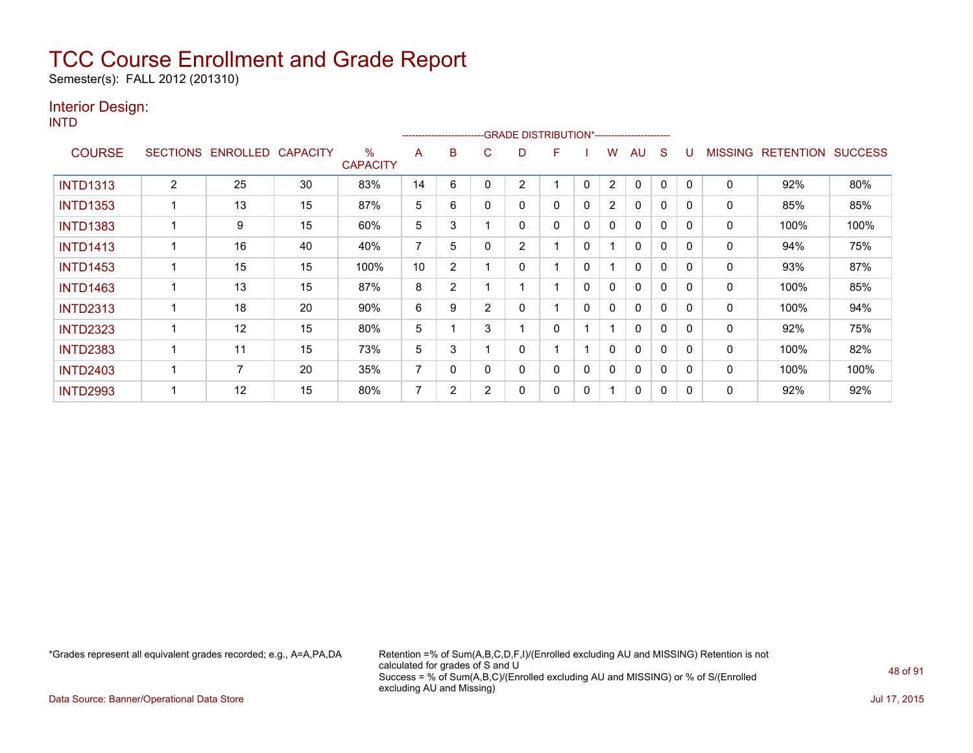Semester(s): FALL 2012 (201310)

### Interior Design:

INTD

|                 |   |                   |                 |                         |    |                |                | -------------------------GRADE                DISTRIBUTION*---------------------- |   |   |                |              |              |              |                |                  |                |
|-----------------|---|-------------------|-----------------|-------------------------|----|----------------|----------------|-----------------------------------------------------------------------------------|---|---|----------------|--------------|--------------|--------------|----------------|------------------|----------------|
| <b>COURSE</b>   |   | SECTIONS ENROLLED | <b>CAPACITY</b> | $\%$<br><b>CAPACITY</b> | A  | B              | C              | D                                                                                 | F |   | w              | AU           | S            |              | <b>MISSING</b> | <b>RETENTION</b> | <b>SUCCESS</b> |
| <b>INTD1313</b> | 2 | 25                | 30              | 83%                     | 14 | 6              |                | 2                                                                                 |   | 0 | 2              | 0            | 0            |              | 0              | 92%              | 80%            |
| <b>INTD1353</b> |   | 13                | 15              | 87%                     | 5  | 6              | 0              | 0                                                                                 | 0 | 0 | $\overline{2}$ | 0            | $\Omega$     | $\mathbf{0}$ | 0              | 85%              | 85%            |
| <b>INTD1383</b> |   | 9                 | 15              | 60%                     | 5  | 3              |                | 0                                                                                 | 0 | 0 | $\mathbf{0}$   | $\mathbf{0}$ | $\Omega$     | $\Omega$     | 0              | 100%             | 100%           |
| <b>INTD1413</b> |   | 16                | 40              | 40%                     | 7  | 5              |                | 2                                                                                 |   | 0 |                | $\mathbf{0}$ | $\mathbf{0}$ | $\Omega$     | 0              | 94%              | 75%            |
| <b>INTD1453</b> |   | 15                | 15              | 100%                    | 10 | $\overline{2}$ |                | 0                                                                                 |   | 0 |                | 0            | $\mathbf{0}$ | $\Omega$     | 0              | 93%              | 87%            |
| <b>INTD1463</b> |   | 13                | 15              | 87%                     | 8  | $\overline{2}$ |                |                                                                                   |   | 0 | 0              | $\mathbf{0}$ | 0            |              | 0              | 100%             | 85%            |
| <b>INTD2313</b> |   | 18                | 20              | 90%                     | 6  | 9              | $\overline{2}$ | 0                                                                                 |   | 0 | 0              | $\mathbf{0}$ | 0            | $\Omega$     | 0              | 100%             | 94%            |
| <b>INTD2323</b> |   | 12                | 15              | 80%                     | 5  |                | 3              |                                                                                   | 0 |   |                | $\mathbf{0}$ | $\Omega$     |              | 0              | 92%              | 75%            |
| <b>INTD2383</b> |   | 11                | 15              | 73%                     | 5  | 3              |                | 0                                                                                 |   |   | $\mathbf{0}$   | $\mathbf{0}$ | $\Omega$     | $\Omega$     | 0              | 100%             | 82%            |
| <b>INTD2403</b> |   | 7                 | 20              | 35%                     | 7  | $\Omega$       |                | 0                                                                                 | 0 | 0 | $\mathbf{0}$   | $\mathbf{0}$ | $\Omega$     | $\Omega$     | $\mathbf{0}$   | 100%             | 100%           |
| <b>INTD2993</b> |   | 12                | 15              | 80%                     | 7  | 2              | $\overline{2}$ | 0                                                                                 | 0 | 0 |                | $\mathbf{0}$ | 0            |              | 0              | 92%              | 92%            |

\*Grades represent all equivalent grades recorded; e.g., A=A,PA,DA Retention =% of Sum(A,B,C,D,F,I)/(Enrolled excluding AU and MISSING) Retention is not calculated for grades of S and U Success = % of Sum(A,B,C)/(Enrolled excluding AU and MISSING) or % of S/(Enrolled excluding AU and Missing)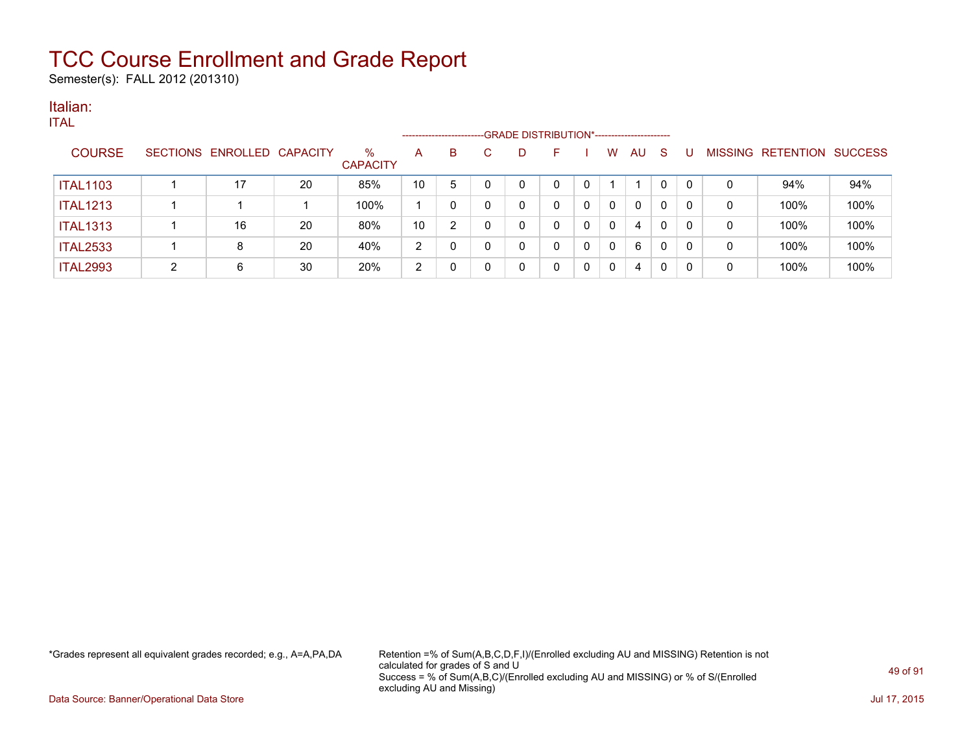Semester(s): FALL 2012 (201310)

### Italian:

|--|

|                 |   |                            |    |                         |                | --------------------- | -GRADE DISTRIBUTION*----------------------- |    |   |    |              |   |   |                   |                |
|-----------------|---|----------------------------|----|-------------------------|----------------|-----------------------|---------------------------------------------|----|---|----|--------------|---|---|-------------------|----------------|
| <b>COURSE</b>   |   | SECTIONS ENROLLED CAPACITY |    | $\%$<br><b>CAPACITY</b> | A              | B.                    |                                             | н. | w | AU | S            |   |   | MISSING RETENTION | <b>SUCCESS</b> |
| <b>ITAL1103</b> |   | 17                         | 20 | 85%                     | 10             | 5                     |                                             |    |   |    | $\mathbf{0}$ | 0 | 0 | 94%               | 94%            |
| <b>ITAL1213</b> |   |                            |    | 100%                    |                | 0                     |                                             |    | 0 | 0  | 0            | 0 | 0 | 100%              | 100%           |
| <b>ITAL1313</b> |   | 16                         | 20 | 80%                     | 10             | າ                     |                                             | ∩  | 0 | 4  | 0            | 0 | 0 | 100%              | 100%           |
| <b>ITAL2533</b> |   | 8                          | 20 | 40%                     | $\overline{2}$ |                       |                                             |    |   | 6  | 0            | 0 | 0 | 100%              | 100%           |
| <b>ITAL2993</b> | റ | 6                          | 30 | 20%                     | റ              | 0                     |                                             |    |   | 4  | 0            |   | 0 | 100%              | 100%           |

\*Grades represent all equivalent grades recorded; e.g., A=A,PA,DA Retention =% of Sum(A,B,C,D,F,I)/(Enrolled excluding AU and MISSING) Retention is not calculated for grades of S and U Success = % of Sum(A,B,C)/(Enrolled excluding AU and MISSING) or % of S/(Enrolled excluding AU and Missing)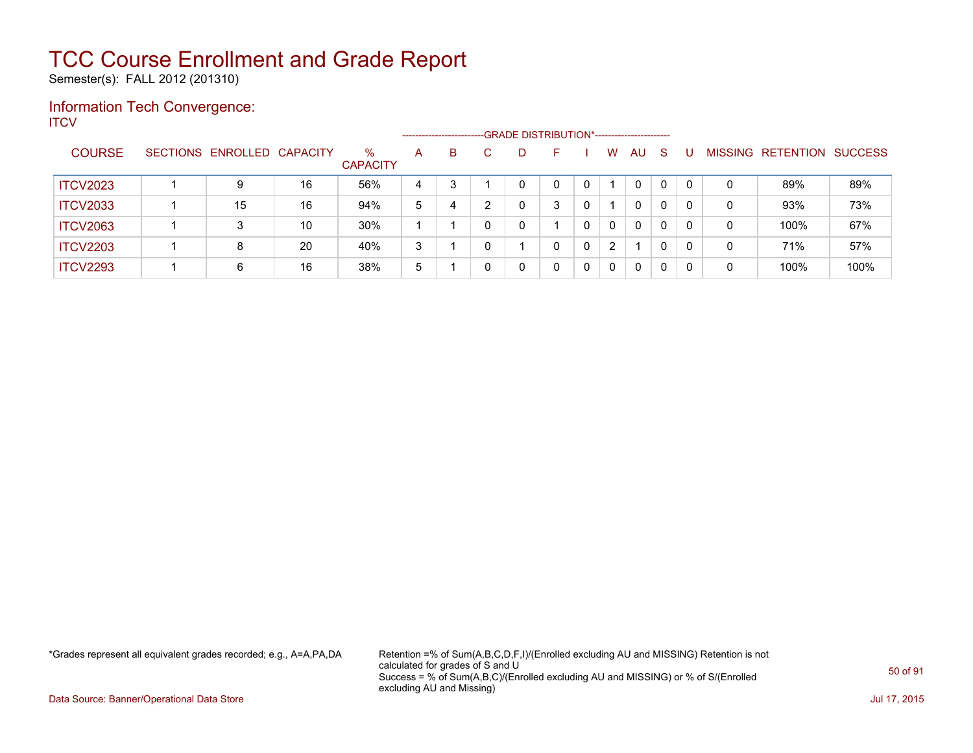Semester(s): FALL 2012 (201310)

### Information Tech Convergence: **ITCV**

|                 |                            |    |                         | --------------------- |   |   | -GRADE DISTRIBUTION*---------------------- |   |   |                |    |              |          |                |                  |                |
|-----------------|----------------------------|----|-------------------------|-----------------------|---|---|--------------------------------------------|---|---|----------------|----|--------------|----------|----------------|------------------|----------------|
| <b>COURSE</b>   | SECTIONS ENROLLED CAPACITY |    | $\%$<br><b>CAPACITY</b> | A                     | B |   | D                                          |   |   | w              | AU | <sub>S</sub> |          | <b>MISSING</b> | <b>RETENTION</b> | <b>SUCCESS</b> |
| <b>ITCV2023</b> | 9                          | 16 | 56%                     | 4                     |   |   | 0                                          | 0 | 0 |                | 0  | $\Omega$     | $\Omega$ | 0              | 89%              | 89%            |
| <b>ITCV2033</b> | 15                         | 16 | 94%                     | 5                     | 4 | ົ | 0                                          | 3 | 0 |                | 0  | 0            | 0        | 0              | 93%              | 73%            |
| <b>ITCV2063</b> |                            | 10 | 30%                     |                       |   |   | 0                                          |   | 0 | $\mathbf{0}$   | 0  | $\Omega$     | $\Omega$ | 0              | 100%             | 67%            |
| <b>ITCV2203</b> | 8                          | 20 | 40%                     | 3                     |   |   |                                            | 0 | 0 | $\overline{2}$ |    | 0            | 0        | 0              | 71%              | 57%            |
| <b>ITCV2293</b> | 6                          | 16 | 38%                     | 5                     |   |   | 0                                          | 0 | 0 | $\mathbf{0}$   | 0  | 0            | 0        | 0              | 100%             | 100%           |

\*Grades represent all equivalent grades recorded; e.g., A=A,PA,DA Retention =% of Sum(A,B,C,D,F,I)/(Enrolled excluding AU and MISSING) Retention is not calculated for grades of S and U Success = % of Sum(A,B,C)/(Enrolled excluding AU and MISSING) or % of S/(Enrolled excluding AU and Missing)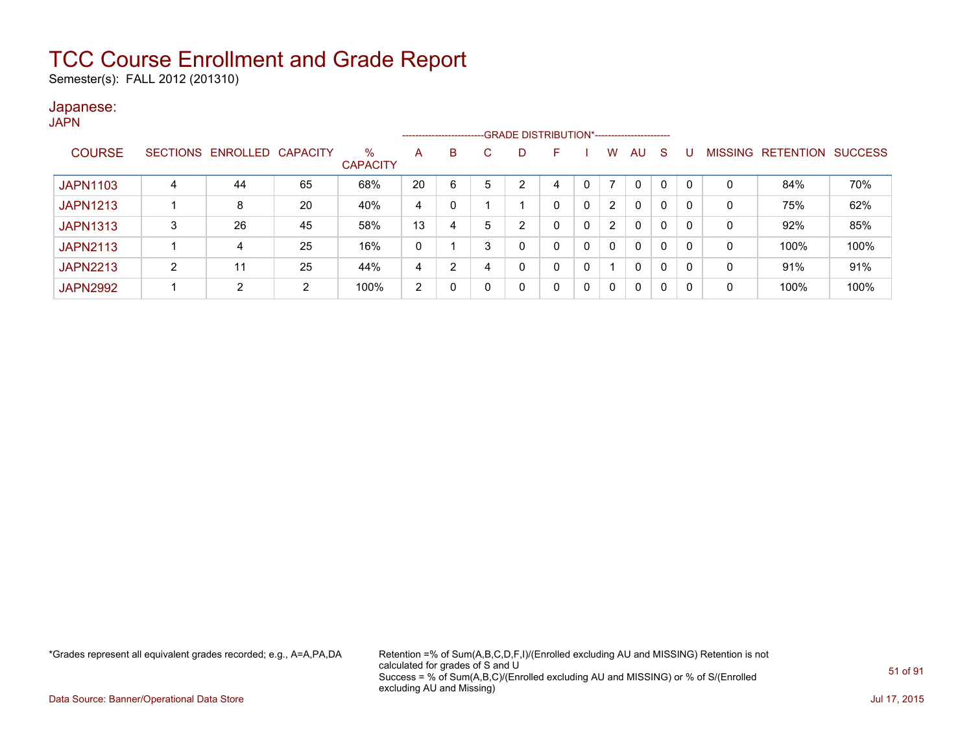Semester(s): FALL 2012 (201310)

### Japanese:

**JAPN** 

|                 |   |                            |    |                         |                |   |   |                | --------------------------GRADE DISTRIBUTION*----------------------- |   |                |              |          |          |                |                          |      |
|-----------------|---|----------------------------|----|-------------------------|----------------|---|---|----------------|----------------------------------------------------------------------|---|----------------|--------------|----------|----------|----------------|--------------------------|------|
| <b>COURSE</b>   |   | SECTIONS ENROLLED CAPACITY |    | $\%$<br><b>CAPACITY</b> | A              | B | С | D              | ۳                                                                    |   | W              | AU.          | -S       |          | <b>MISSING</b> | <b>RETENTION SUCCESS</b> |      |
| <b>JAPN1103</b> | 4 | 44                         | 65 | 68%                     | 20             | 6 | 5 | 2              | 4                                                                    |   |                | $\Omega$     | 0        | $\Omega$ | 0              | 84%                      | 70%  |
| <b>JAPN1213</b> |   | 8                          | 20 | 40%                     | 4              |   |   |                | 0                                                                    | 0 | $\overline{2}$ | $\Omega$     | 0        | $\Omega$ | 0              | 75%                      | 62%  |
| <b>JAPN1313</b> | 3 | 26                         | 45 | 58%                     | 13             |   | 5 | $\overline{2}$ | 0                                                                    | 0 | $\overline{2}$ | $\Omega$     | 0        | 0        | 0              | 92%                      | 85%  |
| <b>JAPN2113</b> |   | 4                          | 25 | 16%                     | 0              |   | 3 | 0              | $\Omega$                                                             | 0 | $\mathbf{0}$   | $\mathbf{0}$ | $\Omega$ | $\Omega$ | 0              | 100%                     | 100% |
| <b>JAPN2213</b> | 2 | 11                         | 25 | 44%                     | 4              | ົ |   | 0              | 0                                                                    | 0 |                | $\Omega$     | 0        | $\Omega$ | 0              | 91%                      | 91%  |
| <b>JAPN2992</b> |   | C                          | 2  | 100%                    | $\overline{2}$ |   |   | 0              | $\mathbf{0}$                                                         | 0 | 0              | $\mathbf{0}$ | $\Omega$ | 0        | 0              | 100%                     | 100% |

\*Grades represent all equivalent grades recorded; e.g., A=A,PA,DA Retention =% of Sum(A,B,C,D,F,I)/(Enrolled excluding AU and MISSING) Retention is not calculated for grades of S and U Success = % of Sum(A,B,C)/(Enrolled excluding AU and MISSING) or % of S/(Enrolled excluding AU and Missing)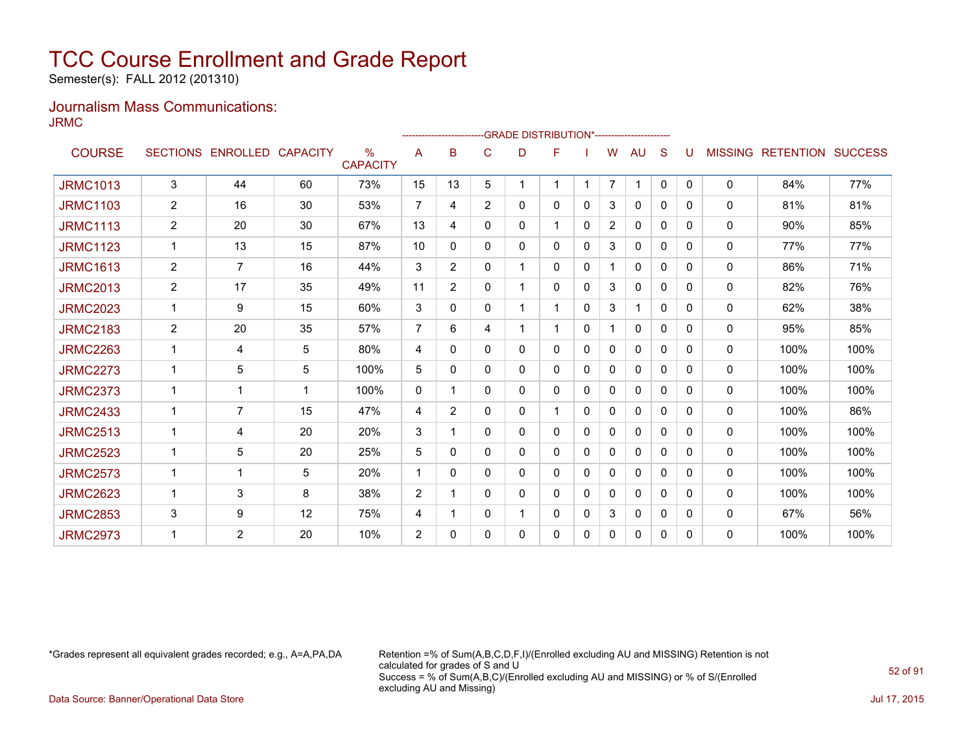Semester(s): FALL 2012 (201310)

### Journalism Mass Communications: JRMC

|                 |                |                   |                 |                                  |                | ----------------- |                | -GRADE DISTRIBUTION*---------------------- |   |              |                |              |              |              |                |                          |      |
|-----------------|----------------|-------------------|-----------------|----------------------------------|----------------|-------------------|----------------|--------------------------------------------|---|--------------|----------------|--------------|--------------|--------------|----------------|--------------------------|------|
| <b>COURSE</b>   |                | SECTIONS ENROLLED | <b>CAPACITY</b> | $\frac{0}{0}$<br><b>CAPACITY</b> | A              | B                 | C              | D                                          | F |              | W              | AU           | S            |              | <b>MISSING</b> | <b>RETENTION SUCCESS</b> |      |
| <b>JRMC1013</b> | 3              | 44                | 60              | 73%                              | 15             | 13                | 5              | $\overline{1}$                             | 1 | -1           | $\overline{7}$ | 1            | $\mathbf{0}$ | $\mathbf{0}$ | 0              | 84%                      | 77%  |
| <b>JRMC1103</b> | $\overline{2}$ | 16                | 30              | 53%                              | $\overline{7}$ | 4                 | $\overline{2}$ | 0                                          | 0 | 0            | 3              | 0            | $\Omega$     | 0            | 0              | 81%                      | 81%  |
| <b>JRMC1113</b> | $\overline{c}$ | 20                | 30              | 67%                              | 13             | 4                 | 0              | 0                                          | 1 | 0            | 2              | 0            | $\Omega$     | 0            | $\mathbf{0}$   | 90%                      | 85%  |
| <b>JRMC1123</b> | $\mathbf{1}$   | 13                | 15              | 87%                              | 10             | 0                 | 0              | 0                                          | 0 | 0            | 3              | 0            | $\Omega$     | 0            | 0              | 77%                      | 77%  |
| <b>JRMC1613</b> | $\overline{2}$ | $\overline{7}$    | 16              | 44%                              | 3              | $\overline{2}$    | 0              | 1                                          | 0 | 0            | 1              | 0            | 0            | 0            | $\mathbf{0}$   | 86%                      | 71%  |
| <b>JRMC2013</b> | $\overline{2}$ | 17                | 35              | 49%                              | 11             | $\overline{2}$    | 0              |                                            | 0 | $\Omega$     | 3              | 0            | $\Omega$     | $\Omega$     | 0              | 82%                      | 76%  |
| <b>JRMC2023</b> | 1              | 9                 | 15              | 60%                              | 3              | 0                 | 0              |                                            | 1 | 0            | 3              | 1            | $\Omega$     | 0            | 0              | 62%                      | 38%  |
| <b>JRMC2183</b> | $\overline{2}$ | 20                | 35              | 57%                              | $\overline{7}$ | 6                 | 4              |                                            | 1 | 0            | 1              | $\mathbf{0}$ | $\Omega$     | 0            | 0              | 95%                      | 85%  |
| <b>JRMC2263</b> |                | 4                 | 5               | 80%                              | 4              | 0                 | 0              | 0                                          | 0 | 0            | $\mathbf{0}$   | $\mathbf{0}$ | 0            | 0            | 0              | 100%                     | 100% |
| <b>JRMC2273</b> |                | 5                 | 5               | 100%                             | 5              | 0                 | 0              | 0                                          | 0 | 0            | 0              | 0            | $\Omega$     | 0            | $\mathbf{0}$   | 100%                     | 100% |
| <b>JRMC2373</b> |                | 1                 | 1               | 100%                             | 0              |                   | 0              | 0                                          | 0 | 0            | 0              | 0            | $\Omega$     | $\Omega$     | 0              | 100%                     | 100% |
| <b>JRMC2433</b> | 1              | $\overline{7}$    | 15              | 47%                              | 4              | $\overline{2}$    | 0              | 0                                          | 1 | 0            | 0              | 0            | $\Omega$     | 0            | 0              | 100%                     | 86%  |
| <b>JRMC2513</b> |                | 4                 | 20              | 20%                              | 3              |                   | 0              | 0                                          | 0 | $\Omega$     | 0              | 0            | $\Omega$     | 0            | 0              | 100%                     | 100% |
| <b>JRMC2523</b> | $\mathbf 1$    | 5                 | 20              | 25%                              | 5              | 0                 | 0              | 0                                          | 0 | 0            | 0              | 0            | $\Omega$     | 0            | 0              | 100%                     | 100% |
| <b>JRMC2573</b> | $\mathbf{1}$   | 1                 | 5               | 20%                              | 1              | 0                 | 0              | 0                                          | 0 | $\mathbf{0}$ | 0              | 0            | $\Omega$     | 0            | 0              | 100%                     | 100% |
| <b>JRMC2623</b> |                | 3                 | 8               | 38%                              | 2              |                   | 0              | 0                                          | 0 | $\mathbf{0}$ | 0              | 0            | $\Omega$     | 0            | 0              | 100%                     | 100% |
| <b>JRMC2853</b> | 3              | 9                 | 12              | 75%                              | 4              |                   | 0              |                                            | 0 | 0            | 3              | 0            | $\Omega$     | 0            | $\mathbf{0}$   | 67%                      | 56%  |
| <b>JRMC2973</b> |                | $\overline{2}$    | 20              | 10%                              | 2              | 0                 | 0              | 0                                          | 0 | 0            | 0              | 0            | 0            | 0            | $\mathbf{0}$   | 100%                     | 100% |

\*Grades represent all equivalent grades recorded; e.g., A=A,PA,DA Retention =% of Sum(A,B,C,D,F,I)/(Enrolled excluding AU and MISSING) Retention is not calculated for grades of S and U Success = % of Sum(A,B,C)/(Enrolled excluding AU and MISSING) or % of S/(Enrolled excluding AU and Missing)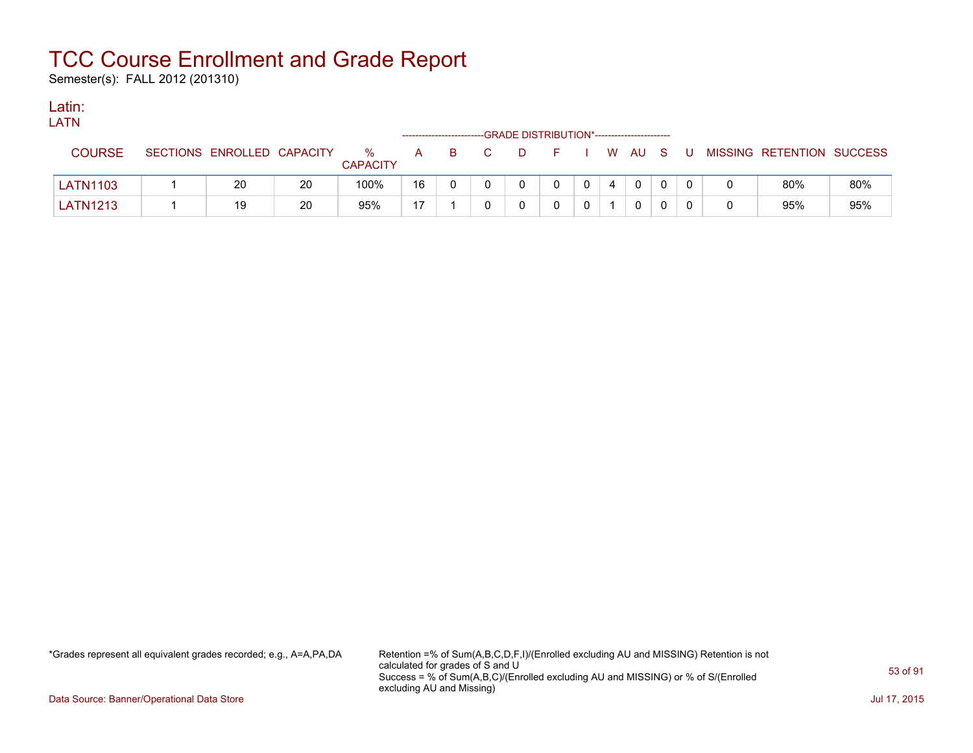Semester(s): FALL 2012 (201310)

### Latin:

| LATN            |                            |    |                      |    |     |    |                                              |          |   |          |          |    |                           |     |
|-----------------|----------------------------|----|----------------------|----|-----|----|----------------------------------------------|----------|---|----------|----------|----|---------------------------|-----|
|                 |                            |    |                      |    |     |    | --GRADE DISTRIBUTION*----------------------- |          |   |          |          |    |                           |     |
| <b>COURSE</b>   | SECTIONS ENROLLED CAPACITY |    | %<br><b>CAPACITY</b> | A  | - B | D. | FIWAUS                                       |          |   |          |          | -U | MISSING RETENTION SUCCESS |     |
| <b>LATN1103</b> | 20                         | 20 | 100%                 | 16 |     |    | $\mathbf{0}$                                 | $\Omega$ | 4 | $\Omega$ | $\Omega$ |    | 80%                       | 80% |
| <b>LATN1213</b> | 19                         | 20 | 95%                  | 17 |     |    |                                              |          |   |          |          |    | 95%                       | 95% |

\*Grades represent all equivalent grades recorded; e.g., A=A,PA,DA Retention =% of Sum(A,B,C,D,F,I)/(Enrolled excluding AU and MISSING) Retention is not calculated for grades of S and U Success = % of Sum(A,B,C)/(Enrolled excluding AU and MISSING) or % of S/(Enrolled excluding AU and Missing)

Data Source: Banner/Operational Data Store Jul 17, 2015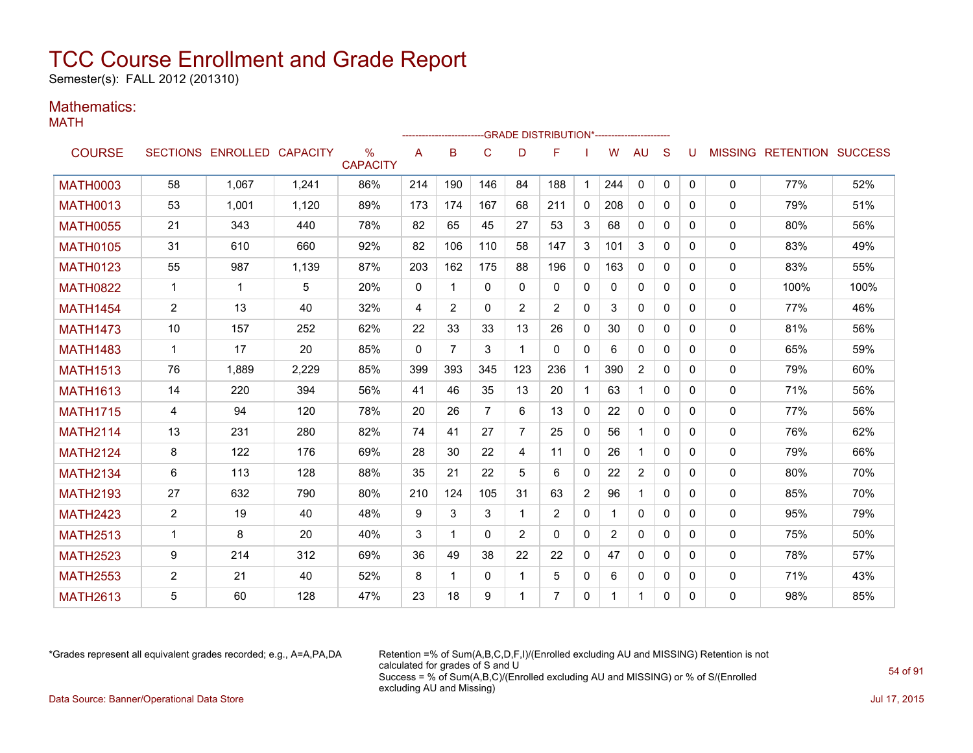Semester(s): FALL 2012 (201310)

### Mathematics:

MATH

|                 |                 |                            |       |                         |              |              |                |                | -GRADE DISTRIBUTION*----------------------- |                |                |              |              |   |              |                           |      |
|-----------------|-----------------|----------------------------|-------|-------------------------|--------------|--------------|----------------|----------------|---------------------------------------------|----------------|----------------|--------------|--------------|---|--------------|---------------------------|------|
| <b>COURSE</b>   |                 | SECTIONS ENROLLED CAPACITY |       | $\%$<br><b>CAPACITY</b> | A            | B            | C              | D              | F                                           |                | W              | AU           | S            | U |              | MISSING RETENTION SUCCESS |      |
| <b>MATH0003</b> | 58              | 1.067                      | 1.241 | 86%                     | 214          | 190          | 146            | 84             | 188                                         | $\mathbf{1}$   | 244            | $\mathbf 0$  | $\mathbf{0}$ | 0 | 0            | 77%                       | 52%  |
| <b>MATH0013</b> | 53              | 1,001                      | 1,120 | 89%                     | 173          | 174          | 167            | 68             | 211                                         | $\mathbf{0}$   | 208            | $\mathbf{0}$ | $\Omega$     | 0 | $\mathbf{0}$ | 79%                       | 51%  |
| <b>MATH0055</b> | 21              | 343                        | 440   | 78%                     | 82           | 65           | 45             | 27             | 53                                          | 3              | 68             | $\mathbf{0}$ | $\mathbf{0}$ | 0 | $\mathbf{0}$ | 80%                       | 56%  |
| <b>MATH0105</b> | 31              | 610                        | 660   | 92%                     | 82           | 106          | 110            | 58             | 147                                         | 3              | 101            | 3            | $\Omega$     | 0 | 0            | 83%                       | 49%  |
| <b>MATH0123</b> | 55              | 987                        | 1,139 | 87%                     | 203          | 162          | 175            | 88             | 196                                         | $\mathbf{0}$   | 163            | $\Omega$     | $\Omega$     | 0 | 0            | 83%                       | 55%  |
| <b>MATH0822</b> | $\mathbf 1$     | -1                         | 5     | 20%                     | $\mathbf{0}$ | 1            | $\Omega$       | $\Omega$       | $\Omega$                                    | $\mathbf{0}$   | 0              | $\mathbf{0}$ | $\Omega$     | 0 | $\mathbf{0}$ | 100%                      | 100% |
| <b>MATH1454</b> | $\overline{2}$  | 13                         | 40    | 32%                     | 4            | 2            | $\Omega$       | 2              | 2                                           | $\mathbf{0}$   | 3              | $\Omega$     | $\Omega$     | 0 | $\mathbf{0}$ | 77%                       | 46%  |
| <b>MATH1473</b> | 10 <sup>1</sup> | 157                        | 252   | 62%                     | 22           | 33           | 33             | 13             | 26                                          | $\mathbf{0}$   | 30             | $\Omega$     | $\Omega$     | 0 | $\mathbf{0}$ | 81%                       | 56%  |
| <b>MATH1483</b> | $\mathbf{1}$    | 17                         | 20    | 85%                     | $\Omega$     | 7            | 3              | $\mathbf 1$    | $\Omega$                                    | $\mathbf{0}$   | 6              | $\Omega$     | $\Omega$     | 0 | $\mathbf{0}$ | 65%                       | 59%  |
| <b>MATH1513</b> | 76              | 1.889                      | 2,229 | 85%                     | 399          | 393          | 345            | 123            | 236                                         | $\mathbf 1$    | 390            | 2            | $\Omega$     | 0 | $\mathbf{0}$ | 79%                       | 60%  |
| <b>MATH1613</b> | 14              | 220                        | 394   | 56%                     | 41           | 46           | 35             | 13             | 20                                          | $\mathbf 1$    | 63             | $\mathbf{1}$ | $\mathbf{0}$ | 0 | $\mathbf{0}$ | 71%                       | 56%  |
| <b>MATH1715</b> | 4               | 94                         | 120   | 78%                     | 20           | 26           | $\overline{7}$ | 6              | 13                                          | $\mathbf{0}$   | 22             | 0            | 0            | 0 | $\mathbf{0}$ | 77%                       | 56%  |
| <b>MATH2114</b> | 13              | 231                        | 280   | 82%                     | 74           | 41           | 27             | $\overline{7}$ | 25                                          | $\mathbf{0}$   | 56             | $\mathbf{1}$ | $\Omega$     | 0 | 0            | 76%                       | 62%  |
| <b>MATH2124</b> | 8               | 122                        | 176   | 69%                     | 28           | 30           | 22             | 4              | 11                                          | $\mathbf{0}$   | 26             | $\mathbf 1$  | $\Omega$     | 0 | 0            | 79%                       | 66%  |
| <b>MATH2134</b> | 6               | 113                        | 128   | 88%                     | 35           | 21           | 22             | 5              | 6                                           | $\mathbf{0}$   | 22             | 2            | $\mathbf{0}$ | 0 | 0            | 80%                       | 70%  |
| <b>MATH2193</b> | 27              | 632                        | 790   | 80%                     | 210          | 124          | 105            | 31             | 63                                          | $\overline{2}$ | 96             |              | $\Omega$     | 0 | 0            | 85%                       | 70%  |
| <b>MATH2423</b> | $\overline{2}$  | 19                         | 40    | 48%                     | 9            | 3            | 3              | -1             | $\overline{2}$                              | $\mathbf{0}$   | 1              | 0            | $\Omega$     | 0 | 0            | 95%                       | 79%  |
| <b>MATH2513</b> | 1               | 8                          | 20    | 40%                     | 3            | $\mathbf{1}$ | $\Omega$       | 2              | $\Omega$                                    | $\mathbf{0}$   | $\overline{2}$ | $\Omega$     | $\Omega$     | 0 | 0            | 75%                       | 50%  |
| <b>MATH2523</b> | 9               | 214                        | 312   | 69%                     | 36           | 49           | 38             | 22             | 22                                          | $\mathbf{0}$   | 47             | $\Omega$     | $\Omega$     | 0 | $\mathbf{0}$ | 78%                       | 57%  |
| <b>MATH2553</b> | $\overline{2}$  | 21                         | 40    | 52%                     | 8            | -1           | $\Omega$       | 1              | 5                                           | $\mathbf{0}$   | 6              | $\mathbf{0}$ | $\Omega$     | 0 | 0            | 71%                       | 43%  |
| <b>MATH2613</b> | 5               | 60                         | 128   | 47%                     | 23           | 18           | 9              | 1              | 7                                           | 0              |                | 1            | 0            | 0 | $\Omega$     | 98%                       | 85%  |

\*Grades represent all equivalent grades recorded; e.g., A=A,PA,DA Retention =% of Sum(A,B,C,D,F,I)/(Enrolled excluding AU and MISSING) Retention is not calculated for grades of S and U Success = % of Sum(A,B,C)/(Enrolled excluding AU and MISSING) or % of S/(Enrolled excluding AU and Missing) Data Source: Banner/Operational Data Store Jul 17, 2015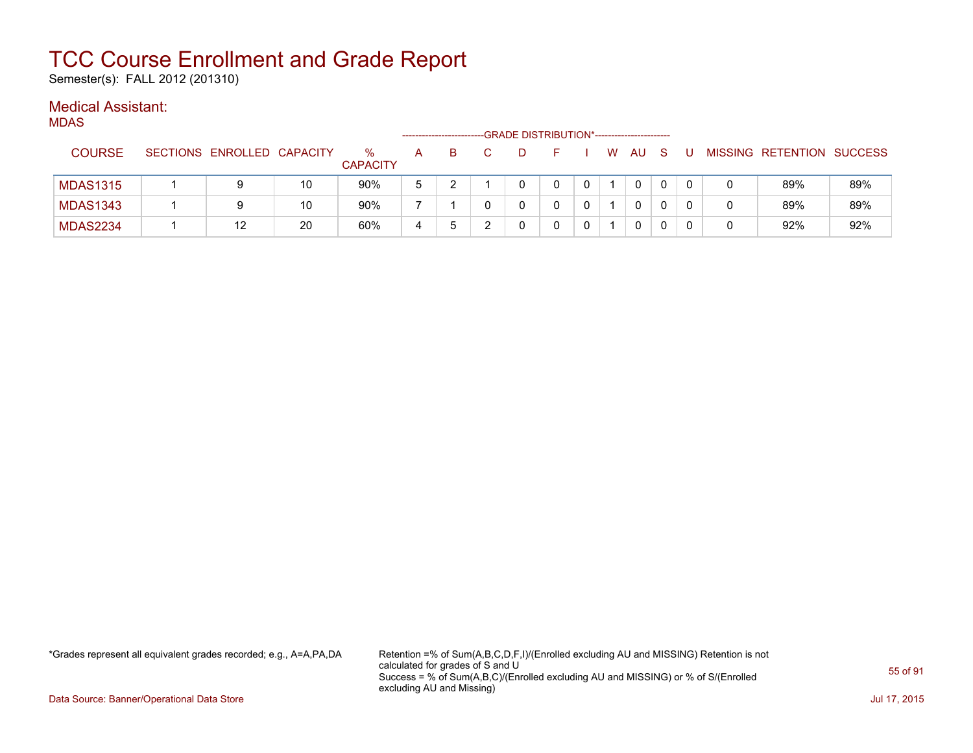Semester(s): FALL 2012 (201310)

### Medical Assistant:

|--|

|                 |                            |    |                      |   |   | --GRADE DISTRIBUTION*----------------------- |   |   |    |   |   |                           |     |
|-----------------|----------------------------|----|----------------------|---|---|----------------------------------------------|---|---|----|---|---|---------------------------|-----|
| <b>COURSE</b>   | SECTIONS ENROLLED CAPACITY |    | ℅<br><b>CAPACITY</b> | A | B |                                              |   | W | AU | S | U | MISSING RETENTION SUCCESS |     |
| <b>MDAS1315</b> | 9                          | 10 | 90%                  | 5 |   |                                              | 0 |   |    |   |   | 89%                       | 89% |
| <b>MDAS1343</b> | 9                          | 10 | 90%                  |   |   |                                              |   |   |    |   |   | 89%                       | 89% |
| <b>MDAS2234</b> | 12                         | 20 | 60%                  | 4 | b |                                              | 0 |   |    |   |   | 92%                       | 92% |

\*Grades represent all equivalent grades recorded; e.g., A=A,PA,DA Retention =% of Sum(A,B,C,D,F,I)/(Enrolled excluding AU and MISSING) Retention is not calculated for grades of S and U Success = % of Sum(A,B,C)/(Enrolled excluding AU and MISSING) or % of S/(Enrolled excluding AU and Missing)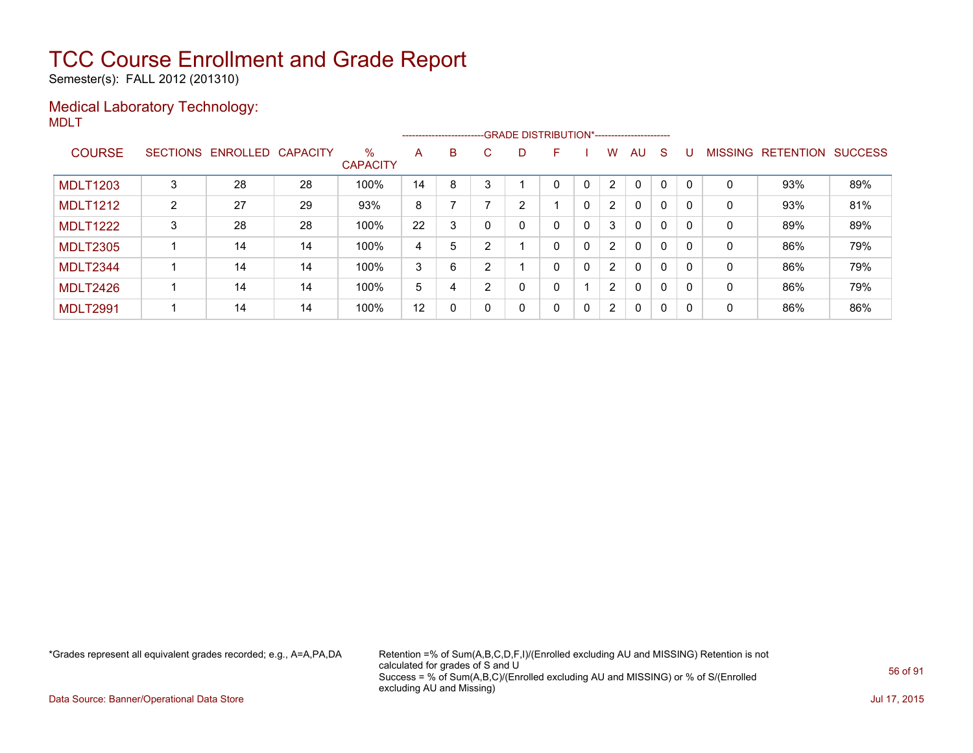Semester(s): FALL 2012 (201310)

### Medical Laboratory Technology: MDLT

|                 |   |                   |          |                      |    |              |    | ------------------------GRADE                DISTRIBUTION*---------------------- |   |              |                      |              |   |          |                |                  |                |
|-----------------|---|-------------------|----------|----------------------|----|--------------|----|----------------------------------------------------------------------------------|---|--------------|----------------------|--------------|---|----------|----------------|------------------|----------------|
| <b>COURSE</b>   |   | SECTIONS ENROLLED | CAPACITY | %<br><b>CAPACITY</b> | A  | B            | C. | D                                                                                | F |              | W                    | AU           | S |          | <b>MISSING</b> | <b>RETENTION</b> | <b>SUCCESS</b> |
| <b>MDLT1203</b> |   | 28                | 28       | 100%                 | 14 | 8            |    |                                                                                  | 0 |              | $\overline{2}$       | $\mathbf 0$  | 0 | - 0      | 0              | 93%              | 89%            |
| <b>MDLT1212</b> | 2 | 27                | 29       | 93%                  | 8  |              |    | 2                                                                                |   | 0            | $\overline{2}$       | $\mathbf{0}$ | 0 | $\Omega$ | 0              | 93%              | 81%            |
| <b>MDLT1222</b> | 3 | 28                | 28       | 100%                 | 22 | 3            |    | 0                                                                                | 0 | $\mathbf{0}$ | 3                    | $\mathbf{0}$ | 0 |          | 0              | 89%              | 89%            |
| <b>MDLT2305</b> |   | 14                | 14       | 100%                 | 4  | 5            |    |                                                                                  | 0 | $\mathbf{0}$ | $\overline{2}$       | $\mathbf{0}$ | 0 | $\Omega$ | 0              | 86%              | 79%            |
| MDLT2344        |   | 14                | 14       | 100%                 | 3  | 6            | ົ  |                                                                                  | 0 | $\mathbf{0}$ | $\overline{2}$       | $\mathbf{0}$ | 0 | - 0      | 0              | 86%              | 79%            |
| MDLT2426        |   | 14                | 14       | 100%                 | 5  | 4            |    | 0                                                                                | 0 |              | $\overline{2}$       | $\mathbf{0}$ | 0 | $\Omega$ | 0              | 86%              | 79%            |
| <b>MDLT2991</b> |   | 14                | 14       | 100%                 | 12 | $\mathbf{0}$ |    | 0                                                                                | 0 | $\mathbf{0}$ | $\mathbf{2}^{\circ}$ | $\mathbf{0}$ | 0 | 0        | 0              | 86%              | 86%            |

\*Grades represent all equivalent grades recorded; e.g., A=A,PA,DA Retention =% of Sum(A,B,C,D,F,I)/(Enrolled excluding AU and MISSING) Retention is not calculated for grades of S and U Success = % of Sum(A,B,C)/(Enrolled excluding AU and MISSING) or % of S/(Enrolled excluding AU and Missing)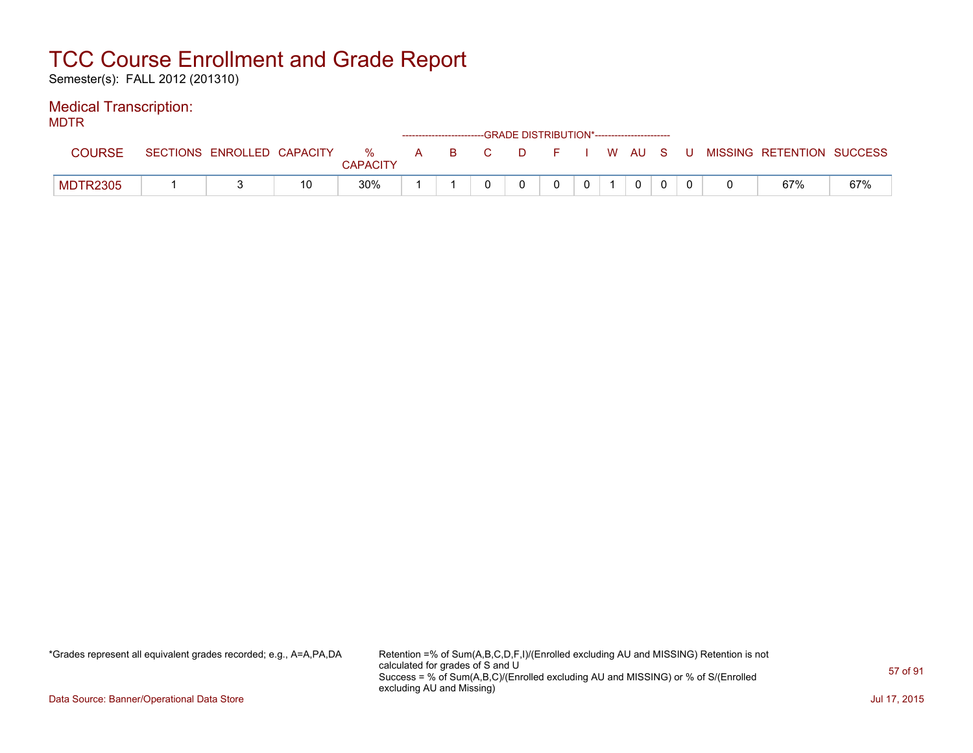Semester(s): FALL 2012 (201310)

### Medical Transcription:

MDTR

|                 |                            |    |                      |   |     | ------------------------GRADE DISTRIBUTION*----------------------- |         |  |  |       |                           |     |
|-----------------|----------------------------|----|----------------------|---|-----|--------------------------------------------------------------------|---------|--|--|-------|---------------------------|-----|
| COURSE          | SECTIONS ENROLLED CAPACITY |    | %<br><b>CAPACITY</b> | A | B C |                                                                    | DFIWAUS |  |  | - U - | MISSING RETENTION SUCCESS |     |
| <b>MDTR2305</b> |                            | 10 | 30%                  |   |     |                                                                    |         |  |  |       | 67%                       | 67% |

\*Grades represent all equivalent grades recorded; e.g., A=A,PA,DA Retention =% of Sum(A,B,C,D,F,I)/(Enrolled excluding AU and MISSING) Retention is not calculated for grades of S and U Success = % of Sum(A,B,C)/(Enrolled excluding AU and MISSING) or % of S/(Enrolled excluding AU and Missing)

Data Source: Banner/Operational Data Store Jul 17, 2015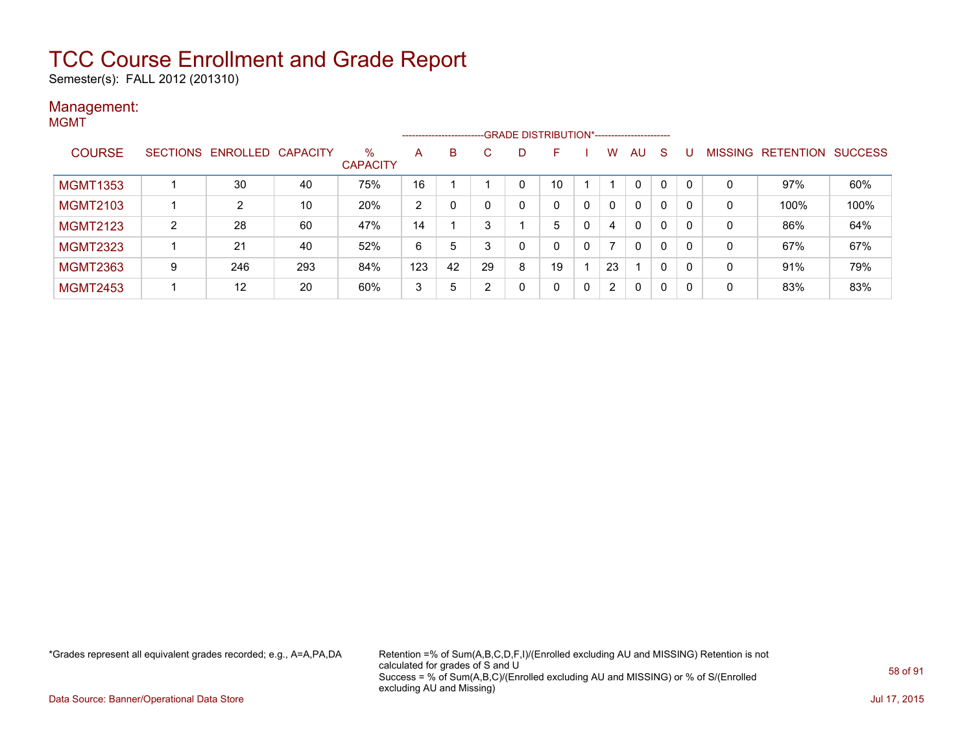Semester(s): FALL 2012 (201310)

#### Management: MGMT

|                 |   |                            |     |                         |     |    |    |   | ------------------------GRADE DISTRIBUTION*----------------------- |   |          |              |   |          |                |                          |      |
|-----------------|---|----------------------------|-----|-------------------------|-----|----|----|---|--------------------------------------------------------------------|---|----------|--------------|---|----------|----------------|--------------------------|------|
| <b>COURSE</b>   |   | SECTIONS ENROLLED CAPACITY |     | $\%$<br><b>CAPACITY</b> | A   | B  | C  | D | F                                                                  |   | W        | AU           | S |          | <b>MISSING</b> | <b>RETENTION SUCCESS</b> |      |
| <b>MGMT1353</b> |   | 30                         | 40  | 75%                     | 16  |    |    | 0 | 10                                                                 |   |          | $\mathbf{0}$ | 0 |          | 0              | 97%                      | 60%  |
| <b>MGMT2103</b> |   | 2                          | 10  | 20%                     | 2   |    |    | 0 | 0                                                                  | 0 | $\Omega$ | $\mathbf{0}$ | 0 |          | 0              | 100%                     | 100% |
| <b>MGMT2123</b> | 2 | 28                         | 60  | 47%                     | 14  |    |    |   | 5                                                                  | 0 | 4        | $\mathbf{0}$ | 0 | 0        | 0              | 86%                      | 64%  |
| <b>MGMT2323</b> |   | 21                         | 40  | 52%                     | 6   | 5  |    | 0 | 0                                                                  | 0 | 7        | $\mathbf{0}$ | 0 | $\Omega$ | 0              | 67%                      | 67%  |
| <b>MGMT2363</b> | 9 | 246                        | 293 | 84%                     | 123 | 42 | 29 | 8 | 19                                                                 |   | 23       |              | 0 |          | 0              | 91%                      | 79%  |
| <b>MGMT2453</b> |   | $12 \overline{ }$          | 20  | 60%                     | 3   | 5  | ົ  | 0 | 0                                                                  | 0 | 2        | 0            | 0 | -0       | 0              | 83%                      | 83%  |

\*Grades represent all equivalent grades recorded; e.g., A=A,PA,DA Retention =% of Sum(A,B,C,D,F,I)/(Enrolled excluding AU and MISSING) Retention is not calculated for grades of S and U Success = % of Sum(A,B,C)/(Enrolled excluding AU and MISSING) or % of S/(Enrolled excluding AU and Missing)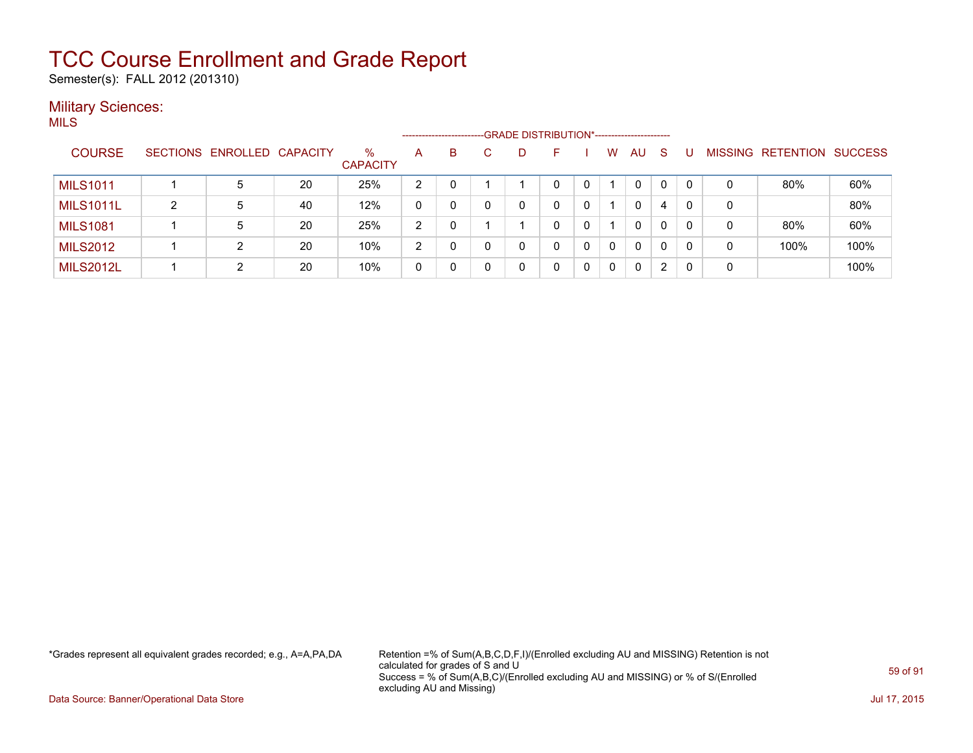Semester(s): FALL 2012 (201310)

#### **Military Sciences:** MILS

| .                |   |                            |    |                         |                | -------------------- |   |    |   |   |    |   |          |   |                   |                |
|------------------|---|----------------------------|----|-------------------------|----------------|----------------------|---|----|---|---|----|---|----------|---|-------------------|----------------|
| <b>COURSE</b>    |   | SECTIONS ENROLLED CAPACITY |    | $\%$<br><b>CAPACITY</b> | A              | B                    | D | F. |   | W | AU | S |          |   | MISSING RETENTION | <b>SUCCESS</b> |
| <b>MILS1011</b>  |   | 5                          | 20 | 25%                     | $\overline{2}$ |                      |   |    |   |   | 0  | 0 | $\Omega$ | 0 | 80%               | 60%            |
| <b>MILS1011L</b> | 2 | 5                          | 40 | 12%                     |                |                      |   |    |   |   | 0  | 4 | 0        | 0 |                   | 80%            |
| <b>MILS1081</b>  |   | 5                          | 20 | 25%                     | 2              |                      |   |    |   |   | 0  | 0 | 0        | 0 | 80%               | 60%            |
| <b>MILS2012</b>  |   | 2                          | 20 | 10%                     | 2              |                      |   |    | 0 | 0 | 0  | 0 | 0        | 0 | 100%              | 100%           |
| <b>MILS2012L</b> |   | っ                          | 20 | 10%                     |                |                      |   |    |   |   | 0  | 2 | 0        | 0 |                   | 100%           |

\*Grades represent all equivalent grades recorded; e.g., A=A,PA,DA Retention =% of Sum(A,B,C,D,F,I)/(Enrolled excluding AU and MISSING) Retention is not calculated for grades of S and U Success = % of Sum(A,B,C)/(Enrolled excluding AU and MISSING) or % of S/(Enrolled excluding AU and Missing)

Data Source: Banner/Operational Data Store Jul 17, 2015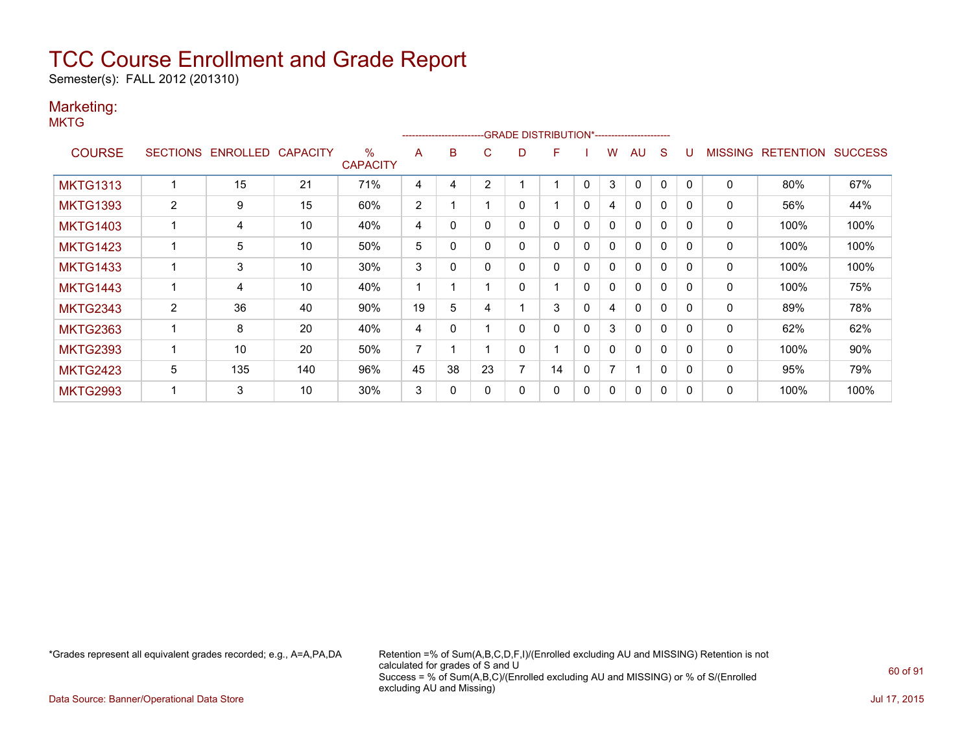Semester(s): FALL 2012 (201310)

### Marketing:

**MKTG** 

|                 |                 |                 |          |                         |    | ------------------------- |    |   | -- GRADE DISTRIBUTION*------------------------ |              |                |              |              |              |                |                  |                |
|-----------------|-----------------|-----------------|----------|-------------------------|----|---------------------------|----|---|------------------------------------------------|--------------|----------------|--------------|--------------|--------------|----------------|------------------|----------------|
| <b>COURSE</b>   | <b>SECTIONS</b> | <b>ENROLLED</b> | CAPACITY | $\%$<br><b>CAPACITY</b> | A  | B                         | С  | D | F                                              |              | w              | AU           | S            |              | <b>MISSING</b> | <b>RETENTION</b> | <b>SUCCESS</b> |
| <b>MKTG1313</b> |                 | 15              | 21       | 71%                     | 4  | 4                         | 2  |   |                                                | 0            | 3              | 0            | 0            |              | 0              | 80%              | 67%            |
| <b>MKTG1393</b> | 2               | 9               | 15       | 60%                     | 2  |                           |    | 0 |                                                | 0            | 4              | 0            | $\mathbf{0}$ | $\Omega$     | 0              | 56%              | 44%            |
| <b>MKTG1403</b> |                 | 4               | 10       | 40%                     | 4  | $\Omega$                  | 0  | 0 | 0                                              | 0            | $\mathbf{0}$   | $\mathbf{0}$ | $\mathbf 0$  | $\Omega$     | 0              | 100%             | 100%           |
| <b>MKTG1423</b> |                 | 5               | 10       | 50%                     | 5  | 0                         | 0  | 0 | 0                                              | 0            | $\Omega$       | $\mathbf{0}$ | $\mathbf{0}$ | $\Omega$     | 0              | 100%             | 100%           |
| <b>MKTG1433</b> |                 | 3               | 10       | 30%                     | 3  | 0                         | 0  | 0 | 0                                              | 0            | 0              | $\mathbf{0}$ | $\mathbf{0}$ | $\Omega$     | 0              | 100%             | 100%           |
| <b>MKTG1443</b> |                 | 4               | 10       | 40%                     |    |                           |    | 0 |                                                | 0            | 0              | 0            | 0            | $\Omega$     | 0              | 100%             | 75%            |
| <b>MKTG2343</b> | $\overline{2}$  | 36              | 40       | 90%                     | 19 | 5.                        |    |   | 3                                              | 0            | 4              | $\mathbf{0}$ | 0            | <sup>0</sup> | 0              | 89%              | 78%            |
| <b>MKTG2363</b> |                 | 8               | 20       | 40%                     | 4  | 0                         |    | 0 | 0                                              | 0            | 3              | $\mathbf{0}$ | $\Omega$     | $\Omega$     | 0              | 62%              | 62%            |
| <b>MKTG2393</b> |                 | 10              | 20       | 50%                     | 7  |                           |    | 0 |                                                | $\Omega$     | 0              | $\mathbf{0}$ | $\mathbf{0}$ | $\Omega$     | 0              | 100%             | 90%            |
| <b>MKTG2423</b> | 5               | 135             | 140      | 96%                     | 45 | 38                        | 23 | 7 | 14                                             | 0            | $\overline{7}$ | 1            | $\Omega$     | $\Omega$     | $\mathbf{0}$   | 95%              | 79%            |
| <b>MKTG2993</b> |                 | 3               | 10       | 30%                     | 3  | 0                         |    | 0 | 0                                              | $\mathbf{0}$ | 0              | $\mathbf{0}$ | 0            |              | 0              | 100%             | 100%           |

\*Grades represent all equivalent grades recorded; e.g., A=A,PA,DA Retention =% of Sum(A,B,C,D,F,I)/(Enrolled excluding AU and MISSING) Retention is not calculated for grades of S and U Success = % of Sum(A,B,C)/(Enrolled excluding AU and MISSING) or % of S/(Enrolled excluding AU and Missing)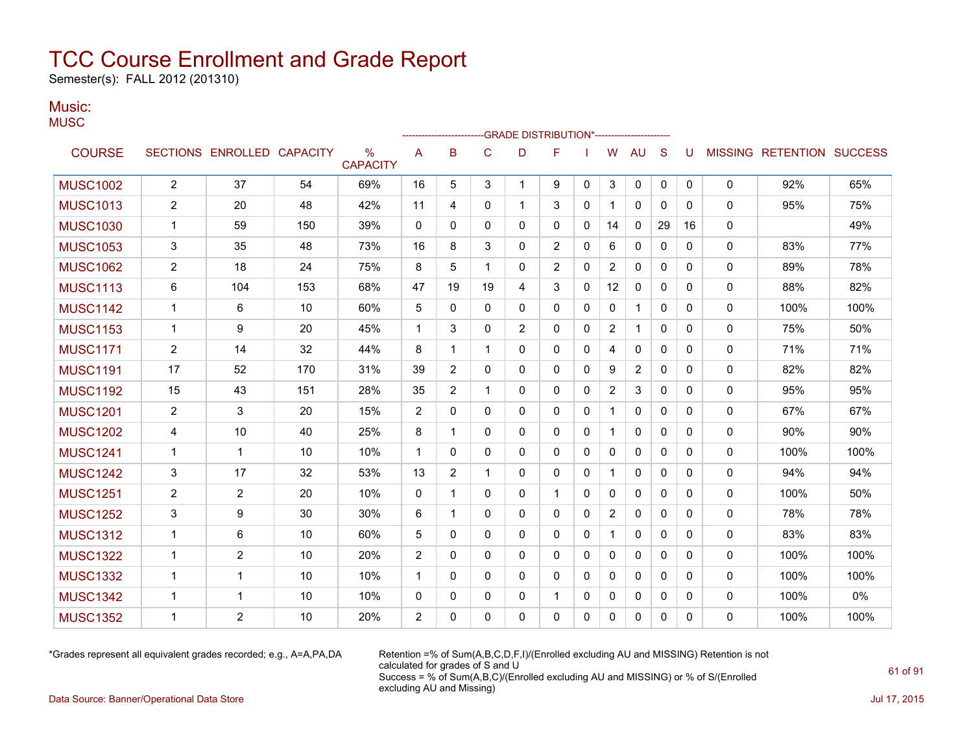Semester(s): FALL 2012 (201310)

#### Music: **MUSC**

|                 |                |                            |     |                                  |                |                |              | -GRADE DISTRIBUTION*---------------------- |                |              |                |                |              |          |              |                                  |      |
|-----------------|----------------|----------------------------|-----|----------------------------------|----------------|----------------|--------------|--------------------------------------------|----------------|--------------|----------------|----------------|--------------|----------|--------------|----------------------------------|------|
| <b>COURSE</b>   |                | SECTIONS ENROLLED CAPACITY |     | $\frac{0}{0}$<br><b>CAPACITY</b> | Α              | B              | $\mathsf C$  | D                                          | F              |              | W              | <b>AU</b>      | S            | U        |              | <b>MISSING RETENTION SUCCESS</b> |      |
| <b>MUSC1002</b> | $\overline{2}$ | 37                         | 54  | 69%                              | 16             | 5              | 3            | 1                                          | 9              | $\mathbf{0}$ | 3              | $\mathbf 0$    | 0            | 0        | 0            | 92%                              | 65%  |
| <b>MUSC1013</b> | $\overline{2}$ | 20                         | 48  | 42%                              | 11             | 4              | $\mathbf{0}$ | 1                                          | 3              | $\mathbf{0}$ |                | $\mathbf{0}$   | $\mathbf{0}$ | 0        | $\mathbf{0}$ | 95%                              | 75%  |
| <b>MUSC1030</b> | $\mathbf 1$    | 59                         | 150 | 39%                              | 0              | 0              | 0            | 0                                          | 0              | 0            | 14             | 0              | 29           | 16       | 0            |                                  | 49%  |
| <b>MUSC1053</b> | 3              | 35                         | 48  | 73%                              | 16             | 8              | 3            | 0                                          | $\overline{2}$ | $\mathbf{0}$ | 6              | 0              | $\Omega$     | 0        | 0            | 83%                              | 77%  |
| <b>MUSC1062</b> | $\overline{c}$ | 18                         | 24  | 75%                              | 8              | 5              | 1            | 0                                          | $\overline{2}$ | $\mathbf{0}$ | 2              | 0              | 0            | 0        | 0            | 89%                              | 78%  |
| <b>MUSC1113</b> | 6              | 104                        | 153 | 68%                              | 47             | 19             | 19           | 4                                          | 3              | $\mathbf{0}$ | 12             | $\mathbf{0}$   | $\mathbf{0}$ | 0        | $\mathbf{0}$ | 88%                              | 82%  |
| <b>MUSC1142</b> | $\mathbf{1}$   | 6                          | 10  | 60%                              | 5              | $\mathbf 0$    | $\mathbf 0$  | 0                                          | 0              | $\mathbf{0}$ | 0              | $\mathbf{1}$   | $\mathbf{0}$ | 0        | 0            | 100%                             | 100% |
| <b>MUSC1153</b> | $\mathbf{1}$   | 9                          | 20  | 45%                              | $\mathbf{1}$   | 3              | $\Omega$     | 2                                          | $\Omega$       | $\mathbf{0}$ | $\overline{2}$ | $\mathbf{1}$   | $\mathbf{0}$ | 0        | 0            | 75%                              | 50%  |
| <b>MUSC1171</b> | $\overline{2}$ | 14                         | 32  | 44%                              | 8              | 1              | 1            | 0                                          | $\mathbf{0}$   | $\mathbf{0}$ | 4              | $\Omega$       | $\mathbf{0}$ | $\Omega$ | 0            | 71%                              | 71%  |
| <b>MUSC1191</b> | 17             | 52                         | 170 | 31%                              | 39             | 2              | $\Omega$     | $\Omega$                                   | 0              | $\mathbf{0}$ | 9              | $\overline{c}$ | $\mathbf{0}$ | $\Omega$ | 0            | 82%                              | 82%  |
| <b>MUSC1192</b> | 15             | 43                         | 151 | 28%                              | 35             | 2              | 1            | 0                                          | 0              | 0            | 2              | 3              | $\mathbf{0}$ | 0        | 0            | 95%                              | 95%  |
| <b>MUSC1201</b> | $\overline{c}$ | 3                          | 20  | 15%                              | $\overline{2}$ | 0              | $\mathbf{0}$ | 0                                          | 0              | $\mathbf{0}$ |                | 0              | $\mathbf{0}$ | 0        | 0            | 67%                              | 67%  |
| <b>MUSC1202</b> | 4              | 10                         | 40  | 25%                              | 8              | 1              | $\mathbf{0}$ | 0                                          | 0              | $\mathbf{0}$ | 1              | 0              | $\mathbf{0}$ | 0        | 0            | 90%                              | 90%  |
| <b>MUSC1241</b> | $\mathbf 1$    | $\mathbf{1}$               | 10  | 10%                              | $\mathbf 1$    | 0              | $\mathbf{0}$ | 0                                          | 0              | 0            | 0              | $\mathbf{0}$   | $\mathbf{0}$ | 0        | $\mathbf{0}$ | 100%                             | 100% |
| <b>MUSC1242</b> | 3              | 17                         | 32  | 53%                              | 13             | $\overline{2}$ | $\mathbf{1}$ | $\Omega$                                   | $\mathbf{0}$   | $\mathbf{0}$ | 1              | $\Omega$       | $\mathbf{0}$ | 0        | 0            | 94%                              | 94%  |
| <b>MUSC1251</b> | $\overline{2}$ | $\overline{2}$             | 20  | 10%                              | 0              | 1              | 0            | 0                                          | 1              | 0            | 0              | 0              | $\mathbf{0}$ | 0        | 0            | 100%                             | 50%  |
| <b>MUSC1252</b> | 3              | 9                          | 30  | 30%                              | 6              | 1              | $\Omega$     | $\Omega$                                   | 0              | $\mathbf{0}$ | $\overline{2}$ | $\Omega$       | $\mathbf{0}$ | $\Omega$ | 0            | 78%                              | 78%  |
| <b>MUSC1312</b> | $\mathbf 1$    | 6                          | 10  | 60%                              | 5              | $\Omega$       | $\Omega$     | 0                                          | $\mathbf{0}$   | $\mathbf{0}$ |                | $\mathbf{0}$   | $\mathbf{0}$ | $\Omega$ | 0            | 83%                              | 83%  |
| <b>MUSC1322</b> | $\mathbf 1$    | 2                          | 10  | 20%                              | 2              | $\Omega$       | $\mathbf{0}$ | 0                                          | 0              | 0            | 0              | 0              | $\mathbf{0}$ | 0        | $\mathbf{0}$ | 100%                             | 100% |
| <b>MUSC1332</b> | $\mathbf 1$    | $\mathbf 1$                | 10  | 10%                              | $\mathbf 1$    | 0              | $\mathbf{0}$ | 0                                          | 0              | $\mathbf{0}$ | 0              | $\mathbf{0}$   | $\mathbf{0}$ | 0        | $\mathbf{0}$ | 100%                             | 100% |
| <b>MUSC1342</b> | $\mathbf 1$    | $\mathbf{1}$               | 10  | 10%                              | 0              | 0              | 0            | 0                                          | 1              | 0            | 0              | 0              | 0            | 0        | 0            | 100%                             | 0%   |
| <b>MUSC1352</b> | 1              | 2                          | 10  | 20%                              | $\overline{2}$ | 0              | 0            | 0                                          | 0              | $\Omega$     | 0              | 0              | $\Omega$     | 0        | $\Omega$     | 100%                             | 100% |

\*Grades represent all equivalent grades recorded; e.g., A=A,PA,DA Retention =% of Sum(A,B,C,D,F,I)/(Enrolled excluding AU and MISSING) Retention is not calculated for grades of S and U Success = % of Sum(A,B,C)/(Enrolled excluding AU and MISSING) or % of S/(Enrolled excluding AU and Missing)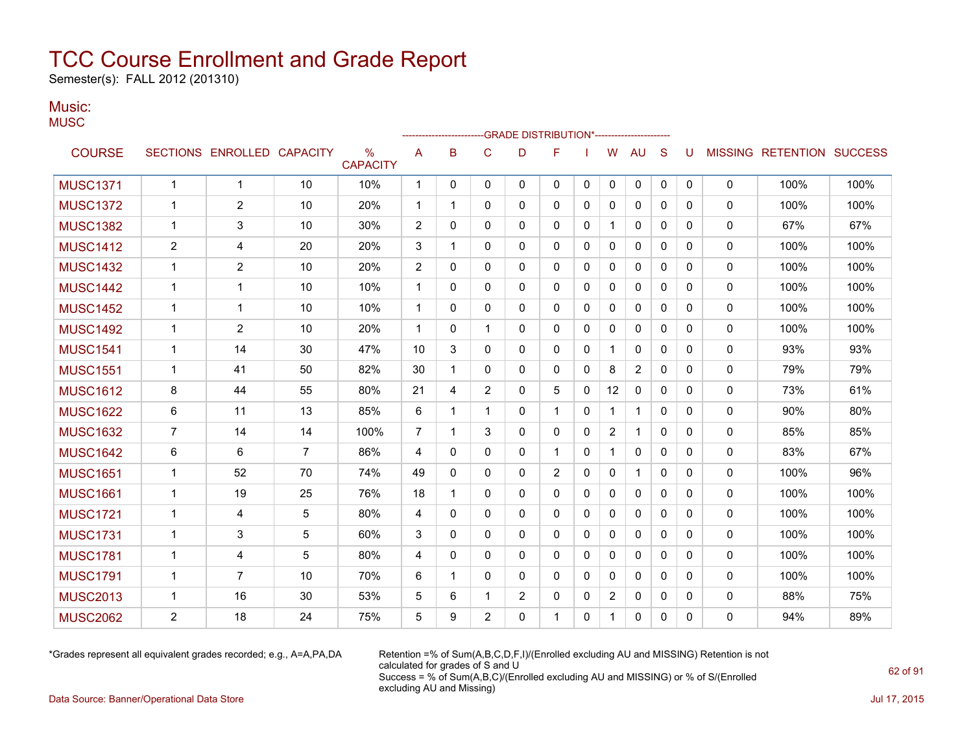Semester(s): FALL 2012 (201310)

#### Music: **MUSC**

|                 |                |                            |                |                      |              |             |                | -GRADE DISTRIBUTION*---------------------- |                |              |                |              |              |              |              |                                  |      |
|-----------------|----------------|----------------------------|----------------|----------------------|--------------|-------------|----------------|--------------------------------------------|----------------|--------------|----------------|--------------|--------------|--------------|--------------|----------------------------------|------|
| <b>COURSE</b>   |                | SECTIONS ENROLLED CAPACITY |                | %<br><b>CAPACITY</b> | A            | B           | $\mathsf{C}$   | D                                          | F              |              | W              | <b>AU</b>    | S            | U            |              | <b>MISSING RETENTION SUCCESS</b> |      |
| <b>MUSC1371</b> | $\mathbf{1}$   | $\mathbf{1}$               | 10             | 10%                  | $\mathbf{1}$ | 0           | $\mathbf{0}$   | $\mathbf{0}$                               | 0              | 0            | 0              | 0            | 0            | 0            | $\mathbf 0$  | 100%                             | 100% |
| <b>MUSC1372</b> | 1              | $\overline{2}$             | 10             | 20%                  | 1            | 1           | 0              | 0                                          | 0              | 0            | 0              | 0            | 0            | 0            | 0            | 100%                             | 100% |
| <b>MUSC1382</b> | 1              | 3                          | 10             | 30%                  | 2            | $\Omega$    | $\mathbf{0}$   | $\mathbf{0}$                               | 0              | 0            | 1              | 0            | $\Omega$     | 0            | 0            | 67%                              | 67%  |
| <b>MUSC1412</b> | 2              | 4                          | 20             | 20%                  | 3            | 1           | $\mathbf{0}$   | 0                                          | 0              | 0            | 0              | 0            | 0            | 0            | 0            | 100%                             | 100% |
| <b>MUSC1432</b> | 1              | 2                          | 10             | 20%                  | 2            | 0           | 0              | $\mathbf{0}$                               | 0              | 0            | 0              | 0            | 0            | 0            | 0            | 100%                             | 100% |
| <b>MUSC1442</b> | 1              | 1                          | 10             | 10%                  | 1            | 0           | $\mathbf{0}$   | 0                                          | 0              | 0            | 0              | 0            | 0            | $\Omega$     | $\mathbf{0}$ | 100%                             | 100% |
| <b>MUSC1452</b> | 1              | 1                          | 10             | 10%                  | 1            | 0           | 0              | 0                                          | 0              | 0            | 0              | 0            | 0            | 0            | $\mathbf{0}$ | 100%                             | 100% |
| <b>MUSC1492</b> | 1              | $\overline{2}$             | 10             | 20%                  | $\mathbf 1$  | $\Omega$    | 1              | $\mathbf{0}$                               | 0              | $\mathbf{0}$ | 0              | $\mathbf{0}$ | $\mathbf{0}$ | $\mathbf{0}$ | 0            | 100%                             | 100% |
| <b>MUSC1541</b> | 1              | 14                         | 30             | 47%                  | 10           | 3           | 0              | 0                                          | 0              | 0            | 1              | 0            | 0            | $\mathbf{0}$ | 0            | 93%                              | 93%  |
| <b>MUSC1551</b> | 1              | 41                         | 50             | 82%                  | 30           | 1           | $\mathbf{0}$   | $\mathbf{0}$                               | 0              | 0            | 8              | 2            | 0            | $\mathbf{0}$ | $\mathbf{0}$ | 79%                              | 79%  |
| <b>MUSC1612</b> | 8              | 44                         | 55             | 80%                  | 21           | 4           | $\overline{2}$ | $\mathbf{0}$                               | 5              | 0            | 12             | $\mathbf{0}$ | 0            | $\Omega$     | $\mathbf{0}$ | 73%                              | 61%  |
| <b>MUSC1622</b> | 6              | 11                         | 13             | 85%                  | 6            | -1          | 1              | $\mathbf{0}$                               | 1              | 0            | $\mathbf 1$    | $\mathbf 1$  | $\Omega$     | $\Omega$     | 0            | 90%                              | 80%  |
| <b>MUSC1632</b> | 7              | 14                         | 14             | 100%                 | 7            | $\mathbf 1$ | 3              | $\Omega$                                   | 0              | $\mathbf{0}$ | 2              | $\mathbf 1$  | $\Omega$     | 0            | $\mathbf{0}$ | 85%                              | 85%  |
| <b>MUSC1642</b> | 6              | 6                          | $\overline{7}$ | 86%                  | 4            | $\mathbf 0$ | $\mathbf{0}$   | $\mathbf{0}$                               | 1              | 0            | 1              | 0            | $\mathbf{0}$ | 0            | 0            | 83%                              | 67%  |
| <b>MUSC1651</b> | 1              | 52                         | 70             | 74%                  | 49           | $\Omega$    | $\mathbf{0}$   | $\mathbf{0}$                               | $\overline{2}$ | 0            | $\mathbf{0}$   | 1            | 0            | $\mathbf{0}$ | $\mathbf{0}$ | 100%                             | 96%  |
| <b>MUSC1661</b> | 1              | 19                         | 25             | 76%                  | 18           | -1          | $\mathbf{0}$   | 0                                          | 0              | 0            | 0              | 0            | 0            | $\Omega$     | $\mathbf{0}$ | 100%                             | 100% |
| <b>MUSC1721</b> | $\mathbf 1$    | 4                          | 5              | 80%                  | 4            | $\Omega$    | $\mathbf{0}$   | $\mathbf{0}$                               | 0              | 0            | $\mathbf{0}$   | $\mathbf{0}$ | $\Omega$     | $\Omega$     | $\mathbf{0}$ | 100%                             | 100% |
| <b>MUSC1731</b> | $\mathbf 1$    | 3                          | 5              | 60%                  | 3            | $\Omega$    | $\Omega$       | $\mathbf{0}$                               | 0              | $\mathbf{0}$ | 0              | 0            | $\mathbf{0}$ | $\Omega$     | $\mathbf{0}$ | 100%                             | 100% |
| <b>MUSC1781</b> | $\mathbf 1$    | 4                          | 5              | 80%                  | 4            | $\Omega$    | $\Omega$       | $\mathbf{0}$                               | 0              | 0            | $\mathbf{0}$   | $\mathbf{0}$ | $\Omega$     | $\Omega$     | $\mathbf{0}$ | 100%                             | 100% |
| <b>MUSC1791</b> | 1              | $\overline{7}$             | 10             | 70%                  | 6            | -1          | $\Omega$       | $\mathbf{0}$                               | 0              | 0            | $\mathbf{0}$   | $\mathbf{0}$ | $\Omega$     | $\Omega$     | $\Omega$     | 100%                             | 100% |
| <b>MUSC2013</b> | 1              | 16                         | 30             | 53%                  | 5            | 6           | 1              | $\overline{2}$                             | 0              | 0            | $\overline{2}$ | 0            | 0            | $\Omega$     | 0            | 88%                              | 75%  |
| <b>MUSC2062</b> | $\overline{2}$ | 18                         | 24             | 75%                  | 5            | 9           | $\overline{2}$ | $\Omega$                                   | 1              | $\Omega$     | 1              | $\mathbf{0}$ | $\Omega$     | $\Omega$     | $\Omega$     | 94%                              | 89%  |

\*Grades represent all equivalent grades recorded; e.g., A=A,PA,DA Retention =% of Sum(A,B,C,D,F,I)/(Enrolled excluding AU and MISSING) Retention is not calculated for grades of S and U Success = % of Sum(A,B,C)/(Enrolled excluding AU and MISSING) or % of S/(Enrolled excluding AU and Missing)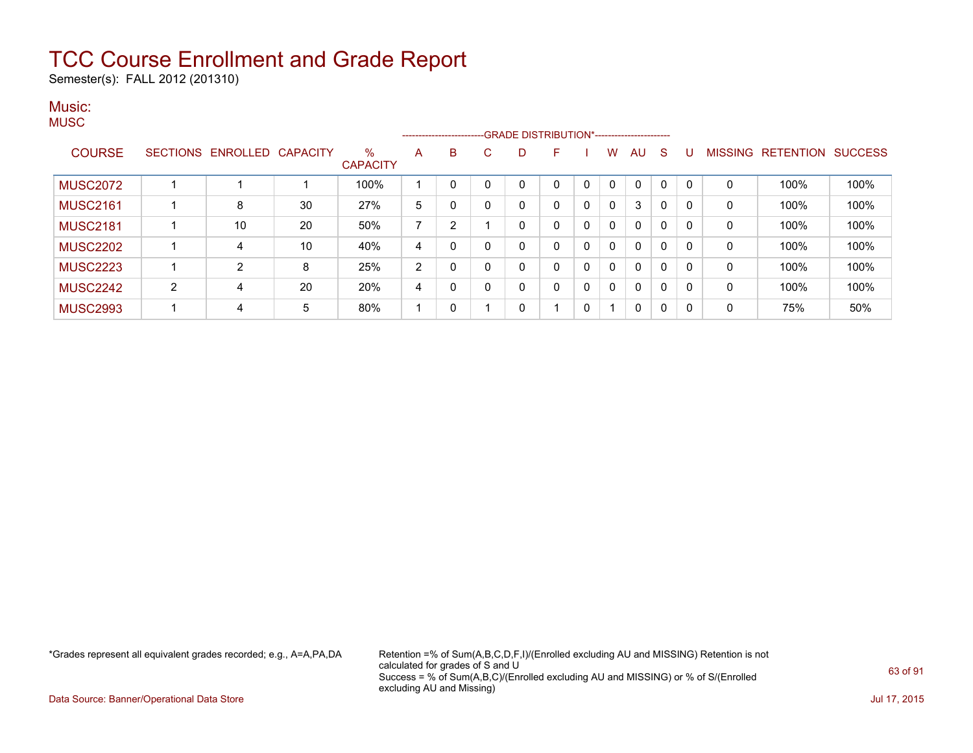Semester(s): FALL 2012 (201310)

### Music: **MUSC**

|                 |   |                            |    |                      |    |                |    |   | ------------------------GRADE DISTRIBUTION*----------------------- |              |          |    |              |   |   |                   |                |
|-----------------|---|----------------------------|----|----------------------|----|----------------|----|---|--------------------------------------------------------------------|--------------|----------|----|--------------|---|---|-------------------|----------------|
| <b>COURSE</b>   |   | SECTIONS ENROLLED CAPACITY |    | ℅<br><b>CAPACITY</b> | Α  | B              | C. |   | F.                                                                 |              | W        | AU | <sub>S</sub> | U |   | MISSING RETENTION | <b>SUCCESS</b> |
| <b>MUSC2072</b> |   |                            |    | 100%                 |    | 0              | 0  |   |                                                                    |              | $\Omega$ | 0  | 0            | 0 | 0 | 100%              | 100%           |
| <b>MUSC2161</b> |   | 8                          | 30 | 27%                  | 5  | 0              | 0  | 0 |                                                                    | $\mathbf{0}$ | 0        | 3  | 0            | 0 | 0 | 100%              | 100%           |
| <b>MUSC2181</b> |   | 10                         | 20 | 50%                  | 7  | $\overline{2}$ |    | 0 |                                                                    | 0            | $\Omega$ | 0  | 0            | 0 | 0 | 100%              | 100%           |
| <b>MUSC2202</b> |   | 4                          | 10 | 40%                  | 4  | 0              | 0  |   |                                                                    | $\mathbf{0}$ | $\Omega$ | 0  | 0            | 0 | 0 | 100%              | 100%           |
| <b>MUSC2223</b> |   | 2                          | 8  | 25%                  | 2  | 0              | 0  | 0 |                                                                    | 0            | $\Omega$ | 0  | 0            | 0 | 0 | 100%              | 100%           |
| <b>MUSC2242</b> | 2 | 4                          | 20 | 20%                  | 4  | 0              | 0  | 0 | n                                                                  | 0            | $\Omega$ | 0  | 0            | 0 | 0 | 100%              | 100%           |
| <b>MUSC2993</b> |   | 4                          | 5  | 80%                  | -1 | 0              |    | 0 |                                                                    | 0            |          | 0  | 0            | 0 | 0 | 75%               | 50%            |

\*Grades represent all equivalent grades recorded; e.g., A=A,PA,DA Retention =% of Sum(A,B,C,D,F,I)/(Enrolled excluding AU and MISSING) Retention is not calculated for grades of S and U Success = % of Sum(A,B,C)/(Enrolled excluding AU and MISSING) or % of S/(Enrolled excluding AU and Missing)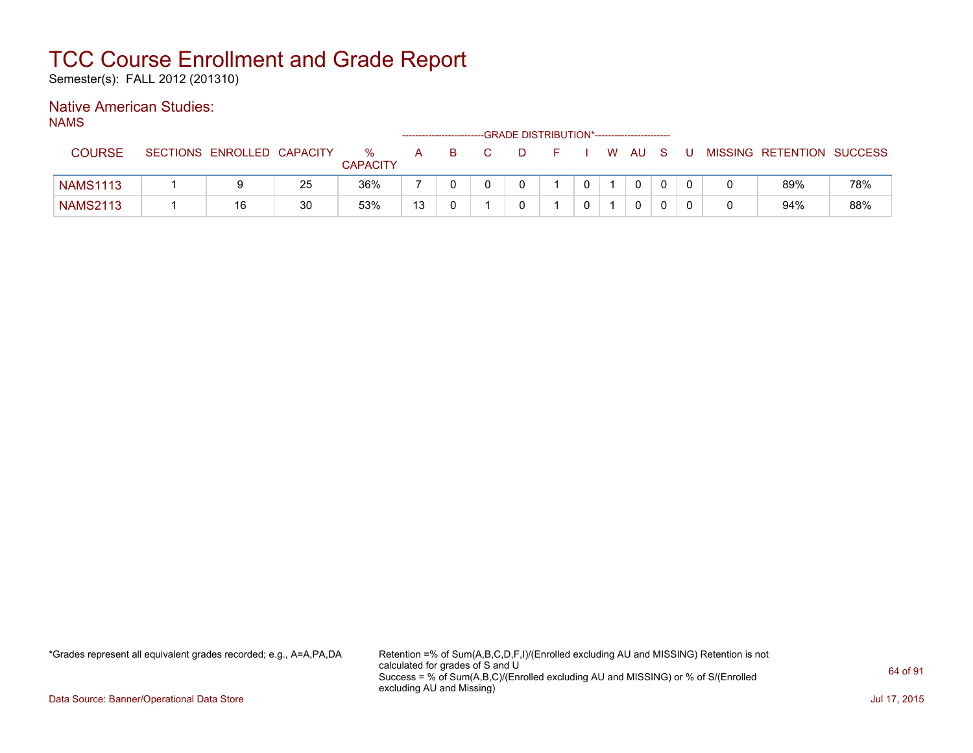Semester(s): FALL 2012 (201310)

### Native American Studies:

NAMS

|                 |                 |                   |    |                      |    |   | -GRADE DISTRIBUTION*----------------------- |  |      |  |                           |     |
|-----------------|-----------------|-------------------|----|----------------------|----|---|---------------------------------------------|--|------|--|---------------------------|-----|
| <b>COURSE</b>   | <b>SECTIONS</b> | ENROLLED CAPACITY |    | %<br><b>CAPACITY</b> | A  | B |                                             |  | W AU |  | MISSING RETENTION SUCCESS |     |
| <b>NAMS1113</b> |                 |                   | 25 | 36%                  |    |   |                                             |  |      |  | 89%                       | 78% |
| <b>NAMS2113</b> |                 | 16                | 30 | 53%                  | 13 |   |                                             |  |      |  | 94%                       | 88% |

\*Grades represent all equivalent grades recorded; e.g., A=A,PA,DA Retention =% of Sum(A,B,C,D,F,I)/(Enrolled excluding AU and MISSING) Retention is not calculated for grades of S and U Success = % of Sum(A,B,C)/(Enrolled excluding AU and MISSING) or % of S/(Enrolled excluding AU and Missing)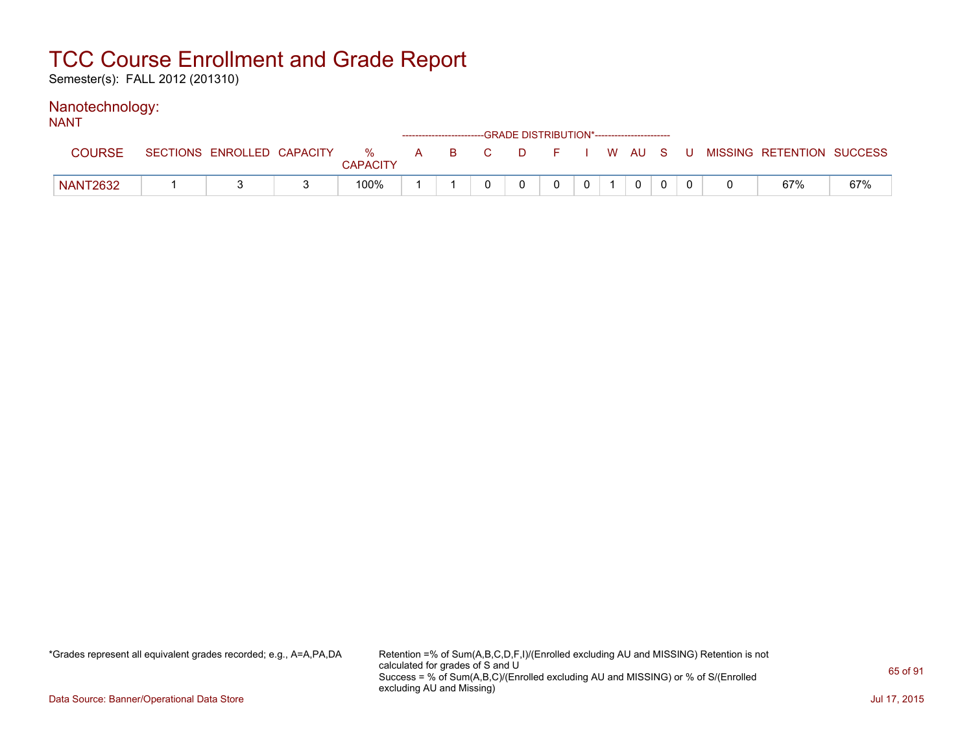Semester(s): FALL 2012 (201310)

#### Nanotechnology: NANT

| IVAIV I         |                            |                      |     |    |        | ------------------------GRADE DISTRIBUTION*----------------------- |   |          |  |                                        |     |
|-----------------|----------------------------|----------------------|-----|----|--------|--------------------------------------------------------------------|---|----------|--|----------------------------------------|-----|
| <b>COURSE</b>   | SECTIONS ENROLLED CAPACITY | %<br><b>CAPACITY</b> | A B | C. | $\Box$ |                                                                    |   |          |  | F I W AU S U MISSING RETENTION SUCCESS |     |
| <b>NANT2632</b> |                            | 100%                 |     |    |        | 0                                                                  | 0 | $\Omega$ |  | 67%                                    | 67% |

\*Grades represent all equivalent grades recorded; e.g., A=A,PA,DA Retention =% of Sum(A,B,C,D,F,I)/(Enrolled excluding AU and MISSING) Retention is not calculated for grades of S and U Success = % of Sum(A,B,C)/(Enrolled excluding AU and MISSING) or % of S/(Enrolled excluding AU and Missing)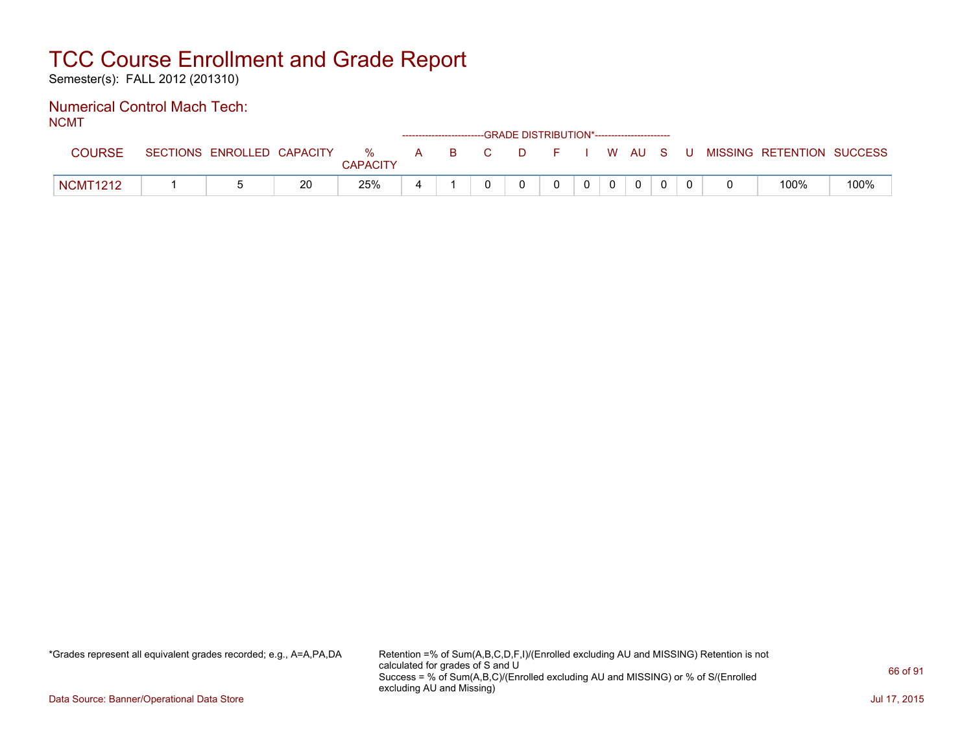Semester(s): FALL 2012 (201310)

#### Numerical Control Mach Tech: NCMT

| .               |                            |    |                      |   | ------------------------GRADE DISTRIBUTION*----------------------- |  |                |          |              |  |                                          |      |
|-----------------|----------------------------|----|----------------------|---|--------------------------------------------------------------------|--|----------------|----------|--------------|--|------------------------------------------|------|
| <b>COURSE</b>   | SECTIONS ENROLLED CAPACITY |    | %<br><b>CAPACITY</b> |   | A B C                                                              |  |                |          |              |  | D F I W AU S U MISSING RETENTION SUCCESS |      |
| <b>NCMT1212</b> |                            | 20 | 25%                  | ᅭ |                                                                    |  | 0 <sup>1</sup> | $\Omega$ | $\mathbf{0}$ |  | 100%                                     | 100% |

\*Grades represent all equivalent grades recorded; e.g., A=A,PA,DA Retention =% of Sum(A,B,C,D,F,I)/(Enrolled excluding AU and MISSING) Retention is not calculated for grades of S and U Success = % of Sum(A,B,C)/(Enrolled excluding AU and MISSING) or % of S/(Enrolled excluding AU and Missing)

Data Source: Banner/Operational Data Store Jul 17, 2015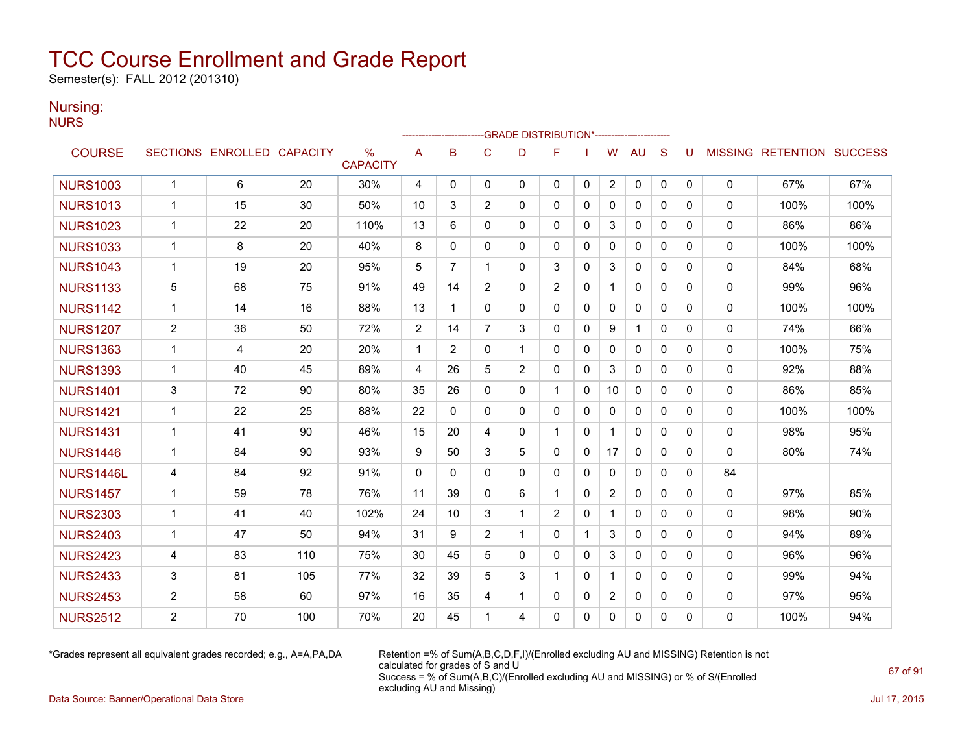Semester(s): FALL 2012 (201310)

### Nursing:

NURS

|                  |                |                            |     |                                  |             |                |                | -GRADE DISTRIBUTION*---------------------- |                |              |                |              |              |   |              |                                  |      |
|------------------|----------------|----------------------------|-----|----------------------------------|-------------|----------------|----------------|--------------------------------------------|----------------|--------------|----------------|--------------|--------------|---|--------------|----------------------------------|------|
| <b>COURSE</b>    |                | SECTIONS ENROLLED CAPACITY |     | $\frac{0}{0}$<br><b>CAPACITY</b> | A           | B              | C              | D                                          | F              |              | W              | <b>AU</b>    | S            | U |              | <b>MISSING RETENTION SUCCESS</b> |      |
| <b>NURS1003</b>  | $\mathbf{1}$   | 6                          | 20  | 30%                              | 4           | $\mathbf{0}$   | 0              | 0                                          | 0              | 0            | $\overline{2}$ | 0            | 0            | 0 | 0            | 67%                              | 67%  |
| <b>NURS1013</b>  | $\mathbf{1}$   | 15                         | 30  | 50%                              | 10          | 3              | $\overline{2}$ | $\Omega$                                   | $\Omega$       | $\Omega$     | $\mathbf{0}$   | $\mathbf{0}$ | $\Omega$     | 0 | $\mathbf{0}$ | 100%                             | 100% |
| <b>NURS1023</b>  | $\mathbf{1}$   | 22                         | 20  | 110%                             | 13          | 6              | $\Omega$       | 0                                          | $\mathbf{0}$   | 0            | 3              | 0            | $\mathbf{0}$ | 0 | 0            | 86%                              | 86%  |
| <b>NURS1033</b>  | 1              | 8                          | 20  | 40%                              | 8           | 0              | $\mathbf{0}$   | 0                                          | $\mathbf{0}$   | 0            | 0              | 0            | $\mathbf{0}$ | 0 | 0            | 100%                             | 100% |
| <b>NURS1043</b>  | 1              | 19                         | 20  | 95%                              | 5           | $\overline{7}$ | 1              | 0                                          | 3              | 0            | 3              | 0            | 0            | 0 | 0            | 84%                              | 68%  |
| <b>NURS1133</b>  | 5              | 68                         | 75  | 91%                              | 49          | 14             | $\overline{2}$ | 0                                          | 2              | 0            | $\mathbf{1}$   | $\mathbf{0}$ | $\Omega$     | 0 | 0            | 99%                              | 96%  |
| <b>NURS1142</b>  | $\mathbf{1}$   | 14                         | 16  | 88%                              | 13          | $\mathbf 1$    | $\mathbf 0$    | 0                                          | 0              | 0            | 0              | 0            | $\mathbf{0}$ | 0 | 0            | 100%                             | 100% |
| <b>NURS1207</b>  | $\overline{2}$ | 36                         | 50  | 72%                              | 2           | 14             | $\overline{7}$ | 3                                          | $\mathbf{0}$   | 0            | 9              | $\mathbf{1}$ | $\Omega$     | 0 | 0            | 74%                              | 66%  |
| <b>NURS1363</b>  | $\mathbf{1}$   | 4                          | 20  | 20%                              | $\mathbf 1$ | 2              | $\mathbf{0}$   | $\mathbf 1$                                | $\Omega$       | $\mathbf{0}$ | $\Omega$       | $\mathbf{0}$ | $\Omega$     | 0 | 0            | 100%                             | 75%  |
| <b>NURS1393</b>  | $\mathbf{1}$   | 40                         | 45  | 89%                              | 4           | 26             | 5              | $\overline{2}$                             | $\mathbf{0}$   | $\Omega$     | 3              | $\mathbf{0}$ | $\Omega$     | 0 | 0            | 92%                              | 88%  |
| <b>NURS1401</b>  | 3              | 72                         | 90  | 80%                              | 35          | 26             | $\mathbf{0}$   | 0                                          |                | $\Omega$     | 10             | $\mathbf{0}$ | $\mathbf{0}$ | 0 | 0            | 86%                              | 85%  |
| <b>NURS1421</b>  | $\mathbf{1}$   | 22                         | 25  | 88%                              | 22          | 0              | 0              | 0                                          | $\mathbf{0}$   | $\mathbf{0}$ | $\mathbf{0}$   | $\mathbf{0}$ | $\mathbf{0}$ | 0 | $\mathbf{0}$ | 100%                             | 100% |
| <b>NURS1431</b>  | $\mathbf{1}$   | 41                         | 90  | 46%                              | 15          | 20             | 4              | 0                                          | 1              | 0            |                | $\mathbf{0}$ | $\Omega$     | 0 | 0            | 98%                              | 95%  |
| <b>NURS1446</b>  | $\mathbf{1}$   | 84                         | 90  | 93%                              | 9           | 50             | 3              | 5                                          | $\mathbf{0}$   | 0            | 17             | $\mathbf{0}$ | $\mathbf{0}$ | 0 | 0            | 80%                              | 74%  |
| <b>NURS1446L</b> | 4              | 84                         | 92  | 91%                              | $\Omega$    | $\Omega$       | $\mathbf{0}$   | 0                                          | $\mathbf{0}$   | $\mathbf{0}$ | $\mathbf{0}$   | 0            | $\Omega$     | 0 | 84           |                                  |      |
| <b>NURS1457</b>  | $\mathbf{1}$   | 59                         | 78  | 76%                              | 11          | 39             | $\mathbf 0$    | 6                                          | 1              | $\Omega$     | $\overline{2}$ | $\mathbf{0}$ | $\Omega$     | 0 | $\mathbf{0}$ | 97%                              | 85%  |
| <b>NURS2303</b>  | $\mathbf{1}$   | 41                         | 40  | 102%                             | 24          | 10             | 3              | $\mathbf 1$                                | $\overline{2}$ | $\Omega$     | $\mathbf 1$    | $\mathbf{0}$ | $\Omega$     | 0 | 0            | 98%                              | 90%  |
| <b>NURS2403</b>  | $\mathbf 1$    | 47                         | 50  | 94%                              | 31          | 9              | $\overline{c}$ | 1                                          | $\mathbf{0}$   | -1           | 3              | $\mathbf{0}$ | $\Omega$     | 0 | 0            | 94%                              | 89%  |
| <b>NURS2423</b>  | 4              | 83                         | 110 | 75%                              | 30          | 45             | 5              | 0                                          | $\mathbf{0}$   | 0            | 3              | $\mathbf{0}$ | $\mathbf{0}$ | 0 | 0            | 96%                              | 96%  |
| <b>NURS2433</b>  | 3              | 81                         | 105 | 77%                              | 32          | 39             | 5              | 3                                          |                | $\mathbf{0}$ |                | $\mathbf{0}$ | $\Omega$     | 0 | 0            | 99%                              | 94%  |
| <b>NURS2453</b>  | $\overline{c}$ | 58                         | 60  | 97%                              | 16          | 35             | 4              | 1                                          | 0              | 0            | $\overline{2}$ | 0            | $\mathbf{0}$ | 0 | 0            | 97%                              | 95%  |
| <b>NURS2512</b>  | $\overline{2}$ | 70                         | 100 | 70%                              | 20          | 45             | 1              | 4                                          | $\mathbf{0}$   | 0            | 0              | $\mathbf{0}$ | 0            | 0 | 0            | 100%                             | 94%  |

\*Grades represent all equivalent grades recorded; e.g., A=A,PA,DA Retention =% of Sum(A,B,C,D,F,I)/(Enrolled excluding AU and MISSING) Retention is not calculated for grades of S and U Success = % of Sum(A,B,C)/(Enrolled excluding AU and MISSING) or % of S/(Enrolled excluding AU and Missing)

Data Source: Banner/Operational Data Store Jul 17, 2015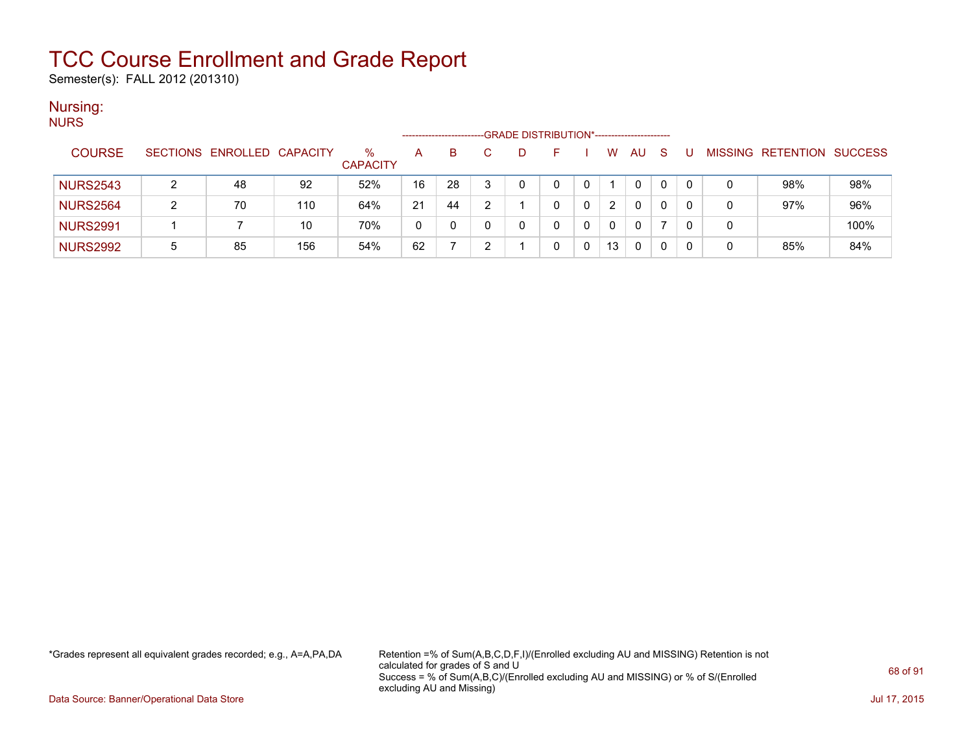Semester(s): FALL 2012 (201310)

### Nursing:

| <b>NURS</b>     |   |                            |     |                 |                     |    |                                             |  |              |    |    |   |   |                   |                |
|-----------------|---|----------------------------|-----|-----------------|---------------------|----|---------------------------------------------|--|--------------|----|----|---|---|-------------------|----------------|
|                 |   |                            |     |                 | ------------------- |    | -GRADE DISTRIBUTION*----------------------- |  |              |    |    |   |   |                   |                |
| <b>COURSE</b>   |   | SECTIONS ENROLLED CAPACITY |     | $\%$            | A                   | B. |                                             |  | W            | AU | -S | U |   | MISSING RETENTION | <b>SUCCESS</b> |
|                 |   |                            |     | <b>CAPACITY</b> |                     |    |                                             |  |              |    |    |   |   |                   |                |
| <b>NURS2543</b> |   | 48                         | 92  | 52%             | 16                  | 28 |                                             |  |              | 0  | 0  |   |   | 98%               | 98%            |
| <b>NURS2564</b> | ົ | 70                         | 110 | 64%             | 21                  | 44 |                                             |  | 2            | 0  | 0  |   |   | 97%               | 96%            |
| <b>NURS2991</b> |   |                            | 10  | 70%             | 0                   |    |                                             |  | $\mathbf{0}$ | 0  |    |   | 0 |                   | 100%           |
| <b>NURS2992</b> | 5 | 85                         | 156 | 54%             | 62                  |    |                                             |  | 13           | 0  | 0  |   |   | 85%               | 84%            |

\*Grades represent all equivalent grades recorded; e.g., A=A,PA,DA Retention =% of Sum(A,B,C,D,F,I)/(Enrolled excluding AU and MISSING) Retention is not calculated for grades of S and U Success = % of Sum(A,B,C)/(Enrolled excluding AU and MISSING) or % of S/(Enrolled excluding AU and Missing)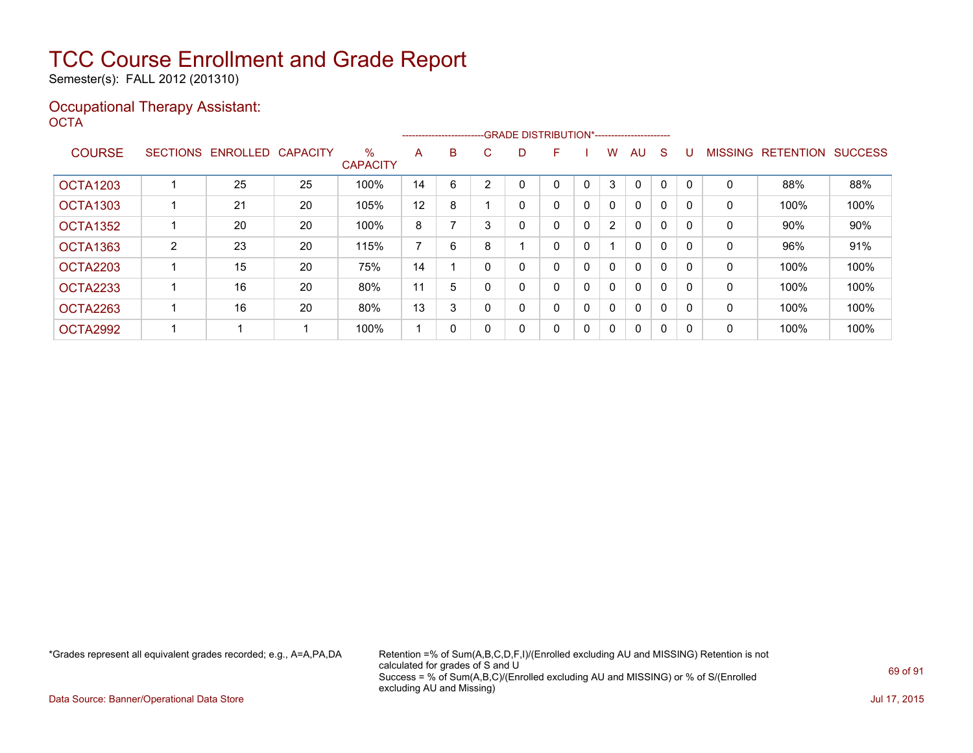Semester(s): FALL 2012 (201310)

### Occupational Therapy Assistant: OCTA<sup>'</sup>

|                 |   |                   |                 |                         |                |              | -------------------------GRADE DISTRIBUTION*----------------------- |    |   |              |                |              |              |          |                |                  |                |
|-----------------|---|-------------------|-----------------|-------------------------|----------------|--------------|---------------------------------------------------------------------|----|---|--------------|----------------|--------------|--------------|----------|----------------|------------------|----------------|
| <b>COURSE</b>   |   | SECTIONS ENROLLED | <b>CAPACITY</b> | $\%$<br><b>CAPACITY</b> | A              | B            | C.                                                                  | D. | F |              | W              | AU.          | <sub>S</sub> |          | <b>MISSING</b> | <b>RETENTION</b> | <b>SUCCESS</b> |
| <b>OCTA1203</b> |   | 25                | 25              | 100%                    | 14             | 6            |                                                                     |    | 0 |              | 3              | $\Omega$     | 0            |          | 0              | 88%              | 88%            |
| <b>OCTA1303</b> |   | 21                | 20              | 105%                    | 12             | 8            |                                                                     | 0  | 0 | 0            | 0              | $\mathbf{0}$ | 0            |          | 0              | 100%             | 100%           |
| <b>OCTA1352</b> |   | 20                | 20              | 100%                    | 8              |              |                                                                     | 0  | 0 | 0            | $\overline{2}$ | $\mathbf{0}$ | $\Omega$     |          | 0              | $90\%$           | 90%            |
| <b>OCTA1363</b> | 2 | 23                | 20              | 115%                    | $\overline{ }$ | 6            | 8                                                                   |    | 0 | 0            |                | $\mathbf{0}$ | 0            |          | 0              | 96%              | 91%            |
| OCTA2203        |   | 15                | 20              | 75%                     | 14             |              |                                                                     |    | 0 | 0            | 0              | $\mathbf{0}$ | $\Omega$     | $\Omega$ | 0              | 100%             | 100%           |
| <b>OCTA2233</b> |   | 16                | 20              | 80%                     | 11             | 5            |                                                                     | 0  | 0 | 0            | 0              | $\mathbf{0}$ | 0            | $\Omega$ | 0              | 100%             | 100%           |
| OCTA2263        |   | 16                | 20              | 80%                     | 13             | 3            |                                                                     | 0  | 0 | $\mathbf{0}$ | $\mathbf{0}$   | $\mathbf{0}$ | 0            |          | 0              | 100%             | 100%           |
| OCTA2992        |   |                   |                 | 100%                    |                | $\mathbf{0}$ |                                                                     | 0  | 0 | 0            | $\Omega$       | $\mathbf{0}$ | 0            | $\Omega$ | 0              | 100%             | 100%           |

\*Grades represent all equivalent grades recorded; e.g., A=A,PA,DA Retention =% of Sum(A,B,C,D,F,I)/(Enrolled excluding AU and MISSING) Retention is not calculated for grades of S and U Success = % of Sum(A,B,C)/(Enrolled excluding AU and MISSING) or % of S/(Enrolled excluding AU and Missing)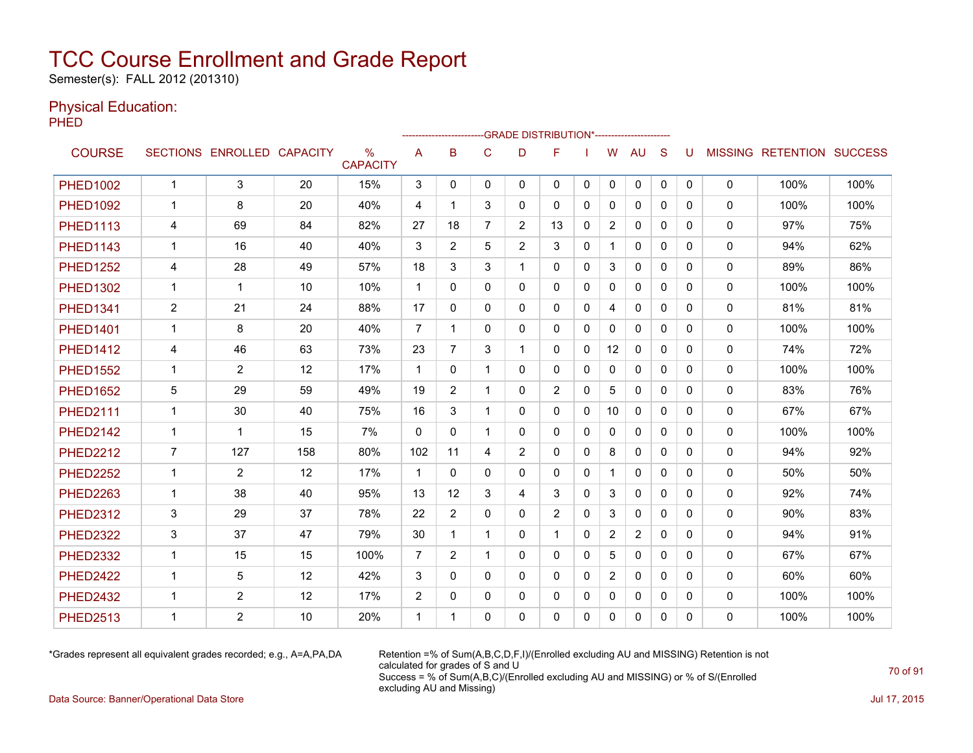Semester(s): FALL 2012 (201310)

### Physical Education:

PHED

|                 |                | -- GRADE DISTRIBUTION*-----------------------<br> |     |                                  |                |                |                |                |                |              |                |                |              |          |              |                                  |      |
|-----------------|----------------|---------------------------------------------------|-----|----------------------------------|----------------|----------------|----------------|----------------|----------------|--------------|----------------|----------------|--------------|----------|--------------|----------------------------------|------|
| <b>COURSE</b>   |                | SECTIONS ENROLLED CAPACITY                        |     | $\frac{0}{0}$<br><b>CAPACITY</b> | Α              | B              | C              | D              | F              |              | W              | <b>AU</b>      | S            | U        |              | <b>MISSING RETENTION SUCCESS</b> |      |
| <b>PHED1002</b> | $\mathbf{1}$   | 3                                                 | 20  | 15%                              | 3              | $\mathbf{0}$   | 0              | 0              | 0              | $\mathbf{0}$ | 0              | 0              | 0            | 0        | 0            | 100%                             | 100% |
| <b>PHED1092</b> | $\mathbf{1}$   | 8                                                 | 20  | 40%                              | 4              | 1              | 3              | $\Omega$       | $\Omega$       | $\Omega$     | $\mathbf{0}$   | $\Omega$       | $\Omega$     | 0        | $\mathbf{0}$ | 100%                             | 100% |
| <b>PHED1113</b> | 4              | 69                                                | 84  | 82%                              | 27             | 18             | $\overline{7}$ | $\overline{2}$ | 13             | 0            | $\overline{2}$ | $\mathbf{0}$   | $\mathbf{0}$ | 0        | 0            | 97%                              | 75%  |
| <b>PHED1143</b> | 1              | 16                                                | 40  | 40%                              | 3              | 2              | 5              | $\overline{2}$ | 3              | 0            |                | 0              | $\mathbf{0}$ | 0        | 0            | 94%                              | 62%  |
| <b>PHED1252</b> | 4              | 28                                                | 49  | 57%                              | 18             | 3              | 3              | 1              | 0              | 0            | 3              | 0              | 0            | 0        | 0            | 89%                              | 86%  |
| <b>PHED1302</b> | $\mathbf{1}$   | $\mathbf 1$                                       | 10  | 10%                              | $\mathbf{1}$   | $\Omega$       | $\mathbf{0}$   | $\Omega$       | $\mathbf{0}$   | 0            | $\mathbf{0}$   | $\mathbf{0}$   | $\Omega$     | 0        | $\mathbf{0}$ | 100%                             | 100% |
| <b>PHED1341</b> | $\overline{2}$ | 21                                                | 24  | 88%                              | 17             | 0              | 0              | 0              | $\mathbf{0}$   | 0            | 4              | $\mathbf{0}$   | $\mathbf{0}$ | 0        | 0            | 81%                              | 81%  |
| <b>PHED1401</b> | $\mathbf 1$    | 8                                                 | 20  | 40%                              | $\overline{7}$ | 1              | $\mathbf{0}$   | 0              | $\mathbf{0}$   | $\mathbf{0}$ | $\mathbf{0}$   | $\mathbf{0}$   | $\Omega$     | 0        | 0            | 100%                             | 100% |
| <b>PHED1412</b> | 4              | 46                                                | 63  | 73%                              | 23             | $\overline{7}$ | 3              | 1              | $\mathbf{0}$   | $\Omega$     | 12             | $\Omega$       | $\Omega$     | 0        | $\Omega$     | 74%                              | 72%  |
| <b>PHED1552</b> | $\mathbf{1}$   | $\overline{2}$                                    | 12  | 17%                              | $\mathbf 1$    | $\Omega$       | 1              | $\Omega$       | $\mathbf{0}$   | $\Omega$     | 0              | $\mathbf{0}$   | $\Omega$     | $\Omega$ | 0            | 100%                             | 100% |
| <b>PHED1652</b> | 5              | 29                                                | 59  | 49%                              | 19             | $\overline{2}$ | 1              | $\Omega$       | $\overline{2}$ | 0            | 5              | 0              | $\mathbf{0}$ | 0        | 0            | 83%                              | 76%  |
| <b>PHED2111</b> | $\mathbf{1}$   | 30                                                | 40  | 75%                              | 16             | 3              | 1              | 0              | $\mathbf{0}$   | 0            | 10             | $\mathbf{0}$   | $\mathbf{0}$ | 0        | $\mathbf{0}$ | 67%                              | 67%  |
| <b>PHED2142</b> | 1              | 1                                                 | 15  | 7%                               | $\Omega$       | $\Omega$       | 1              | 0              | $\mathbf{0}$   | $\mathbf{0}$ | $\mathbf{0}$   | $\mathbf{0}$   | $\Omega$     | 0        | 0            | 100%                             | 100% |
| <b>PHED2212</b> | $\overline{7}$ | 127                                               | 158 | 80%                              | 102            | 11             | 4              | $\overline{2}$ | $\mathbf{0}$   | 0            | 8              | 0              | $\mathbf{0}$ | 0        | 0            | 94%                              | 92%  |
| <b>PHED2252</b> | $\mathbf{1}$   | $\overline{2}$                                    | 12  | 17%                              | $\mathbf{1}$   | $\Omega$       | $\mathbf{0}$   | 0              | $\mathbf{0}$   | 0            |                | $\mathbf{0}$   | $\Omega$     | 0        | 0            | 50%                              | 50%  |
| <b>PHED2263</b> | $\mathbf{1}$   | 38                                                | 40  | 95%                              | 13             | 12             | 3              | 4              | 3              | $\Omega$     | 3              | $\mathbf{0}$   | $\Omega$     | $\Omega$ | $\mathbf{0}$ | 92%                              | 74%  |
| <b>PHED2312</b> | 3              | 29                                                | 37  | 78%                              | 22             | 2              | $\mathbf{0}$   | 0              | 2              | 0            | 3              | $\mathbf{0}$   | $\Omega$     | 0        | $\mathbf{0}$ | 90%                              | 83%  |
| <b>PHED2322</b> | 3              | 37                                                | 47  | 79%                              | 30             | 1              | $\mathbf 1$    | 0              | -1             | 0            | $\overline{2}$ | $\overline{2}$ | $\mathbf{0}$ | 0        | 0            | 94%                              | 91%  |
| <b>PHED2332</b> | $\mathbf{1}$   | 15                                                | 15  | 100%                             | 7              | $\overline{2}$ | 1              | 0              | $\mathbf{0}$   | 0            | 5              | $\mathbf{0}$   | $\mathbf{0}$ | 0        | 0            | 67%                              | 67%  |
| <b>PHED2422</b> | 1              | 5                                                 | 12  | 42%                              | 3              | 0              | $\mathbf{0}$   | $\Omega$       | $\Omega$       | 0            | $\overline{2}$ | $\mathbf{0}$   | $\Omega$     | 0        | 0            | 60%                              | 60%  |
| <b>PHED2432</b> | $\mathbf 1$    | 2                                                 | 12  | 17%                              | 2              | 0              | 0              | 0              | 0              | 0            | 0              | 0              | $\mathbf{0}$ | 0        | 0            | 100%                             | 100% |
| <b>PHED2513</b> | $\mathbf 1$    | $\overline{2}$                                    | 10  | 20%                              | 1              | 1              | 0              | 0              | $\Omega$       | 0            | 0              | $\mathbf{0}$   | 0            | 0        | 0            | 100%                             | 100% |

\*Grades represent all equivalent grades recorded; e.g., A=A,PA,DA Retention =% of Sum(A,B,C,D,F,I)/(Enrolled excluding AU and MISSING) Retention is not calculated for grades of S and U Success = % of Sum(A,B,C)/(Enrolled excluding AU and MISSING) or % of S/(Enrolled excluding AU and Missing)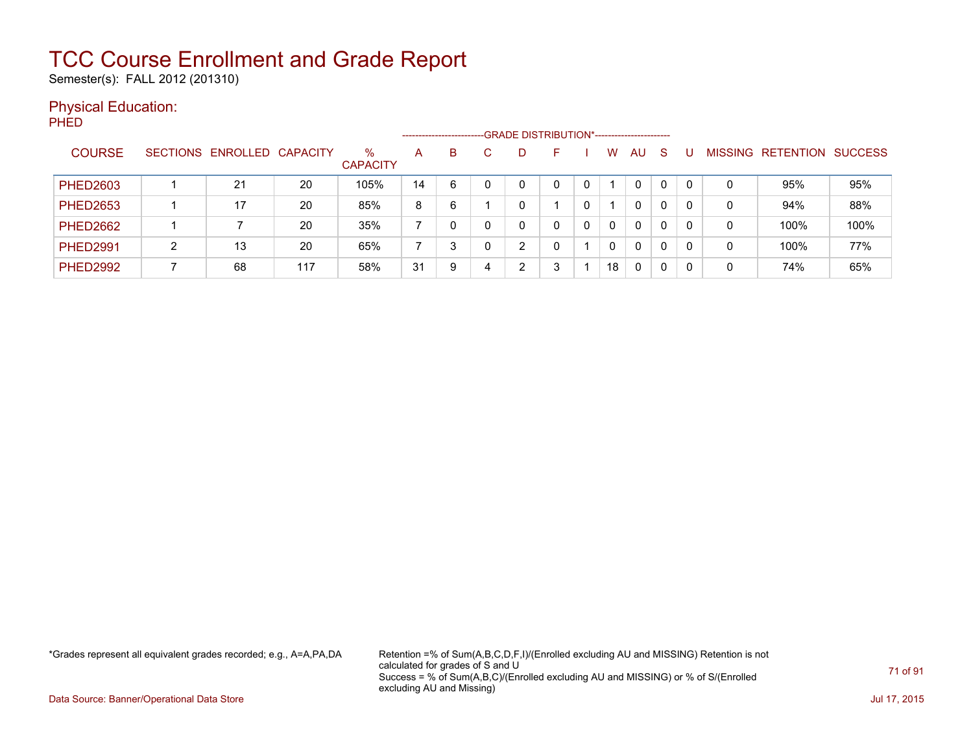Semester(s): FALL 2012 (201310)

### Physical Education:

PHED

|                 | -GRADE DISTRIBUTION*-----------------------<br>------------------------- |                            |     |                         |    |   |   |   |   |  |    |          |    |  |                |           |                |
|-----------------|--------------------------------------------------------------------------|----------------------------|-----|-------------------------|----|---|---|---|---|--|----|----------|----|--|----------------|-----------|----------------|
| <b>COURSE</b>   |                                                                          | SECTIONS ENROLLED CAPACITY |     | $\%$<br><b>CAPACITY</b> | A  | B |   | D | ⊢ |  | W  | AU       | -S |  | <b>MISSING</b> | RETENTION | <b>SUCCESS</b> |
| <b>PHED2603</b> |                                                                          | 21                         | 20  | 105%                    | 14 | 6 |   |   |   |  |    | 0        | 0  |  |                | 95%       | 95%            |
| <b>PHED2653</b> |                                                                          | 17                         | 20  | 85%                     | 8  | 6 |   |   |   |  |    | 0        | 0  |  | 0              | 94%       | 88%            |
| <b>PHED2662</b> |                                                                          |                            | 20  | 35%                     |    |   |   |   |   |  | 0  | $\Omega$ | 0  |  |                | 100%      | 100%           |
| <b>PHED2991</b> |                                                                          | 13                         | 20  | 65%                     |    | 3 |   | ◠ |   |  | 0  | 0        | 0  |  | 0              | 100%      | 77%            |
| <b>PHED2992</b> |                                                                          | 68                         | 117 | 58%                     | 31 | 9 | 4 | ⌒ |   |  | 18 | 0        |    |  |                | 74%       | 65%            |

\*Grades represent all equivalent grades recorded; e.g., A=A,PA,DA Retention =% of Sum(A,B,C,D,F,I)/(Enrolled excluding AU and MISSING) Retention is not calculated for grades of S and U Success = % of Sum(A,B,C)/(Enrolled excluding AU and MISSING) or % of S/(Enrolled excluding AU and Missing)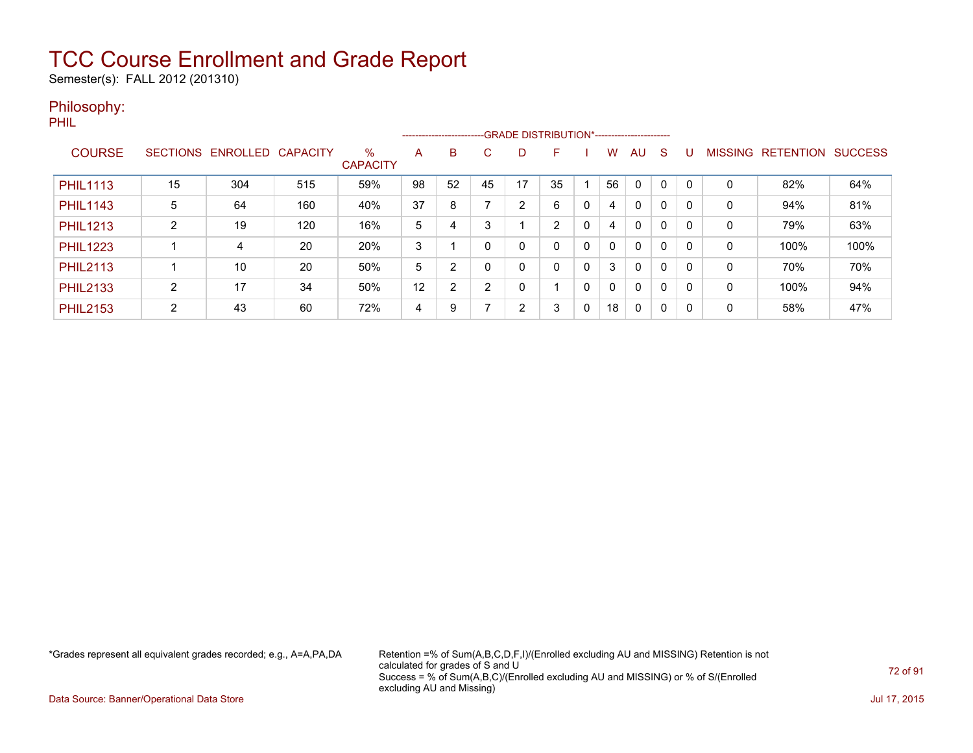Semester(s): FALL 2012 (201310)

### Philosophy:

PHIL

|                 |                 |          |                 |                         | --------------------------GRADE DISTRIBUTION*----------------------- |                |    |    |    |   |              |              |          |          |                |                  |                |
|-----------------|-----------------|----------|-----------------|-------------------------|----------------------------------------------------------------------|----------------|----|----|----|---|--------------|--------------|----------|----------|----------------|------------------|----------------|
| <b>COURSE</b>   | <b>SECTIONS</b> | ENROLLED | <b>CAPACITY</b> | $\%$<br><b>CAPACITY</b> | A                                                                    | B              | C. | D  | F  |   | w            | AU           | S        |          | <b>MISSING</b> | <b>RETENTION</b> | <b>SUCCESS</b> |
| <b>PHIL1113</b> | 15              | 304      | 515             | 59%                     | 98                                                                   | 52             | 45 | 17 | 35 |   | 56           | $\Omega$     |          | $\Omega$ | 0              | 82%              | 64%            |
| <b>PHIL1143</b> | 5               | 64       | 160             | 40%                     | 37                                                                   | 8              |    | 2  | 6  | 0 | 4            | $\Omega$     | 0        | $\Omega$ | 0              | 94%              | 81%            |
| <b>PHIL1213</b> | C               | 19       | 120             | 16%                     | 5                                                                    | 4              | 3  |    | 2  | 0 | 4            | $\Omega$     | $\Omega$ | 0        | 0              | 79%              | 63%            |
| <b>PHIL1223</b> |                 | 4        | 20              | 20%                     | 3                                                                    |                |    | 0  | 0  | 0 | $\mathbf{0}$ | $\mathbf{0}$ | 0        | 0        | 0              | 100%             | 100%           |
| <b>PHIL2113</b> |                 | 10       | 20              | 50%                     | 5                                                                    | 2              |    | 0  | 0  | 0 | 3            | $\mathbf{0}$ | $\Omega$ | 0        | 0              | 70%              | 70%            |
| <b>PHIL2133</b> | 2               | 17       | 34              | 50%                     | 12                                                                   | $\overline{2}$ | 2  | 0  |    | 0 | $\mathbf{0}$ | $\Omega$     | $\Omega$ | $\Omega$ | $\mathbf 0$    | 100%             | 94%            |
| <b>PHIL2153</b> | 2               | 43       | 60              | 72%                     | 4                                                                    | 9              |    | 2  | 3  | 0 | 18           | $\mathbf{0}$ | $\Omega$ | $\Omega$ | 0              | 58%              | 47%            |

\*Grades represent all equivalent grades recorded; e.g., A=A,PA,DA Retention =% of Sum(A,B,C,D,F,I)/(Enrolled excluding AU and MISSING) Retention is not calculated for grades of S and U Success = % of Sum(A,B,C)/(Enrolled excluding AU and MISSING) or % of S/(Enrolled excluding AU and Missing)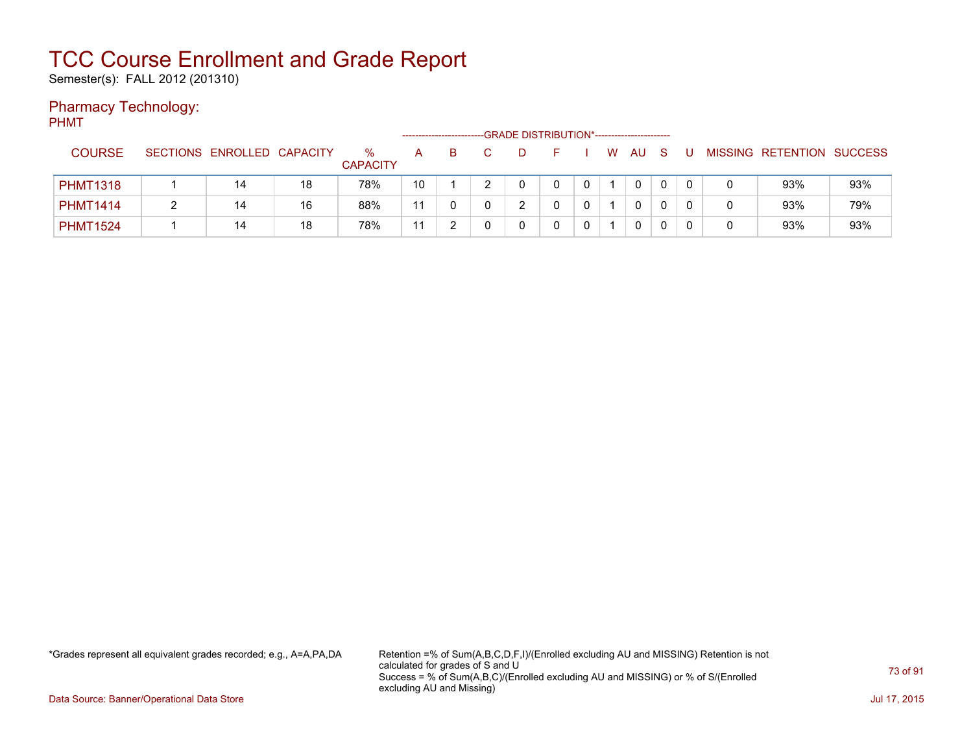Semester(s): FALL 2012 (201310)

### Pharmacy Technology:

PHMT

|                 |                            |    |                      |    | ---------------------- | -GRADE DISTRIBUTION*----------------------- |  |   |    |   |  |                           |     |
|-----------------|----------------------------|----|----------------------|----|------------------------|---------------------------------------------|--|---|----|---|--|---------------------------|-----|
| <b>COURSE</b>   | SECTIONS ENROLLED CAPACITY |    | %<br><b>CAPACITY</b> | A  |                        |                                             |  | W | AU |   |  | MISSING RETENTION SUCCESS |     |
| <b>PHMT1318</b> | 14                         | 18 | 78%                  | 10 |                        |                                             |  |   | 0  |   |  | 93%                       | 93% |
| <b>PHMT1414</b> | 14                         | 16 | 88%                  | 11 |                        |                                             |  |   | 0  |   |  | 93%                       | 79% |
| <b>PHMT1524</b> | 14                         | 18 | 78%                  | 11 |                        |                                             |  |   | 0  | 0 |  | 93%                       | 93% |

\*Grades represent all equivalent grades recorded; e.g., A=A,PA,DA Retention =% of Sum(A,B,C,D,F,I)/(Enrolled excluding AU and MISSING) Retention is not calculated for grades of S and U Success = % of Sum(A,B,C)/(Enrolled excluding AU and MISSING) or % of S/(Enrolled excluding AU and Missing)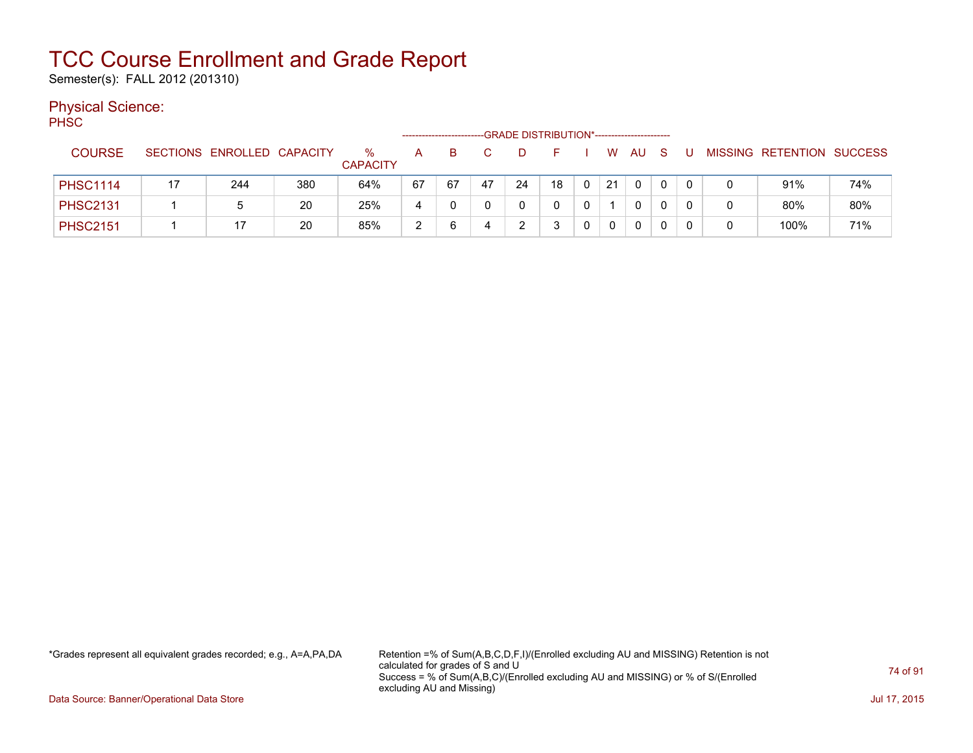Semester(s): FALL 2012 (201310)

#### Physical Science:

PH<sub>SC</sub>

|                 |    |                            |     |                      |    |    |    | -GRADE DISTRIBUTION*----------------------- |    |    |          |  |                           |     |
|-----------------|----|----------------------------|-----|----------------------|----|----|----|---------------------------------------------|----|----|----------|--|---------------------------|-----|
| <b>COURSE</b>   |    | SECTIONS ENROLLED CAPACITY |     | %<br><b>CAPACITY</b> | А  |    |    |                                             |    | W  | AU       |  | MISSING RETENTION SUCCESS |     |
| <b>PHSC1114</b> | 17 | 244                        | 380 | 64%                  | 67 | 67 | 47 | 24                                          | 18 | 21 | $\Omega$ |  | 91%                       | 74% |
| <b>PHSC2131</b> |    | b                          | 20  | 25%                  | 4  |    |    |                                             |    |    | 0        |  | 80%                       | 80% |
| <b>PHSC2151</b> |    |                            | 20  | 85%                  | າ  |    |    |                                             |    |    | 0        |  | 100%                      | 71% |

\*Grades represent all equivalent grades recorded; e.g., A=A,PA,DA Retention =% of Sum(A,B,C,D,F,I)/(Enrolled excluding AU and MISSING) Retention is not calculated for grades of S and U Success = % of Sum(A,B,C)/(Enrolled excluding AU and MISSING) or % of S/(Enrolled excluding AU and Missing)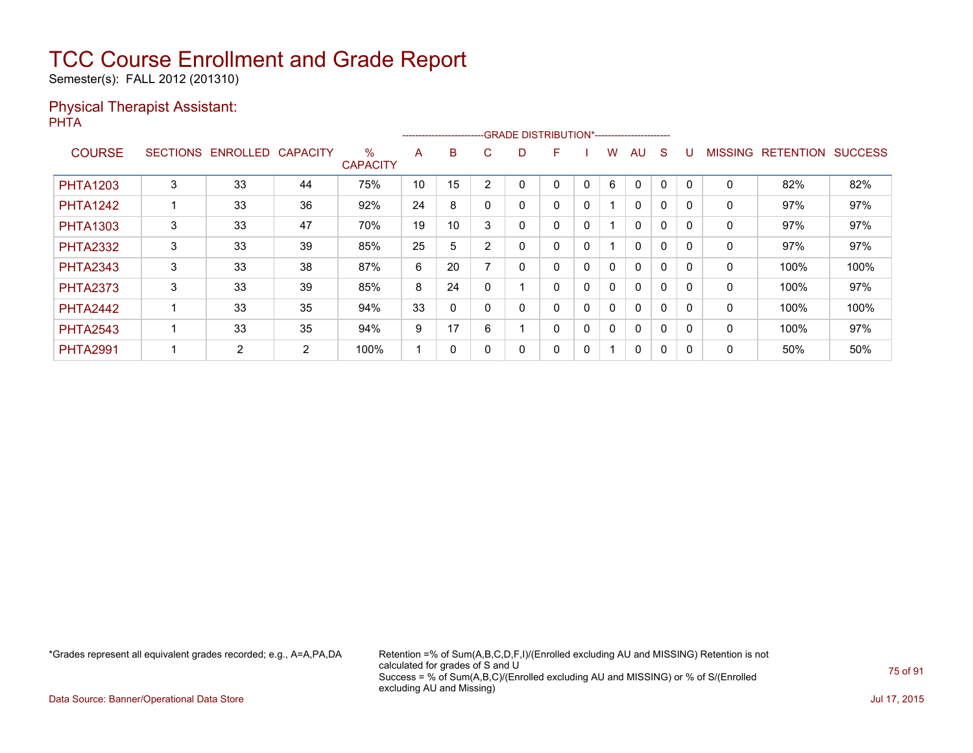Semester(s): FALL 2012 (201310)

#### Physical Therapist Assistant: PHTA

|                 |   |                   |                 |                         |    |    |        | ------------------------GRADE                DISTRIBUTION*---------------------- |   |              |              |              |              |          |                |                  |                |
|-----------------|---|-------------------|-----------------|-------------------------|----|----|--------|----------------------------------------------------------------------------------|---|--------------|--------------|--------------|--------------|----------|----------------|------------------|----------------|
| <b>COURSE</b>   |   | SECTIONS ENROLLED | <b>CAPACITY</b> | $\%$<br><b>CAPACITY</b> | A  | B  | C.     | D                                                                                | F |              | w            | AU           | <sub>S</sub> |          | <b>MISSING</b> | <b>RETENTION</b> | <b>SUCCESS</b> |
| <b>PHTA1203</b> | 3 | 33                | 44              | 75%                     | 10 | 15 | ◠      |                                                                                  | 0 | 0            | 6            | $\Omega$     | 0            | $\Omega$ | 0              | 82%              | 82%            |
| <b>PHTA1242</b> |   | 33                | 36              | 92%                     | 24 | 8  |        | 0                                                                                | 0 | 0            |              | 0            | $\Omega$     |          | 0              | 97%              | 97%            |
| <b>PHTA1303</b> | 3 | 33                | 47              | 70%                     | 19 | 10 | 3      | 0                                                                                | 0 | $\mathbf{0}$ |              | $\mathbf{0}$ | $\Omega$     |          | 0              | 97%              | 97%            |
| <b>PHTA2332</b> | 3 | 33                | 39              | 85%                     | 25 | 5  | $\sim$ | 0                                                                                | 0 | 0            |              | $\mathbf{0}$ | $\Omega$     | $\Omega$ | 0              | 97%              | 97%            |
| <b>PHTA2343</b> | 3 | 33                | 38              | 87%                     | 6  | 20 |        | 0                                                                                | 0 | 0            | 0            | $\mathbf{0}$ | 0            |          | 0              | 100%             | 100%           |
| <b>PHTA2373</b> | 3 | 33                | 39              | 85%                     | 8  | 24 |        |                                                                                  | 0 | $\mathbf{0}$ | $\mathbf{0}$ | $\mathbf{0}$ | 0            |          | 0              | 100%             | 97%            |
| <b>PHTA2442</b> |   | 33                | 35              | 94%                     | 33 | 0  |        | 0                                                                                | 0 | 0            | $\mathbf{0}$ | $\mathbf{0}$ | $\Omega$     | $\Omega$ | 0              | 100%             | 100%           |
| <b>PHTA2543</b> |   | 33                | 35              | 94%                     | 9  | 17 | 6      |                                                                                  | 0 | 0            | 0            | $\mathbf{0}$ | 0            |          | 0              | 100%             | 97%            |
| <b>PHTA2991</b> |   | 2                 | 2               | 100%                    |    | 0  |        |                                                                                  | 0 | 0            |              | $\mathbf{0}$ | 0            | 0        | 0              | 50%              | 50%            |

\*Grades represent all equivalent grades recorded; e.g., A=A,PA,DA Retention =% of Sum(A,B,C,D,F,I)/(Enrolled excluding AU and MISSING) Retention is not calculated for grades of S and U Success = % of Sum(A,B,C)/(Enrolled excluding AU and MISSING) or % of S/(Enrolled excluding AU and Missing)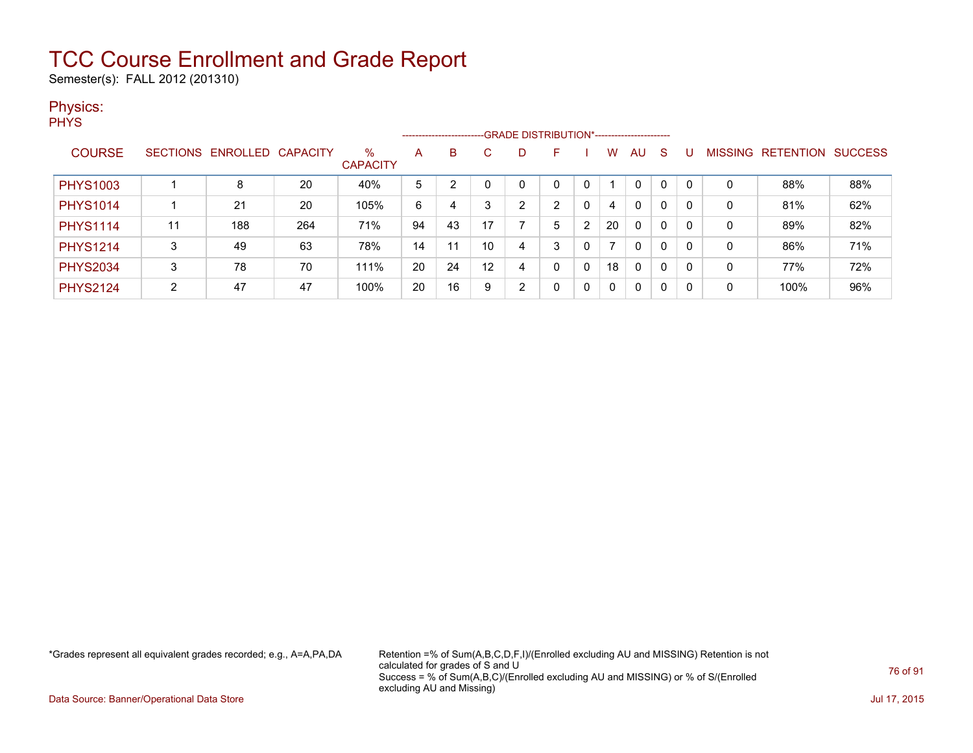Semester(s): FALL 2012 (201310)

#### Physics:

**PHYS** 

|                 |    |                            |     |                         |    |    |    |   | ------------------------GRADE DISTRIBUTION*----------------------- |   |    |              |   |          |   |                   |                |
|-----------------|----|----------------------------|-----|-------------------------|----|----|----|---|--------------------------------------------------------------------|---|----|--------------|---|----------|---|-------------------|----------------|
| <b>COURSE</b>   |    | SECTIONS ENROLLED CAPACITY |     | $\%$<br><b>CAPACITY</b> | A  | B  |    |   | F                                                                  |   | w  | AU           | S |          |   | MISSING RETENTION | <b>SUCCESS</b> |
| <b>PHYS1003</b> |    | 8                          | 20  | 40%                     | 5  |    |    |   | 0                                                                  |   |    | $\mathbf{0}$ | 0 |          | 0 | 88%               | 88%            |
| <b>PHYS1014</b> |    | 21                         | 20  | 105%                    | 6  | 4  |    | ົ | ົ                                                                  | 0 | 4  | 0            | 0 | 0        | 0 | 81%               | 62%            |
| <b>PHYS1114</b> | 11 | 188                        | 264 | 71%                     | 94 | 43 | 17 |   | 5                                                                  | 2 | 20 | $\mathbf{0}$ | 0 | 0        | 0 | 89%               | 82%            |
| <b>PHYS1214</b> | 3  | 49                         | 63  | 78%                     | 14 | 11 | 10 | 4 | 3                                                                  | 0 |    | $\mathbf{0}$ | 0 | 0        | 0 | 86%               | 71%            |
| <b>PHYS2034</b> | 3  | 78                         | 70  | 111%                    | 20 | 24 | 12 | 4 | 0                                                                  | 0 | 18 | 0            | 0 | $\Omega$ | 0 | 77%               | 72%            |
| <b>PHYS2124</b> | C. | 47                         | 47  | 100%                    | 20 | 16 | 9  | ົ | 0                                                                  | 0 | 0  | 0            | 0 |          | 0 | 100%              | 96%            |

\*Grades represent all equivalent grades recorded; e.g., A=A,PA,DA Retention =% of Sum(A,B,C,D,F,I)/(Enrolled excluding AU and MISSING) Retention is not calculated for grades of S and U Success = % of Sum(A,B,C)/(Enrolled excluding AU and MISSING) or % of S/(Enrolled excluding AU and Missing)

Data Source: Banner/Operational Data Store Jul 17, 2015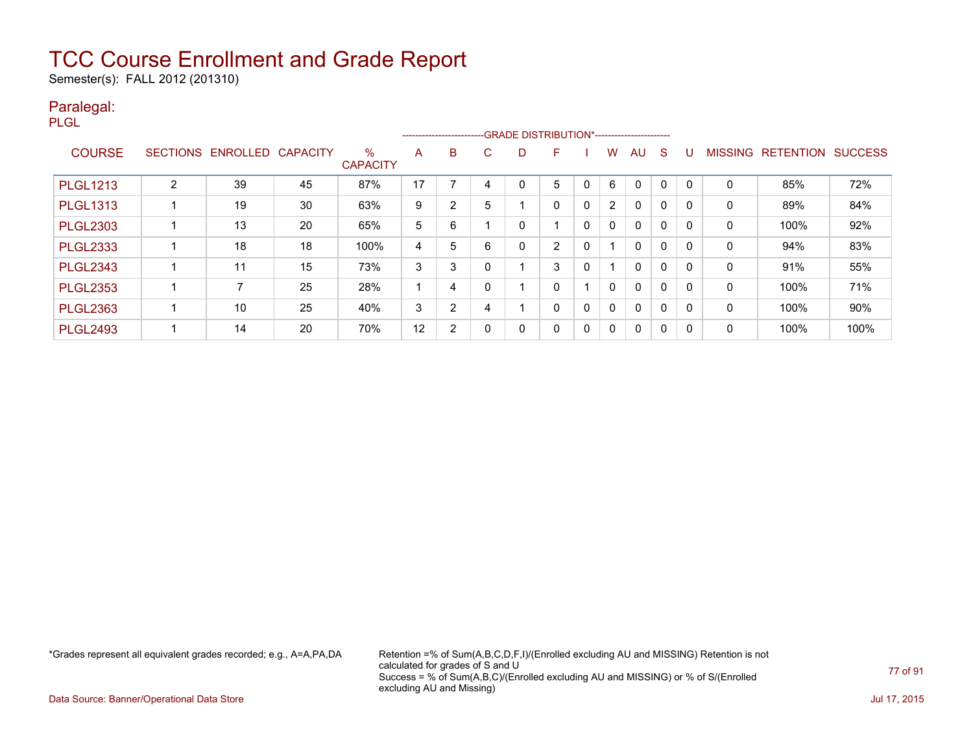Semester(s): FALL 2012 (201310)

#### Paralegal:

PLGL

|                 |                 |          |                 |                         |    |   |    | ------------------------GRADE DISTRIBUTION*----------------------- |   |   |                |              |             |              |                |                  |                |
|-----------------|-----------------|----------|-----------------|-------------------------|----|---|----|--------------------------------------------------------------------|---|---|----------------|--------------|-------------|--------------|----------------|------------------|----------------|
| <b>COURSE</b>   | <b>SECTIONS</b> | ENROLLED | <b>CAPACITY</b> | $\%$<br><b>CAPACITY</b> | A  | B | C. | D                                                                  | F |   | w              | AU           | S           |              | <b>MISSING</b> | <b>RETENTION</b> | <b>SUCCESS</b> |
| <b>PLGL1213</b> | C               | 39       | 45              | 87%                     | 17 |   |    | 0                                                                  | 5 |   | 6              | $\mathbf 0$  | $\mathbf 0$ |              | 0              | 85%              | 72%            |
| <b>PLGL1313</b> |                 | 19       | 30              | 63%                     | 9  | 2 | 5  |                                                                    | 0 | 0 | $\overline{2}$ | 0            | $\mathbf 0$ | <sup>0</sup> | 0              | 89%              | 84%            |
| <b>PLGL2303</b> |                 | 13       | 20              | 65%                     | 5  | 6 |    | 0                                                                  |   | 0 | $\mathbf{0}$   | 0            | $\mathbf 0$ | $\mathsf{C}$ | 0              | 100%             | 92%            |
| <b>PLGL2333</b> |                 | 18       | 18              | 100%                    | 4  | 5 | 6  | 0                                                                  | 2 | 0 |                | 0            | $\mathbf 0$ |              | 0              | 94%              | 83%            |
| <b>PLGL2343</b> |                 | 11       | 15              | 73%                     | 3  | 3 |    |                                                                    | 3 | 0 |                | $\mathbf{0}$ | $\mathbf 0$ | <sup>0</sup> | 0              | 91%              | 55%            |
| <b>PLGL2353</b> |                 |          | 25              | 28%                     |    | 4 |    |                                                                    | 0 |   | 0              | $\mathbf{0}$ | $\mathbf 0$ | $\Omega$     | 0              | 100%             | 71%            |
| <b>PLGL2363</b> |                 | 10       | 25              | 40%                     | 3  | 2 | 4  |                                                                    | 0 | 0 | 0              | 0            | 0           |              | 0              | 100%             | 90%            |
| <b>PLGL2493</b> |                 | 14       | 20              | 70%                     | 12 | 2 |    | 0                                                                  | 0 | 0 | $\Omega$       | 0            | 0           | -0           | 0              | 100%             | 100%           |

\*Grades represent all equivalent grades recorded; e.g., A=A,PA,DA Retention =% of Sum(A,B,C,D,F,I)/(Enrolled excluding AU and MISSING) Retention is not calculated for grades of S and U Success = % of Sum(A,B,C)/(Enrolled excluding AU and MISSING) or % of S/(Enrolled excluding AU and Missing)

Data Source: Banner/Operational Data Store Jul 17, 2015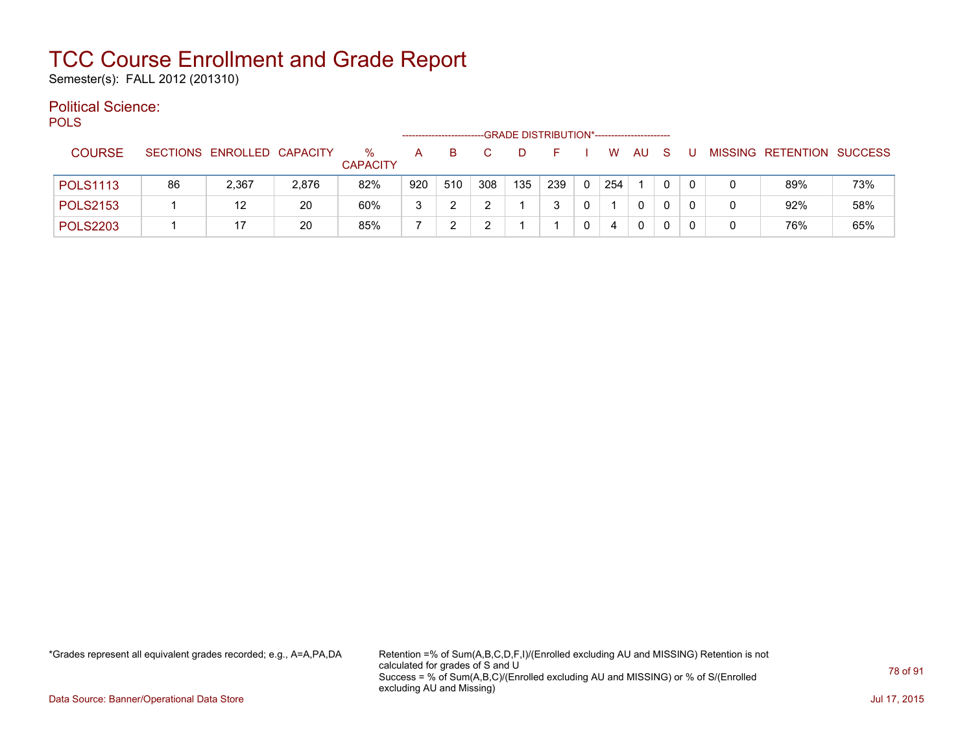Semester(s): FALL 2012 (201310)

#### Political Science:

**POLS** 

|                 |    |                            |       |                      |     |     |     | -GRADE DISTRIBUTION*----------------------- |     |          |     |              |              |   |   |                           |     |
|-----------------|----|----------------------------|-------|----------------------|-----|-----|-----|---------------------------------------------|-----|----------|-----|--------------|--------------|---|---|---------------------------|-----|
| <b>COURSE</b>   |    | SECTIONS ENROLLED CAPACITY |       | ℅<br><b>CAPACITY</b> | A   | в   |     |                                             |     |          | W   | AU           | S            | U |   | MISSING RETENTION SUCCESS |     |
| <b>POLS1113</b> | 86 | 2,367                      | 2,876 | 82%                  | 920 | 510 | 308 | 135                                         | 239 | $\Omega$ | 254 |              | $\mathbf{0}$ |   |   | 89%                       | 73% |
| <b>POLS2153</b> |    | 12                         | 20    | 60%                  | 3   | ົ   |     |                                             |     |          |     | $\mathbf{0}$ |              |   | 0 | 92%                       | 58% |
| <b>POLS2203</b> |    | 17                         | 20    | 85%                  |     |     |     |                                             |     | 0        | 4   | $\Omega$     |              |   | 0 | 76%                       | 65% |

\*Grades represent all equivalent grades recorded; e.g., A=A,PA,DA Retention =% of Sum(A,B,C,D,F,I)/(Enrolled excluding AU and MISSING) Retention is not calculated for grades of S and U Success = % of Sum(A,B,C)/(Enrolled excluding AU and MISSING) or % of S/(Enrolled excluding AU and Missing)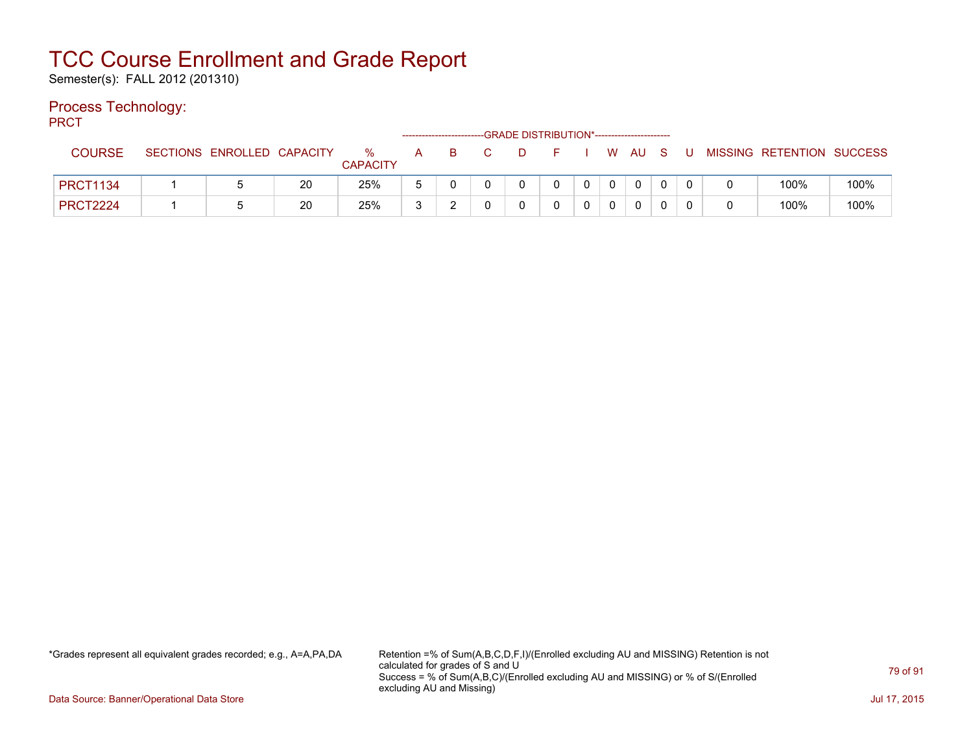Semester(s): FALL 2012 (201310)

#### Process Technology:

PRCT

|                 |                            |    |                      |   | ------------------------- | -GRADE DISTRIBUTION*---------------------- |             |          |        |  |                           |      |
|-----------------|----------------------------|----|----------------------|---|---------------------------|--------------------------------------------|-------------|----------|--------|--|---------------------------|------|
| <b>COURSE</b>   | SECTIONS ENROLLED CAPACITY |    | %<br><b>CAPACITY</b> | A | <b>B</b>                  | D.                                         |             |          | W AU S |  | MISSING RETENTION SUCCESS |      |
| <b>PRCT1134</b> |                            | 20 | 25%                  |   |                           |                                            | $\mathbf 0$ | $\Omega$ |        |  | 100%                      | 100% |
| <b>PRCT2224</b> |                            | 20 | 25%                  | 3 | ⌒                         |                                            |             |          |        |  | 100%                      | 100% |

\*Grades represent all equivalent grades recorded; e.g., A=A,PA,DA Retention =% of Sum(A,B,C,D,F,I)/(Enrolled excluding AU and MISSING) Retention is not calculated for grades of S and U Success = % of Sum(A,B,C)/(Enrolled excluding AU and MISSING) or % of S/(Enrolled excluding AU and Missing)

Data Source: Banner/Operational Data Store Jul 17, 2015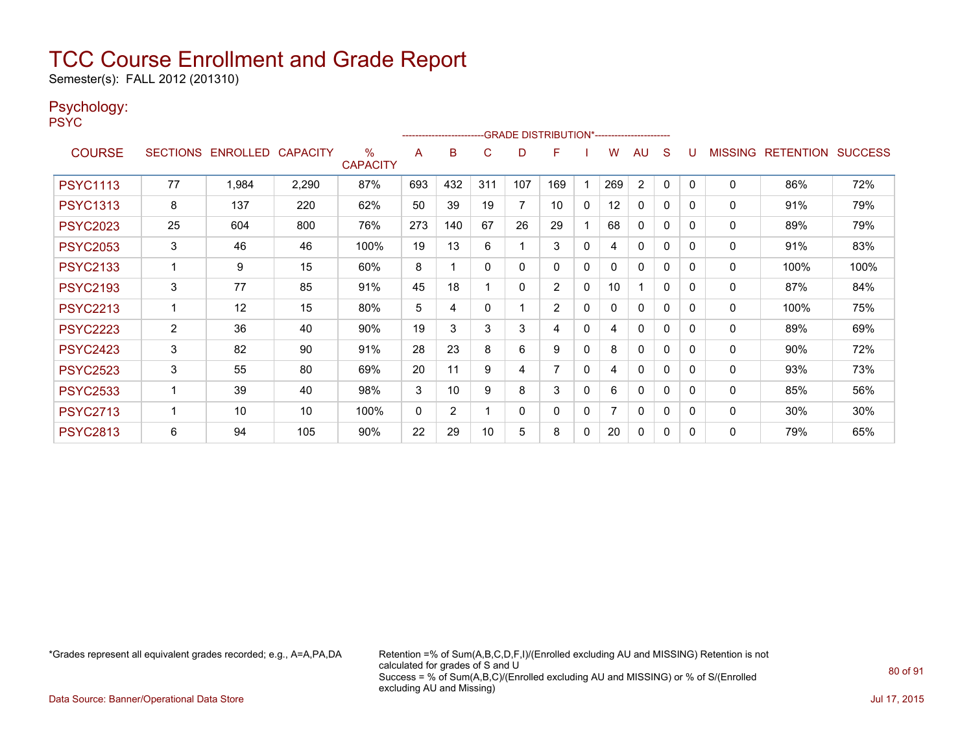Semester(s): FALL 2012 (201310)

#### Psychology:

PSYC

|                 |                 |                   |       |                      |     | ------------------------ |          | -GRADE DISTRIBUTION*---------------------- |                |              |     |              |          |          |                |                          |      |
|-----------------|-----------------|-------------------|-------|----------------------|-----|--------------------------|----------|--------------------------------------------|----------------|--------------|-----|--------------|----------|----------|----------------|--------------------------|------|
| <b>COURSE</b>   | <b>SECTIONS</b> | ENROLLED CAPACITY |       | %<br><b>CAPACITY</b> | A   | B                        | C        | D                                          | F              |              | W   | AU           | S        |          | <b>MISSING</b> | <b>RETENTION SUCCESS</b> |      |
| <b>PSYC1113</b> | 77              | 1,984             | 2,290 | 87%                  | 693 | 432                      | 311      | 107                                        | 169            |              | 269 | 2            | $\Omega$ | $\Omega$ | $\Omega$       | 86%                      | 72%  |
| <b>PSYC1313</b> | 8               | 137               | 220   | 62%                  | 50  | 39                       | 19       | 7                                          | 10             | 0            | 12  | $\Omega$     | $\Omega$ | $\Omega$ | 0              | 91%                      | 79%  |
| <b>PSYC2023</b> | 25              | 604               | 800   | 76%                  | 273 | 140                      | 67       | 26                                         | 29             |              | 68  | $\Omega$     | 0        | $\Omega$ | 0              | 89%                      | 79%  |
| <b>PSYC2053</b> | 3               | 46                | 46    | 100%                 | 19  | 13                       | 6        |                                            | 3              | 0            | 4   | $\Omega$     | 0        | $\Omega$ | 0              | 91%                      | 83%  |
| <b>PSYC2133</b> |                 | 9                 | 15    | 60%                  | 8   |                          | $\Omega$ | 0                                          | $\Omega$       | 0            | 0   | $\mathbf{0}$ | 0        | $\Omega$ | 0              | 100%                     | 100% |
| <b>PSYC2193</b> | 3               | 77                | 85    | 91%                  | 45  | 18                       |          | 0                                          | $\overline{2}$ | $\mathbf{0}$ | 10  | 1            | $\Omega$ | $\Omega$ | 0              | 87%                      | 84%  |
| <b>PSYC2213</b> |                 | 12                | 15    | 80%                  | 5   | 4                        | 0        |                                            | $\overline{2}$ | $\mathbf{0}$ | 0   | $\mathbf{0}$ | 0        | 0        | $\Omega$       | 100%                     | 75%  |
| <b>PSYC2223</b> | $\overline{2}$  | 36                | 40    | 90%                  | 19  | 3                        | 3        | 3                                          | 4              | $\mathbf{0}$ | 4   | $\mathbf{0}$ | $\Omega$ | $\Omega$ | $\mathbf{0}$   | 89%                      | 69%  |
| <b>PSYC2423</b> | 3               | 82                | 90    | 91%                  | 28  | 23                       | 8        | 6                                          | 9              | $\mathbf{0}$ | 8   | $\mathbf{0}$ | 0        | 0        | $\Omega$       | 90%                      | 72%  |
| <b>PSYC2523</b> | 3               | 55                | 80    | 69%                  | 20  | 11                       | 9        | 4                                          | 7              | $\mathbf{0}$ | 4   | $\mathbf{0}$ | 0        | $\Omega$ | $\mathbf{0}$   | 93%                      | 73%  |
| <b>PSYC2533</b> |                 | 39                | 40    | 98%                  | 3   | 10                       | 9        | 8                                          | 3              | 0            | 6   | $\Omega$     | 0        | 0        | 0              | 85%                      | 56%  |
| <b>PSYC2713</b> |                 | 10                | 10    | 100%                 | 0   | 2                        |          | 0                                          | 0              | 0            |     | 0            | 0        | $\Omega$ | $\mathbf 0$    | 30%                      | 30%  |
| <b>PSYC2813</b> | 6               | 94                | 105   | 90%                  | 22  | 29                       | 10       | 5                                          | 8              | 0            | 20  | 0            | 0        | 0        | 0              | 79%                      | 65%  |

\*Grades represent all equivalent grades recorded; e.g., A=A,PA,DA Retention =% of Sum(A,B,C,D,F,I)/(Enrolled excluding AU and MISSING) Retention is not calculated for grades of S and U Success = % of Sum(A,B,C)/(Enrolled excluding AU and MISSING) or % of S/(Enrolled excluding AU and Missing)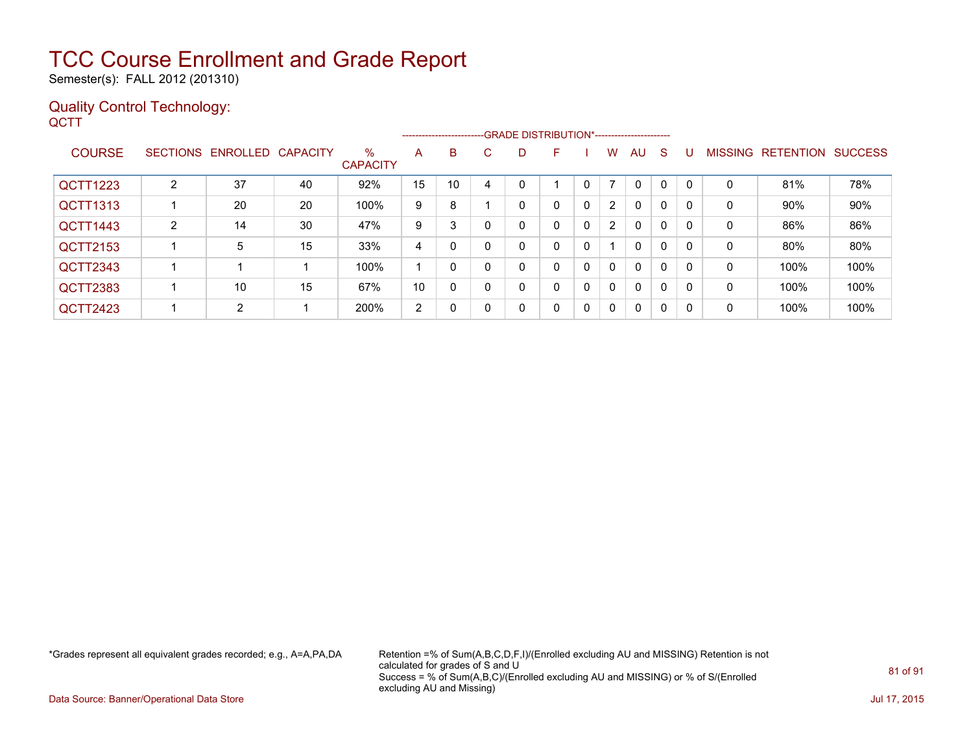Semester(s): FALL 2012 (201310)

#### Quality Control Technology: **QCTT**

|                 |                 |                   |    |                         |    |    |          | ------------------------GRADE                DISTRIBUTION*---------------------- |   |   |                |              |   |          |                |                  |                |
|-----------------|-----------------|-------------------|----|-------------------------|----|----|----------|----------------------------------------------------------------------------------|---|---|----------------|--------------|---|----------|----------------|------------------|----------------|
| <b>COURSE</b>   | <b>SECTIONS</b> | ENROLLED CAPACITY |    | $\%$<br><b>CAPACITY</b> | A  | B  | C.       | D                                                                                | F |   | w              | AU           | S |          | <b>MISSING</b> | <b>RETENTION</b> | <b>SUCCESS</b> |
| <b>QCTT1223</b> | $\overline{2}$  | 37                | 40 | 92%                     | 15 | 10 | 4        |                                                                                  |   |   |                | $\mathbf{0}$ | 0 |          | 0              | 81%              | 78%            |
| QCTT1313        |                 | 20                | 20 | 100%                    | 9  | 8  |          |                                                                                  | 0 | 0 | $\overline{2}$ | $\mathbf{0}$ | 0 |          | 0              | 90%              | 90%            |
| QCTT1443        | $\overline{2}$  | 14                | 30 | 47%                     | 9  | 3  |          |                                                                                  | 0 | 0 | 2              | $\mathbf{0}$ | 0 | $\Omega$ | 0              | 86%              | 86%            |
| QCTT2153        |                 | 5                 | 15 | 33%                     | 4  | 0  |          |                                                                                  | 0 | 0 |                | $\mathbf{0}$ | 0 | $\Omega$ | 0              | 80%              | 80%            |
| QCTT2343        |                 |                   |    | 100%                    |    | 0  |          |                                                                                  | 0 | 0 | $\mathbf{0}$   | $\mathbf{0}$ | 0 | $\Omega$ | 0              | 100%             | 100%           |
| <b>QCTT2383</b> |                 | 10                | 15 | 67%                     | 10 | 0  |          |                                                                                  | 0 | 0 | $\Omega$       | $\mathbf{0}$ | 0 | $\Omega$ | $\mathbf 0$    | 100%             | 100%           |
| <b>QCTT2423</b> |                 | 2                 |    | 200%                    | 2  | 0  | $\Omega$ | 0                                                                                | 0 | 0 | $\overline{0}$ | $\mathbf{0}$ | 0 | $\Omega$ | 0              | 100%             | 100%           |

\*Grades represent all equivalent grades recorded; e.g., A=A,PA,DA Retention =% of Sum(A,B,C,D,F,I)/(Enrolled excluding AU and MISSING) Retention is not calculated for grades of S and U Success = % of Sum(A,B,C)/(Enrolled excluding AU and MISSING) or % of S/(Enrolled excluding AU and Missing)

Data Source: Banner/Operational Data Store Jul 17, 2015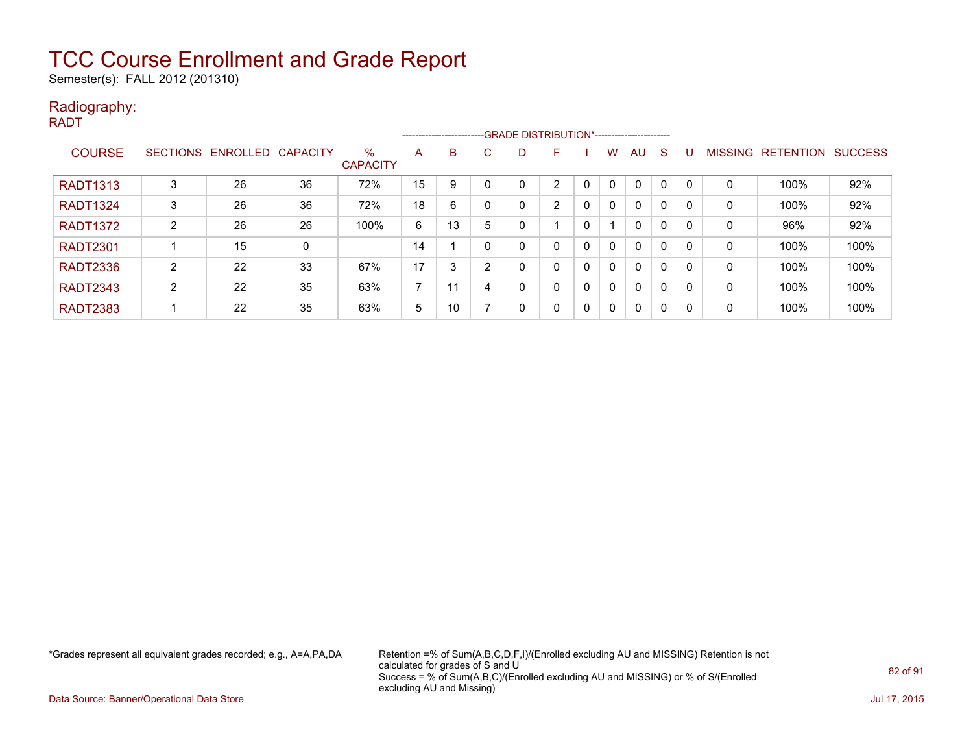Semester(s): FALL 2012 (201310)

#### Radiography:

RADT

|                 |        |                            |    |                         |                |    |    |    | ------------------------GRADE DISTRIBUTION*----------------------- |   |              |              |              |          |                |                  |                |
|-----------------|--------|----------------------------|----|-------------------------|----------------|----|----|----|--------------------------------------------------------------------|---|--------------|--------------|--------------|----------|----------------|------------------|----------------|
| <b>COURSE</b>   |        | SECTIONS ENROLLED CAPACITY |    | $\%$<br><b>CAPACITY</b> | A              | B  | C. | D. | F                                                                  |   | W            | AU           | <sub>S</sub> |          | <b>MISSING</b> | <b>RETENTION</b> | <b>SUCCESS</b> |
| <b>RADT1313</b> | 3      | 26                         | 36 | 72%                     | 15             | 9  |    |    | C                                                                  |   | $\mathbf{0}$ | $\mathbf{0}$ | $\Omega$     |          | 0              | 100%             | 92%            |
| <b>RADT1324</b> | 3      | 26                         | 36 | 72%                     | 18             | 6  |    |    | $\overline{2}$                                                     | 0 | $\mathbf{0}$ | $\mathbf{0}$ | 0            |          | 0              | 100%             | 92%            |
| <b>RADT1372</b> | 2      | 26                         | 26 | 100%                    | 6              | 13 | 5  |    |                                                                    |   |              | $\mathbf{0}$ | 0            |          | 0              | 96%              | 92%            |
| <b>RADT2301</b> |        | 15                         | 0  |                         | 14             |    |    |    | 0                                                                  | 0 | $\mathbf{0}$ | $\mathbf{0}$ | 0            |          | 0              | 100%             | 100%           |
| <b>RADT2336</b> | C<br>∠ | 22                         | 33 | 67%                     | 17             | 3  |    |    | 0                                                                  | 0 | 0            | $\mathbf{0}$ | 0            |          | 0              | 100%             | 100%           |
| <b>RADT2343</b> | ົ      | 22                         | 35 | 63%                     | $\overline{ }$ | 11 | 4  |    | 0                                                                  | 0 | $\mathbf{0}$ | $\mathbf{0}$ | 0            | $\Omega$ | 0              | 100%             | 100%           |
| <b>RADT2383</b> |        | 22                         | 35 | 63%                     | 5              | 10 |    |    | 0                                                                  | 0 | $\mathbf 0$  | 0            | 0            | $\Omega$ | 0              | 100%             | 100%           |

\*Grades represent all equivalent grades recorded; e.g., A=A,PA,DA Retention =% of Sum(A,B,C,D,F,I)/(Enrolled excluding AU and MISSING) Retention is not calculated for grades of S and U Success = % of Sum(A,B,C)/(Enrolled excluding AU and MISSING) or % of S/(Enrolled excluding AU and Missing)

Data Source: Banner/Operational Data Store Jul 17, 2015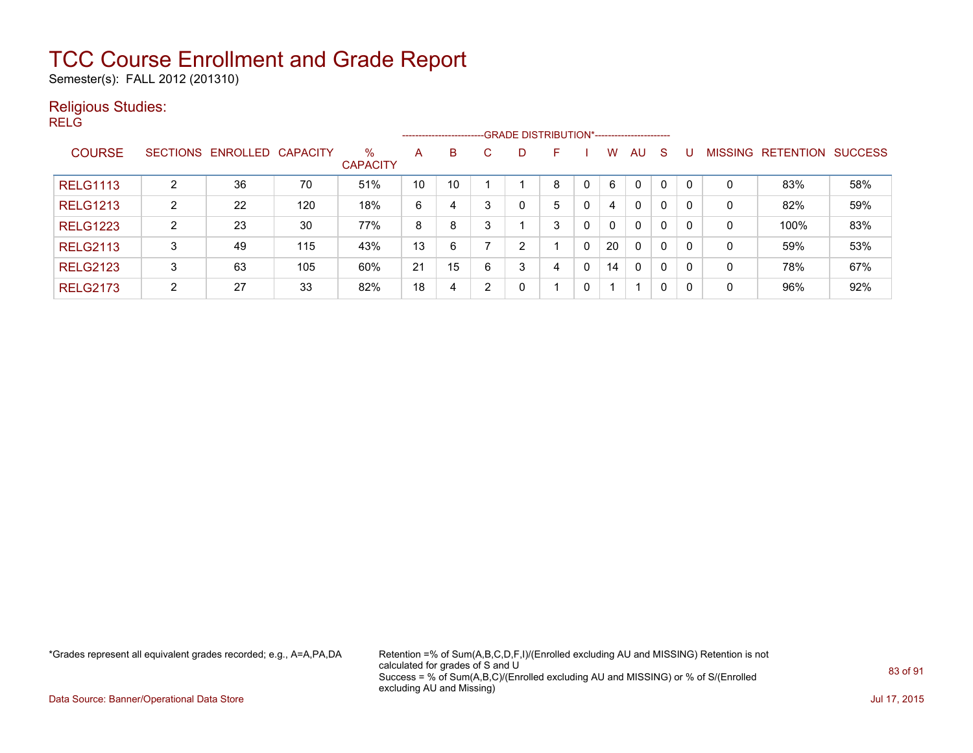Semester(s): FALL 2012 (201310)

#### Religious Studies:

RELG

|                 |                 |                   |     |                         |    | ------------------------ |   | --GRADE DISTRIBUTION*----------------------- |   |   |          |              |              |     |                |                  |                |
|-----------------|-----------------|-------------------|-----|-------------------------|----|--------------------------|---|----------------------------------------------|---|---|----------|--------------|--------------|-----|----------------|------------------|----------------|
| <b>COURSE</b>   | <b>SECTIONS</b> | ENROLLED CAPACITY |     | $\%$<br><b>CAPACITY</b> | A  | B                        | C | D                                            | F |   | W        | AU           | <sub>S</sub> |     | <b>MISSING</b> | <b>RETENTION</b> | <b>SUCCESS</b> |
| <b>RELG1113</b> | ົ               | 36                | 70  | 51%                     | 10 | 10                       |   |                                              | 8 | 0 | 6        | $\mathbf{0}$ | 0            |     | 0              | 83%              | 58%            |
| <b>RELG1213</b> | າ<br>∠          | 22                | 120 | 18%                     | 6  | 4                        | 3 | 0                                            | 5 | 0 | 4        | $\mathbf{0}$ | 0            | 0   | 0              | 82%              | 59%            |
| <b>RELG1223</b> | ົ               | 23                | 30  | 77%                     | 8  | 8                        | 3 |                                              | 3 | 0 | $\Omega$ | $\mathbf{0}$ | 0            | -0  | 0              | 100%             | 83%            |
| <b>RELG2113</b> | 3               | 49                | 115 | 43%                     | 13 | 6                        |   | 2                                            |   | 0 | 20       | $\mathbf{0}$ | $\mathbf{0}$ | -0  | 0              | 59%              | 53%            |
| <b>RELG2123</b> | 3               | 63                | 105 | 60%                     | 21 | 15                       | 6 | 3                                            | 4 | 0 | 14       | 0            | 0            | - C | 0              | 78%              | 67%            |
| <b>RELG2173</b> | $\mathcal{D}$   | 27                | 33  | 82%                     | 18 | 4                        | ົ | 0                                            |   | 0 |          |              | $\mathbf{0}$ | -0  | 0              | 96%              | 92%            |

\*Grades represent all equivalent grades recorded; e.g., A=A,PA,DA Retention =% of Sum(A,B,C,D,F,I)/(Enrolled excluding AU and MISSING) Retention is not calculated for grades of S and U Success = % of Sum(A,B,C)/(Enrolled excluding AU and MISSING) or % of S/(Enrolled excluding AU and Missing)

Data Source: Banner/Operational Data Store Jul 17, 2015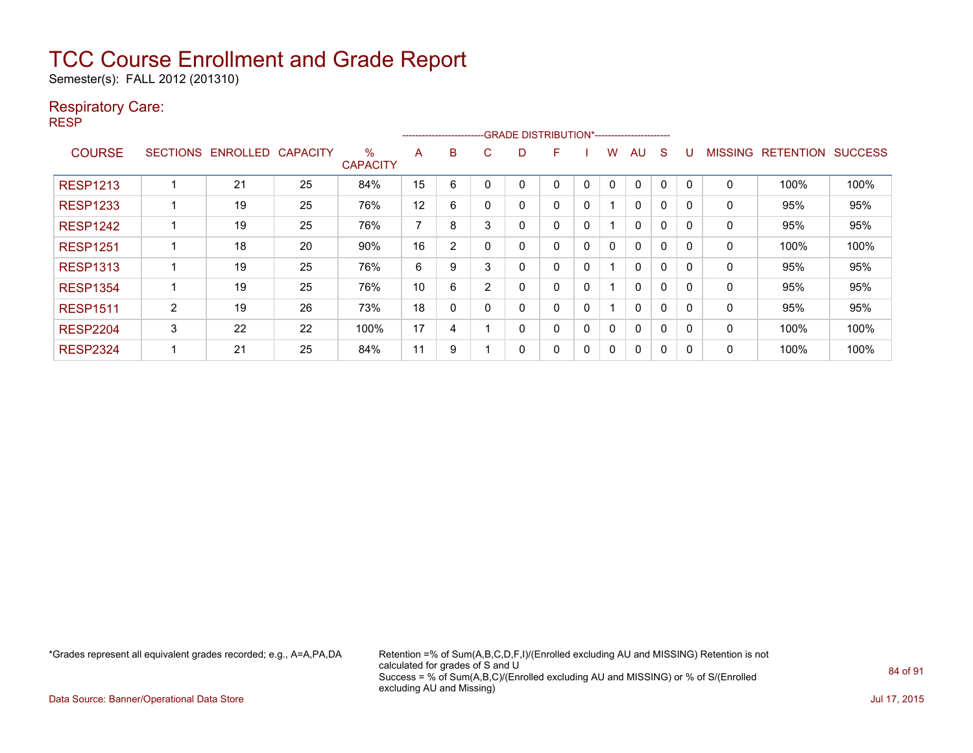Semester(s): FALL 2012 (201310)

#### Respiratory Care:

RESP

|                 |                 |                 |                 |                         |                          |                |   | -----------------------GRADE DISTRIBUTION*----------------------- |   |   |   |          |          |          |                |                  |                |
|-----------------|-----------------|-----------------|-----------------|-------------------------|--------------------------|----------------|---|-------------------------------------------------------------------|---|---|---|----------|----------|----------|----------------|------------------|----------------|
| <b>COURSE</b>   | <b>SECTIONS</b> | <b>ENROLLED</b> | <b>CAPACITY</b> | $\%$<br><b>CAPACITY</b> | A                        | B              | U | D                                                                 | F |   | w | AU       | S        |          | <b>MISSING</b> | <b>RETENTION</b> | <b>SUCCESS</b> |
| <b>RESP1213</b> |                 | 21              | 25              | 84%                     | 15                       | 6              |   | 0                                                                 | 0 | 0 | 0 | $\Omega$ | $\Omega$ | $\Omega$ | $\Omega$       | 100%             | 100%           |
| <b>RESP1233</b> |                 | 19              | 25              | 76%                     | 12                       | 6              |   | 0                                                                 | 0 | 0 |   | $\Omega$ | $\Omega$ | 0        | 0              | 95%              | 95%            |
| <b>RESP1242</b> |                 | 19              | 25              | 76%                     | $\overline{\phantom{a}}$ | 8              | 3 | 0                                                                 | 0 | 0 |   | $\Omega$ | $\Omega$ | 0        | 0              | 95%              | 95%            |
| <b>RESP1251</b> |                 | 18              | 20              | 90%                     | 16                       | $\overline{2}$ |   | 0                                                                 | 0 | 0 | 0 | $\Omega$ | $\Omega$ | 0        | 0              | 100%             | 100%           |
| <b>RESP1313</b> |                 | 19              | 25              | 76%                     | 6                        | 9              | 3 | 0                                                                 | 0 | 0 |   | $\Omega$ | $\Omega$ | 0        | 0              | 95%              | 95%            |
| <b>RESP1354</b> |                 | 19              | 25              | 76%                     | 10                       | 6              | 2 | 0                                                                 | 0 | 0 |   | $\Omega$ | 0        | 0        | 0              | 95%              | 95%            |
| <b>RESP1511</b> | $\overline{2}$  | 19              | 26              | 73%                     | 18                       | $\Omega$       |   | 0                                                                 | 0 | 0 |   | $\Omega$ | $\Omega$ | 0        | 0              | 95%              | 95%            |
| <b>RESP2204</b> | 3               | 22              | 22              | 100%                    | 17                       | 4              |   | 0                                                                 | 0 | 0 | 0 | $\Omega$ | $\Omega$ | $\Omega$ | 0              | 100%             | 100%           |
| <b>RESP2324</b> |                 | 21              | 25              | 84%                     | 11                       | 9              |   | 0                                                                 | 0 | 0 | 0 | $\Omega$ | 0        | 0        | 0              | 100%             | 100%           |

\*Grades represent all equivalent grades recorded; e.g., A=A,PA,DA Retention =% of Sum(A,B,C,D,F,I)/(Enrolled excluding AU and MISSING) Retention is not calculated for grades of S and U Success = % of Sum(A,B,C)/(Enrolled excluding AU and MISSING) or % of S/(Enrolled excluding AU and Missing)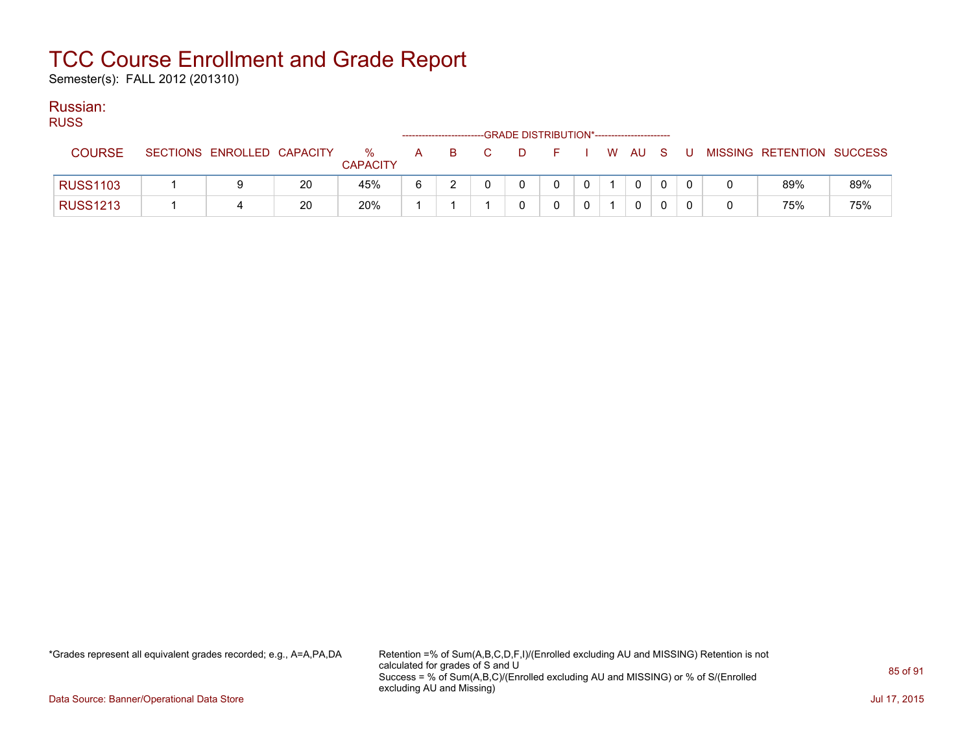Semester(s): FALL 2012 (201310)

### Russian:

| <b>RUSS</b><br>-GRADE DISTRIBUTION*-----------------------<br>------------------------ |                 |  |                            |    |                         |              |    |  |        |            |  |  |   |     |                           |     |
|----------------------------------------------------------------------------------------|-----------------|--|----------------------------|----|-------------------------|--------------|----|--|--------|------------|--|--|---|-----|---------------------------|-----|
|                                                                                        | <b>COURSE</b>   |  | SECTIONS ENROLLED CAPACITY |    | $\%$<br><b>CAPACITY</b> | $\mathsf{A}$ | B. |  | $\Box$ | F I W AU S |  |  |   | - U | MISSING RETENTION SUCCESS |     |
|                                                                                        | <b>RUSS1103</b> |  |                            | 20 | 45%                     | 6            |    |  |        | $\Omega$   |  |  | 0 |     | 89%                       | 89% |
|                                                                                        | <b>RUSS1213</b> |  |                            | 20 | 20%                     |              |    |  |        |            |  |  | 0 |     | 75%                       | 75% |

\*Grades represent all equivalent grades recorded; e.g., A=A,PA,DA Retention =% of Sum(A,B,C,D,F,I)/(Enrolled excluding AU and MISSING) Retention is not calculated for grades of S and U Success = % of Sum(A,B,C)/(Enrolled excluding AU and MISSING) or % of S/(Enrolled excluding AU and Missing)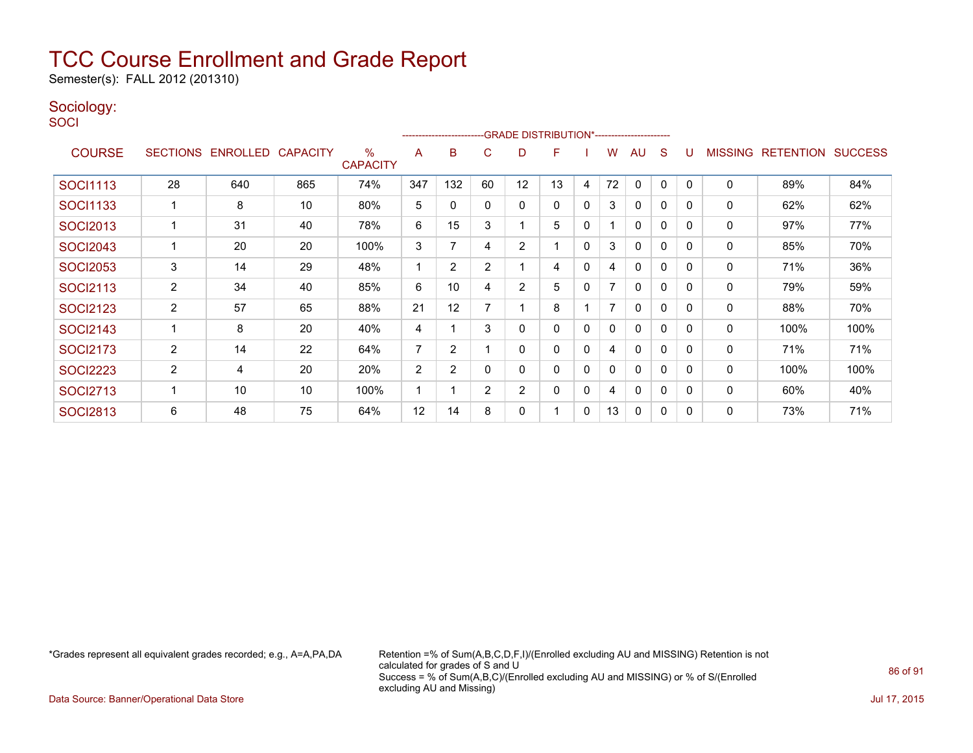Semester(s): FALL 2012 (201310)

#### Sociology:

**SOCI** 

| -------------------------GRADE                DISTRIBUTION*--------------------- |                |                   |                 |                         |                |                |    |                |    |              |    |              |              |          |                |                  |                |
|----------------------------------------------------------------------------------|----------------|-------------------|-----------------|-------------------------|----------------|----------------|----|----------------|----|--------------|----|--------------|--------------|----------|----------------|------------------|----------------|
| <b>COURSE</b>                                                                    |                | SECTIONS ENROLLED | <b>CAPACITY</b> | $\%$<br><b>CAPACITY</b> | A              | B              | C  | D              | F  |              | w  | AU           | S            |          | <b>MISSING</b> | <b>RETENTION</b> | <b>SUCCESS</b> |
| <b>SOCI1113</b>                                                                  | 28             | 640               | 865             | 74%                     | 347            | 132            | 60 | 12             | 13 | 4            | 72 | $\mathbf{0}$ | 0            | $\Omega$ | $\mathbf 0$    | 89%              | 84%            |
| SOCI1133                                                                         |                | 8                 | 10              | 80%                     | 5              | 0              | 0  | 0              | 0  | 0            | 3  | $\mathbf{0}$ | 0            | $\Omega$ | 0              | 62%              | 62%            |
| <b>SOCI2013</b>                                                                  |                | 31                | 40              | 78%                     | 6              | 15             | 3  |                | 5  | $\mathbf{0}$ |    | $\mathbf{0}$ | $\mathbf{0}$ | $\Omega$ | 0              | 97%              | 77%            |
| <b>SOCI2043</b>                                                                  |                | 20                | 20              | 100%                    | 3              | 7              | 4  | 2              |    | $\mathbf{0}$ | 3  | $\mathbf{0}$ | 0            | $\Omega$ | 0              | 85%              | 70%            |
| <b>SOCI2053</b>                                                                  | 3              | 14                | 29              | 48%                     |                | $\overline{2}$ | 2  |                | 4  | 0            | 4  | $\mathbf{0}$ | 0            | $\Omega$ | 0              | 71%              | 36%            |
| <b>SOCI2113</b>                                                                  | $\overline{2}$ | 34                | 40              | 85%                     | 6              | 10             | 4  | $\overline{2}$ | 5  | 0            | 7  | $\mathbf{0}$ | 0            | $\Omega$ | 0              | 79%              | 59%            |
| <b>SOCI2123</b>                                                                  | $\overline{c}$ | 57                | 65              | 88%                     | 21             | 12             |    |                | 8  |              | 7  | $\mathbf{0}$ | $\mathbf{0}$ | 0        | $\mathbf 0$    | 88%              | 70%            |
| <b>SOCI2143</b>                                                                  |                | 8                 | 20              | 40%                     | 4              |                | 3  | 0              | 0  | 0            | 0  | $\mathbf{0}$ | $\mathbf{0}$ | $\Omega$ | 0              | 100%             | 100%           |
| <b>SOCI2173</b>                                                                  | $\overline{2}$ | 14                | 22              | 64%                     | $\overline{7}$ | $\overline{2}$ |    | 0              | 0  | $\mathbf{0}$ | 4  | $\mathbf{0}$ | $\mathbf{0}$ | $\Omega$ | $\mathbf 0$    | 71%              | 71%            |
| <b>SOCI2223</b>                                                                  | 2              | 4                 | 20              | 20%                     | $\overline{2}$ | $\overline{2}$ |    | 0              | 0  | 0            | 0  | $\mathbf{0}$ | $\mathbf{0}$ | $\Omega$ | 0              | 100%             | 100%           |
| <b>SOCI2713</b>                                                                  |                | 10                | 10              | 100%                    |                |                | 2  | 2              | 0  | 0            | 4  | $\mathbf{0}$ | 0            | $\Omega$ | 0              | 60%              | 40%            |
| <b>SOCI2813</b>                                                                  | 6              | 48                | 75              | 64%                     | 12             | 14             | 8  | 0              |    | 0            | 13 | $\mathbf{0}$ | 0            | $\Omega$ | 0              | 73%              | 71%            |

\*Grades represent all equivalent grades recorded; e.g., A=A,PA,DA Retention =% of Sum(A,B,C,D,F,I)/(Enrolled excluding AU and MISSING) Retention is not calculated for grades of S and U Success = % of Sum(A,B,C)/(Enrolled excluding AU and MISSING) or % of S/(Enrolled excluding AU and Missing)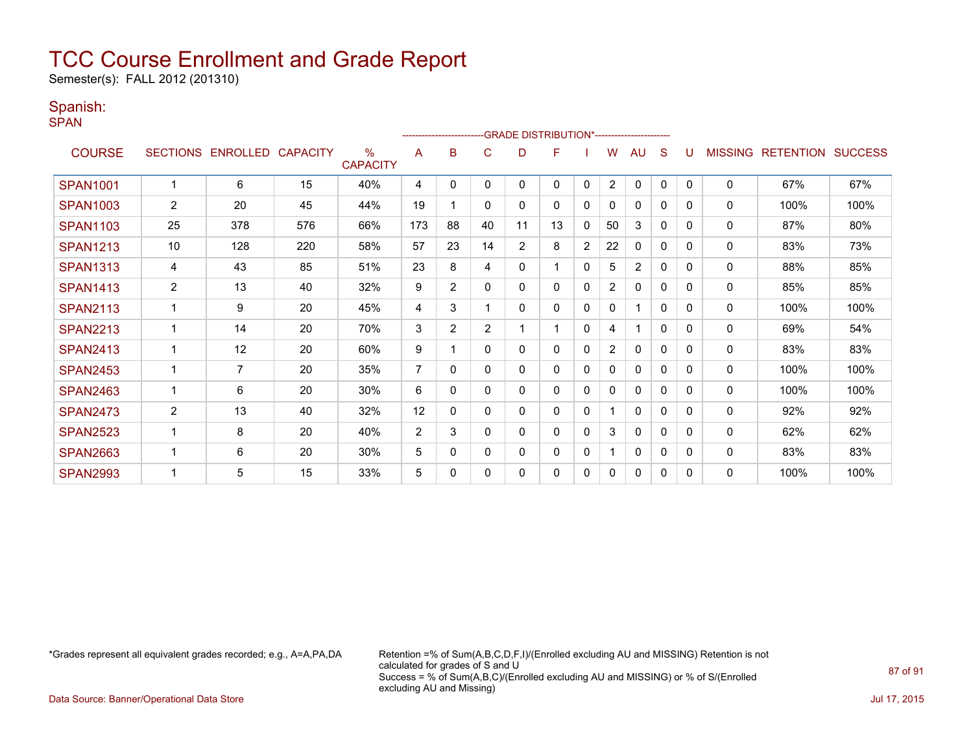Semester(s): FALL 2012 (201310)

#### Spanish:

SPAN

|                 |                 |                   |     |                                  |                | ---------------------- |                |                | -GRADE DISTRIBUTION*---------------------- |                |                |                |              |          |                |                  |                |
|-----------------|-----------------|-------------------|-----|----------------------------------|----------------|------------------------|----------------|----------------|--------------------------------------------|----------------|----------------|----------------|--------------|----------|----------------|------------------|----------------|
| <b>COURSE</b>   | <b>SECTIONS</b> | ENROLLED CAPACITY |     | $\frac{0}{0}$<br><b>CAPACITY</b> | A              | B                      | C              | D              | F                                          |                | W              | AU             | S            |          | <b>MISSING</b> | <b>RETENTION</b> | <b>SUCCESS</b> |
| <b>SPAN1001</b> |                 | 6                 | 15  | 40%                              | 4              | $\Omega$               | $\Omega$       | 0              | 0                                          | $\mathbf{0}$   | $\overline{2}$ | $\mathbf{0}$   | $\mathbf{0}$ | $\Omega$ | 0              | 67%              | 67%            |
| <b>SPAN1003</b> | $\overline{2}$  | 20                | 45  | 44%                              | 19             |                        | 0              | 0              | 0                                          | 0              | $\mathbf{0}$   | $\Omega$       | 0            | $\Omega$ | 0              | 100%             | 100%           |
| <b>SPAN1103</b> | 25              | 378               | 576 | 66%                              | 173            | 88                     | 40             | 11             | 13                                         | 0              | 50             | 3              | 0            | 0        | 0              | 87%              | 80%            |
| <b>SPAN1213</b> | 10              | 128               | 220 | 58%                              | 57             | 23                     | 14             | $\overline{2}$ | 8                                          | $\overline{2}$ | 22             | $\mathbf{0}$   | 0            | 0        | $\Omega$       | 83%              | 73%            |
| <b>SPAN1313</b> | 4               | 43                | 85  | 51%                              | 23             | 8                      | 4              | 0              |                                            | 0              | 5              | $\overline{2}$ | 0            | $\Omega$ | 0              | 88%              | 85%            |
| <b>SPAN1413</b> | 2               | 13                | 40  | 32%                              | 9              | $\overline{2}$         | $\mathbf{0}$   | 0              | 0                                          | $\mathbf{0}$   | $\overline{2}$ | 0              | 0            | 0        | 0              | 85%              | 85%            |
| <b>SPAN2113</b> | 1               | 9                 | 20  | 45%                              | 4              | 3                      |                | 0              | 0                                          | 0              | 0              | 1              | 0            | 0        | 0              | 100%             | 100%           |
| <b>SPAN2213</b> |                 | 14                | 20  | 70%                              | 3              | $\overline{2}$         | $\overline{2}$ |                |                                            | 0              | 4              |                | 0            | $\Omega$ | 0              | 69%              | 54%            |
| <b>SPAN2413</b> | 1               | 12                | 20  | 60%                              | 9              |                        | 0              | 0              | 0                                          | 0              | $\overline{2}$ | $\mathbf{0}$   | 0            | 0        | 0              | 83%              | 83%            |
| <b>SPAN2453</b> |                 | $\overline{7}$    | 20  | 35%                              | $\overline{7}$ | $\Omega$               | $\Omega$       | 0              | 0                                          | $\mathbf 0$    | $\Omega$       | $\Omega$       | $\Omega$     | 0        | 0              | 100%             | 100%           |
| <b>SPAN2463</b> |                 | 6                 | 20  | 30%                              | 6              | 0                      | $\Omega$       | 0              | 0                                          | $\mathbf 0$    | $\mathbf{0}$   | $\Omega$       | 0            | $\Omega$ | 0              | 100%             | 100%           |
| <b>SPAN2473</b> | $\overline{2}$  | 13                | 40  | 32%                              | 12             | 0                      | $\mathbf{0}$   | 0              | 0                                          | 0              |                | $\mathbf{0}$   | 0            | 0        | 0              | 92%              | 92%            |
| <b>SPAN2523</b> |                 | 8                 | 20  | 40%                              | $\overline{2}$ | 3                      | $\Omega$       | 0              | 0                                          | $\mathbf{0}$   | 3              | $\Omega$       | 0            | 0        | $\Omega$       | 62%              | 62%            |
| <b>SPAN2663</b> |                 | 6                 | 20  | 30%                              | 5              | 0                      | 0              | 0              | 0                                          | 0              |                | $\Omega$       | 0            | 0        | 0              | 83%              | 83%            |
| <b>SPAN2993</b> |                 | 5                 | 15  | 33%                              | 5              | 0                      | 0              | 0              | 0                                          | 0              | 0              | $\mathbf{0}$   | 0            | 0        | 0              | 100%             | 100%           |

\*Grades represent all equivalent grades recorded; e.g., A=A,PA,DA Retention =% of Sum(A,B,C,D,F,I)/(Enrolled excluding AU and MISSING) Retention is not calculated for grades of S and U Success = % of Sum(A,B,C)/(Enrolled excluding AU and MISSING) or % of S/(Enrolled excluding AU and Missing)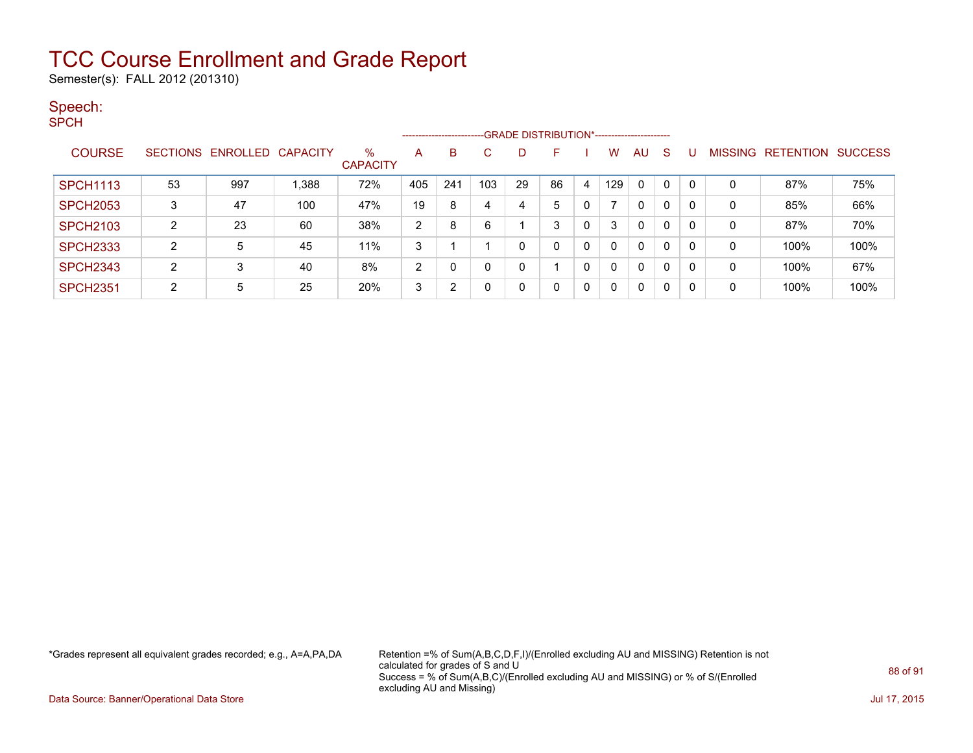Semester(s): FALL 2012 (201310)

#### Speech:

SPCH

|                 | ------------------------GRADE DISTRIBUTION*----------------------- |                            |       |                         |     |     |     |    |    |   |     |              |   |          |                |                  |                |
|-----------------|--------------------------------------------------------------------|----------------------------|-------|-------------------------|-----|-----|-----|----|----|---|-----|--------------|---|----------|----------------|------------------|----------------|
| <b>COURSE</b>   |                                                                    | SECTIONS ENROLLED CAPACITY |       | $\%$<br><b>CAPACITY</b> | A   | B   | C   | D  | F  |   | w   | AU           | S |          | <b>MISSING</b> | <b>RETENTION</b> | <b>SUCCESS</b> |
| <b>SPCH1113</b> | 53                                                                 | 997                        | 1.388 | 72%                     | 405 | 241 | 103 | 29 | 86 | 4 | 129 | $\mathbf{0}$ | 0 | $\Omega$ | 0              | 87%              | 75%            |
| <b>SPCH2053</b> | 3                                                                  | 47                         | 100   | 47%                     | 19  | 8   | 4   | 4  | 5  | 0 |     | $\mathbf{0}$ | 0 | 0        | 0              | 85%              | 66%            |
| <b>SPCH2103</b> | 2                                                                  | 23                         | 60    | 38%                     | 2   | 8   | 6   |    | 3  | 0 |     | $\mathbf{0}$ | 0 | 0        | 0              | 87%              | 70%            |
| <b>SPCH2333</b> | C                                                                  | 5                          | 45    | 11%                     | 3   |     |     | 0  |    | 0 |     | $\mathbf{0}$ | 0 | $\Omega$ | 0              | 100%             | 100%           |
| <b>SPCH2343</b> | 2                                                                  | 3                          | 40    | 8%                      | 2   |     | 0   | 0  |    | 0 |     | $\mathbf{0}$ | 0 | 0        | 0              | 100%             | 67%            |
| <b>SPCH2351</b> | າ                                                                  | 5                          | 25    | 20%                     | 3   | ົ   | 0   | 0  |    | 0 |     | $\mathbf{0}$ | 0 | 0        | 0              | 100%             | 100%           |

\*Grades represent all equivalent grades recorded; e.g., A=A,PA,DA Retention =% of Sum(A,B,C,D,F,I)/(Enrolled excluding AU and MISSING) Retention is not calculated for grades of S and U Success = % of Sum(A,B,C)/(Enrolled excluding AU and MISSING) or % of S/(Enrolled excluding AU and Missing)

Data Source: Banner/Operational Data Store Jul 17, 2015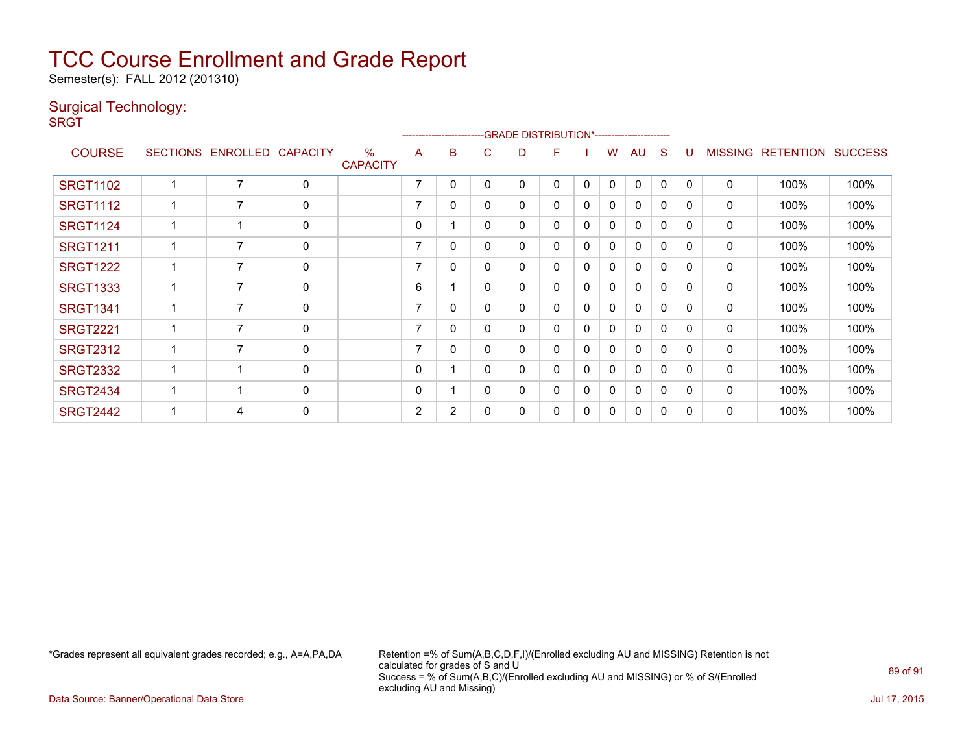Semester(s): FALL 2012 (201310)

### Surgical Technology:

**SRGT** 

|                 | -------------------------GRADE                DISTRIBUTION*--------------------- |                   |                 |                         |                |                |   |   |   |   |              |              |              |              |                |                  |                |
|-----------------|----------------------------------------------------------------------------------|-------------------|-----------------|-------------------------|----------------|----------------|---|---|---|---|--------------|--------------|--------------|--------------|----------------|------------------|----------------|
| <b>COURSE</b>   |                                                                                  | SECTIONS ENROLLED | <b>CAPACITY</b> | $\%$<br><b>CAPACITY</b> | A              | B              | C | D | F |   | w            | AU           | S            | U            | <b>MISSING</b> | <b>RETENTION</b> | <b>SUCCESS</b> |
| <b>SRGT1102</b> |                                                                                  | 7                 | $\mathbf 0$     |                         | 7              | 0              | 0 | 0 | 0 | 0 | $\mathbf{0}$ | $\mathbf{0}$ | 0            | 0            | 0              | 100%             | 100%           |
| <b>SRGT1112</b> |                                                                                  | 7                 | $\mathbf 0$     |                         | $\overline{7}$ | 0              | 0 | 0 | 0 | 0 | 0            | $\mathbf{0}$ | 0            | 0            | 0              | 100%             | 100%           |
| <b>SRGT1124</b> |                                                                                  | -1                | $\mathbf 0$     |                         | $\mathbf{0}$   |                | 0 | 0 | 0 | 0 | $\mathbf{0}$ | 0            | $\Omega$     | 0            | 0              | 100%             | 100%           |
| <b>SRGT1211</b> |                                                                                  | 7                 | 0               |                         | 7              | 0              | 0 | 0 | 0 | 0 | 0            | 0            | 0            | 0            | 0              | 100%             | 100%           |
| <b>SRGT1222</b> |                                                                                  | 7                 | $\mathbf 0$     |                         | 7              | 0              | 0 | 0 | 0 | 0 | 0            | $\mathbf{0}$ | $\Omega$     | 0            | $\mathbf 0$    | 100%             | 100%           |
| <b>SRGT1333</b> |                                                                                  | $\overline{7}$    | $\mathbf 0$     |                         | 6              |                | 0 | 0 | 0 | 0 | $\mathbf{0}$ | $\mathbf{0}$ | $\mathbf{0}$ | $\Omega$     | $\mathbf 0$    | 100%             | 100%           |
| <b>SRGT1341</b> |                                                                                  | 7                 | 0               |                         | 7              | 0              | 0 | 0 | 0 | 0 | 0            | 0            | 0            | $\Omega$     | 0              | 100%             | 100%           |
| <b>SRGT2221</b> |                                                                                  | 7                 | $\mathbf 0$     |                         | 7              | 0              | 0 | 0 | 0 | 0 | $\mathbf{0}$ | 0            | 0            | 0            | $\mathbf 0$    | 100%             | 100%           |
| <b>SRGT2312</b> |                                                                                  | 7                 | 0               |                         | ⇁              | 0              | 0 | 0 | 0 | 0 | $\Omega$     | $\mathbf{0}$ | $\Omega$     | $\Omega$     | 0              | 100%             | 100%           |
| <b>SRGT2332</b> |                                                                                  | -1                | 0               |                         | 0              |                | 0 | 0 | 0 | 0 | 0            | 0            | 0            | <sup>0</sup> | 0              | 100%             | 100%           |
| <b>SRGT2434</b> |                                                                                  | -1                | $\mathbf 0$     |                         | $\mathbf{0}$   |                | 0 | 0 | 0 | 0 | $\mathbf{0}$ | $\Omega$     | $\Omega$     | 0            | $\mathbf 0$    | 100%             | 100%           |
| <b>SRGT2442</b> |                                                                                  | 4                 | $\mathbf 0$     |                         | 2              | $\overline{2}$ | 0 | 0 | 0 | 0 | 0            | 0            | 0            | $\Omega$     | 0              | 100%             | 100%           |

\*Grades represent all equivalent grades recorded; e.g., A=A,PA,DA Retention =% of Sum(A,B,C,D,F,I)/(Enrolled excluding AU and MISSING) Retention is not calculated for grades of S and U Success = % of Sum(A,B,C)/(Enrolled excluding AU and MISSING) or % of S/(Enrolled excluding AU and Missing)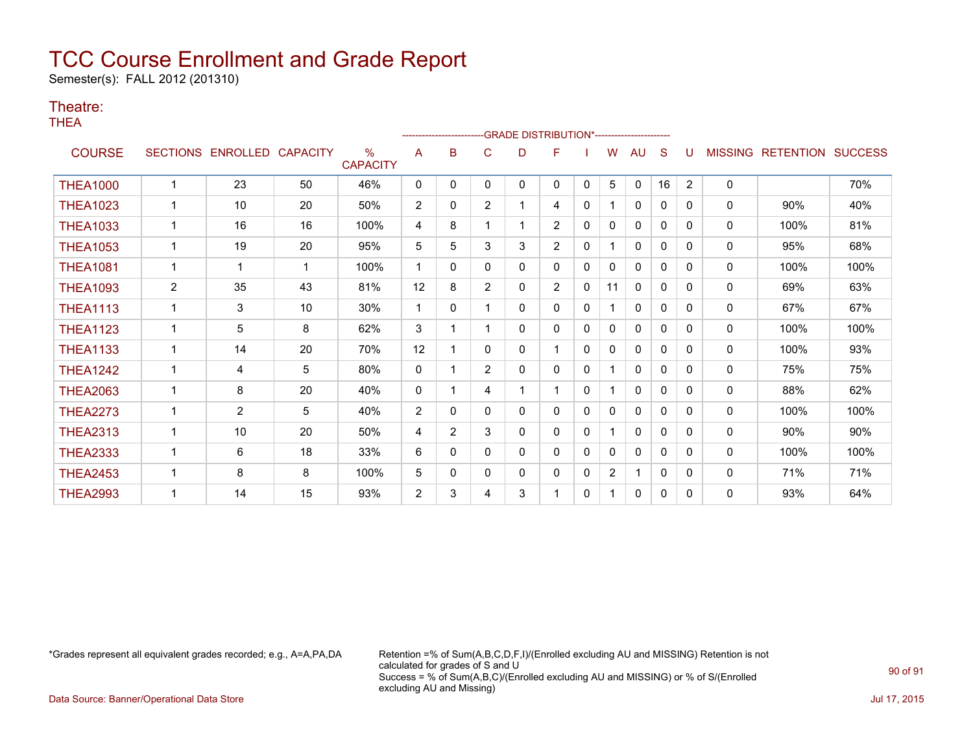Semester(s): FALL 2012 (201310)

#### Theatre:

THEA

|                 |                 |                 |                 |                                  |                | --------------------- |                | -GRADE DISTRIBUTION*---------------------- |                |              |                |              |              |                |                |                          |      |
|-----------------|-----------------|-----------------|-----------------|----------------------------------|----------------|-----------------------|----------------|--------------------------------------------|----------------|--------------|----------------|--------------|--------------|----------------|----------------|--------------------------|------|
| <b>COURSE</b>   | <b>SECTIONS</b> | <b>ENROLLED</b> | <b>CAPACITY</b> | $\frac{0}{0}$<br><b>CAPACITY</b> | A              | B                     | С              | D                                          | F              |              | w              | AU           | S            |                | <b>MISSING</b> | <b>RETENTION SUCCESS</b> |      |
| <b>THEA1000</b> |                 | 23              | 50              | 46%                              | $\mathbf{0}$   | 0                     | 0              | 0                                          | 0              | $\mathbf{0}$ | 5              | $\mathbf{0}$ | 16           | $\overline{2}$ | $\Omega$       |                          | 70%  |
| <b>THEA1023</b> |                 | 10              | 20              | 50%                              | $\overline{2}$ | 0                     | $\overline{2}$ |                                            | 4              | $\mathbf{0}$ |                | $\Omega$     | 0            | $\Omega$       | 0              | 90%                      | 40%  |
| <b>THEA1033</b> | 1               | 16              | 16              | 100%                             | 4              | 8                     |                |                                            | $\overline{2}$ | $\mathbf{0}$ | $\Omega$       | $\mathbf{0}$ | $\mathbf{0}$ | 0              | 0              | 100%                     | 81%  |
| <b>THEA1053</b> | $\mathbf{1}$    | 19              | 20              | 95%                              | 5              | 5                     | 3              | 3                                          | $\overline{2}$ | $\mathbf{0}$ |                | 0            | $\mathbf{0}$ | 0              | 0              | 95%                      | 68%  |
| <b>THEA1081</b> | 1               | 1               | -1              | 100%                             | 1              | 0                     | 0              | 0                                          | 0              | $\mathbf{0}$ | $\mathbf{0}$   | 0            | $\mathbf{0}$ | $\Omega$       | $\mathbf 0$    | 100%                     | 100% |
| <b>THEA1093</b> | $\overline{2}$  | 35              | 43              | 81%                              | 12             | 8                     | $\overline{2}$ | 0                                          | $\overline{2}$ | $\mathbf{0}$ | 11             | $\mathbf{0}$ | $\mathbf{0}$ | $\Omega$       | 0              | 69%                      | 63%  |
| <b>THEA1113</b> | 1               | 3               | 10              | 30%                              | 1              | 0                     |                | 0                                          | 0              | $\mathbf{0}$ |                | $\mathbf{0}$ | $\Omega$     | $\Omega$       | 0              | 67%                      | 67%  |
| <b>THEA1123</b> | $\mathbf 1$     | 5               | 8               | 62%                              | 3              |                       |                | $\Omega$                                   | 0              | $\Omega$     | 0              | $\Omega$     | $\Omega$     | $\Omega$       | 0              | 100%                     | 100% |
| <b>THEA1133</b> | $\mathbf{1}$    | 14              | 20              | 70%                              | 12             |                       | $\Omega$       | 0                                          | 1              | $\Omega$     | 0              | $\mathbf{0}$ | $\Omega$     | $\Omega$       | 0              | 100%                     | 93%  |
| <b>THEA1242</b> | $\mathbf{1}$    | 4               | 5               | 80%                              | 0              |                       | $\overline{2}$ | 0                                          | 0              | $\mathbf{0}$ |                | $\mathbf{0}$ | $\mathbf{0}$ | $\Omega$       | 0              | 75%                      | 75%  |
| <b>THEA2063</b> | 1               | 8               | 20              | 40%                              | $\mathbf{0}$   |                       | 4              |                                            | 1              | $\mathbf{0}$ |                | $\mathbf{0}$ | $\mathbf{0}$ | 0              | 0              | 88%                      | 62%  |
| <b>THEA2273</b> | 1               | $\overline{2}$  | 5               | 40%                              | 2              | 0                     | 0              | 0                                          | 0              | $\mathbf{0}$ | 0              | $\Omega$     | $\mathbf{0}$ | 0              | $\Omega$       | 100%                     | 100% |
| <b>THEA2313</b> | 1               | 10              | 20              | 50%                              | 4              | $\overline{2}$        | 3              | 0                                          | 0              | $\mathbf{0}$ |                | 0            | 0            | $\Omega$       | 0              | 90%                      | 90%  |
| <b>THEA2333</b> | 1               | 6               | 18              | 33%                              | 6              | 0                     | 0              | 0                                          | 0              | $\mathbf{0}$ | 0              | $\mathbf{0}$ | 0            | 0              | $\mathbf{0}$   | 100%                     | 100% |
| <b>THEA2453</b> |                 | 8               | 8               | 100%                             | 5              | 0                     | 0              | 0                                          | 0              | 0            | $\overline{2}$ | 1            | $\mathbf{0}$ | $\Omega$       | 0              | 71%                      | 71%  |
| <b>THEA2993</b> |                 | 14              | 15              | 93%                              | $\overline{2}$ | 3                     | 4              | 3                                          |                | $\mathbf{0}$ |                | $\mathbf{0}$ | $\mathbf 0$  | $\Omega$       | $\Omega$       | 93%                      | 64%  |

\*Grades represent all equivalent grades recorded; e.g., A=A,PA,DA Retention =% of Sum(A,B,C,D,F,I)/(Enrolled excluding AU and MISSING) Retention is not calculated for grades of S and U Success = % of Sum(A,B,C)/(Enrolled excluding AU and MISSING) or % of S/(Enrolled excluding AU and Missing)